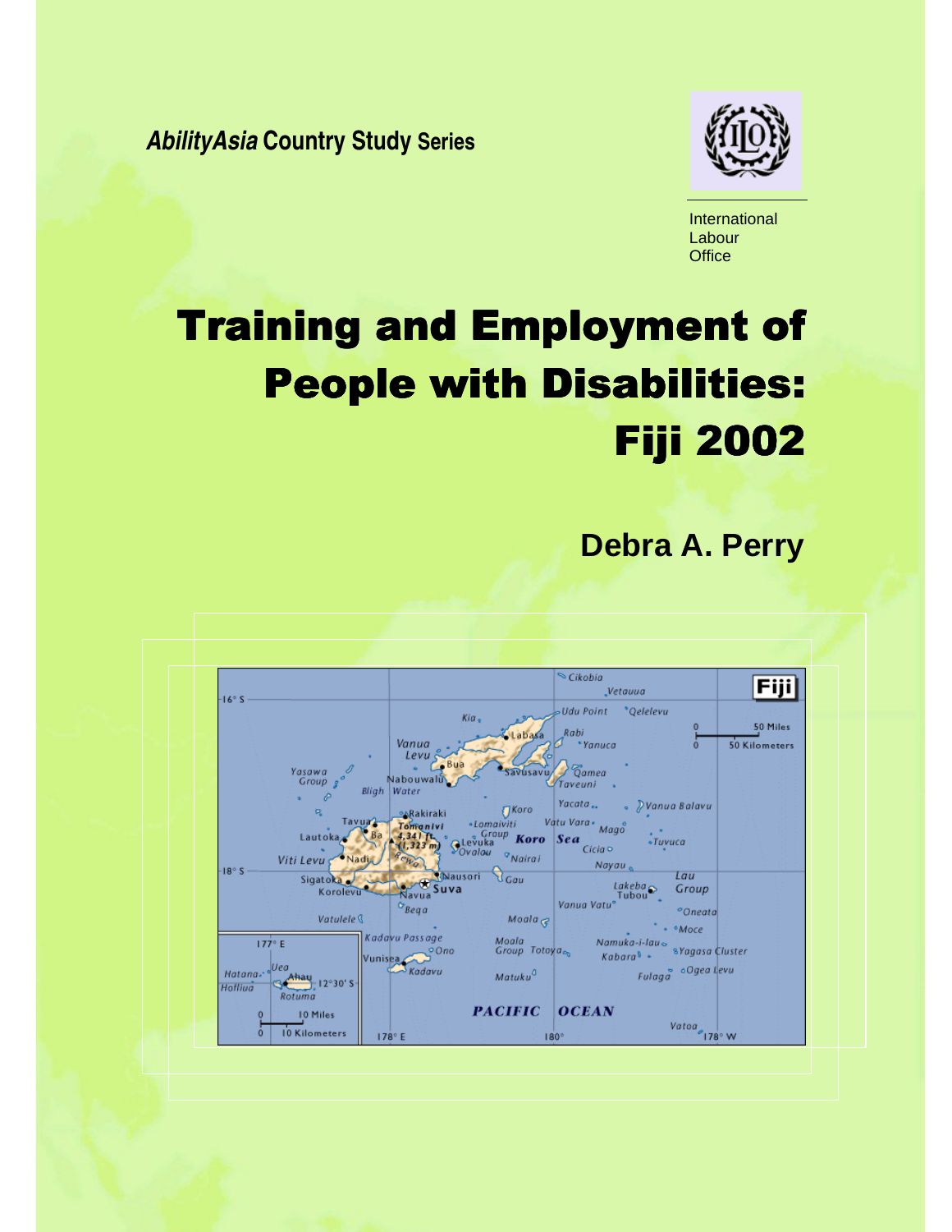**AbilityAsia Country Study Series** 



International Labour **Office** 

# Training and Employment of **People with Disabilities: Fiji 2002**

 **Debra A. Perry** 

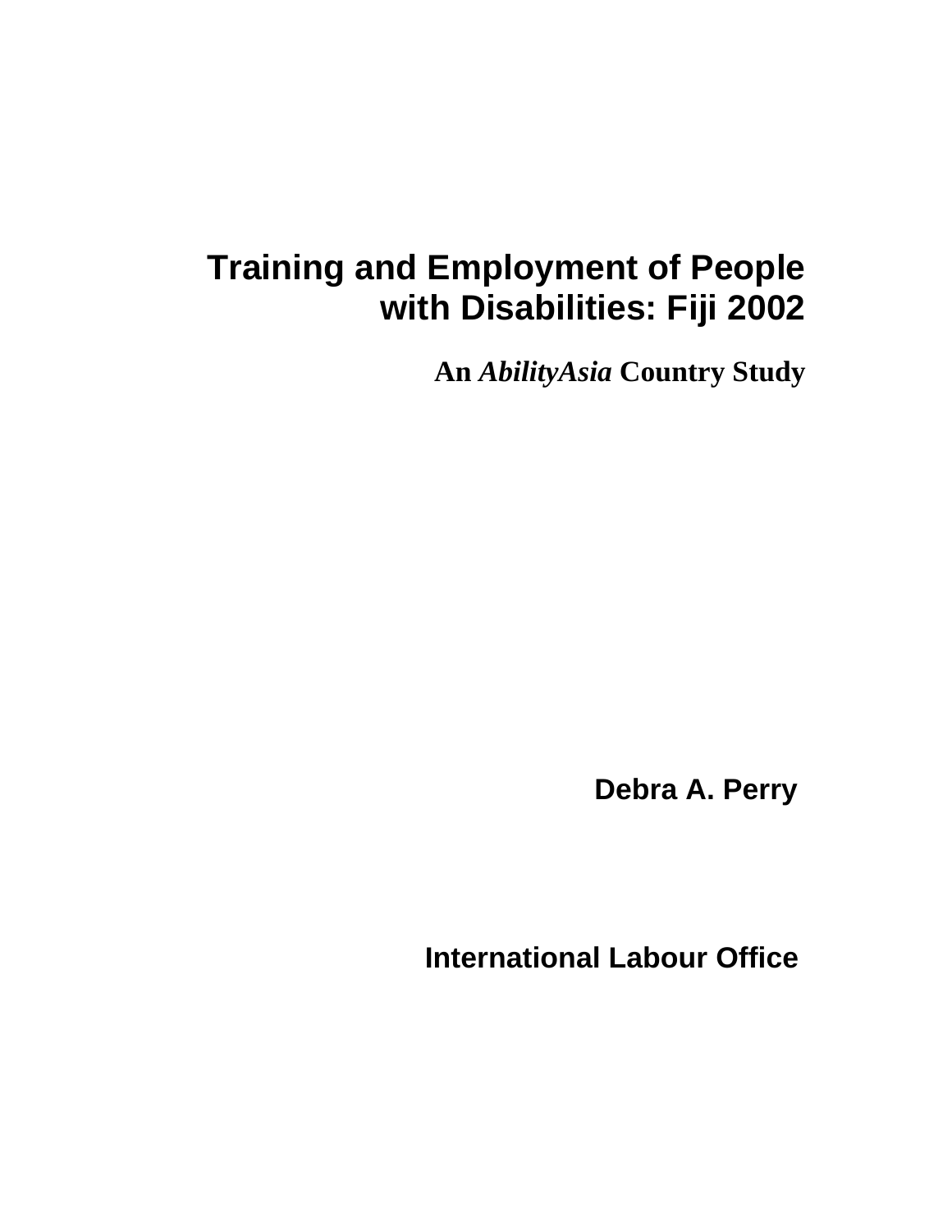## **Training and Employment of People with Disabilities: Fiji 2002**

**An** *AbilityAsia* **Country Study** 

 **Debra A. Perry** 

 **International Labour Office**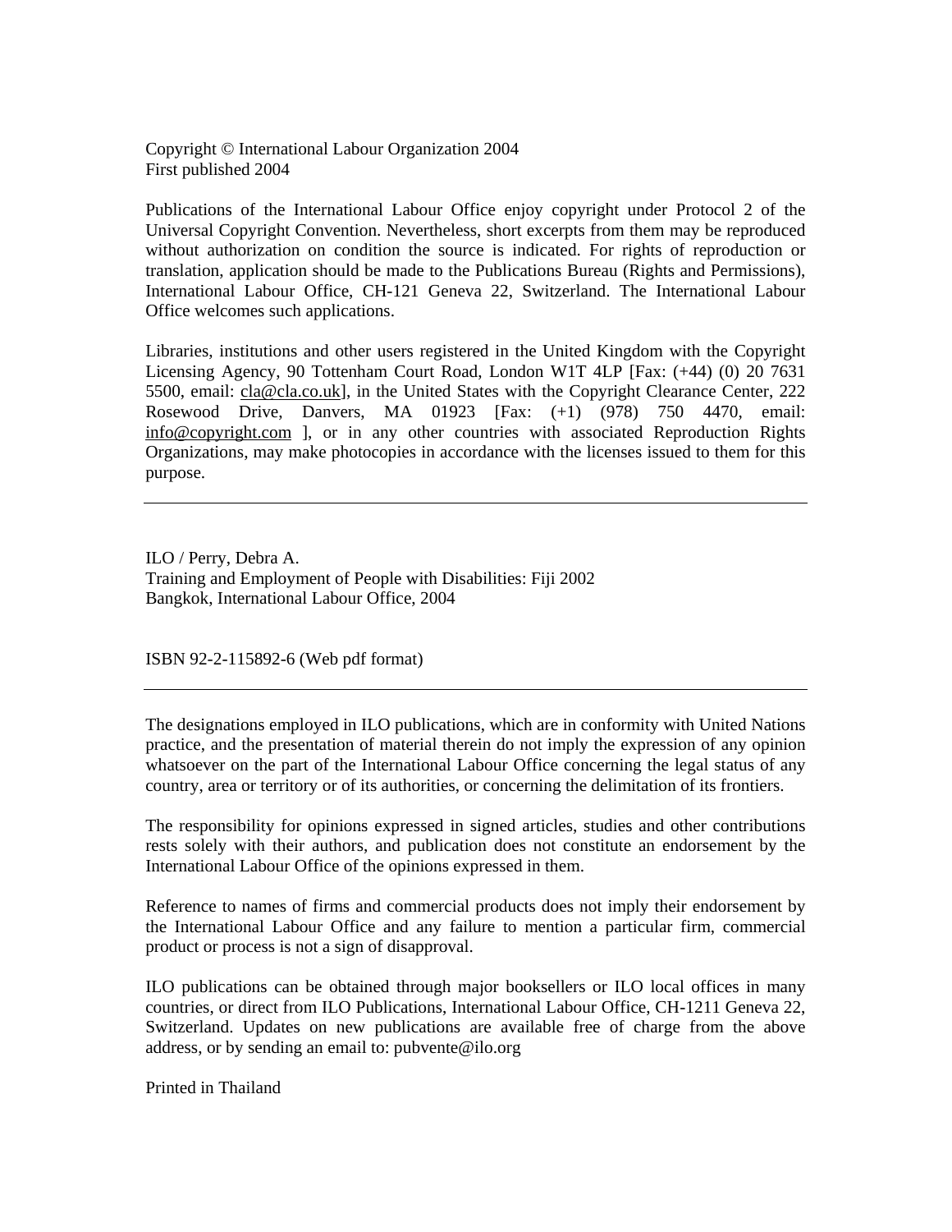Copyright © International Labour Organization 2004 First published 2004

Publications of the International Labour Office enjoy copyright under Protocol 2 of the Universal Copyright Convention. Nevertheless, short excerpts from them may be reproduced without authorization on condition the source is indicated. For rights of reproduction or translation, application should be made to the Publications Bureau (Rights and Permissions), International Labour Office, CH-121 Geneva 22, Switzerland. The International Labour Office welcomes such applications.

Libraries, institutions and other users registered in the United Kingdom with the Copyright Licensing Agency, 90 Tottenham Court Road, London W1T 4LP [Fax: (+44) (0) 20 7631 5500, email: cla@cla.co.uk], in the United States with the Copyright Clearance Center, 222 Rosewood Drive, Danvers, MA 01923 [Fax: (+1) (978) 750 4470, email: info@copyright.com ], or in any other countries with associated Reproduction Rights Organizations, may make photocopies in accordance with the licenses issued to them for this purpose.

ILO / Perry, Debra A. Training and Employment of People with Disabilities: Fiji 2002 Bangkok, International Labour Office, 2004

ISBN 92-2-115892-6 (Web pdf format)

The designations employed in ILO publications, which are in conformity with United Nations practice, and the presentation of material therein do not imply the expression of any opinion whatsoever on the part of the International Labour Office concerning the legal status of any country, area or territory or of its authorities, or concerning the delimitation of its frontiers.

The responsibility for opinions expressed in signed articles, studies and other contributions rests solely with their authors, and publication does not constitute an endorsement by the International Labour Office of the opinions expressed in them.

Reference to names of firms and commercial products does not imply their endorsement by the International Labour Office and any failure to mention a particular firm, commercial product or process is not a sign of disapproval.

ILO publications can be obtained through major booksellers or ILO local offices in many countries, or direct from ILO Publications, International Labour Office, CH-1211 Geneva 22, Switzerland. Updates on new publications are available free of charge from the above address, or by sending an email to: pubvente@ilo.org

Printed in Thailand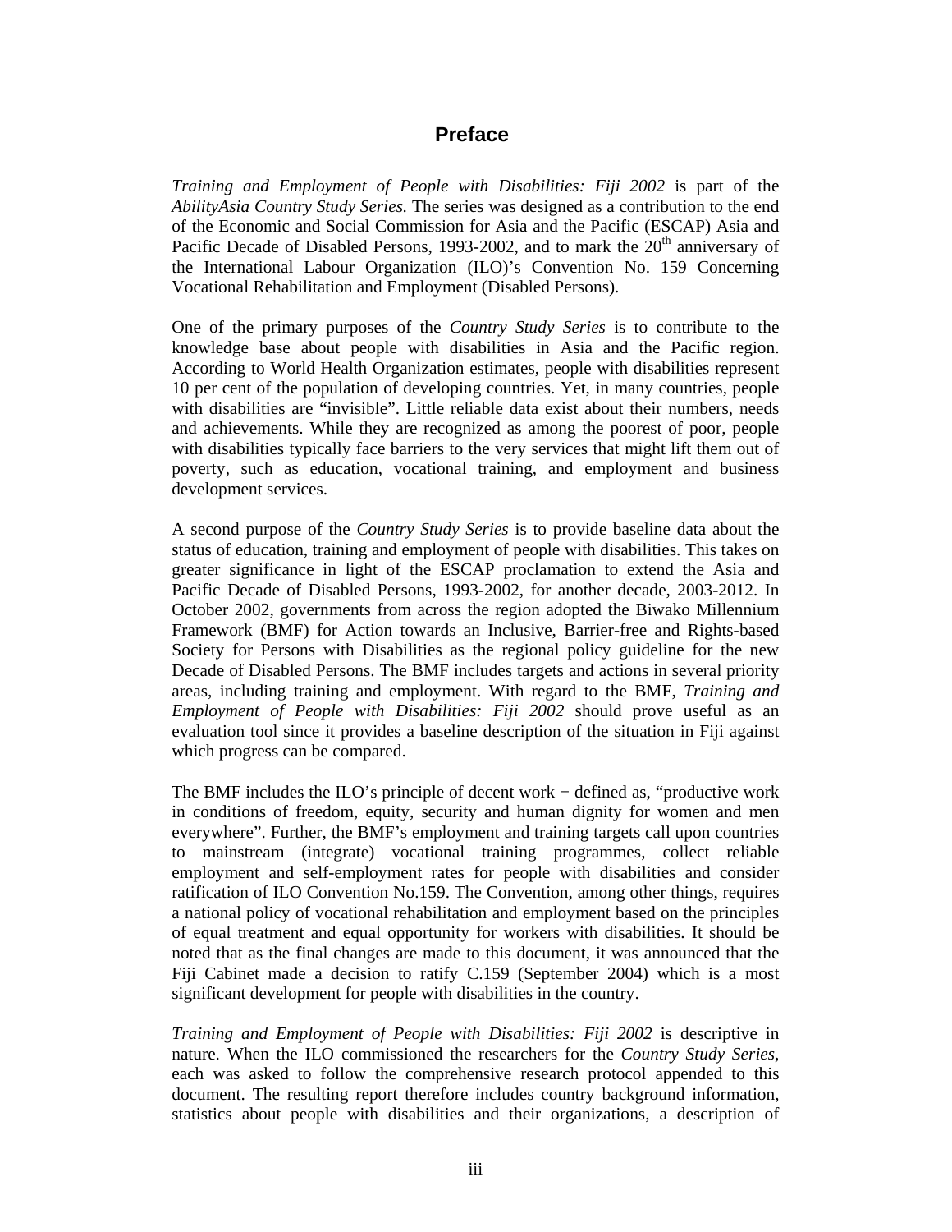#### **Preface**

*Training and Employment of People with Disabilities: Fiji 2002* is part of the *AbilityAsia Country Study Series.* The series was designed as a contribution to the end of the Economic and Social Commission for Asia and the Pacific (ESCAP) Asia and Pacific Decade of Disabled Persons, 1993-2002, and to mark the  $20<sup>th</sup>$  anniversary of the International Labour Organization (ILO)'s Convention No. 159 Concerning Vocational Rehabilitation and Employment (Disabled Persons).

One of the primary purposes of the *Country Study Series* is to contribute to the knowledge base about people with disabilities in Asia and the Pacific region. According to World Health Organization estimates, people with disabilities represent 10 per cent of the population of developing countries. Yet, in many countries, people with disabilities are "invisible". Little reliable data exist about their numbers, needs and achievements. While they are recognized as among the poorest of poor, people with disabilities typically face barriers to the very services that might lift them out of poverty, such as education, vocational training, and employment and business development services.

A second purpose of the *Country Study Series* is to provide baseline data about the status of education, training and employment of people with disabilities. This takes on greater significance in light of the ESCAP proclamation to extend the Asia and Pacific Decade of Disabled Persons, 1993-2002, for another decade, 2003-2012. In October 2002, governments from across the region adopted the Biwako Millennium Framework (BMF) for Action towards an Inclusive, Barrier-free and Rights-based Society for Persons with Disabilities as the regional policy guideline for the new Decade of Disabled Persons. The BMF includes targets and actions in several priority areas, including training and employment. With regard to the BMF, *Training and Employment of People with Disabilities: Fiji 2002* should prove useful as an evaluation tool since it provides a baseline description of the situation in Fiji against which progress can be compared.

The BMF includes the ILO's principle of decent work − defined as, "productive work in conditions of freedom, equity, security and human dignity for women and men everywhere". Further, the BMF's employment and training targets call upon countries to mainstream (integrate) vocational training programmes, collect reliable employment and self-employment rates for people with disabilities and consider ratification of ILO Convention No.159. The Convention, among other things, requires a national policy of vocational rehabilitation and employment based on the principles of equal treatment and equal opportunity for workers with disabilities. It should be noted that as the final changes are made to this document, it was announced that the Fiji Cabinet made a decision to ratify C.159 (September 2004) which is a most significant development for people with disabilities in the country.

*Training and Employment of People with Disabilities: Fiji 2002* is descriptive in nature. When the ILO commissioned the researchers for the *Country Study Series,*  each was asked to follow the comprehensive research protocol appended to this document. The resulting report therefore includes country background information, statistics about people with disabilities and their organizations, a description of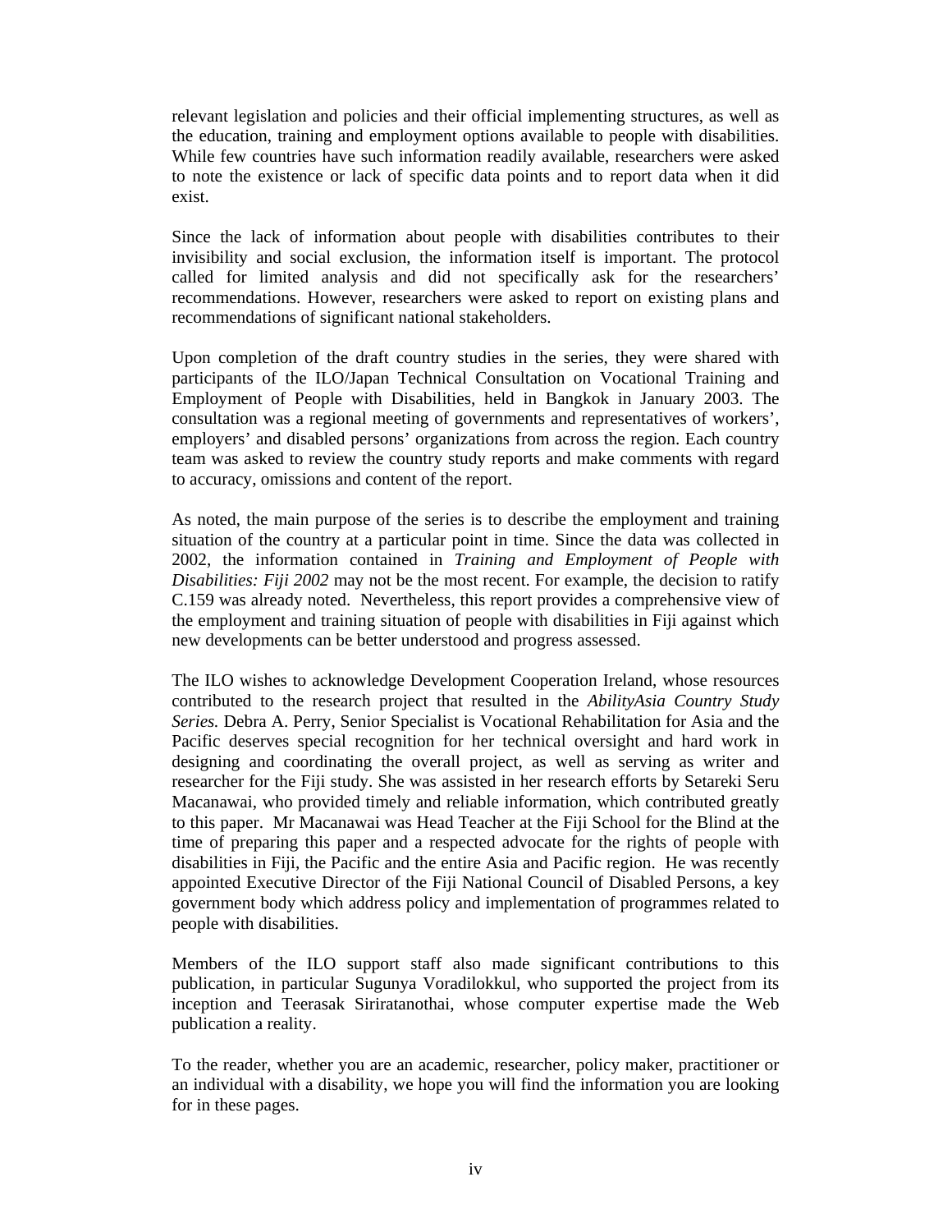relevant legislation and policies and their official implementing structures, as well as the education, training and employment options available to people with disabilities. While few countries have such information readily available, researchers were asked to note the existence or lack of specific data points and to report data when it did exist.

Since the lack of information about people with disabilities contributes to their invisibility and social exclusion, the information itself is important. The protocol called for limited analysis and did not specifically ask for the researchers' recommendations. However, researchers were asked to report on existing plans and recommendations of significant national stakeholders.

Upon completion of the draft country studies in the series, they were shared with participants of the ILO/Japan Technical Consultation on Vocational Training and Employment of People with Disabilities, held in Bangkok in January 2003. The consultation was a regional meeting of governments and representatives of workers', employers' and disabled persons' organizations from across the region. Each country team was asked to review the country study reports and make comments with regard to accuracy, omissions and content of the report.

As noted, the main purpose of the series is to describe the employment and training situation of the country at a particular point in time. Since the data was collected in 2002, the information contained in *Training and Employment of People with Disabilities: Fiji 2002* may not be the most recent. For example, the decision to ratify C.159 was already noted. Nevertheless, this report provides a comprehensive view of the employment and training situation of people with disabilities in Fiji against which new developments can be better understood and progress assessed.

The ILO wishes to acknowledge Development Cooperation Ireland, whose resources contributed to the research project that resulted in the *AbilityAsia Country Study Series.* Debra A. Perry, Senior Specialist is Vocational Rehabilitation for Asia and the Pacific deserves special recognition for her technical oversight and hard work in designing and coordinating the overall project, as well as serving as writer and researcher for the Fiji study. She was assisted in her research efforts by Setareki Seru Macanawai, who provided timely and reliable information, which contributed greatly to this paper. Mr Macanawai was Head Teacher at the Fiji School for the Blind at the time of preparing this paper and a respected advocate for the rights of people with disabilities in Fiji, the Pacific and the entire Asia and Pacific region. He was recently appointed Executive Director of the Fiji National Council of Disabled Persons, a key government body which address policy and implementation of programmes related to people with disabilities.

Members of the ILO support staff also made significant contributions to this publication, in particular Sugunya Voradilokkul, who supported the project from its inception and Teerasak Siriratanothai, whose computer expertise made the Web publication a reality.

To the reader, whether you are an academic, researcher, policy maker, practitioner or an individual with a disability, we hope you will find the information you are looking for in these pages.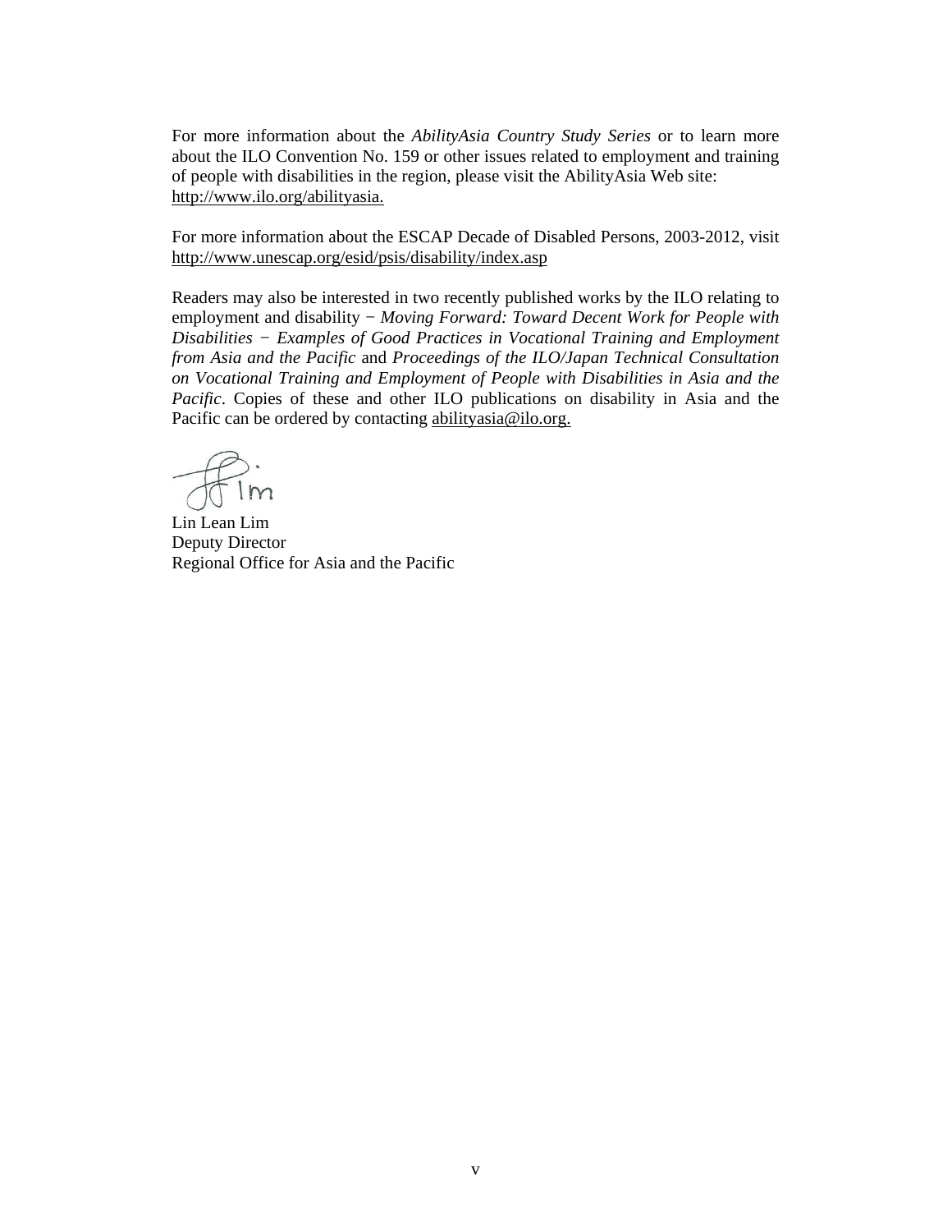For more information about the *AbilityAsia Country Study Series* or to learn more about the ILO Convention No. 159 or other issues related to employment and training of people with disabilities in the region, please visit the AbilityAsia Web site: http://www.ilo.org/abilityasia.

For more information about the ESCAP Decade of Disabled Persons, 2003-2012, visit http://www.unescap.org/esid/psis/disability/index.asp

Readers may also be interested in two recently published works by the ILO relating to employment and disability − *Moving Forward: Toward Decent Work for People with Disabilities − Examples of Good Practices in Vocational Training and Employment from Asia and the Pacific* and *Proceedings of the ILO/Japan Technical Consultation on Vocational Training and Employment of People with Disabilities in Asia and the Pacific*. Copies of these and other ILO publications on disability in Asia and the Pacific can be ordered by contacting abilityasia@ilo.org.

Lin Lean Lim Deputy Director Regional Office for Asia and the Pacific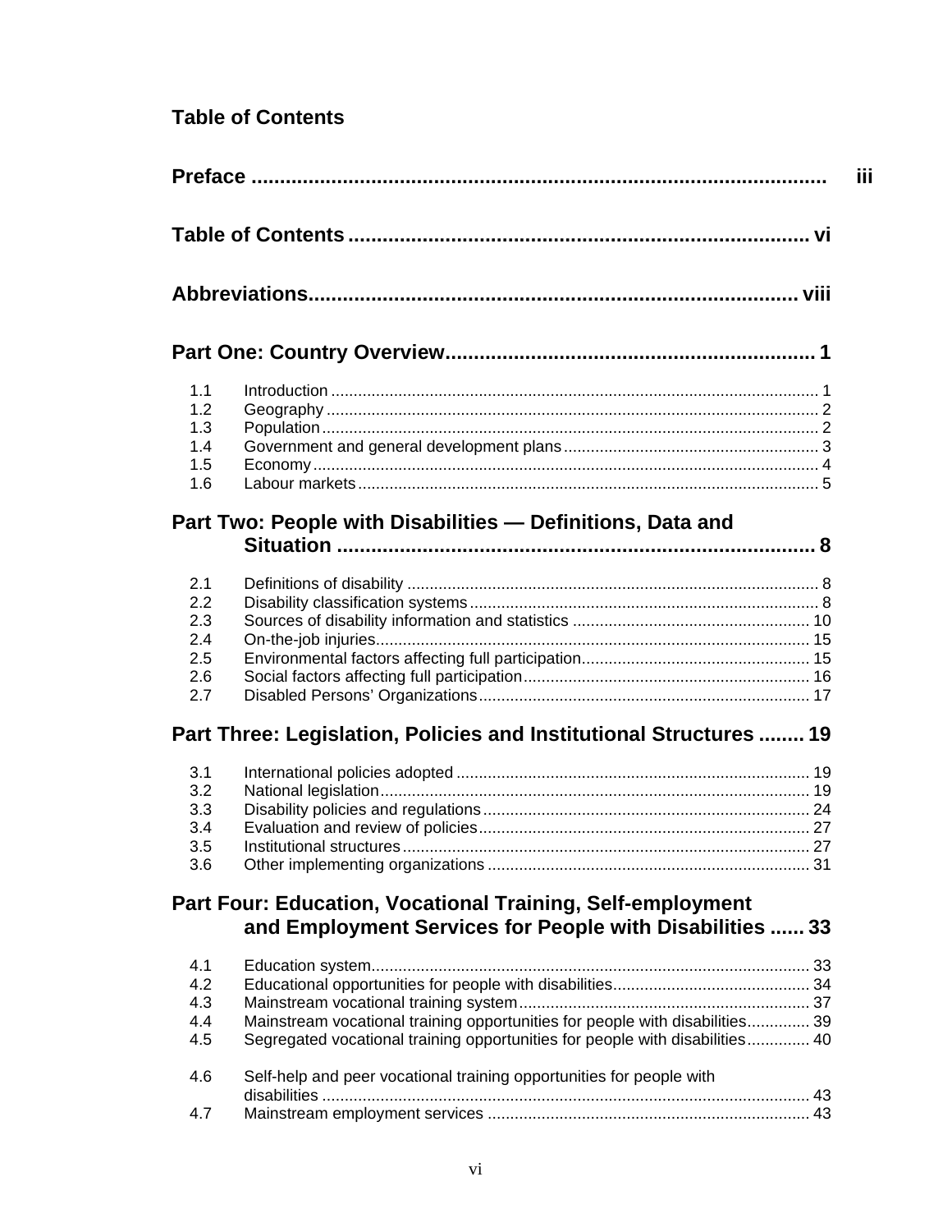## **Table of Contents**

|            |                                                                              | iii |
|------------|------------------------------------------------------------------------------|-----|
|            |                                                                              |     |
|            |                                                                              |     |
|            |                                                                              |     |
| 1.1        |                                                                              |     |
| 1.2        |                                                                              |     |
| 1.3        |                                                                              |     |
| 1.4        |                                                                              |     |
| 1.5<br>1.6 |                                                                              |     |
|            |                                                                              |     |
|            | Part Two: People with Disabilities - Definitions, Data and                   |     |
|            |                                                                              |     |
| 2.1        |                                                                              |     |
| 2.2        |                                                                              |     |
| 2.3        |                                                                              |     |
| 2.4        |                                                                              |     |
| 2.5        |                                                                              |     |
| 2.6        |                                                                              |     |
| 2.7        |                                                                              |     |
|            | Part Three: Legislation, Policies and Institutional Structures  19           |     |
|            |                                                                              |     |
| 3.1        |                                                                              |     |
| 3.2<br>3.3 |                                                                              |     |
| 3.4        |                                                                              |     |
| 3.5        |                                                                              |     |
| 3.6        |                                                                              |     |
|            |                                                                              |     |
|            | Part Four: Education, Vocational Training, Self-employment                   |     |
|            | and Employment Services for People with Disabilities  33                     |     |
| 4.1        |                                                                              |     |
| 4.2        |                                                                              |     |
| 4.3        |                                                                              |     |
| 4.4        | Mainstream vocational training opportunities for people with disabilities 39 |     |
| 4.5        | Segregated vocational training opportunities for people with disabilities 40 |     |
| 4.6        | Self-help and peer vocational training opportunities for people with         |     |
|            |                                                                              |     |
| 4.7        |                                                                              |     |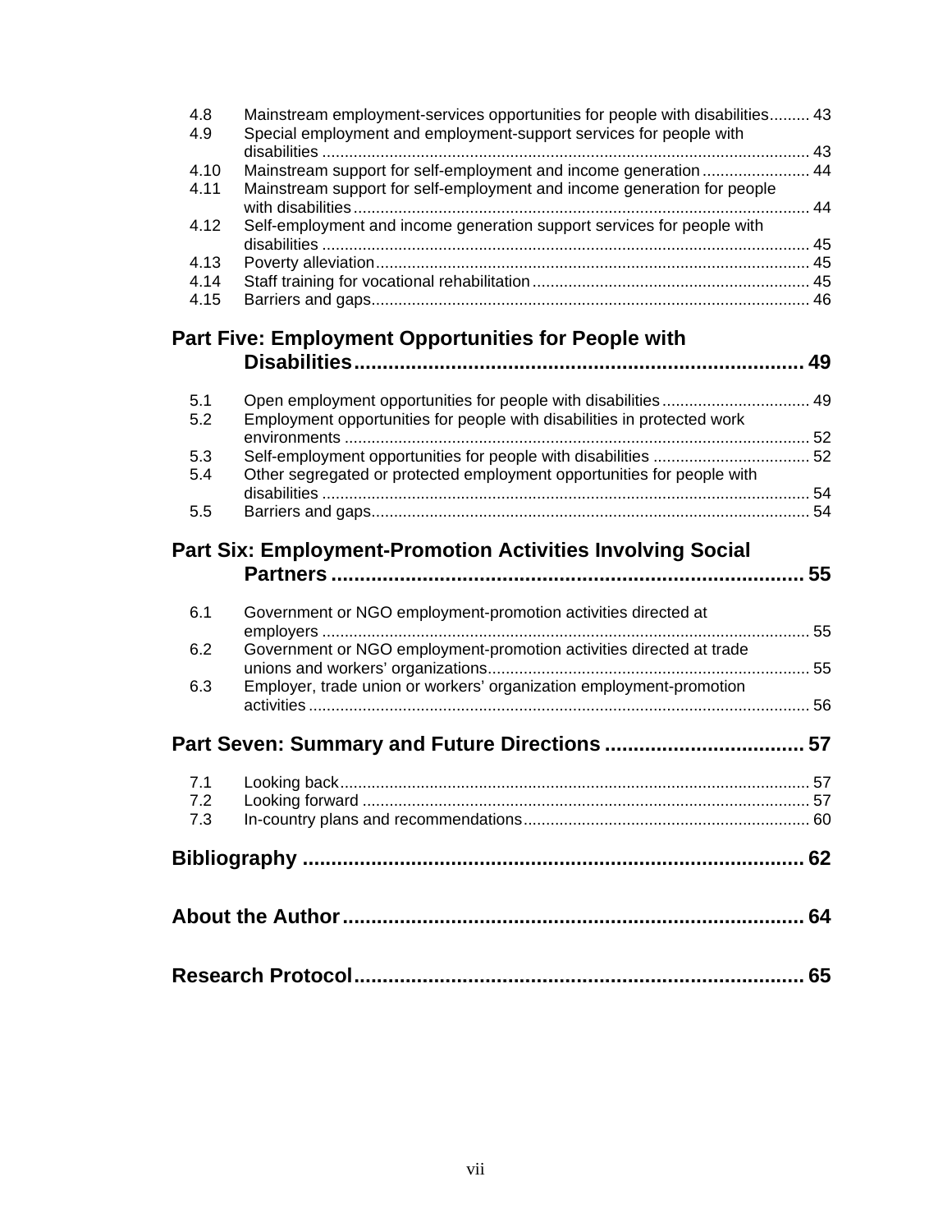| 4.8<br>4.9 | Mainstream employment-services opportunities for people with disabilities 43<br>Special employment and employment-support services for people with |    |
|------------|----------------------------------------------------------------------------------------------------------------------------------------------------|----|
|            |                                                                                                                                                    |    |
| 4.10       | Mainstream support for self-employment and income generation  44                                                                                   |    |
| 4.11       | Mainstream support for self-employment and income generation for people                                                                            |    |
| 4.12       | Self-employment and income generation support services for people with                                                                             |    |
|            |                                                                                                                                                    |    |
| 4.13       |                                                                                                                                                    |    |
| 4.14       |                                                                                                                                                    |    |
| 4.15       |                                                                                                                                                    |    |
|            | <b>Part Five: Employment Opportunities for People with</b>                                                                                         |    |
|            |                                                                                                                                                    |    |
|            |                                                                                                                                                    |    |
| 5.1        |                                                                                                                                                    |    |
| 5.2        | Employment opportunities for people with disabilities in protected work                                                                            |    |
|            |                                                                                                                                                    |    |
| 5.3        |                                                                                                                                                    |    |
| 5.4        | Other segregated or protected employment opportunities for people with                                                                             |    |
|            |                                                                                                                                                    |    |
| 5.5        |                                                                                                                                                    |    |
|            | <b>Part Six: Employment-Promotion Activities Involving Social</b>                                                                                  |    |
|            |                                                                                                                                                    | 55 |
| 6.1        | Government or NGO employment-promotion activities directed at                                                                                      |    |
|            | 55                                                                                                                                                 |    |
| 6.2        | Government or NGO employment-promotion activities directed at trade                                                                                |    |
|            |                                                                                                                                                    |    |
| 6.3        | Employer, trade union or workers' organization employment-promotion                                                                                |    |
|            |                                                                                                                                                    |    |
|            |                                                                                                                                                    |    |
| 7.1        |                                                                                                                                                    |    |
| 7.2        |                                                                                                                                                    |    |
| 7.3        |                                                                                                                                                    |    |
|            |                                                                                                                                                    |    |
|            |                                                                                                                                                    |    |
|            |                                                                                                                                                    |    |
|            |                                                                                                                                                    |    |
|            |                                                                                                                                                    |    |
|            |                                                                                                                                                    |    |
|            |                                                                                                                                                    |    |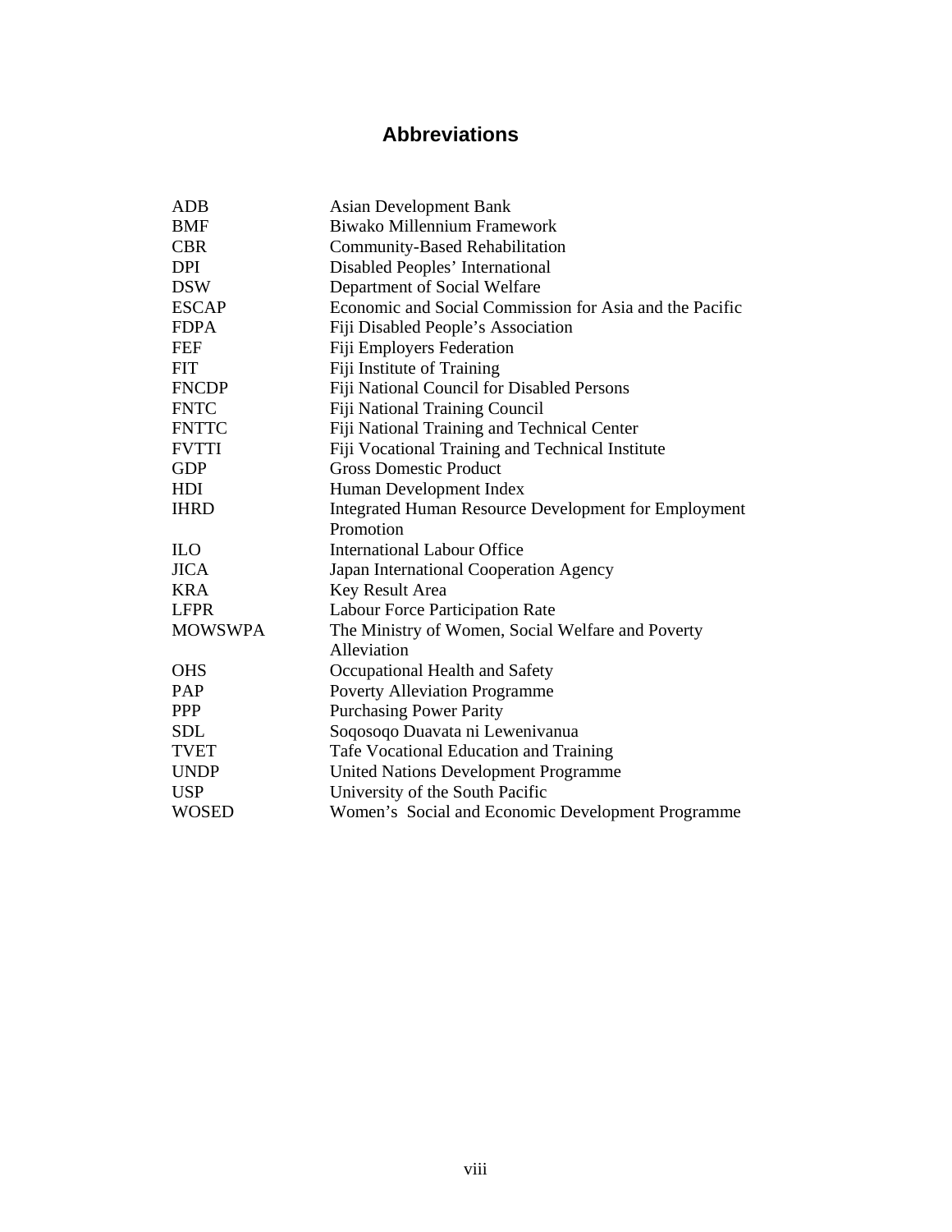## **Abbreviations**

| ADB            | <b>Asian Development Bank</b>                               |
|----------------|-------------------------------------------------------------|
| <b>BMF</b>     | Biwako Millennium Framework                                 |
| <b>CBR</b>     | <b>Community-Based Rehabilitation</b>                       |
| <b>DPI</b>     | Disabled Peoples' International                             |
| <b>DSW</b>     | Department of Social Welfare                                |
| <b>ESCAP</b>   | Economic and Social Commission for Asia and the Pacific     |
| <b>FDPA</b>    | Fiji Disabled People's Association                          |
| <b>FEF</b>     | <b>Fiji Employers Federation</b>                            |
| <b>FIT</b>     | Fiji Institute of Training                                  |
| <b>FNCDP</b>   | Fiji National Council for Disabled Persons                  |
| <b>FNTC</b>    | <b>Fiji National Training Council</b>                       |
| <b>FNTTC</b>   | Fiji National Training and Technical Center                 |
| <b>FVTTI</b>   | Fiji Vocational Training and Technical Institute            |
| <b>GDP</b>     | <b>Gross Domestic Product</b>                               |
| HDI            | Human Development Index                                     |
| <b>IHRD</b>    | <b>Integrated Human Resource Development for Employment</b> |
|                | Promotion                                                   |
| <b>ILO</b>     | <b>International Labour Office</b>                          |
| <b>JICA</b>    | Japan International Cooperation Agency                      |
| <b>KRA</b>     | Key Result Area                                             |
| <b>LFPR</b>    | Labour Force Participation Rate                             |
| <b>MOWSWPA</b> | The Ministry of Women, Social Welfare and Poverty           |
|                | Alleviation                                                 |
| <b>OHS</b>     | Occupational Health and Safety                              |
| PAP            | <b>Poverty Alleviation Programme</b>                        |
| <b>PPP</b>     | <b>Purchasing Power Parity</b>                              |
| <b>SDL</b>     | Soqosoqo Duavata ni Lewenivanua                             |
| <b>TVET</b>    | Tafe Vocational Education and Training                      |
| <b>UNDP</b>    | <b>United Nations Development Programme</b>                 |
| <b>USP</b>     | University of the South Pacific                             |
| <b>WOSED</b>   | Women's Social and Economic Development Programme           |
|                |                                                             |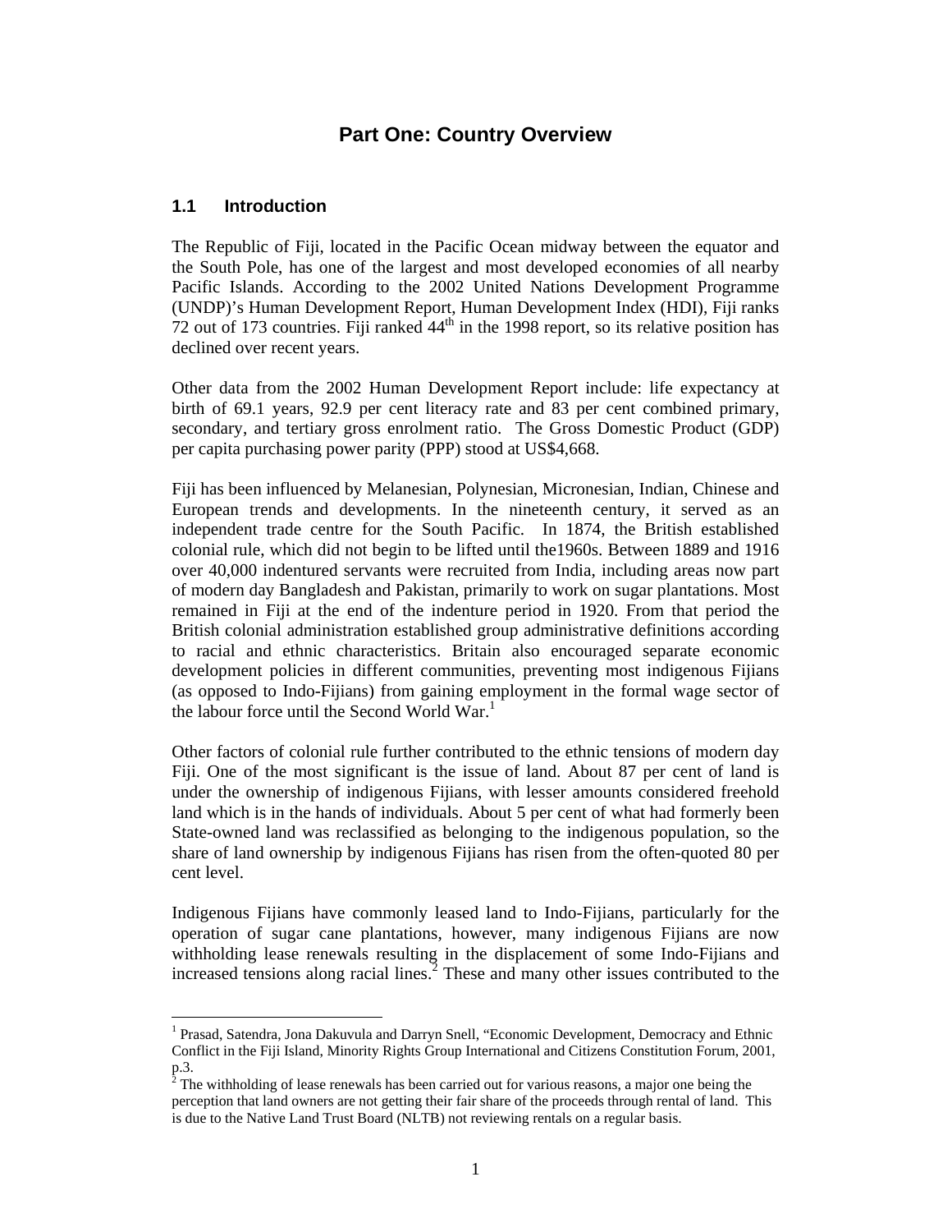#### **Part One: Country Overview**

#### **1.1 Introduction**

 $\ddot{\phantom{a}}$ 

The Republic of Fiji, located in the Pacific Ocean midway between the equator and the South Pole, has one of the largest and most developed economies of all nearby Pacific Islands. According to the 2002 United Nations Development Programme (UNDP)'s Human Development Report, Human Development Index (HDI), Fiji ranks 72 out of 173 countries. Fiji ranked  $44<sup>th</sup>$  in the 1998 report, so its relative position has declined over recent years.

Other data from the 2002 Human Development Report include: life expectancy at birth of 69.1 years, 92.9 per cent literacy rate and 83 per cent combined primary, secondary, and tertiary gross enrolment ratio. The Gross Domestic Product (GDP) per capita purchasing power parity (PPP) stood at US\$4,668.

Fiji has been influenced by Melanesian, Polynesian, Micronesian, Indian, Chinese and European trends and developments. In the nineteenth century, it served as an independent trade centre for the South Pacific. In 1874, the British established colonial rule, which did not begin to be lifted until the1960s. Between 1889 and 1916 over 40,000 indentured servants were recruited from India, including areas now part of modern day Bangladesh and Pakistan, primarily to work on sugar plantations. Most remained in Fiji at the end of the indenture period in 1920. From that period the British colonial administration established group administrative definitions according to racial and ethnic characteristics. Britain also encouraged separate economic development policies in different communities, preventing most indigenous Fijians (as opposed to Indo-Fijians) from gaining employment in the formal wage sector of the labour force until the Second World War.<sup>1</sup>

Other factors of colonial rule further contributed to the ethnic tensions of modern day Fiji. One of the most significant is the issue of land. About 87 per cent of land is under the ownership of indigenous Fijians, with lesser amounts considered freehold land which is in the hands of individuals. About 5 per cent of what had formerly been State-owned land was reclassified as belonging to the indigenous population, so the share of land ownership by indigenous Fijians has risen from the often-quoted 80 per cent level.

Indigenous Fijians have commonly leased land to Indo-Fijians, particularly for the operation of sugar cane plantations, however, many indigenous Fijians are now withholding lease renewals resulting in the displacement of some Indo-Fijians and increased tensions along racial lines. $\frac{1}{2}$  These and many other issues contributed to the

<sup>&</sup>lt;sup>1</sup> Prasad, Satendra, Jona Dakuvula and Darryn Snell, "Economic Development, Democracy and Ethnic Conflict in the Fiji Island, Minority Rights Group International and Citizens Constitution Forum, 2001,  $_{2}^{p.3}$ .

The withholding of lease renewals has been carried out for various reasons, a major one being the perception that land owners are not getting their fair share of the proceeds through rental of land. This is due to the Native Land Trust Board (NLTB) not reviewing rentals on a regular basis.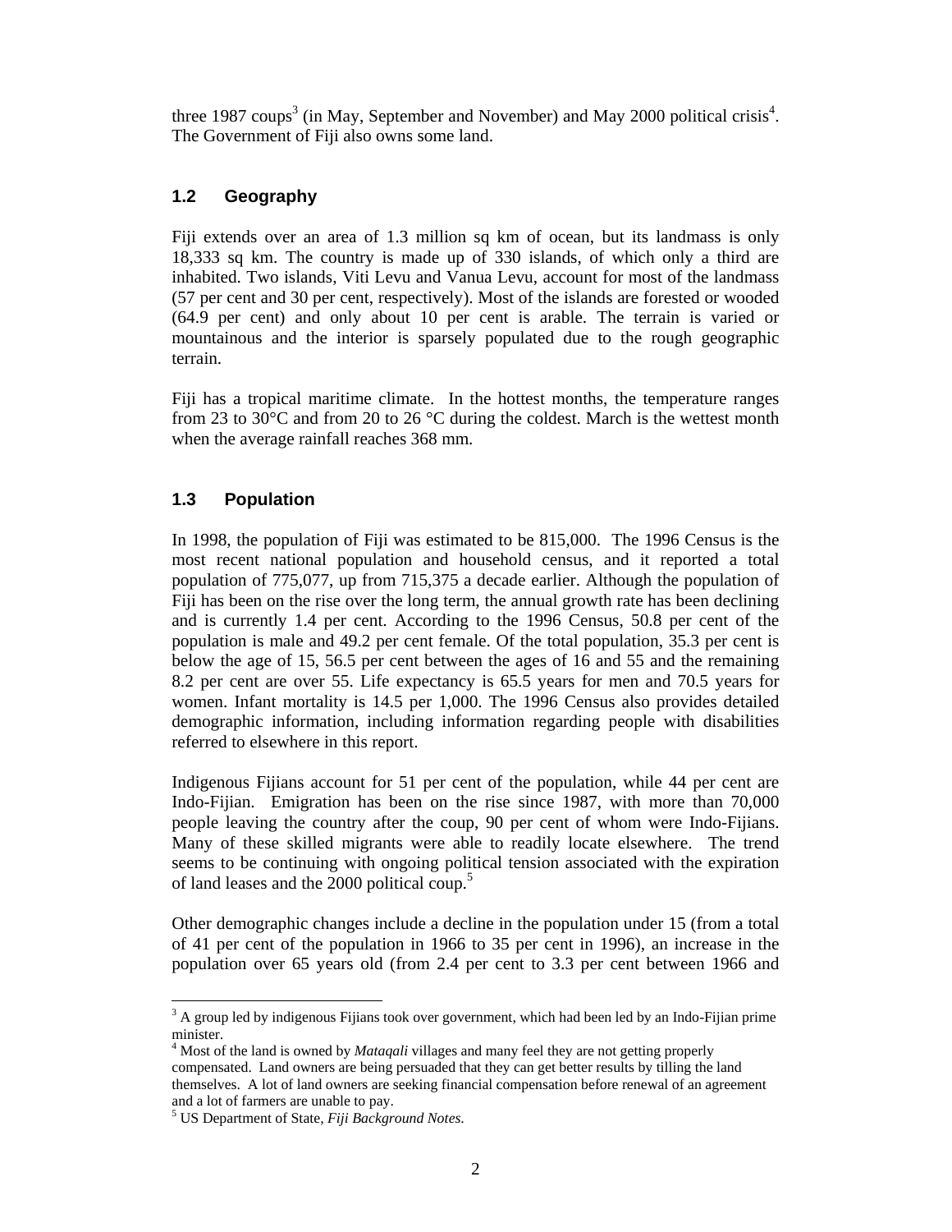three 1987 coups<sup>3</sup> (in May, September and November) and May 2000 political crisis<sup>4</sup>. The Government of Fiji also owns some land.

#### **1.2 Geography**

Fiji extends over an area of 1.3 million sq km of ocean, but its landmass is only 18,333 sq km. The country is made up of 330 islands, of which only a third are inhabited. Two islands, Viti Levu and Vanua Levu, account for most of the landmass (57 per cent and 30 per cent, respectively). Most of the islands are forested or wooded (64.9 per cent) and only about 10 per cent is arable. The terrain is varied or mountainous and the interior is sparsely populated due to the rough geographic terrain.

Fiji has a tropical maritime climate. In the hottest months, the temperature ranges from 23 to 30°C and from 20 to 26 °C during the coldest. March is the wettest month when the average rainfall reaches 368 mm.

#### **1.3 Population**

In 1998, the population of Fiji was estimated to be 815,000. The 1996 Census is the most recent national population and household census, and it reported a total population of 775,077, up from 715,375 a decade earlier. Although the population of Fiji has been on the rise over the long term, the annual growth rate has been declining and is currently 1.4 per cent. According to the 1996 Census, 50.8 per cent of the population is male and 49.2 per cent female. Of the total population, 35.3 per cent is below the age of 15, 56.5 per cent between the ages of 16 and 55 and the remaining 8.2 per cent are over 55. Life expectancy is 65.5 years for men and 70.5 years for women. Infant mortality is 14.5 per 1,000. The 1996 Census also provides detailed demographic information, including information regarding people with disabilities referred to elsewhere in this report.

Indigenous Fijians account for 51 per cent of the population, while 44 per cent are Indo-Fijian. Emigration has been on the rise since 1987, with more than 70,000 people leaving the country after the coup, 90 per cent of whom were Indo-Fijians. Many of these skilled migrants were able to readily locate elsewhere. The trend seems to be continuing with ongoing political tension associated with the expiration of land leases and the 2000 political coup.<sup>5</sup>

Other demographic changes include a decline in the population under 15 (from a total of 41 per cent of the population in 1966 to 35 per cent in 1996), an increase in the population over 65 years old (from 2.4 per cent to 3.3 per cent between 1966 and

<sup>&</sup>lt;sup>3</sup> A group led by indigenous Fijians took over government, which had been led by an Indo-Fijian prime minister.

<sup>4</sup> Most of the land is owned by *Mataqali* villages and many feel they are not getting properly compensated. Land owners are being persuaded that they can get better results by tilling the land themselves. A lot of land owners are seeking financial compensation before renewal of an agreement and a lot of farmers are unable to pay.

<sup>5</sup> US Department of State, *Fiji Background Notes*.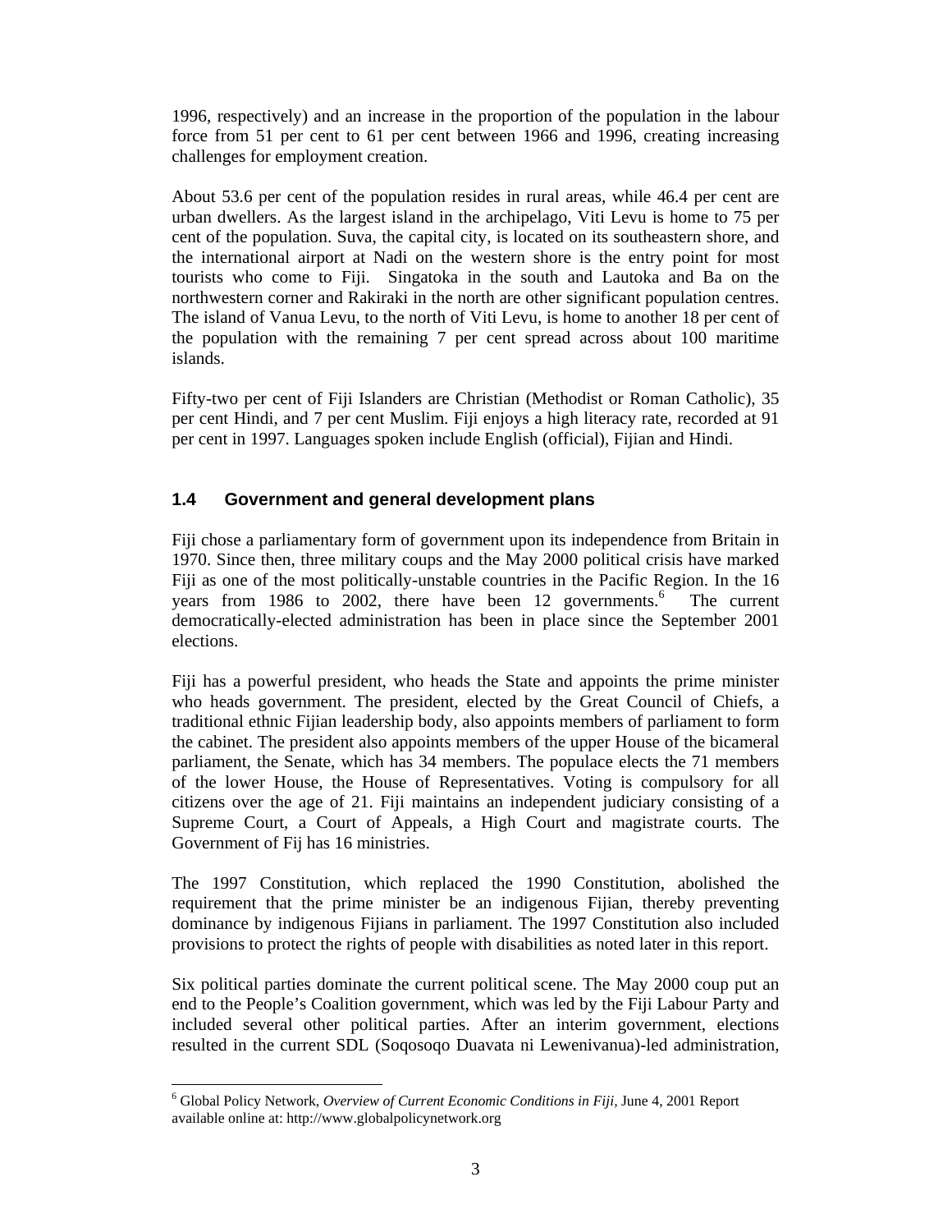1996, respectively) and an increase in the proportion of the population in the labour force from 51 per cent to 61 per cent between 1966 and 1996, creating increasing challenges for employment creation.

About 53.6 per cent of the population resides in rural areas, while 46.4 per cent are urban dwellers. As the largest island in the archipelago, Viti Levu is home to 75 per cent of the population. Suva, the capital city, is located on its southeastern shore, and the international airport at Nadi on the western shore is the entry point for most tourists who come to Fiji. Singatoka in the south and Lautoka and Ba on the northwestern corner and Rakiraki in the north are other significant population centres. The island of Vanua Levu, to the north of Viti Levu, is home to another 18 per cent of the population with the remaining 7 per cent spread across about 100 maritime islands.

Fifty-two per cent of Fiji Islanders are Christian (Methodist or Roman Catholic), 35 per cent Hindi, and 7 per cent Muslim. Fiji enjoys a high literacy rate, recorded at 91 per cent in 1997. Languages spoken include English (official), Fijian and Hindi.

#### **1.4 Government and general development plans**

Fiji chose a parliamentary form of government upon its independence from Britain in 1970. Since then, three military coups and the May 2000 political crisis have marked Fiji as one of the most politically-unstable countries in the Pacific Region. In the 16 years from 1986 to 2002, there have been 12 governments.<sup>6</sup> The current democratically-elected administration has been in place since the September 2001 elections.

Fiji has a powerful president, who heads the State and appoints the prime minister who heads government. The president, elected by the Great Council of Chiefs, a traditional ethnic Fijian leadership body, also appoints members of parliament to form the cabinet. The president also appoints members of the upper House of the bicameral parliament, the Senate, which has 34 members. The populace elects the 71 members of the lower House, the House of Representatives. Voting is compulsory for all citizens over the age of 21. Fiji maintains an independent judiciary consisting of a Supreme Court, a Court of Appeals, a High Court and magistrate courts. The Government of Fij has 16 ministries.

The 1997 Constitution, which replaced the 1990 Constitution, abolished the requirement that the prime minister be an indigenous Fijian, thereby preventing dominance by indigenous Fijians in parliament. The 1997 Constitution also included provisions to protect the rights of people with disabilities as noted later in this report.

Six political parties dominate the current political scene. The May 2000 coup put an end to the People's Coalition government, which was led by the Fiji Labour Party and included several other political parties. After an interim government, elections resulted in the current SDL (Soqosoqo Duavata ni Lewenivanua)-led administration,

 $\overline{a}$ 6 Global Policy Network, *Overview of Current Economic Conditions in Fiji,* June 4, 2001 Report available online at: http://www.globalpolicynetwork.org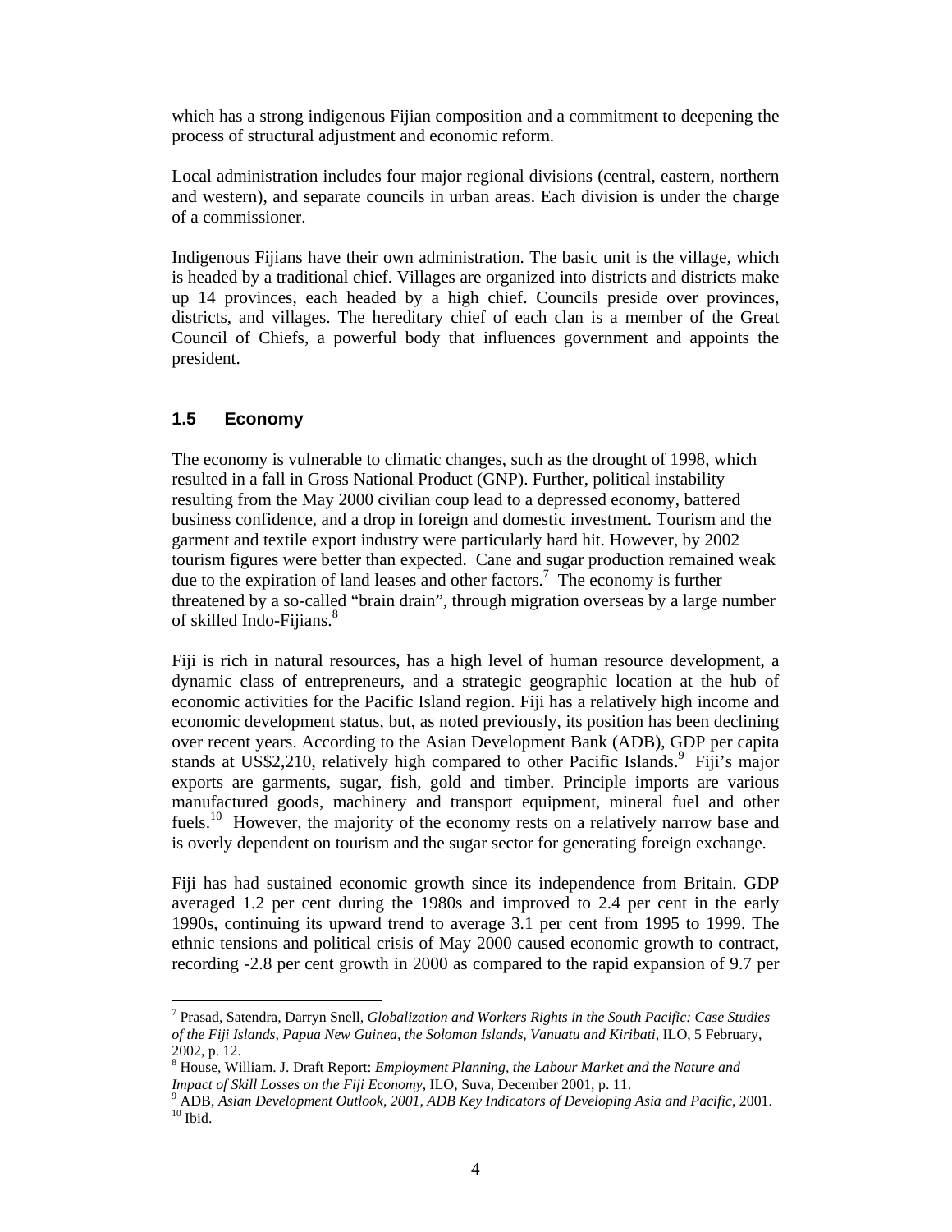which has a strong indigenous Fijian composition and a commitment to deepening the process of structural adjustment and economic reform.

Local administration includes four major regional divisions (central, eastern, northern and western), and separate councils in urban areas. Each division is under the charge of a commissioner.

Indigenous Fijians have their own administration. The basic unit is the village, which is headed by a traditional chief. Villages are organized into districts and districts make up 14 provinces, each headed by a high chief. Councils preside over provinces, districts, and villages. The hereditary chief of each clan is a member of the Great Council of Chiefs, a powerful body that influences government and appoints the president.

#### **1.5 Economy**

 $\ddot{\phantom{a}}$ 

The economy is vulnerable to climatic changes, such as the drought of 1998, which resulted in a fall in Gross National Product (GNP). Further, political instability resulting from the May 2000 civilian coup lead to a depressed economy, battered business confidence, and a drop in foreign and domestic investment. Tourism and the garment and textile export industry were particularly hard hit. However, by 2002 tourism figures were better than expected. Cane and sugar production remained weak due to the expiration of land leases and other factors.<sup>7</sup> The economy is further threatened by a so-called "brain drain", through migration overseas by a large number of skilled Indo-Fijians.<sup>8</sup>

Fiji is rich in natural resources, has a high level of human resource development, a dynamic class of entrepreneurs, and a strategic geographic location at the hub of economic activities for the Pacific Island region. Fiji has a relatively high income and economic development status, but, as noted previously, its position has been declining over recent years. According to the Asian Development Bank (ADB), GDP per capita stands at US\$2,210, relatively high compared to other Pacific Islands.<sup>9</sup> Fiji's major exports are garments, sugar, fish, gold and timber. Principle imports are various manufactured goods, machinery and transport equipment, mineral fuel and other fuels.<sup>10</sup> However, the majority of the economy rests on a relatively narrow base and is overly dependent on tourism and the sugar sector for generating foreign exchange.

Fiji has had sustained economic growth since its independence from Britain. GDP averaged 1.2 per cent during the 1980s and improved to 2.4 per cent in the early 1990s, continuing its upward trend to average 3.1 per cent from 1995 to 1999. The ethnic tensions and political crisis of May 2000 caused economic growth to contract, recording -2.8 per cent growth in 2000 as compared to the rapid expansion of 9.7 per

<sup>7</sup> Prasad, Satendra, Darryn Snell, *Globalization and Workers Rights in the South Pacific: Case Studies of the Fiji Islands, Papua New Guinea, the Solomon Islands, Vanuatu and Kiribati*, ILO, 5 February, 2002, p. 12.

<sup>8</sup> House, William. J. Draft Report: *Employment Planning, the Labour Market and the Nature and Impact of Skill Losses on the Fiji Economy*, ILO, Suva, December 2001, p. 11.

<sup>9</sup> ADB, *Asian Development Outlook, 2001, ADB Key Indicators of Developing Asia and Pacific*, 2001.  $^{\rm 10}$  Ibid.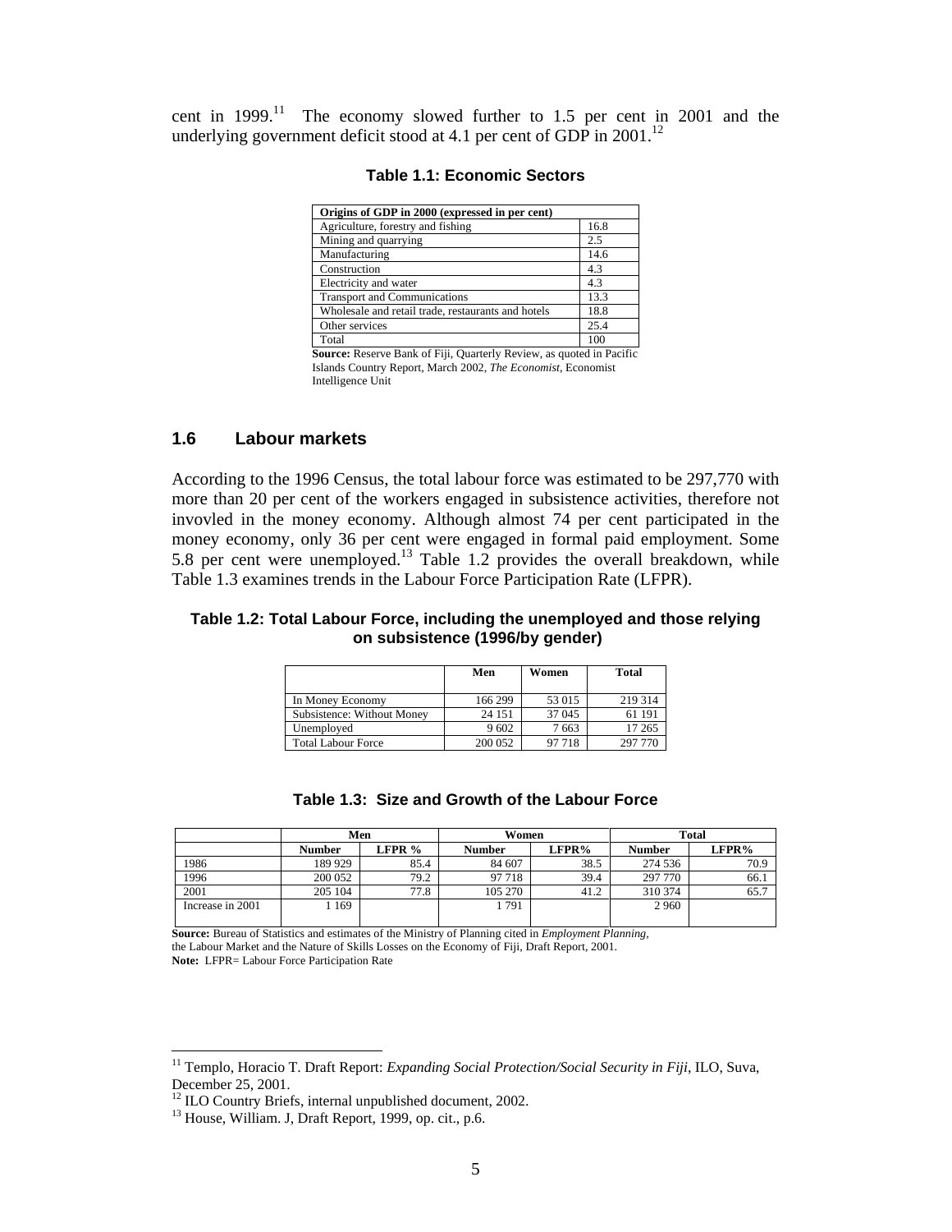cent in  $1999$ .<sup>11</sup> The economy slowed further to 1.5 per cent in 2001 and the underlying government deficit stood at 4.1 per cent of GDP in  $2001$ .<sup>12</sup>

| Origins of GDP in 2000 (expressed in per cent)                                                                                                                    |                                        |  |  |  |  |
|-------------------------------------------------------------------------------------------------------------------------------------------------------------------|----------------------------------------|--|--|--|--|
| Agriculture, forestry and fishing                                                                                                                                 | 16.8                                   |  |  |  |  |
| Mining and quarrying                                                                                                                                              | 2.5                                    |  |  |  |  |
| Manufacturing                                                                                                                                                     | 14.6                                   |  |  |  |  |
| Construction                                                                                                                                                      | 4.3                                    |  |  |  |  |
| Electricity and water                                                                                                                                             | 4.3                                    |  |  |  |  |
| <b>Transport and Communications</b>                                                                                                                               | 13.3                                   |  |  |  |  |
| Wholesale and retail trade, restaurants and hotels                                                                                                                | 18.8                                   |  |  |  |  |
| Other services                                                                                                                                                    | 25.4                                   |  |  |  |  |
| Total                                                                                                                                                             | 100                                    |  |  |  |  |
| $R_{\text{total}}$ , $R_{\text{total}}$ , $R_{\text{E}}$ , $R_{\text{total}}$ , $R_{\text{total}}$ , $R_{\text{total}}$ , $R_{\text{total}}$ , $R_{\text{total}}$ | $\sim$ 1.1 $\sim$ 10 $\sim$ 101 $\sim$ |  |  |  |  |

#### **Table 1.1: Economic Sectors**

 **Source:** Reserve Bank of Fiji, Quarterly Review, as quoted in Pacific Islands Country Report, March 2002, *The Economist*, Economist Intelligence Unit

#### **1.6 Labour markets**

According to the 1996 Census, the total labour force was estimated to be 297,770 with more than 20 per cent of the workers engaged in subsistence activities, therefore not invovled in the money economy. Although almost 74 per cent participated in the money economy, only 36 per cent were engaged in formal paid employment. Some 5.8 per cent were unemployed.<sup>13</sup> Table 1.2 provides the overall breakdown, while Table 1.3 examines trends in the Labour Force Participation Rate (LFPR).

#### **Table 1.2: Total Labour Force, including the unemployed and those relying on subsistence (1996/by gender)**

|                            | Men     | Women  | Total   |
|----------------------------|---------|--------|---------|
| In Money Economy           | 166 299 | 53 015 | 219 314 |
| Subsistence: Without Money | 24 15 1 | 37 045 | 61 191  |
| Unemployed                 | 9602    | 7663   | 17 265  |
| <b>Total Labour Force</b>  | 200 052 | 97 718 | 297 770 |

| Table 1.3: Size and Growth of the Labour Force |  |  |  |  |  |  |
|------------------------------------------------|--|--|--|--|--|--|
|------------------------------------------------|--|--|--|--|--|--|

|                  | Men     |        | Women         |       | <b>Total</b>  |       |  |
|------------------|---------|--------|---------------|-------|---------------|-------|--|
|                  | Number  | LFPR % | <b>Number</b> | LFPR% | <b>Number</b> | LFPR% |  |
| 1986             | 189 929 | 85.4   | 84 607        | 38.5  | 274 536       | 70.9  |  |
| 1996             | 200 052 | 79.2   | 97 718        | 39.4  | 297 770       | 66.1  |  |
| 2001             | 205 104 | 77.8   | 105 270       | 41.2  | 310 374       | 65.7  |  |
| Increase in 2001 | 169     |        | 1791          |       | 2 9 6 0       |       |  |
|                  |         |        |               |       |               |       |  |

**Source:** Bureau of Statistics and estimates of the Ministry of Planning cited in *Employment Planning,*  the Labour Market and the Nature of Skills Losses on the Economy of Fiji, Draft Report, 2001. **Note:** LFPR= Labour Force Participation Rate

 $\overline{a}$ 

<sup>&</sup>lt;sup>11</sup> Templo, Horacio T. Draft Report: *Expanding Social Protection/Social Security in Fiji*, ILO, Suva, December 25, 2001.

<sup>&</sup>lt;sup>12</sup> ILO Country Briefs, internal unpublished document, 2002.

<sup>&</sup>lt;sup>13</sup> House, William. J, Draft Report, 1999, op. cit., p.6.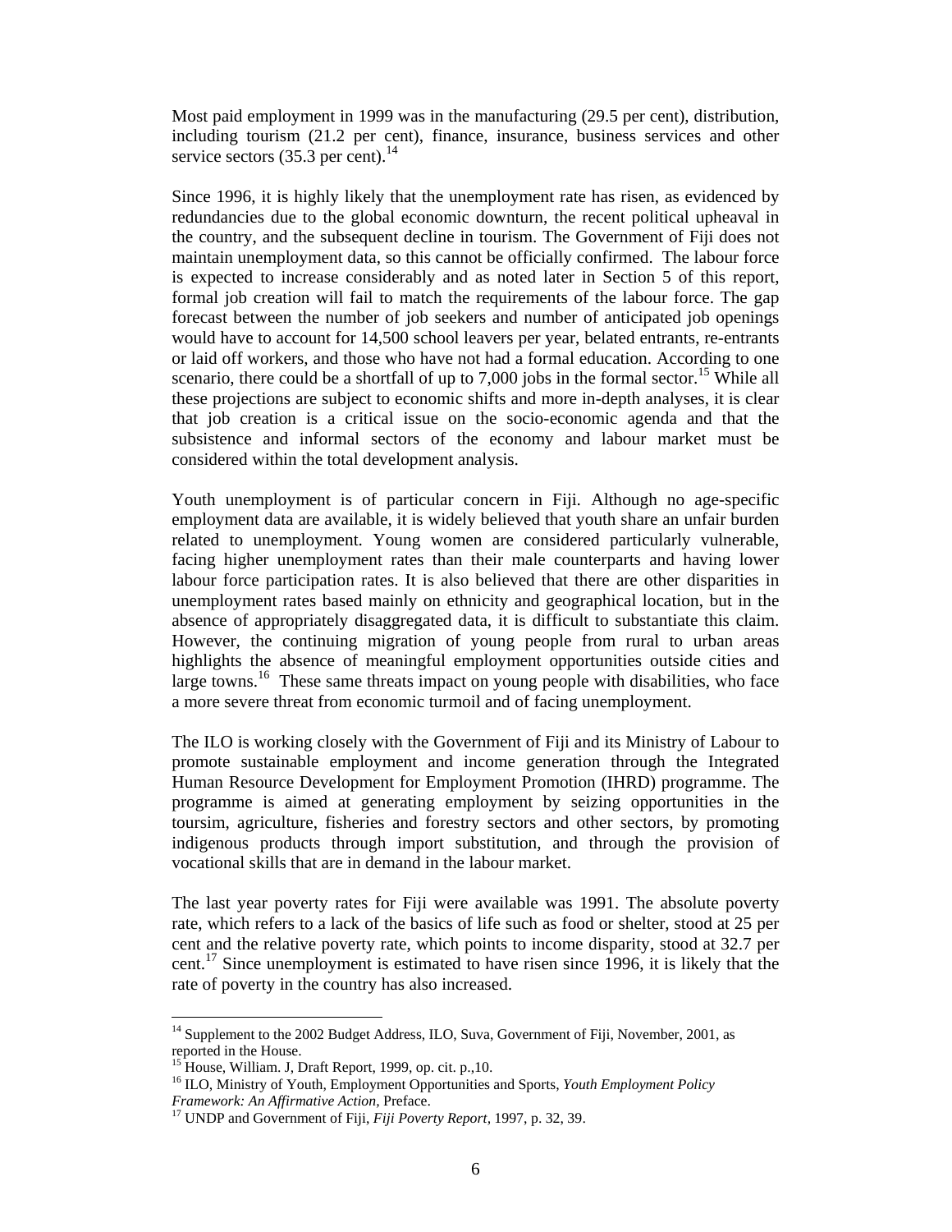Most paid employment in 1999 was in the manufacturing (29.5 per cent), distribution, including tourism (21.2 per cent), finance, insurance, business services and other service sectors  $(35.3 \text{ per cent})$ .<sup>14</sup>

Since 1996, it is highly likely that the unemployment rate has risen, as evidenced by redundancies due to the global economic downturn, the recent political upheaval in the country, and the subsequent decline in tourism. The Government of Fiji does not maintain unemployment data, so this cannot be officially confirmed. The labour force is expected to increase considerably and as noted later in Section 5 of this report, formal job creation will fail to match the requirements of the labour force. The gap forecast between the number of job seekers and number of anticipated job openings would have to account for 14,500 school leavers per year, belated entrants, re-entrants or laid off workers, and those who have not had a formal education. According to one scenario, there could be a shortfall of up to 7,000 jobs in the formal sector.<sup>15</sup> While all these projections are subject to economic shifts and more in-depth analyses, it is clear that job creation is a critical issue on the socio-economic agenda and that the subsistence and informal sectors of the economy and labour market must be considered within the total development analysis.

Youth unemployment is of particular concern in Fiji. Although no age-specific employment data are available, it is widely believed that youth share an unfair burden related to unemployment. Young women are considered particularly vulnerable, facing higher unemployment rates than their male counterparts and having lower labour force participation rates. It is also believed that there are other disparities in unemployment rates based mainly on ethnicity and geographical location, but in the absence of appropriately disaggregated data, it is difficult to substantiate this claim. However, the continuing migration of young people from rural to urban areas highlights the absence of meaningful employment opportunities outside cities and large towns.<sup>16</sup> These same threats impact on young people with disabilities, who face a more severe threat from economic turmoil and of facing unemployment.

The ILO is working closely with the Government of Fiji and its Ministry of Labour to promote sustainable employment and income generation through the Integrated Human Resource Development for Employment Promotion (IHRD) programme. The programme is aimed at generating employment by seizing opportunities in the toursim, agriculture, fisheries and forestry sectors and other sectors, by promoting indigenous products through import substitution, and through the provision of vocational skills that are in demand in the labour market.

The last year poverty rates for Fiji were available was 1991. The absolute poverty rate, which refers to a lack of the basics of life such as food or shelter, stood at 25 per cent and the relative poverty rate, which points to income disparity, stood at 32.7 per cent.<sup>17</sup> Since unemployment is estimated to have risen since 1996, it is likely that the rate of poverty in the country has also increased.

 $\ddot{\phantom{a}}$ 

<sup>&</sup>lt;sup>14</sup> Supplement to the 2002 Budget Address, ILO, Suva, Government of Fiji, November, 2001, as reported in the House.

 $15$  House, William. J, Draft Report, 1999, op. cit. p., 10.

<sup>16</sup> ILO, Ministry of Youth, Employment Opportunities and Sports, *Youth Employment Policy Framework: An Affirmative Action,* Preface.

<sup>17</sup> UNDP and Government of Fiji, *Fiji Poverty Report,* 1997, p. 32, 39.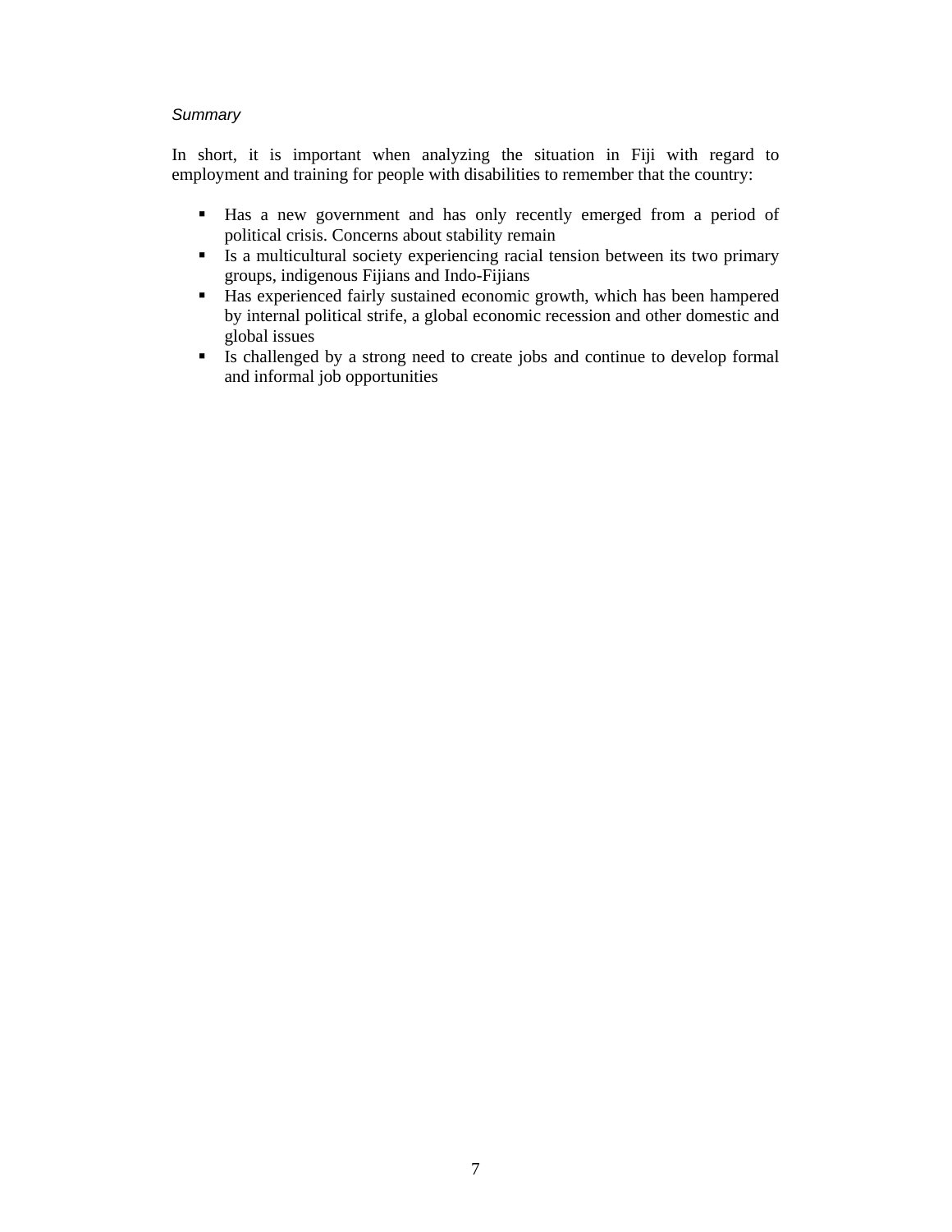#### **Summary**

In short, it is important when analyzing the situation in Fiji with regard to employment and training for people with disabilities to remember that the country:

- Has a new government and has only recently emerged from a period of political crisis. Concerns about stability remain
- Is a multicultural society experiencing racial tension between its two primary groups, indigenous Fijians and Indo-Fijians
- Has experienced fairly sustained economic growth, which has been hampered by internal political strife, a global economic recession and other domestic and global issues
- Is challenged by a strong need to create jobs and continue to develop formal and informal job opportunities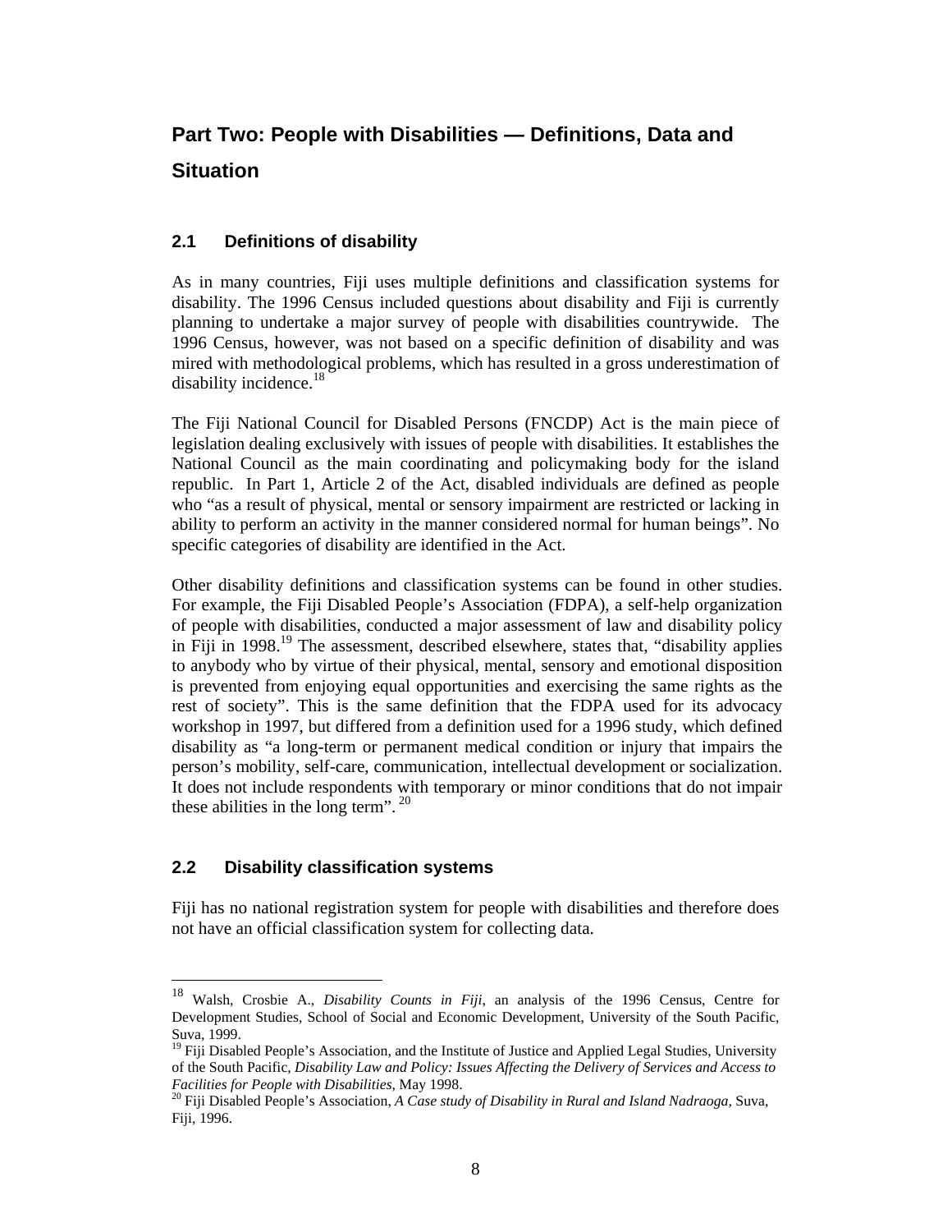## **Part Two: People with Disabilities — Definitions, Data and Situation**

#### **2.1 Definitions of disability**

As in many countries, Fiji uses multiple definitions and classification systems for disability. The 1996 Census included questions about disability and Fiji is currently planning to undertake a major survey of people with disabilities countrywide. The 1996 Census, however, was not based on a specific definition of disability and was mired with methodological problems, which has resulted in a gross underestimation of disability incidence.<sup>18</sup>

The Fiji National Council for Disabled Persons (FNCDP) Act is the main piece of legislation dealing exclusively with issues of people with disabilities. It establishes the National Council as the main coordinating and policymaking body for the island republic. In Part 1, Article 2 of the Act, disabled individuals are defined as people who "as a result of physical, mental or sensory impairment are restricted or lacking in ability to perform an activity in the manner considered normal for human beings". No specific categories of disability are identified in the Act.

Other disability definitions and classification systems can be found in other studies. For example, the Fiji Disabled People's Association (FDPA), a self-help organization of people with disabilities, conducted a major assessment of law and disability policy in Fiji in 1998.<sup>19</sup> The assessment, described elsewhere, states that, "disability applies to anybody who by virtue of their physical, mental, sensory and emotional disposition is prevented from enjoying equal opportunities and exercising the same rights as the rest of society". This is the same definition that the FDPA used for its advocacy workshop in 1997, but differed from a definition used for a 1996 study, which defined disability as "a long-term or permanent medical condition or injury that impairs the person's mobility, self-care, communication, intellectual development or socialization. It does not include respondents with temporary or minor conditions that do not impair these abilities in the long term".  $20$ 

#### **2.2 Disability classification systems**

Fiji has no national registration system for people with disabilities and therefore does not have an official classification system for collecting data.

 $18\,$ <sup>18</sup> Walsh, Crosbie A., *Disability Counts in Fiji*, an analysis of the 1996 Census, Centre for Development Studies, School of Social and Economic Development, University of the South Pacific, Suva, 1999.

<sup>&</sup>lt;sup>19</sup> Fiii Disabled People's Association, and the Institute of Justice and Applied Legal Studies, University of the South Pacific, *Disability Law and Policy: Issues Affecting the Delivery of Services and Access to Facilities for People with Disabilities,* May 1998.

<sup>20</sup> Fiji Disabled People's Association, *A Case study of Disability in Rural and Island Nadraoga,* Suva, Fiji, 1996.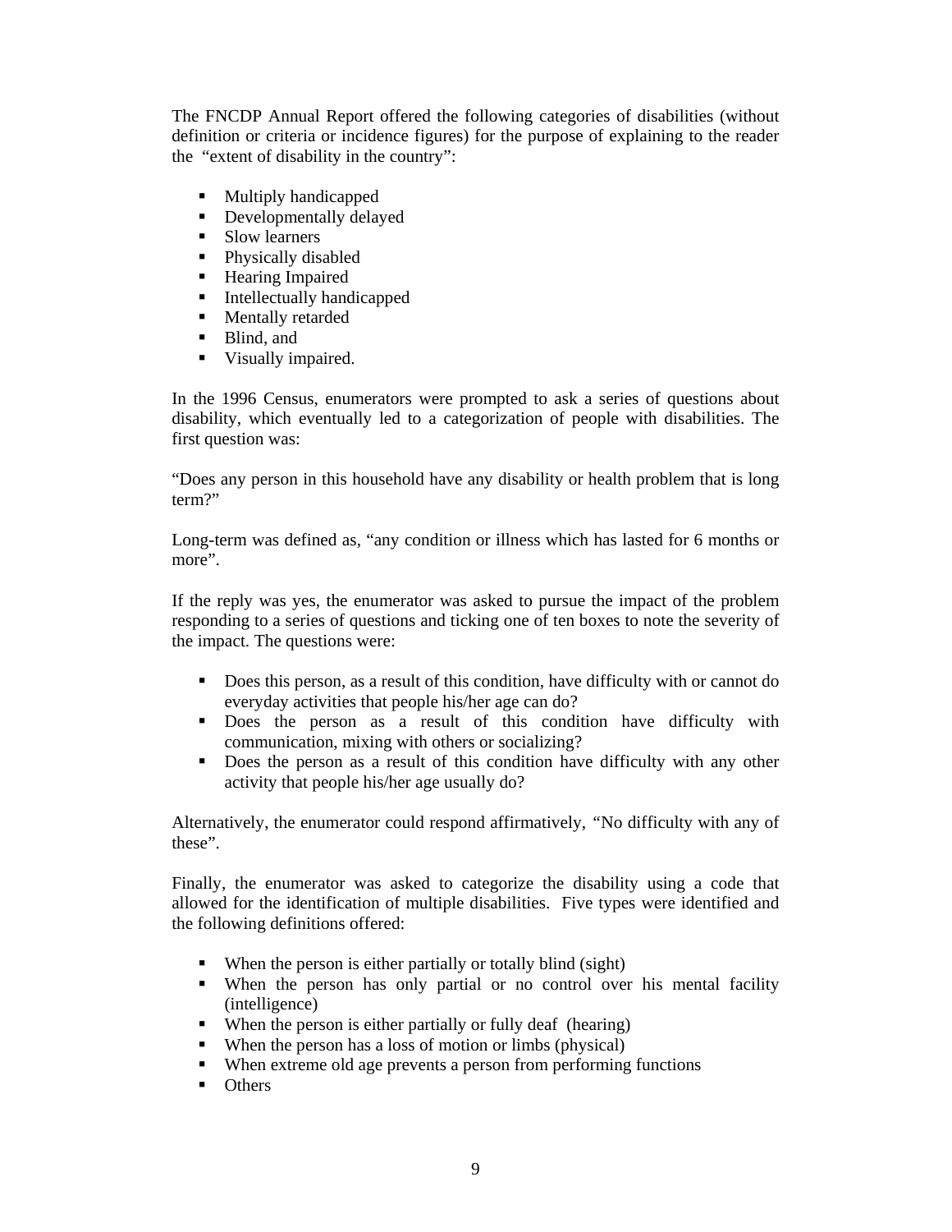The FNCDP Annual Report offered the following categories of disabilities (without definition or criteria or incidence figures) for the purpose of explaining to the reader the "extent of disability in the country":

- Multiply handicapped
- **•** Developmentally delayed
- Slow learners
- Physically disabled
- **Hearing Impaired**
- **Intellectually handicapped**
- **Mentally retarded**
- Blind, and
- Visually impaired.

In the 1996 Census, enumerators were prompted to ask a series of questions about disability, which eventually led to a categorization of people with disabilities. The first question was:

"Does any person in this household have any disability or health problem that is long term?"

Long-term was defined as, "any condition or illness which has lasted for 6 months or more".

If the reply was yes, the enumerator was asked to pursue the impact of the problem responding to a series of questions and ticking one of ten boxes to note the severity of the impact. The questions were:

- Does this person, as a result of this condition, have difficulty with or cannot do everyday activities that people his/her age can do?
- Does the person as a result of this condition have difficulty with communication, mixing with others or socializing?
- Does the person as a result of this condition have difficulty with any other activity that people his/her age usually do?

Alternatively, the enumerator could respond affirmatively, *"*No difficulty with any of these".

Finally, the enumerator was asked to categorize the disability using a code that allowed for the identification of multiple disabilities. Five types were identified and the following definitions offered:

- When the person is either partially or totally blind (sight)
- When the person has only partial or no control over his mental facility (intelligence)
- When the person is either partially or fully deaf (hearing)
- When the person has a loss of motion or limbs (physical)
- When extreme old age prevents a person from performing functions
- Others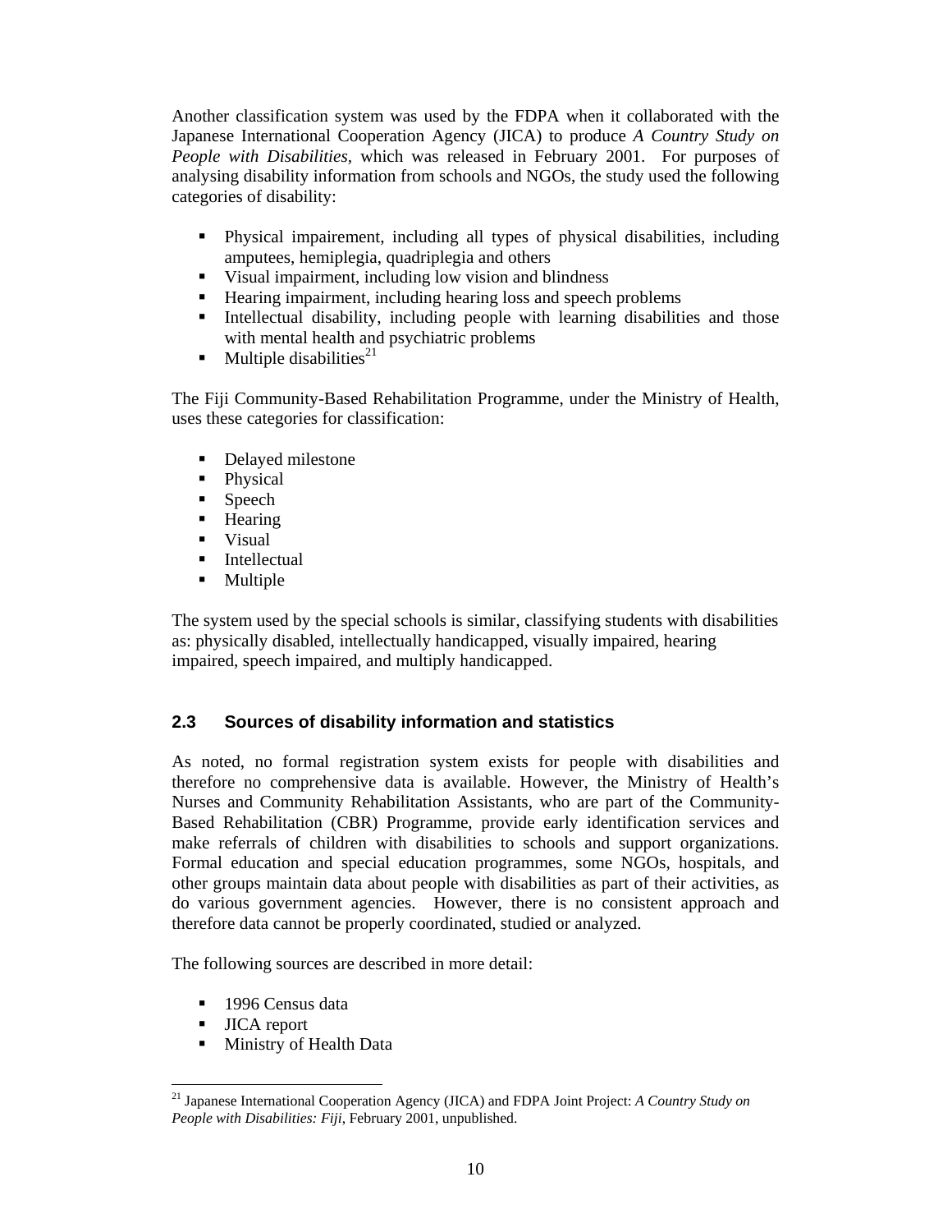Another classification system was used by the FDPA when it collaborated with the Japanese International Cooperation Agency (JICA) to produce *A Country Study on People with Disabilities,* which was released in February 2001. For purposes of analysing disability information from schools and NGOs, the study used the following categories of disability:

- Physical impairement, including all types of physical disabilities, including amputees, hemiplegia, quadriplegia and others
- Visual impairment, including low vision and blindness
- Hearing impairment, including hearing loss and speech problems
- Intellectual disability, including people with learning disabilities and those with mental health and psychiatric problems
- $\blacksquare$  Multiple disabilities<sup>21</sup>

The Fiji Community-Based Rehabilitation Programme, under the Ministry of Health, uses these categories for classification:

- Delayed milestone
- Physical
- Speech
- **-** Hearing
- **v** Visual
- **Intellectual**
- Multiple

The system used by the special schools is similar, classifying students with disabilities as: physically disabled, intellectually handicapped, visually impaired, hearing impaired, speech impaired, and multiply handicapped.

#### **2.3 Sources of disability information and statistics**

As noted, no formal registration system exists for people with disabilities and therefore no comprehensive data is available. However, the Ministry of Health's Nurses and Community Rehabilitation Assistants, who are part of the Community-Based Rehabilitation (CBR) Programme, provide early identification services and make referrals of children with disabilities to schools and support organizations. Formal education and special education programmes, some NGOs, hospitals, and other groups maintain data about people with disabilities as part of their activities, as do various government agencies. However, there is no consistent approach and therefore data cannot be properly coordinated, studied or analyzed.

The following sources are described in more detail:

- 1996 Census data
- **JICA** report
- Ministry of Health Data

 $\overline{a}$ <sup>21</sup> Japanese International Cooperation Agency (JICA) and FDPA Joint Project: *A Country Study on People with Disabilities: Fiji*, February 2001, unpublished.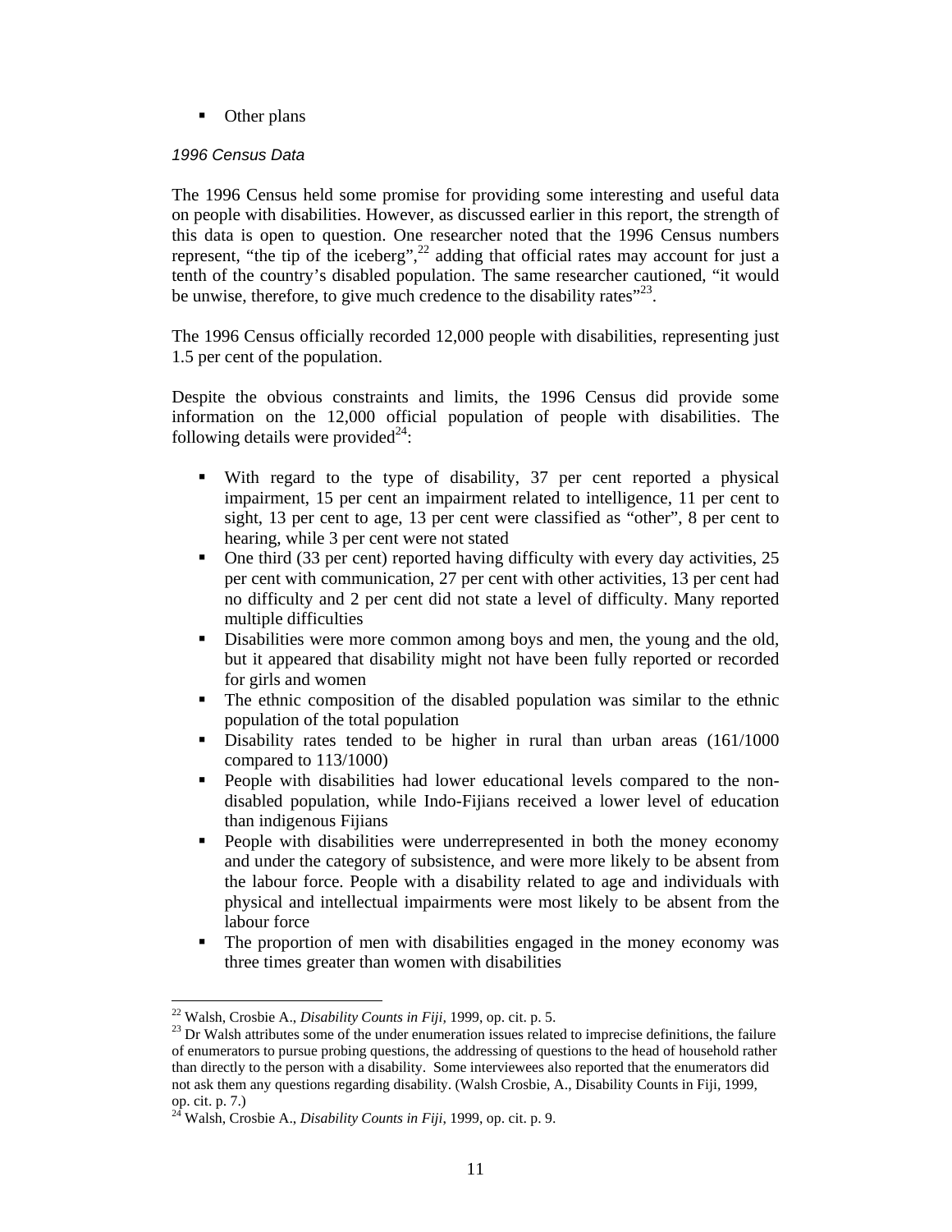• Other plans

#### 1996 Census Data

The 1996 Census held some promise for providing some interesting and useful data on people with disabilities. However, as discussed earlier in this report, the strength of this data is open to question. One researcher noted that the 1996 Census numbers represent, "the tip of the iceberg",<sup>22</sup> adding that official rates may account for just a tenth of the country's disabled population. The same researcher cautioned, "it would be unwise, therefore, to give much credence to the disability rates $"^{23}$ .

The 1996 Census officially recorded 12,000 people with disabilities, representing just 1.5 per cent of the population.

Despite the obvious constraints and limits, the 1996 Census did provide some information on the 12,000 official population of people with disabilities. The following details were provided $24$ :

- With regard to the type of disability, 37 per cent reported a physical impairment, 15 per cent an impairment related to intelligence, 11 per cent to sight, 13 per cent to age, 13 per cent were classified as "other", 8 per cent to hearing, while 3 per cent were not stated
- One third (33 per cent) reported having difficulty with every day activities, 25 per cent with communication, 27 per cent with other activities, 13 per cent had no difficulty and 2 per cent did not state a level of difficulty. Many reported multiple difficulties
- Disabilities were more common among boys and men, the young and the old, but it appeared that disability might not have been fully reported or recorded for girls and women
- The ethnic composition of the disabled population was similar to the ethnic population of the total population
- Disability rates tended to be higher in rural than urban areas (161/1000 compared to 113/1000)
- People with disabilities had lower educational levels compared to the nondisabled population, while Indo-Fijians received a lower level of education than indigenous Fijians
- People with disabilities were underrepresented in both the money economy and under the category of subsistence, and were more likely to be absent from the labour force. People with a disability related to age and individuals with physical and intellectual impairments were most likely to be absent from the labour force
- The proportion of men with disabilities engaged in the money economy was three times greater than women with disabilities

 $\ddot{ }$ <sup>22</sup> Walsh, Crosbie A., *Disability Counts in Fiji,* 1999, op. cit. p. 5.

 $^{23}$  Dr Walsh attributes some of the under enumeration issues related to imprecise definitions, the failure of enumerators to pursue probing questions, the addressing of questions to the head of household rather than directly to the person with a disability. Some interviewees also reported that the enumerators did not ask them any questions regarding disability. (Walsh Crosbie, A., Disability Counts in Fiji, 1999, op. cit. p. 7.)

<sup>24</sup> Walsh, Crosbie A., *Disability Counts in Fiji*, 1999, op. cit. p. 9.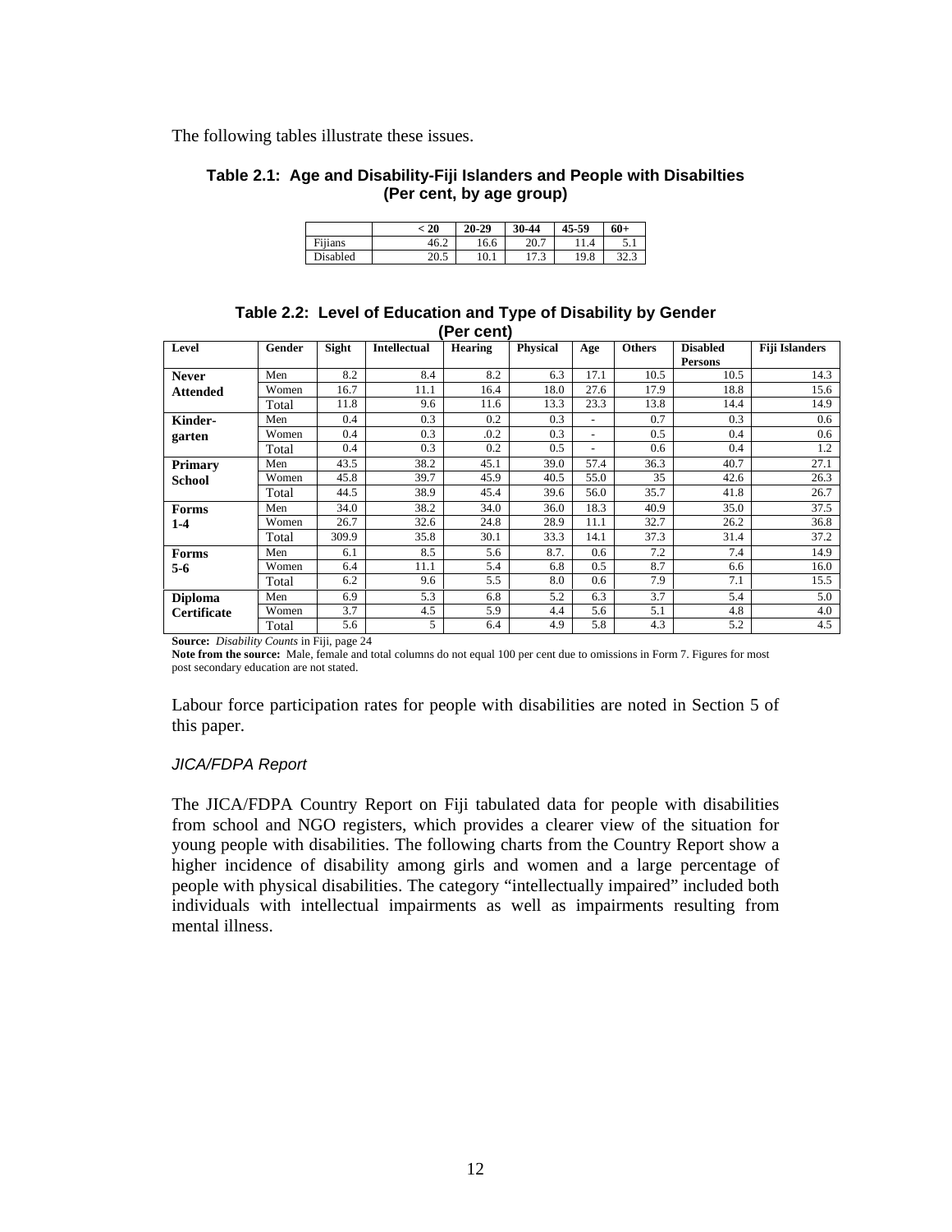The following tables illustrate these issues.

#### **Table 2.1: Age and Disability-Fiji Islanders and People with Disabilties (Per cent, by age group)**

|          | 20   | $20 - 29$ | 30-44                  | 45-59 | 60+        |
|----------|------|-----------|------------------------|-------|------------|
| Fiiians  | 46.2 | 16.6      | 20.7                   | 1.4   | 5.1        |
| Disabled | 20.5 | 10.1      | $\overline{ }$<br>11.J | 19.8  | 22<br>32.J |

#### **Table 2.2: Level of Education and Type of Disability by Gender (Per cent)**

|                    |        |       |                     | .              |                 |      |               |                 |                       |
|--------------------|--------|-------|---------------------|----------------|-----------------|------|---------------|-----------------|-----------------------|
| Level              | Gender | Sight | <b>Intellectual</b> | <b>Hearing</b> | <b>Physical</b> | Age  | <b>Others</b> | <b>Disabled</b> | <b>Fiji Islanders</b> |
|                    |        |       |                     |                |                 |      |               | Persons         |                       |
| <b>Never</b>       | Men    | 8.2   | 8.4                 | 8.2            | 6.3             | 17.1 | 10.5          | 10.5            | 14.3                  |
| <b>Attended</b>    | Women  | 16.7  | 11.1                | 16.4           | 18.0            | 27.6 | 17.9          | 18.8            | 15.6                  |
|                    | Total  | 11.8  | 9.6                 | 11.6           | 13.3            | 23.3 | 13.8          | 14.4            | 14.9                  |
| Kinder-            | Men    | 0.4   | 0.3                 | 0.2            | 0.3             |      | 0.7           | 0.3             | 0.6                   |
| garten             | Women  | 0.4   | 0.3                 | .0.2           | 0.3             |      | 0.5           | 0.4             | 0.6                   |
|                    | Total  | 0.4   | 0.3                 | 0.2            | 0.5             |      | 0.6           | 0.4             | 1.2                   |
| Primary            | Men    | 43.5  | 38.2                | 45.1           | 39.0            | 57.4 | 36.3          | 40.7            | 27.1                  |
| <b>School</b>      | Women  | 45.8  | 39.7                | 45.9           | 40.5            | 55.0 | 35            | 42.6            | 26.3                  |
|                    | Total  | 44.5  | 38.9                | 45.4           | 39.6            | 56.0 | 35.7          | 41.8            | 26.7                  |
| Forms              | Men    | 34.0  | 38.2                | 34.0           | 36.0            | 18.3 | 40.9          | 35.0            | 37.5                  |
| $1-4$              | Women  | 26.7  | 32.6                | 24.8           | 28.9            | 11.1 | 32.7          | 26.2            | 36.8                  |
|                    | Total  | 309.9 | 35.8                | 30.1           | 33.3            | 14.1 | 37.3          | 31.4            | 37.2                  |
| Forms              | Men    | 6.1   | 8.5                 | 5.6            | 8.7.            | 0.6  | 7.2           | 7.4             | 14.9                  |
| $5-6$              | Women  | 6.4   | 11.1                | 5.4            | 6.8             | 0.5  | 8.7           | 6.6             | 16.0                  |
|                    | Total  | 6.2   | 9.6                 | 5.5            | 8.0             | 0.6  | 7.9           | 7.1             | 15.5                  |
| <b>Diploma</b>     | Men    | 6.9   | 5.3                 | 6.8            | 5.2             | 6.3  | 3.7           | 5.4             | 5.0                   |
| <b>Certificate</b> | Women  | 3.7   | 4.5                 | 5.9            | 4.4             | 5.6  | 5.1           | 4.8             | 4.0                   |
|                    | Total  | 5.6   | 5                   | 6.4            | 4.9             | 5.8  | 4.3           | 5.2             | 4.5                   |

**Source:** *Disability Counts* in Fiji, page 24

**Note from the source:** Male, female and total columns do not equal 100 per cent due to omissions in Form 7. Figures for most post secondary education are not stated.

Labour force participation rates for people with disabilities are noted in Section 5 of this paper.

#### JICA/FDPA Report

The JICA/FDPA Country Report on Fiji tabulated data for people with disabilities from school and NGO registers, which provides a clearer view of the situation for young people with disabilities. The following charts from the Country Report show a higher incidence of disability among girls and women and a large percentage of people with physical disabilities. The category "intellectually impaired" included both individuals with intellectual impairments as well as impairments resulting from mental illness.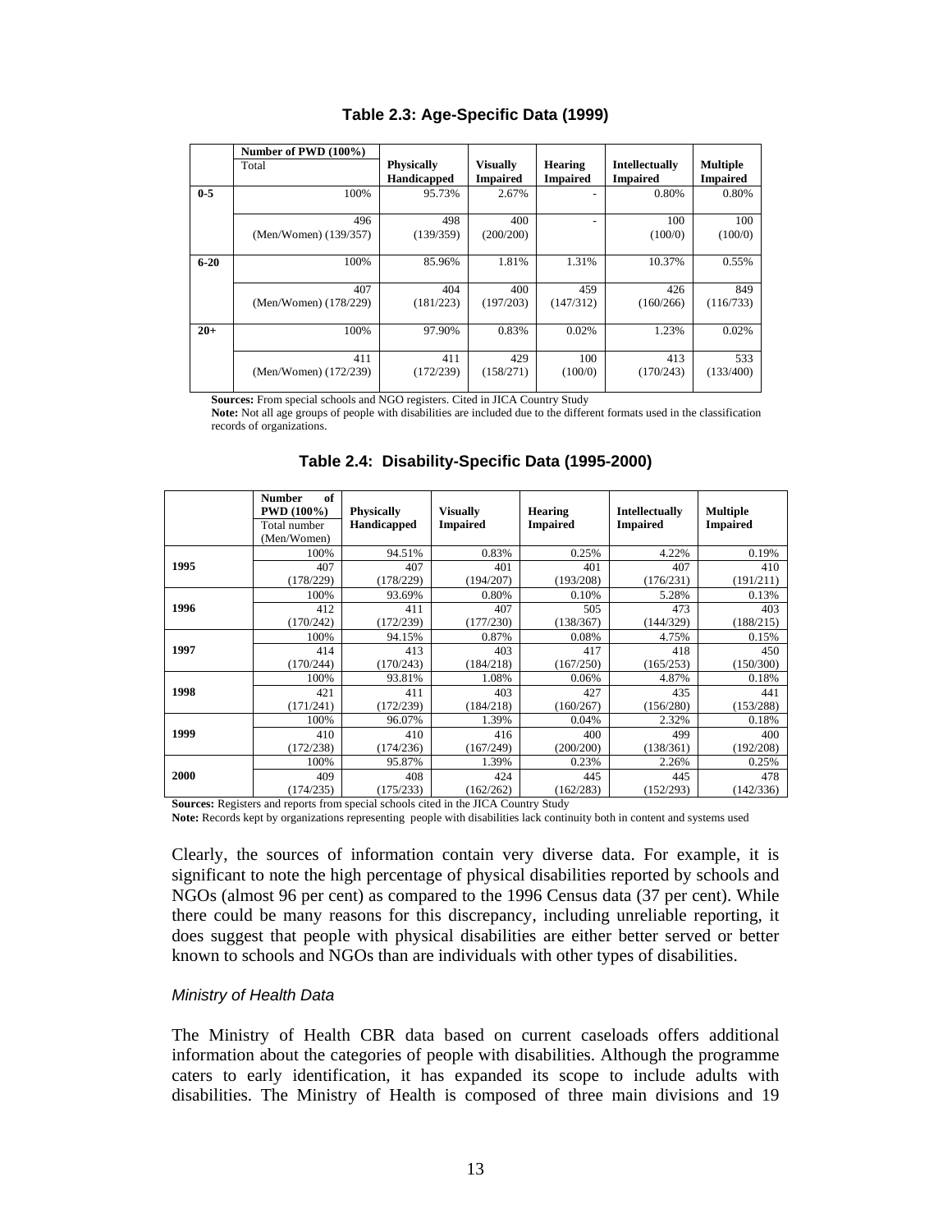|          | Number of PWD (100%)         |                                  |                                    |                            |                                   |                                    |
|----------|------------------------------|----------------------------------|------------------------------------|----------------------------|-----------------------------------|------------------------------------|
|          | Total                        | <b>Physically</b><br>Handicapped | <b>Visually</b><br><b>Impaired</b> | Hearing<br><b>Impaired</b> | Intellectually<br><b>Impaired</b> | <b>Multiple</b><br><b>Impaired</b> |
| $0 - 5$  | 100%                         | 95.73%                           | 2.67%                              |                            | 0.80%                             | 0.80%                              |
|          | 496<br>(Men/Women) (139/357) | 498<br>(139/359)                 | 400<br>(200/200)                   |                            | 100<br>(100/0)                    | 100<br>(100/0)                     |
| $6 - 20$ | 100%                         | 85.96%                           | 1.81%                              | 1.31%                      | 10.37%                            | 0.55%                              |
|          | 407<br>(Men/Women) (178/229) | 404<br>(181/223)                 | 400<br>(197/203)                   | 459<br>(147/312)           | 426<br>(160/266)                  | 849<br>(116/733)                   |
| $20+$    | 100%                         | 97.90%                           | 0.83%                              | 0.02%                      | 1.23%                             | 0.02%                              |
|          | 411<br>(Men/Women) (172/239) | 411<br>(172/239)                 | 429<br>(158/271)                   | 100<br>(100/0)             | 413<br>(170/243)                  | 533<br>(133/400)                   |

#### **Table 2.3: Age-Specific Data (1999)**

**Sources:** From special schools and NGO registers. Cited in JICA Country Study

 **Note:** Not all age groups of people with disabilities are included due to the different formats used in the classification records of organizations.

|      | of<br><b>Number</b><br><b>PWD</b> (100%)<br>Total number<br>(Men/Women) | <b>Physically</b><br>Handicapped | <b>Visually</b><br><b>Impaired</b> | <b>Hearing</b><br><b>Impaired</b> | Intellectually<br><b>Impaired</b> | <b>Multiple</b><br><b>Impaired</b> |
|------|-------------------------------------------------------------------------|----------------------------------|------------------------------------|-----------------------------------|-----------------------------------|------------------------------------|
|      | 100%                                                                    | 94.51%                           | 0.83%                              | 0.25%                             | 4.22%                             | 0.19%                              |
| 1995 | 407                                                                     | 407                              | 401                                | 401                               | 407                               | 410                                |
|      | (178/229)                                                               | (178/229)                        | (194/207)                          | (193/208)                         | (176/231)                         | (191/211)                          |
|      | 100%                                                                    | 93.69%                           | 0.80%                              | 0.10%                             | 5.28%                             | 0.13%                              |
| 1996 | 412                                                                     | 411                              | 407                                | 505                               | 473                               | 403                                |
|      | (170/242)                                                               | (172/239)                        | (177/230)                          | (138/367)                         | (144/329)                         | (188/215)                          |
|      | 100%                                                                    | 94.15%                           | 0.87%                              | 0.08%                             | 4.75%                             | 0.15%                              |
| 1997 | 414                                                                     | 413                              | 403                                | 417                               | 418                               | 450                                |
|      | (170/244)                                                               | (170/243)                        | (184/218)                          | (167/250)                         | (165/253)                         | (150/300)                          |
|      | 100%                                                                    | 93.81%                           | 1.08%                              | 0.06%                             | 4.87%                             | 0.18%                              |
| 1998 | 421                                                                     | 411                              | 403                                | 427                               | 435                               | 441                                |
|      | (171/241)                                                               | (172/239)                        | (184/218)                          | (160/267)                         | (156/280)                         | (153/288)                          |
|      | 100%                                                                    | 96.07%                           | 1.39%                              | 0.04%                             | 2.32%                             | 0.18%                              |
| 1999 | 410                                                                     | 410                              | 416                                | 400                               | 499                               | 400                                |
|      | (172/238)                                                               | (174/236)                        | (167/249)                          | (200/200)                         | (138/361)                         | (192/208)                          |
|      | 100%                                                                    | 95.87%                           | 1.39%                              | 0.23%                             | 2.26%                             | 0.25%                              |
| 2000 | 409                                                                     | 408                              | 424                                | 445                               | 445                               | 478                                |
|      | (174/235)                                                               | (175/233)                        | (162/262)                          | (162/283)                         | (152/293)                         | (142/336)                          |

**Table 2.4: Disability-Specific Data (1995-2000)** 

**Sources:** Registers and reports from special schools cited in the JICA Country Study **Note:** Records kept by organizations representing people with disabilities lack continuity both in content and systems used

Clearly, the sources of information contain very diverse data. For example, it is significant to note the high percentage of physical disabilities reported by schools and NGOs (almost 96 per cent) as compared to the 1996 Census data (37 per cent). While there could be many reasons for this discrepancy, including unreliable reporting, it does suggest that people with physical disabilities are either better served or better known to schools and NGOs than are individuals with other types of disabilities.

#### Ministry of Health Data

The Ministry of Health CBR data based on current caseloads offers additional information about the categories of people with disabilities. Although the programme caters to early identification, it has expanded its scope to include adults with disabilities. The Ministry of Health is composed of three main divisions and 19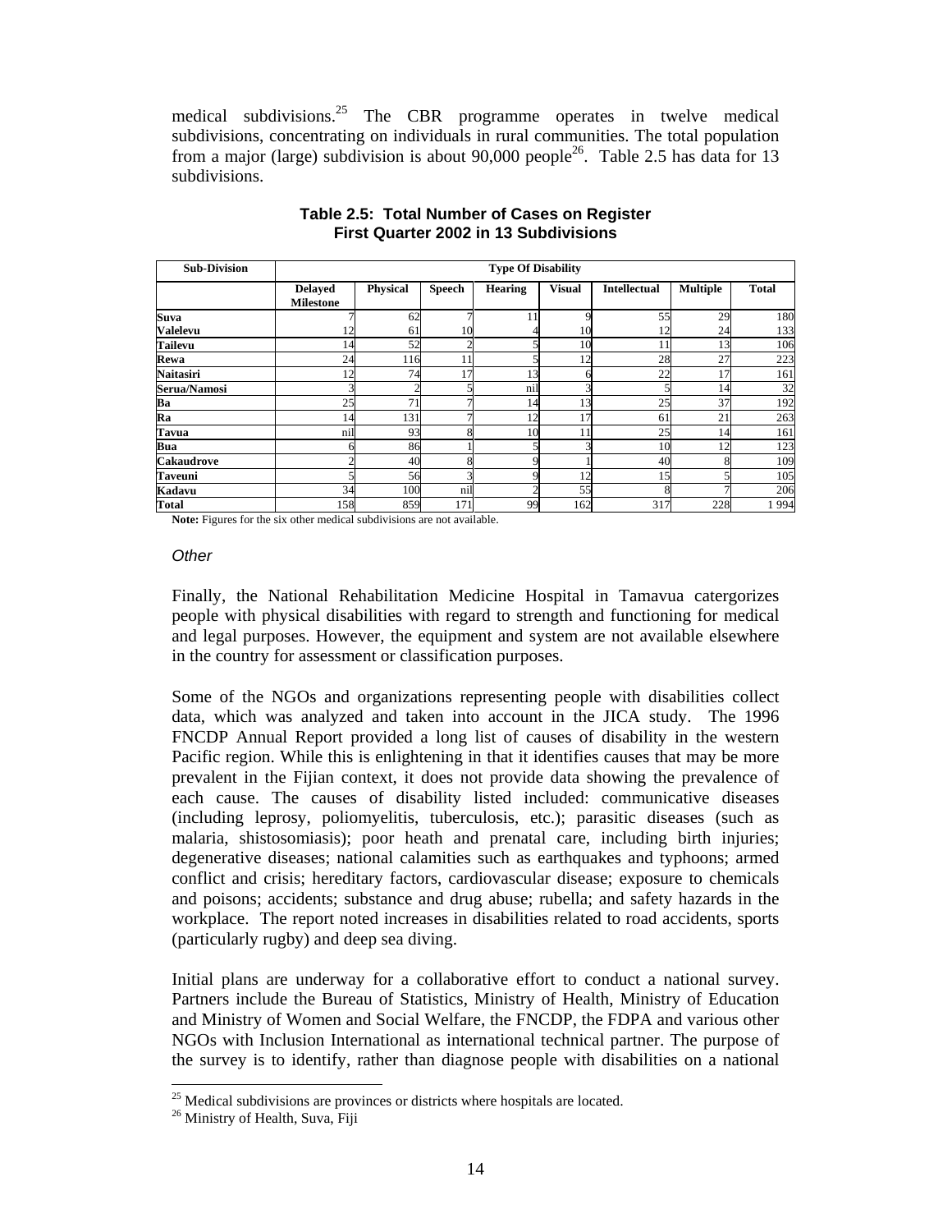medical subdivisions.<sup>25</sup> The CBR programme operates in twelve medical subdivisions, concentrating on individuals in rural communities. The total population from a major (large) subdivision is about 90,000 people<sup>26</sup>. Table 2.5 has data for 13 subdivisions.

| <b>Sub-Division</b> | <b>Type Of Disability</b>          |                 |               |                |               |                     |                 |              |
|---------------------|------------------------------------|-----------------|---------------|----------------|---------------|---------------------|-----------------|--------------|
|                     | <b>Delayed</b><br><b>Milestone</b> | <b>Physical</b> | <b>Speech</b> | <b>Hearing</b> | <b>Visual</b> | <b>Intellectual</b> | <b>Multiple</b> | <b>Total</b> |
| Suva                |                                    | 62              |               |                |               | 55                  | 29              | 180          |
| <b>Valelevu</b>     | 12                                 | 61              | 10            |                | 10            | 12                  | 24              | 133          |
| <b>Tailevu</b>      | 14                                 | 52              | ◠             |                | 10            | 11                  | 13              | 106          |
| Rewa                | 24                                 | 116             | 11            |                | 12            | 28                  | 27              | 223          |
| <b>Naitasiri</b>    | 12                                 | 74              | 17            | 13             |               | 22                  | 17              | 161          |
| Serua/Namosi        |                                    | 2               |               | nil            |               |                     | 14              | 32           |
| Ba                  | 25                                 | 71              |               | 14             | 13            | 25                  | 37              | 192          |
| Ra                  | 14                                 | 131             |               | 12             | 17            | 61                  | 21              | 263          |
| <b>Tavua</b>        | nil                                | 93              |               | 10             | 11            | 25                  | 14              | 161          |
| <b>Bua</b>          |                                    | 86              |               |                |               | 10                  | 12              | 123          |
| <b>Cakaudrove</b>   |                                    | 40              |               |                |               | 40                  |                 | 109          |
| <b>Taveuni</b>      |                                    | 56              |               |                | 12            | 15                  |                 | 105          |
| Kadavu              | 34                                 | 100             | nil           |                | 55            |                     |                 | 206          |
| <b>Total</b>        | 158                                | 859             | 171           | 99             | 162           | 317                 | 228             | 1994         |

#### **Table 2.5: Total Number of Cases on Register First Quarter 2002 in 13 Subdivisions**

**Note:** Figures for the six other medical subdivisions are not available.

#### **Other**

Finally, the National Rehabilitation Medicine Hospital in Tamavua catergorizes people with physical disabilities with regard to strength and functioning for medical and legal purposes. However, the equipment and system are not available elsewhere in the country for assessment or classification purposes.

Some of the NGOs and organizations representing people with disabilities collect data, which was analyzed and taken into account in the JICA study. The 1996 FNCDP Annual Report provided a long list of causes of disability in the western Pacific region. While this is enlightening in that it identifies causes that may be more prevalent in the Fijian context, it does not provide data showing the prevalence of each cause. The causes of disability listed included: communicative diseases (including leprosy, poliomyelitis, tuberculosis, etc.); parasitic diseases (such as malaria, shistosomiasis); poor heath and prenatal care, including birth injuries; degenerative diseases; national calamities such as earthquakes and typhoons; armed conflict and crisis; hereditary factors, cardiovascular disease; exposure to chemicals and poisons; accidents; substance and drug abuse; rubella; and safety hazards in the workplace. The report noted increases in disabilities related to road accidents, sports (particularly rugby) and deep sea diving.

Initial plans are underway for a collaborative effort to conduct a national survey. Partners include the Bureau of Statistics, Ministry of Health, Ministry of Education and Ministry of Women and Social Welfare, the FNCDP, the FDPA and various other NGOs with Inclusion International as international technical partner. The purpose of the survey is to identify, rather than diagnose people with disabilities on a national

 $\overline{a}$ 

 $25$  Medical subdivisions are provinces or districts where hospitals are located.

<sup>&</sup>lt;sup>26</sup> Ministry of Health, Suva, Fiji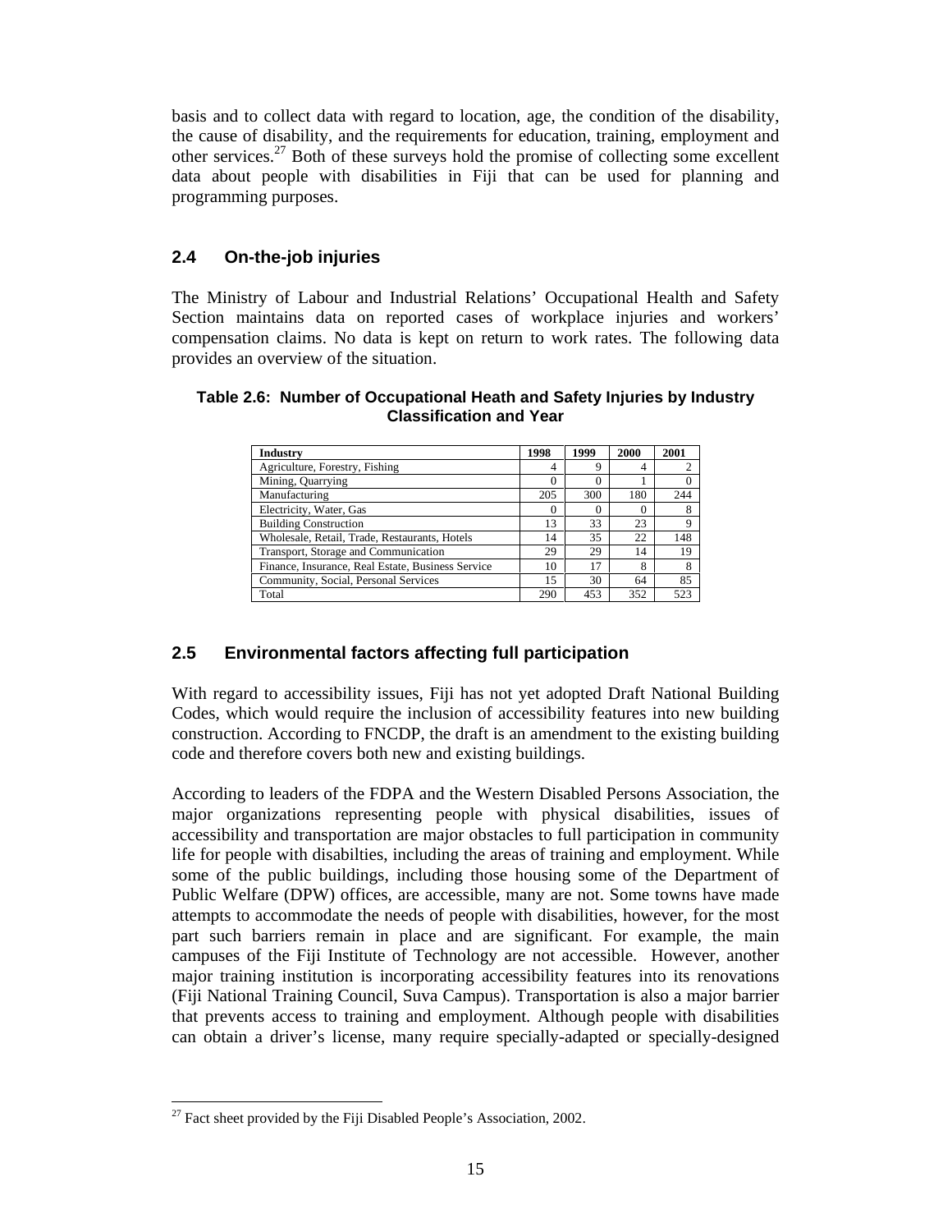basis and to collect data with regard to location, age, the condition of the disability, the cause of disability, and the requirements for education, training, employment and other services.<sup>27</sup> Both of these surveys hold the promise of collecting some excellent data about people with disabilities in Fiji that can be used for planning and programming purposes.

#### **2.4 On-the-job injuries**

The Ministry of Labour and Industrial Relations' Occupational Health and Safety Section maintains data on reported cases of workplace injuries and workers' compensation claims. No data is kept on return to work rates. The following data provides an overview of the situation.

| Table 2.6: Number of Occupational Heath and Safety Injuries by Industry |
|-------------------------------------------------------------------------|
| <b>Classification and Year</b>                                          |

| Industry                                          | 1998     | 1999     | 2000 | 2001 |
|---------------------------------------------------|----------|----------|------|------|
| Agriculture, Forestry, Fishing                    | 4        | 9        |      |      |
| Mining, Quarrying                                 | $\theta$ | $\Omega$ |      |      |
| Manufacturing                                     | 205      | 300      | 180  | 244  |
| Electricity, Water, Gas                           | $\theta$ | $\Omega$ |      |      |
| <b>Building Construction</b>                      | 13       | 33       | 23   | 9    |
| Wholesale, Retail, Trade, Restaurants, Hotels     | 14       | 35       | 22   | 148  |
| Transport, Storage and Communication              | 29       | 29       | 14   | 19   |
| Finance, Insurance, Real Estate, Business Service | 10       | 17       | 8    | 8    |
| Community, Social, Personal Services              | 15       | 30       | 64   | 85   |
| Total                                             | 290      | 453      | 352  | 523  |

#### **2.5 Environmental factors affecting full participation**

With regard to accessibility issues, Fiji has not yet adopted Draft National Building Codes, which would require the inclusion of accessibility features into new building construction. According to FNCDP, the draft is an amendment to the existing building code and therefore covers both new and existing buildings.

According to leaders of the FDPA and the Western Disabled Persons Association, the major organizations representing people with physical disabilities, issues of accessibility and transportation are major obstacles to full participation in community life for people with disabilties, including the areas of training and employment. While some of the public buildings, including those housing some of the Department of Public Welfare (DPW) offices, are accessible, many are not. Some towns have made attempts to accommodate the needs of people with disabilities, however, for the most part such barriers remain in place and are significant. For example, the main campuses of the Fiji Institute of Technology are not accessible. However, another major training institution is incorporating accessibility features into its renovations (Fiji National Training Council, Suva Campus). Transportation is also a major barrier that prevents access to training and employment. Although people with disabilities can obtain a driver's license, many require specially-adapted or specially-designed

 $\ddot{ }$  $27$  Fact sheet provided by the Fiji Disabled People's Association, 2002.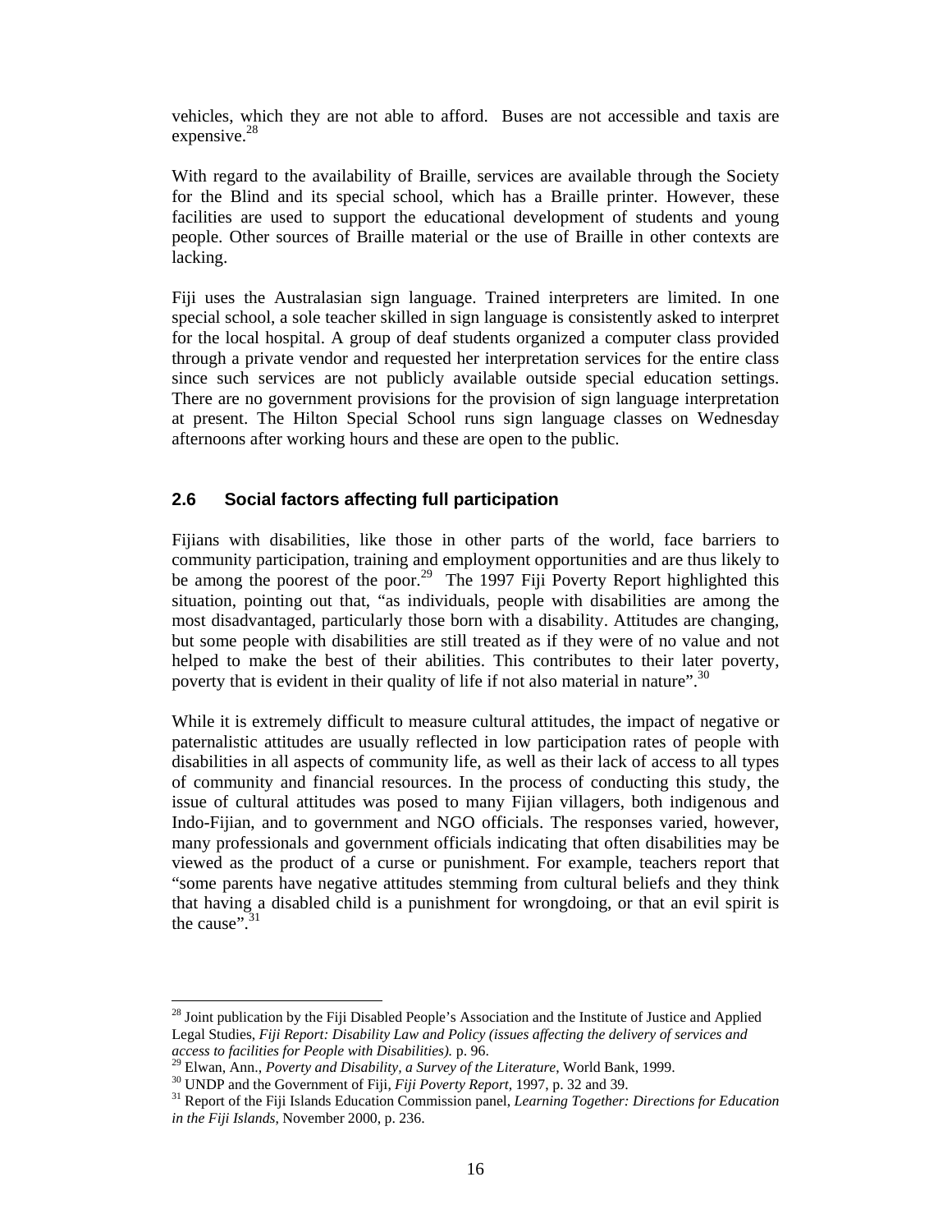vehicles, which they are not able to afford. Buses are not accessible and taxis are expensive. $28$ 

With regard to the availability of Braille, services are available through the Society for the Blind and its special school, which has a Braille printer. However, these facilities are used to support the educational development of students and young people. Other sources of Braille material or the use of Braille in other contexts are lacking.

Fiji uses the Australasian sign language. Trained interpreters are limited. In one special school, a sole teacher skilled in sign language is consistently asked to interpret for the local hospital. A group of deaf students organized a computer class provided through a private vendor and requested her interpretation services for the entire class since such services are not publicly available outside special education settings. There are no government provisions for the provision of sign language interpretation at present. The Hilton Special School runs sign language classes on Wednesday afternoons after working hours and these are open to the public.

#### **2.6 Social factors affecting full participation**

Fijians with disabilities, like those in other parts of the world, face barriers to community participation, training and employment opportunities and are thus likely to be among the poorest of the poor.<sup>29</sup> The 1997 Fiji Poverty Report highlighted this situation, pointing out that, "as individuals, people with disabilities are among the most disadvantaged, particularly those born with a disability. Attitudes are changing, but some people with disabilities are still treated as if they were of no value and not helped to make the best of their abilities. This contributes to their later poverty, poverty that is evident in their quality of life if not also material in nature".<sup>30</sup>

While it is extremely difficult to measure cultural attitudes, the impact of negative or paternalistic attitudes are usually reflected in low participation rates of people with disabilities in all aspects of community life, as well as their lack of access to all types of community and financial resources. In the process of conducting this study, the issue of cultural attitudes was posed to many Fijian villagers, both indigenous and Indo-Fijian, and to government and NGO officials. The responses varied, however, many professionals and government officials indicating that often disabilities may be viewed as the product of a curse or punishment. For example, teachers report that "some parents have negative attitudes stemming from cultural beliefs and they think that having a disabled child is a punishment for wrongdoing, or that an evil spirit is the cause". $31$ 

 $\ddot{ }$ 

<sup>&</sup>lt;sup>28</sup> Joint publication by the Fiji Disabled People's Association and the Institute of Justice and Applied Legal Studies, *Fiji Report: Disability Law and Policy (issues affecting the delivery of services and access to facilities for People with Disabilities).* p. 96.

<sup>29</sup> Elwan, Ann., *Poverty and Disability, a Survey of the Literature*, World Bank, 1999.

<sup>30</sup> UNDP and the Government of Fiji, *Fiji Poverty Report,* 1997, p. 32 and 39.

<sup>31</sup> Report of the Fiji Islands Education Commission panel, *Learning Together: Directions for Education in the Fiji Islands*, November 2000, p. 236.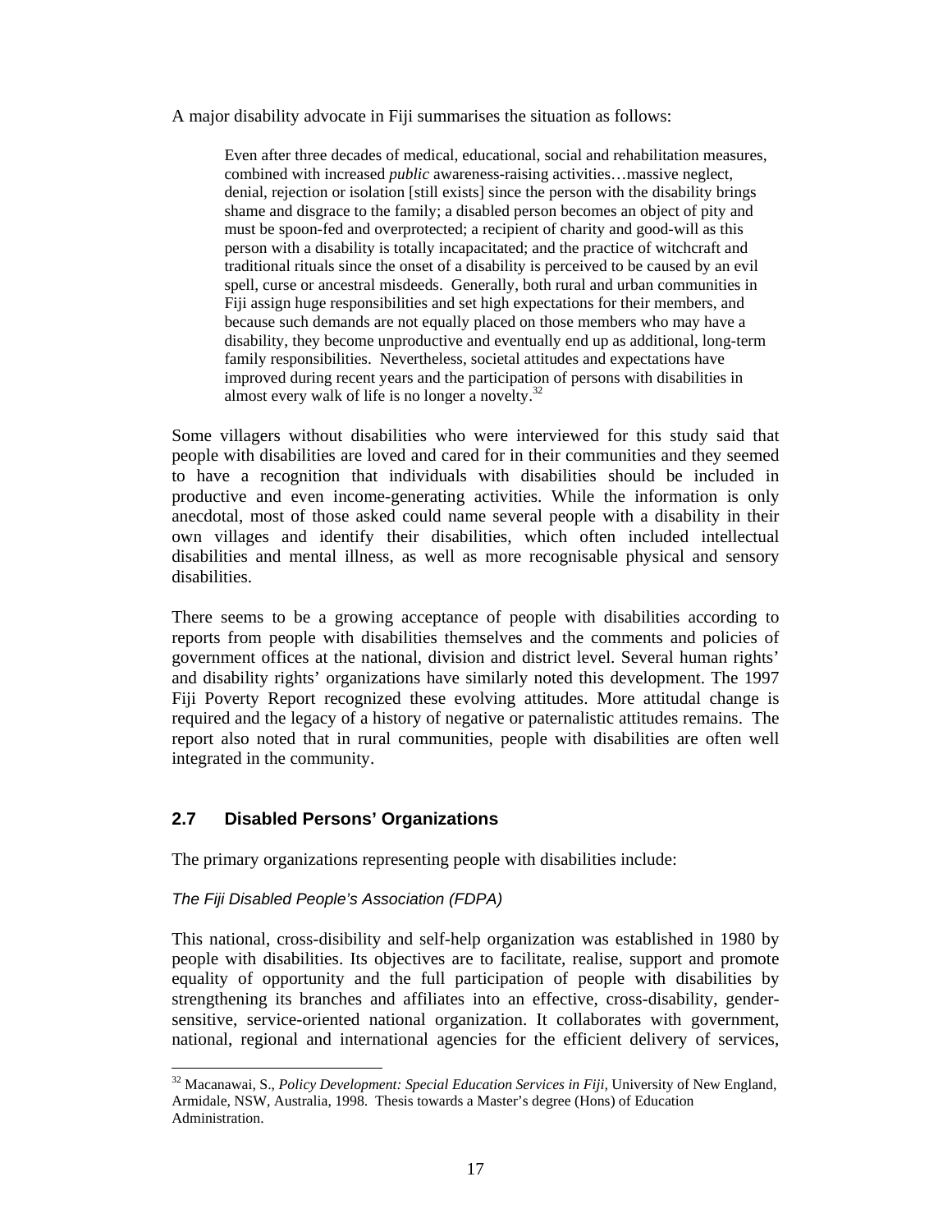A major disability advocate in Fiji summarises the situation as follows:

Even after three decades of medical, educational, social and rehabilitation measures, combined with increased *public* awareness-raising activities…massive neglect, denial, rejection or isolation [still exists] since the person with the disability brings shame and disgrace to the family; a disabled person becomes an object of pity and must be spoon-fed and overprotected; a recipient of charity and good-will as this person with a disability is totally incapacitated; and the practice of witchcraft and traditional rituals since the onset of a disability is perceived to be caused by an evil spell, curse or ancestral misdeeds. Generally, both rural and urban communities in Fiji assign huge responsibilities and set high expectations for their members, and because such demands are not equally placed on those members who may have a disability, they become unproductive and eventually end up as additional, long-term family responsibilities. Nevertheless, societal attitudes and expectations have improved during recent years and the participation of persons with disabilities in almost every walk of life is no longer a novelty. $32$ 

Some villagers without disabilities who were interviewed for this study said that people with disabilities are loved and cared for in their communities and they seemed to have a recognition that individuals with disabilities should be included in productive and even income-generating activities. While the information is only anecdotal, most of those asked could name several people with a disability in their own villages and identify their disabilities, which often included intellectual disabilities and mental illness, as well as more recognisable physical and sensory disabilities.

There seems to be a growing acceptance of people with disabilities according to reports from people with disabilities themselves and the comments and policies of government offices at the national, division and district level. Several human rights' and disability rights' organizations have similarly noted this development. The 1997 Fiji Poverty Report recognized these evolving attitudes. More attitudal change is required and the legacy of a history of negative or paternalistic attitudes remains. The report also noted that in rural communities, people with disabilities are often well integrated in the community.

#### **2.7 Disabled Persons' Organizations**

The primary organizations representing people with disabilities include:

#### The Fiji Disabled People's Association (FDPA)

 $\overline{a}$ 

This national, cross-disibility and self-help organization was established in 1980 by people with disabilities. Its objectives are to facilitate, realise, support and promote equality of opportunity and the full participation of people with disabilities by strengthening its branches and affiliates into an effective, cross-disability, gendersensitive, service-oriented national organization. It collaborates with government, national, regional and international agencies for the efficient delivery of services,

<sup>32</sup> Macanawai, S., *Policy Development: Special Education Services in Fiji,* University of New England, Armidale, NSW, Australia, 1998. Thesis towards a Master's degree (Hons) of Education Administration.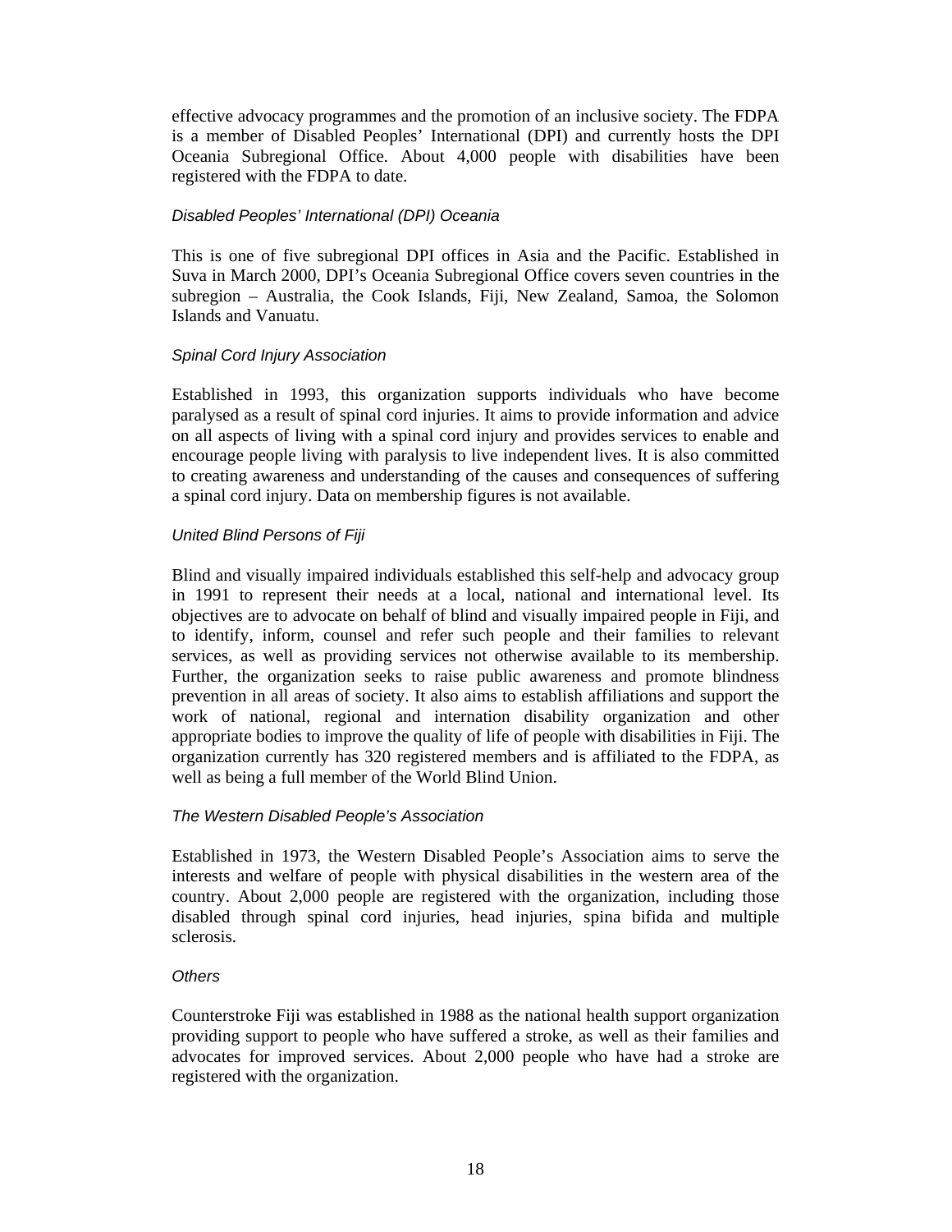effective advocacy programmes and the promotion of an inclusive society. The FDPA is a member of Disabled Peoples' International (DPI) and currently hosts the DPI Oceania Subregional Office. About 4,000 people with disabilities have been registered with the FDPA to date.

#### Disabled Peoples' International (DPI) Oceania

This is one of five subregional DPI offices in Asia and the Pacific. Established in Suva in March 2000, DPI's Oceania Subregional Office covers seven countries in the subregion – Australia, the Cook Islands, Fiji, New Zealand, Samoa, the Solomon Islands and Vanuatu.

#### Spinal Cord Injury Association

Established in 1993, this organization supports individuals who have become paralysed as a result of spinal cord injuries. It aims to provide information and advice on all aspects of living with a spinal cord injury and provides services to enable and encourage people living with paralysis to live independent lives. It is also committed to creating awareness and understanding of the causes and consequences of suffering a spinal cord injury. Data on membership figures is not available.

#### United Blind Persons of Fiji

Blind and visually impaired individuals established this self-help and advocacy group in 1991 to represent their needs at a local, national and international level. Its objectives are to advocate on behalf of blind and visually impaired people in Fiji, and to identify, inform, counsel and refer such people and their families to relevant services, as well as providing services not otherwise available to its membership. Further, the organization seeks to raise public awareness and promote blindness prevention in all areas of society. It also aims to establish affiliations and support the work of national, regional and internation disability organization and other appropriate bodies to improve the quality of life of people with disabilities in Fiji. The organization currently has 320 registered members and is affiliated to the FDPA, as well as being a full member of the World Blind Union.

#### The Western Disabled People's Association

Established in 1973, the Western Disabled People's Association aims to serve the interests and welfare of people with physical disabilities in the western area of the country. About 2,000 people are registered with the organization, including those disabled through spinal cord injuries, head injuries, spina bifida and multiple sclerosis.

#### **Others**

Counterstroke Fiji was established in 1988 as the national health support organization providing support to people who have suffered a stroke, as well as their families and advocates for improved services. About 2,000 people who have had a stroke are registered with the organization.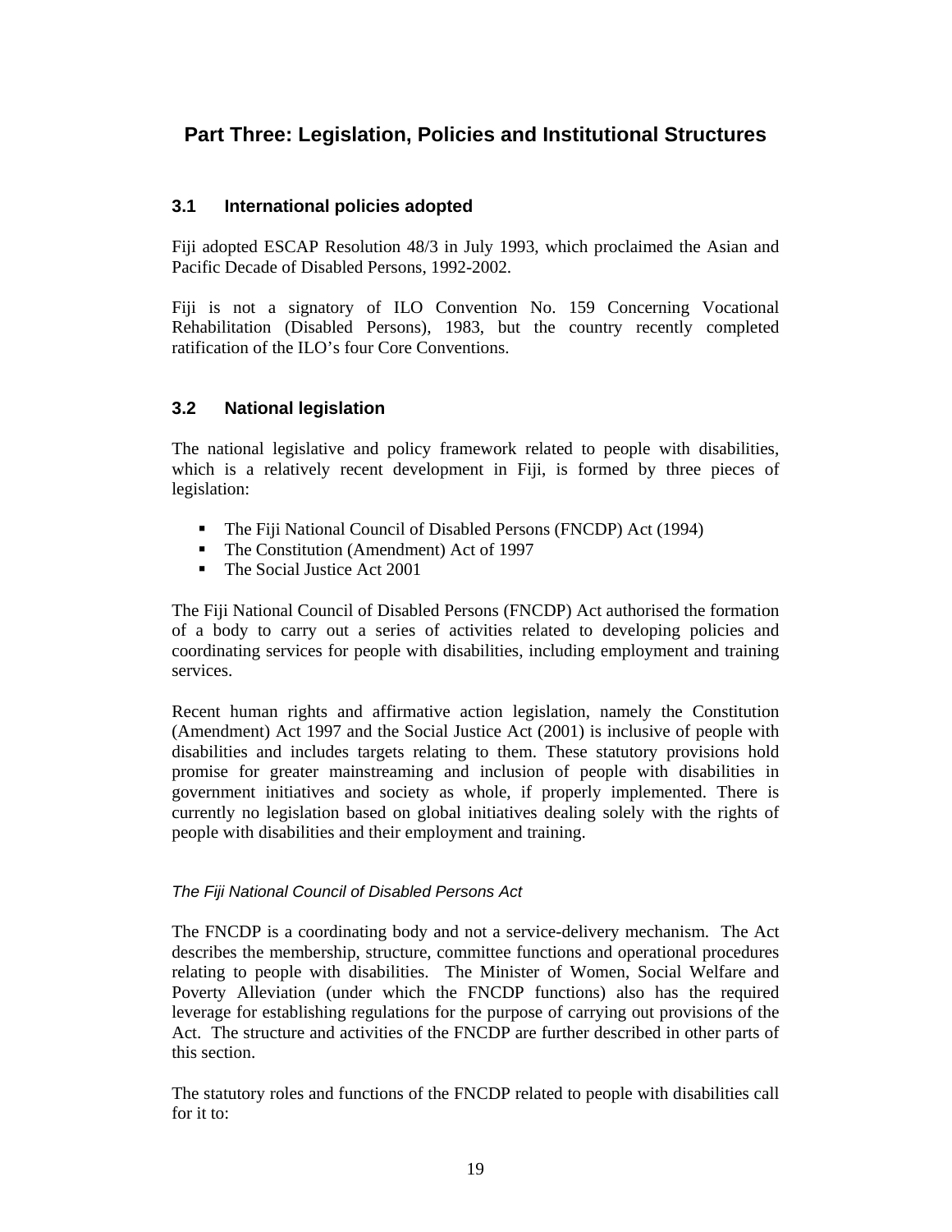### **Part Three: Legislation, Policies and Institutional Structures**

#### **3.1 International policies adopted**

Fiji adopted ESCAP Resolution 48/3 in July 1993, which proclaimed the Asian and Pacific Decade of Disabled Persons, 1992-2002.

Fiji is not a signatory of ILO Convention No. 159 Concerning Vocational Rehabilitation (Disabled Persons), 1983, but the country recently completed ratification of the ILO's four Core Conventions.

#### **3.2 National legislation**

The national legislative and policy framework related to people with disabilities, which is a relatively recent development in Fiji, is formed by three pieces of legislation:

- The Fiji National Council of Disabled Persons (FNCDP) Act (1994)
- The Constitution (Amendment) Act of 1997
- The Social Justice Act 2001

The Fiji National Council of Disabled Persons (FNCDP) Act authorised the formation of a body to carry out a series of activities related to developing policies and coordinating services for people with disabilities, including employment and training services.

Recent human rights and affirmative action legislation, namely the Constitution (Amendment) Act 1997 and the Social Justice Act (2001) is inclusive of people with disabilities and includes targets relating to them. These statutory provisions hold promise for greater mainstreaming and inclusion of people with disabilities in government initiatives and society as whole, if properly implemented. There is currently no legislation based on global initiatives dealing solely with the rights of people with disabilities and their employment and training.

#### The Fiji National Council of Disabled Persons Act

The FNCDP is a coordinating body and not a service-delivery mechanism. The Act describes the membership, structure, committee functions and operational procedures relating to people with disabilities. The Minister of Women, Social Welfare and Poverty Alleviation (under which the FNCDP functions) also has the required leverage for establishing regulations for the purpose of carrying out provisions of the Act. The structure and activities of the FNCDP are further described in other parts of this section.

The statutory roles and functions of the FNCDP related to people with disabilities call for it to: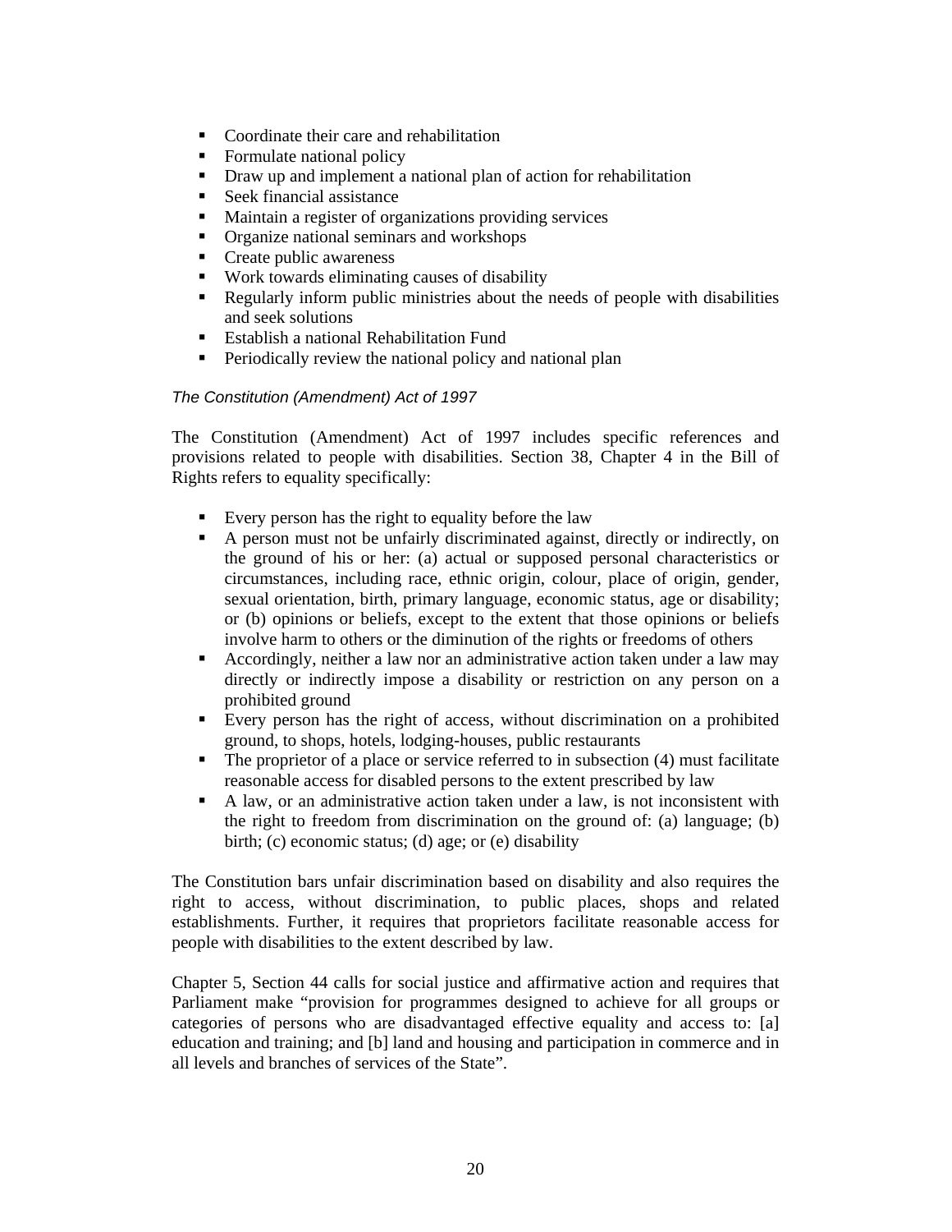- Coordinate their care and rehabilitation
- Formulate national policy
- Draw up and implement a national plan of action for rehabilitation
- Seek financial assistance
- Maintain a register of organizations providing services
- Organize national seminars and workshops
- Create public awareness
- Work towards eliminating causes of disability
- Regularly inform public ministries about the needs of people with disabilities and seek solutions
- Establish a national Rehabilitation Fund
- Periodically review the national policy and national plan

#### The Constitution (Amendment) Act of 1997

The Constitution (Amendment) Act of 1997 includes specific references and provisions related to people with disabilities. Section 38, Chapter 4 in the Bill of Rights refers to equality specifically:

- Every person has the right to equality before the law
- A person must not be unfairly discriminated against, directly or indirectly, on the ground of his or her: (a) actual or supposed personal characteristics or circumstances, including race, ethnic origin, colour, place of origin, gender, sexual orientation, birth, primary language, economic status, age or disability; or (b) opinions or beliefs, except to the extent that those opinions or beliefs involve harm to others or the diminution of the rights or freedoms of others
- Accordingly, neither a law nor an administrative action taken under a law may directly or indirectly impose a disability or restriction on any person on a prohibited ground
- Every person has the right of access, without discrimination on a prohibited ground, to shops, hotels, lodging-houses, public restaurants
- $\blacksquare$  The proprietor of a place or service referred to in subsection (4) must facilitate reasonable access for disabled persons to the extent prescribed by law
- A law, or an administrative action taken under a law, is not inconsistent with the right to freedom from discrimination on the ground of: (a) language; (b) birth; (c) economic status; (d) age; or (e) disability

The Constitution bars unfair discrimination based on disability and also requires the right to access, without discrimination, to public places, shops and related establishments. Further, it requires that proprietors facilitate reasonable access for people with disabilities to the extent described by law.

Chapter 5, Section 44 calls for social justice and affirmative action and requires that Parliament make "provision for programmes designed to achieve for all groups or categories of persons who are disadvantaged effective equality and access to: [a] education and training; and [b] land and housing and participation in commerce and in all levels and branches of services of the State".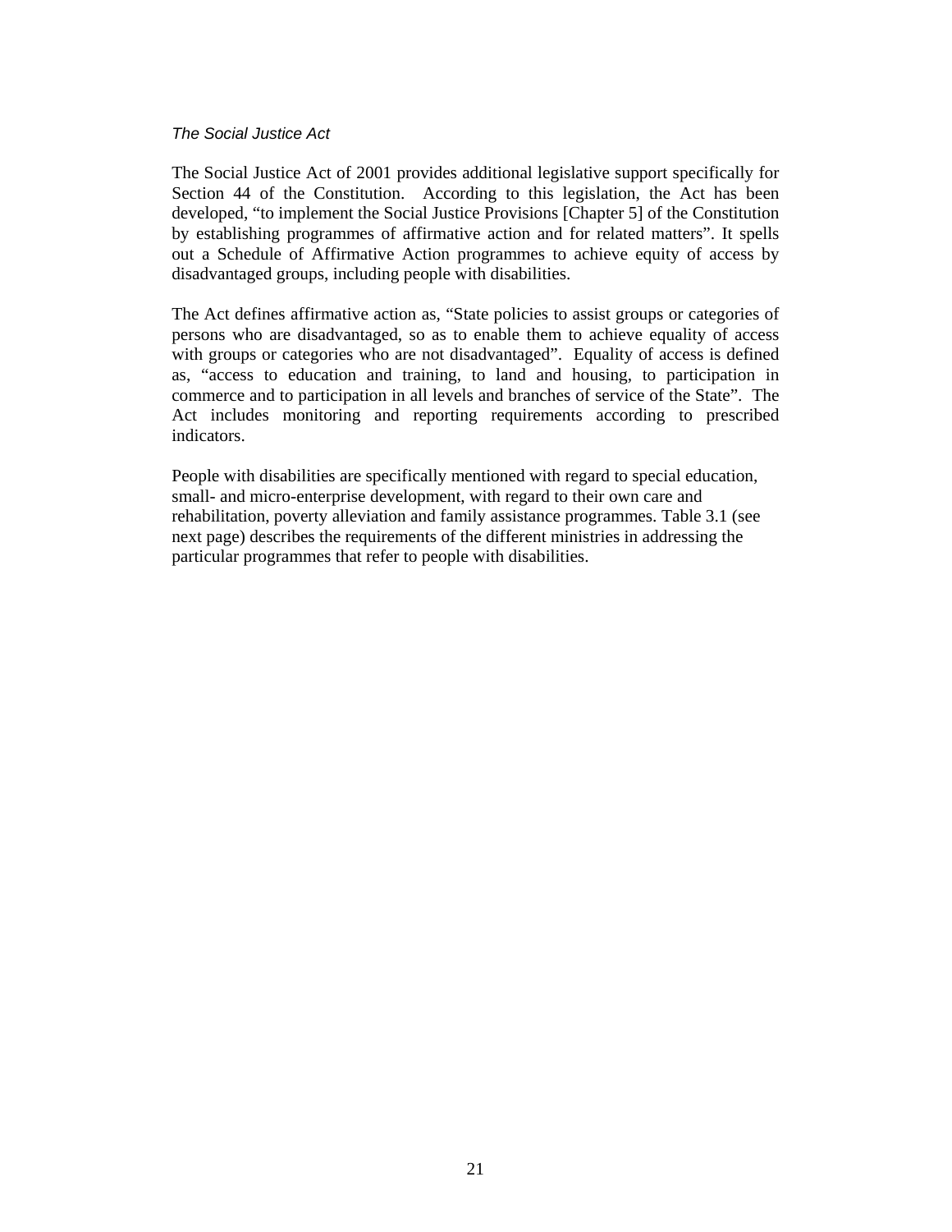#### The Social Justice Act

The Social Justice Act of 2001 provides additional legislative support specifically for Section 44 of the Constitution. According to this legislation, the Act has been developed, "to implement the Social Justice Provisions [Chapter 5] of the Constitution by establishing programmes of affirmative action and for related matters". It spells out a Schedule of Affirmative Action programmes to achieve equity of access by disadvantaged groups, including people with disabilities.

The Act defines affirmative action as, "State policies to assist groups or categories of persons who are disadvantaged, so as to enable them to achieve equality of access with groups or categories who are not disadvantaged". Equality of access is defined as, "access to education and training, to land and housing, to participation in commerce and to participation in all levels and branches of service of the State". The Act includes monitoring and reporting requirements according to prescribed indicators.

People with disabilities are specifically mentioned with regard to special education, small- and micro-enterprise development, with regard to their own care and rehabilitation, poverty alleviation and family assistance programmes. Table 3.1 (see next page) describes the requirements of the different ministries in addressing the particular programmes that refer to people with disabilities.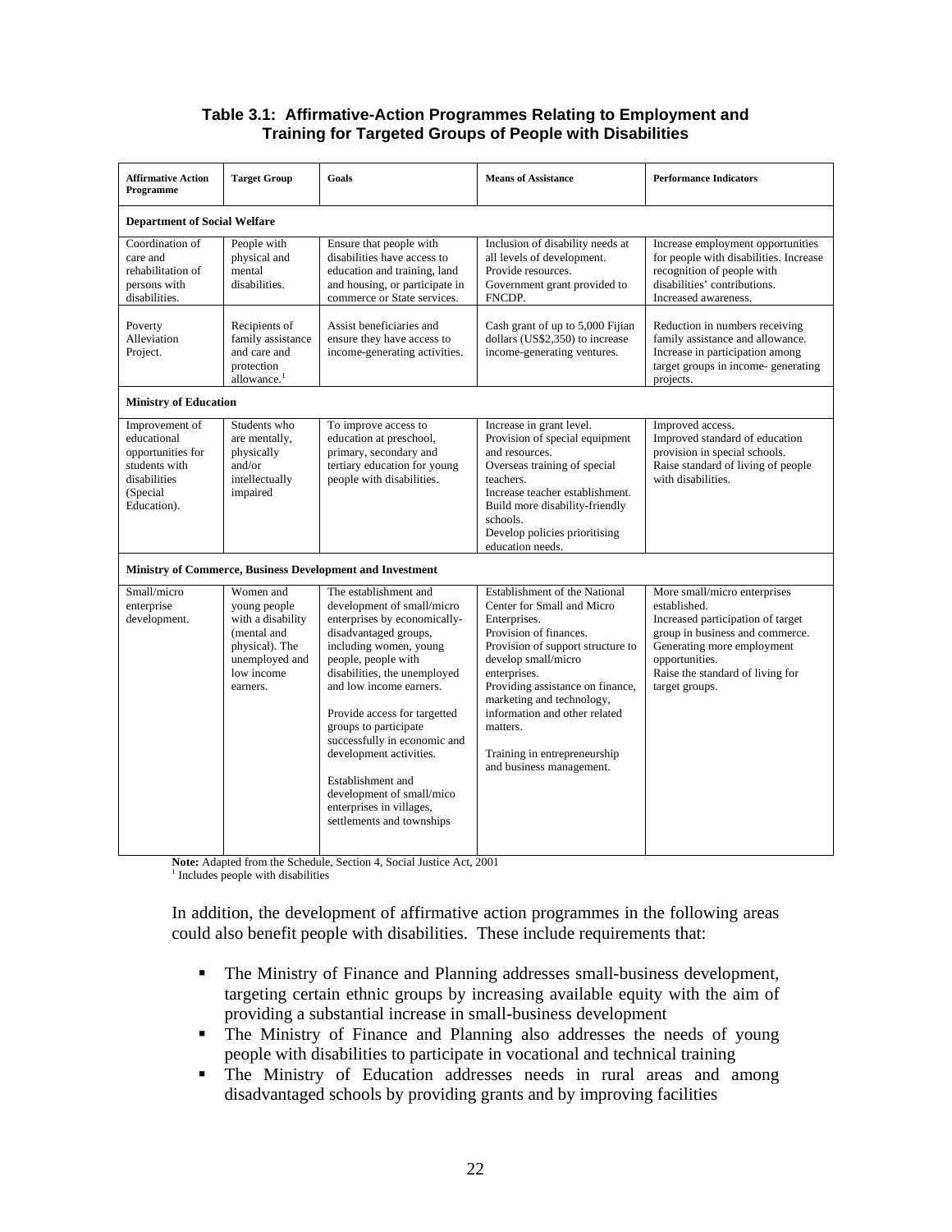#### **Table 3.1: Affirmative-Action Programmes Relating to Employment and Training for Targeted Groups of People with Disabilities**

| <b>Affirmative Action</b><br>Programme                                                                         | <b>Target Group</b>                                                                                                         | Goals                                                                                                                                                                                                                                                                                                                                                                                                                                                   | <b>Means of Assistance</b>                                                                                                                                                                                                                                                                                                                                  | <b>Performance Indicators</b>                                                                                                                                                                                              |  |  |  |  |
|----------------------------------------------------------------------------------------------------------------|-----------------------------------------------------------------------------------------------------------------------------|---------------------------------------------------------------------------------------------------------------------------------------------------------------------------------------------------------------------------------------------------------------------------------------------------------------------------------------------------------------------------------------------------------------------------------------------------------|-------------------------------------------------------------------------------------------------------------------------------------------------------------------------------------------------------------------------------------------------------------------------------------------------------------------------------------------------------------|----------------------------------------------------------------------------------------------------------------------------------------------------------------------------------------------------------------------------|--|--|--|--|
| <b>Department of Social Welfare</b>                                                                            |                                                                                                                             |                                                                                                                                                                                                                                                                                                                                                                                                                                                         |                                                                                                                                                                                                                                                                                                                                                             |                                                                                                                                                                                                                            |  |  |  |  |
| Coordination of<br>care and<br>rehabilitation of<br>persons with<br>disabilities.                              | People with<br>physical and<br>mental<br>disabilities.                                                                      | Ensure that people with<br>disabilities have access to<br>education and training, land<br>and housing, or participate in<br>commerce or State services.                                                                                                                                                                                                                                                                                                 | Inclusion of disability needs at<br>all levels of development.<br>Provide resources.<br>Government grant provided to<br>FNCDP.                                                                                                                                                                                                                              | Increase employment opportunities<br>for people with disabilities. Increase<br>recognition of people with<br>disabilities' contributions.<br>Increased awareness.                                                          |  |  |  |  |
| Poverty<br>Alleviation<br>Project.                                                                             | Recipients of<br>family assistance<br>and care and<br>protection<br>allowance. <sup>1</sup>                                 | Assist beneficiaries and<br>ensure they have access to<br>income-generating activities.                                                                                                                                                                                                                                                                                                                                                                 | Cash grant of up to 5,000 Fijian<br>dollars (US\$2,350) to increase<br>income-generating ventures.                                                                                                                                                                                                                                                          | Reduction in numbers receiving<br>family assistance and allowance.<br>Increase in participation among<br>target groups in income-generating<br>projects.                                                                   |  |  |  |  |
| <b>Ministry of Education</b>                                                                                   |                                                                                                                             |                                                                                                                                                                                                                                                                                                                                                                                                                                                         |                                                                                                                                                                                                                                                                                                                                                             |                                                                                                                                                                                                                            |  |  |  |  |
| Improvement of<br>educational<br>opportunities for<br>students with<br>disabilities<br>(Special<br>Education). | Students who<br>are mentally,<br>physically<br>and/or<br>intellectually<br>impaired                                         | To improve access to<br>education at preschool,<br>primary, secondary and<br>tertiary education for young<br>people with disabilities.                                                                                                                                                                                                                                                                                                                  | Increase in grant level.<br>Provision of special equipment<br>and resources.<br>Overseas training of special<br>teachers.<br>Increase teacher establishment.<br>Build more disability-friendly<br>schools.<br>Develop policies prioritising<br>education needs.                                                                                             | Improved access.<br>Improved standard of education<br>provision in special schools.<br>Raise standard of living of people<br>with disabilities.                                                                            |  |  |  |  |
| <b>Ministry of Commerce, Business Development and Investment</b>                                               |                                                                                                                             |                                                                                                                                                                                                                                                                                                                                                                                                                                                         |                                                                                                                                                                                                                                                                                                                                                             |                                                                                                                                                                                                                            |  |  |  |  |
| Small/micro<br>enterprise<br>development.                                                                      | Women and<br>young people<br>with a disability<br>(mental and<br>physical). The<br>unemployed and<br>low income<br>earners. | The establishment and<br>development of small/micro<br>enterprises by economically-<br>disadvantaged groups,<br>including women, young<br>people, people with<br>disabilities, the unemployed<br>and low income earners.<br>Provide access for targetted<br>groups to participate<br>successfully in economic and<br>development activities.<br>Establishment and<br>development of small/mico<br>enterprises in villages,<br>settlements and townships | Establishment of the National<br>Center for Small and Micro<br>Enterprises.<br>Provision of finances.<br>Provision of support structure to<br>develop small/micro<br>enterprises.<br>Providing assistance on finance,<br>marketing and technology,<br>information and other related<br>matters.<br>Training in entrepreneurship<br>and business management. | More small/micro enterprises<br>established.<br>Increased participation of target<br>group in business and commerce.<br>Generating more employment<br>opportunities.<br>Raise the standard of living for<br>target groups. |  |  |  |  |

**Note:** Adapted from the Schedule, Section 4, Social Justice Act, 2001

<sup>1</sup> Includes people with disabilities

In addition, the development of affirmative action programmes in the following areas could also benefit people with disabilities. These include requirements that:

- The Ministry of Finance and Planning addresses small-business development, targeting certain ethnic groups by increasing available equity with the aim of providing a substantial increase in small-business development
- The Ministry of Finance and Planning also addresses the needs of young people with disabilities to participate in vocational and technical training
- The Ministry of Education addresses needs in rural areas and among disadvantaged schools by providing grants and by improving facilities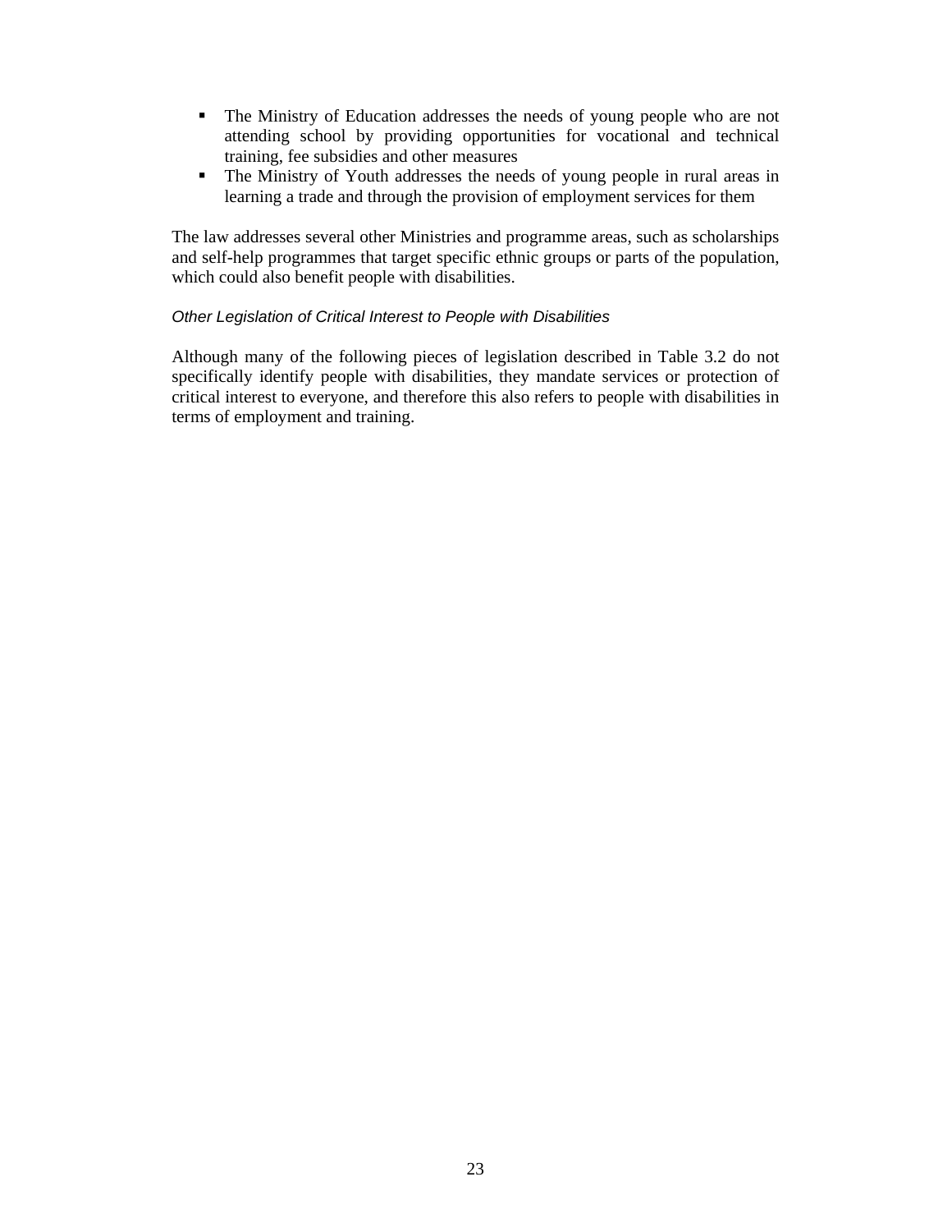- The Ministry of Education addresses the needs of young people who are not attending school by providing opportunities for vocational and technical training, fee subsidies and other measures
- The Ministry of Youth addresses the needs of young people in rural areas in learning a trade and through the provision of employment services for them

The law addresses several other Ministries and programme areas, such as scholarships and self-help programmes that target specific ethnic groups or parts of the population, which could also benefit people with disabilities.

#### Other Legislation of Critical Interest to People with Disabilities

Although many of the following pieces of legislation described in Table 3.2 do not specifically identify people with disabilities, they mandate services or protection of critical interest to everyone, and therefore this also refers to people with disabilities in terms of employment and training.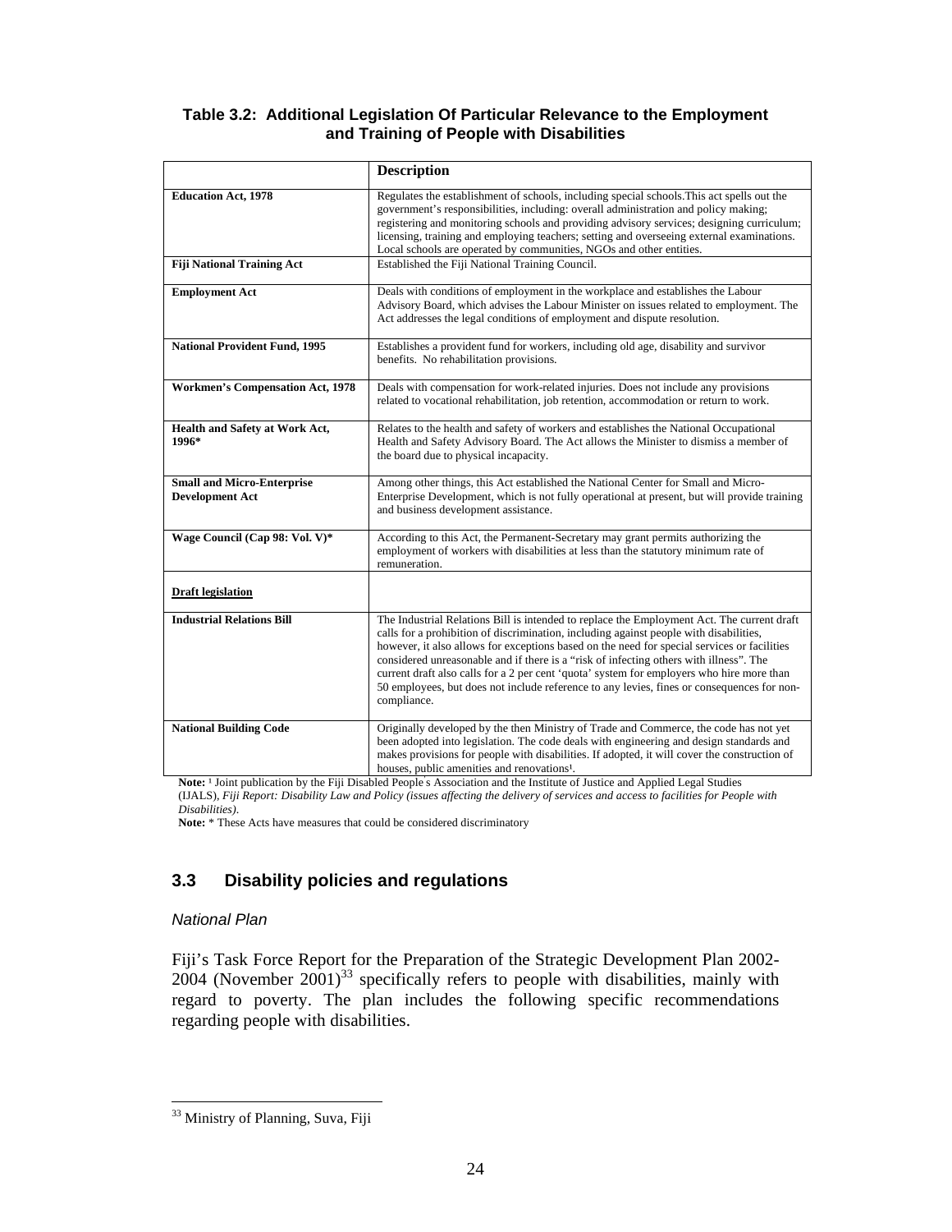#### **Table 3.2: Additional Legislation Of Particular Relevance to the Employment and Training of People with Disabilities**

|                                                             | <b>Description</b>                                                                                                                                                                                                                                                                                                                                                                                                                                                                                                                                                                      |
|-------------------------------------------------------------|-----------------------------------------------------------------------------------------------------------------------------------------------------------------------------------------------------------------------------------------------------------------------------------------------------------------------------------------------------------------------------------------------------------------------------------------------------------------------------------------------------------------------------------------------------------------------------------------|
| <b>Education Act, 1978</b>                                  | Regulates the establishment of schools, including special schools. This act spells out the<br>government's responsibilities, including: overall administration and policy making;<br>registering and monitoring schools and providing advisory services; designing curriculum;<br>licensing, training and employing teachers; setting and overseeing external examinations.<br>Local schools are operated by communities, NGOs and other entities.                                                                                                                                      |
| <b>Fiji National Training Act</b>                           | Established the Fiji National Training Council.                                                                                                                                                                                                                                                                                                                                                                                                                                                                                                                                         |
| <b>Employment Act</b>                                       | Deals with conditions of employment in the workplace and establishes the Labour<br>Advisory Board, which advises the Labour Minister on issues related to employment. The<br>Act addresses the legal conditions of employment and dispute resolution.                                                                                                                                                                                                                                                                                                                                   |
| <b>National Provident Fund, 1995</b>                        | Establishes a provident fund for workers, including old age, disability and survivor<br>benefits. No rehabilitation provisions.                                                                                                                                                                                                                                                                                                                                                                                                                                                         |
| <b>Workmen's Compensation Act, 1978</b>                     | Deals with compensation for work-related injuries. Does not include any provisions<br>related to vocational rehabilitation, job retention, accommodation or return to work.                                                                                                                                                                                                                                                                                                                                                                                                             |
| Health and Safety at Work Act,<br>1996*                     | Relates to the health and safety of workers and establishes the National Occupational<br>Health and Safety Advisory Board. The Act allows the Minister to dismiss a member of<br>the board due to physical incapacity.                                                                                                                                                                                                                                                                                                                                                                  |
| <b>Small and Micro-Enterprise</b><br><b>Development Act</b> | Among other things, this Act established the National Center for Small and Micro-<br>Enterprise Development, which is not fully operational at present, but will provide training<br>and business development assistance.                                                                                                                                                                                                                                                                                                                                                               |
| Wage Council (Cap 98: Vol. V)*                              | According to this Act, the Permanent-Secretary may grant permits authorizing the<br>employment of workers with disabilities at less than the statutory minimum rate of<br>remuneration.                                                                                                                                                                                                                                                                                                                                                                                                 |
| <b>Draft legislation</b>                                    |                                                                                                                                                                                                                                                                                                                                                                                                                                                                                                                                                                                         |
| <b>Industrial Relations Bill</b>                            | The Industrial Relations Bill is intended to replace the Employment Act. The current draft<br>calls for a prohibition of discrimination, including against people with disabilities,<br>however, it also allows for exceptions based on the need for special services or facilities<br>considered unreasonable and if there is a "risk of infecting others with illness". The<br>current draft also calls for a 2 per cent 'quota' system for employers who hire more than<br>50 employees, but does not include reference to any levies, fines or consequences for non-<br>compliance. |
| <b>National Building Code</b>                               | Originally developed by the then Ministry of Trade and Commerce, the code has not yet<br>been adopted into legislation. The code deals with engineering and design standards and<br>makes provisions for people with disabilities. If adopted, it will cover the construction of<br>houses, public amenities and renovations <sup>1</sup> .                                                                                                                                                                                                                                             |

Note: <sup>1</sup> Joint publication by the Fiji Disabled People's Association and the Institute of Justice and Applied Legal Studies (IJALS), *Fiji Report: Disability Law and Policy (issues affecting the delivery of services and access to facilities for People with Disabilities)*.

**Note:** \* These Acts have measures that could be considered discriminatory

#### **3.3 Disability policies and regulations**

#### National Plan

 $\ddot{ }$ 

Fiji's Task Force Report for the Preparation of the Strategic Development Plan 2002-  $2004$  (November  $2001$ )<sup>33</sup> specifically refers to people with disabilities, mainly with regard to poverty. The plan includes the following specific recommendations regarding people with disabilities.

<sup>&</sup>lt;sup>33</sup> Ministry of Planning, Suva, Fiji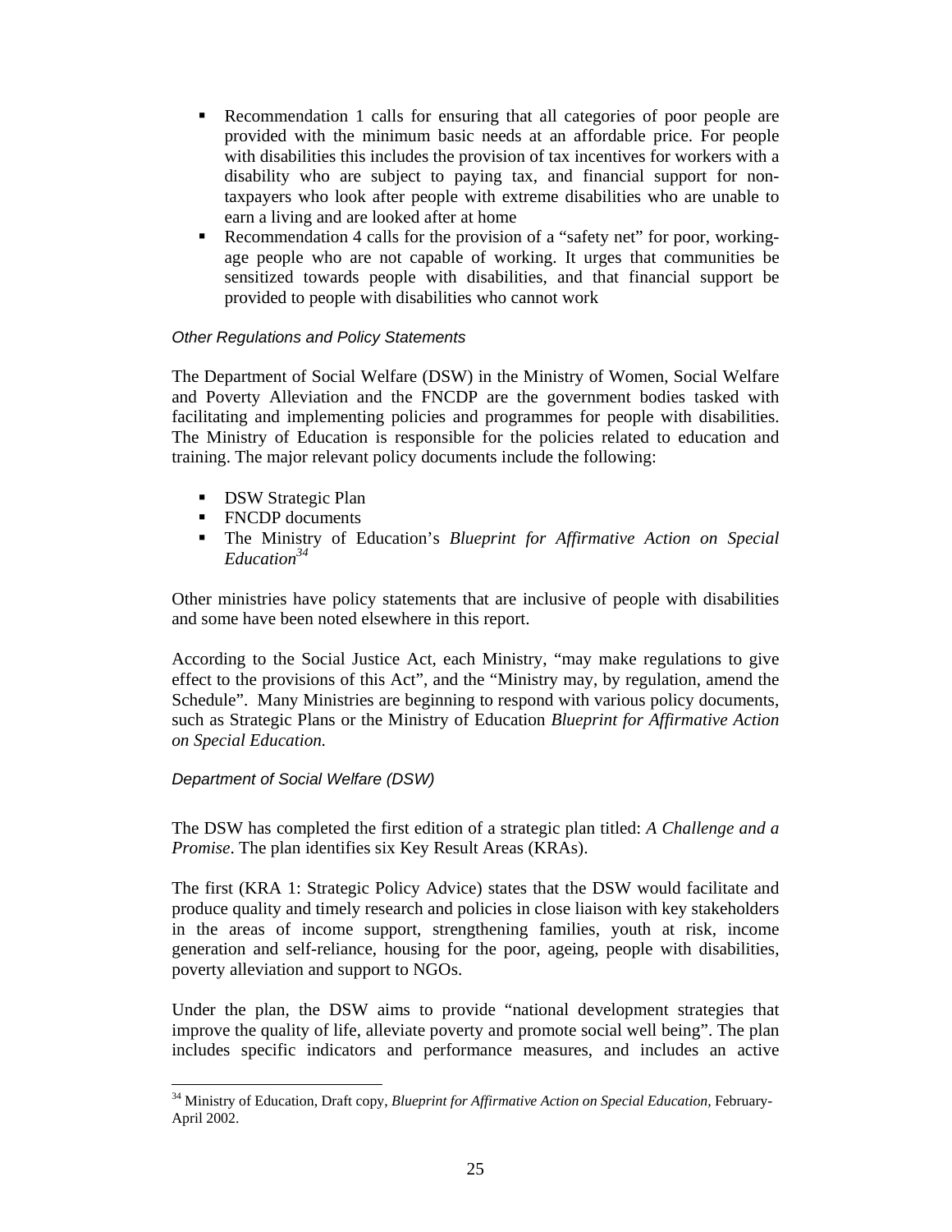- Recommendation 1 calls for ensuring that all categories of poor people are provided with the minimum basic needs at an affordable price. For people with disabilities this includes the provision of tax incentives for workers with a disability who are subject to paying tax, and financial support for nontaxpayers who look after people with extreme disabilities who are unable to earn a living and are looked after at home
- Recommendation 4 calls for the provision of a "safety net" for poor, workingage people who are not capable of working. It urges that communities be sensitized towards people with disabilities, and that financial support be provided to people with disabilities who cannot work

#### Other Regulations and Policy Statements

The Department of Social Welfare (DSW) in the Ministry of Women, Social Welfare and Poverty Alleviation and the FNCDP are the government bodies tasked with facilitating and implementing policies and programmes for people with disabilities. The Ministry of Education is responsible for the policies related to education and training. The major relevant policy documents include the following:

- **DSW Strategic Plan**
- FNCDP documents
- The Ministry of Education's *Blueprint for Affirmative Action on Special Education<sup>34</sup>*

Other ministries have policy statements that are inclusive of people with disabilities and some have been noted elsewhere in this report.

According to the Social Justice Act, each Ministry, "may make regulations to give effect to the provisions of this Act", and the "Ministry may, by regulation, amend the Schedule". Many Ministries are beginning to respond with various policy documents, such as Strategic Plans or the Ministry of Education *Blueprint for Affirmative Action on Special Education.* 

#### Department of Social Welfare (DSW)

The DSW has completed the first edition of a strategic plan titled: *A Challenge and a Promise*. The plan identifies six Key Result Areas (KRAs).

The first (KRA 1: Strategic Policy Advice) states that the DSW would facilitate and produce quality and timely research and policies in close liaison with key stakeholders in the areas of income support, strengthening families, youth at risk, income generation and self-reliance, housing for the poor, ageing, people with disabilities, poverty alleviation and support to NGOs.

Under the plan, the DSW aims to provide "national development strategies that improve the quality of life, alleviate poverty and promote social well being". The plan includes specific indicators and performance measures, and includes an active

 $\overline{a}$ <sup>34</sup> Ministry of Education, Draft copy, *Blueprint for Affirmative Action on Special Education,* February-April 2002.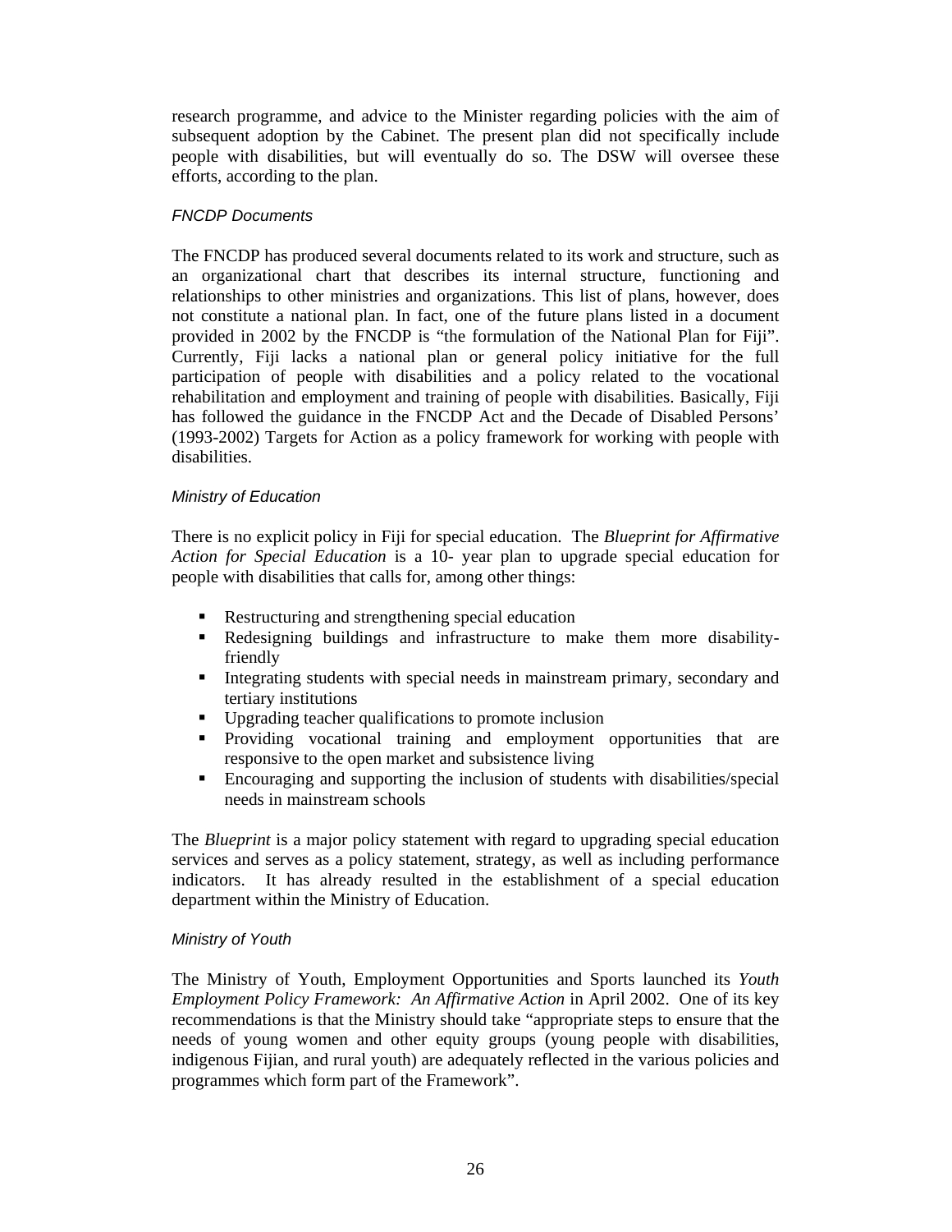research programme, and advice to the Minister regarding policies with the aim of subsequent adoption by the Cabinet. The present plan did not specifically include people with disabilities, but will eventually do so. The DSW will oversee these efforts, according to the plan.

#### FNCDP Documents

The FNCDP has produced several documents related to its work and structure, such as an organizational chart that describes its internal structure, functioning and relationships to other ministries and organizations. This list of plans, however, does not constitute a national plan. In fact, one of the future plans listed in a document provided in 2002 by the FNCDP is "the formulation of the National Plan for Fiji". Currently, Fiji lacks a national plan or general policy initiative for the full participation of people with disabilities and a policy related to the vocational rehabilitation and employment and training of people with disabilities. Basically, Fiji has followed the guidance in the FNCDP Act and the Decade of Disabled Persons' (1993-2002) Targets for Action as a policy framework for working with people with disabilities.

#### Ministry of Education

There is no explicit policy in Fiji for special education. The *Blueprint for Affirmative Action for Special Education* is a 10- year plan to upgrade special education for people with disabilities that calls for, among other things:

- Restructuring and strengthening special education
- Redesigning buildings and infrastructure to make them more disabilityfriendly
- Integrating students with special needs in mainstream primary, secondary and tertiary institutions
- Upgrading teacher qualifications to promote inclusion
- Providing vocational training and employment opportunities that are responsive to the open market and subsistence living
- Encouraging and supporting the inclusion of students with disabilities/special needs in mainstream schools

The *Blueprint* is a major policy statement with regard to upgrading special education services and serves as a policy statement, strategy, as well as including performance indicators. It has already resulted in the establishment of a special education department within the Ministry of Education.

#### Ministry of Youth

The Ministry of Youth, Employment Opportunities and Sports launched its *Youth Employment Policy Framework: An Affirmative Action* in April 2002. One of its key recommendations is that the Ministry should take "appropriate steps to ensure that the needs of young women and other equity groups (young people with disabilities, indigenous Fijian, and rural youth) are adequately reflected in the various policies and programmes which form part of the Framework".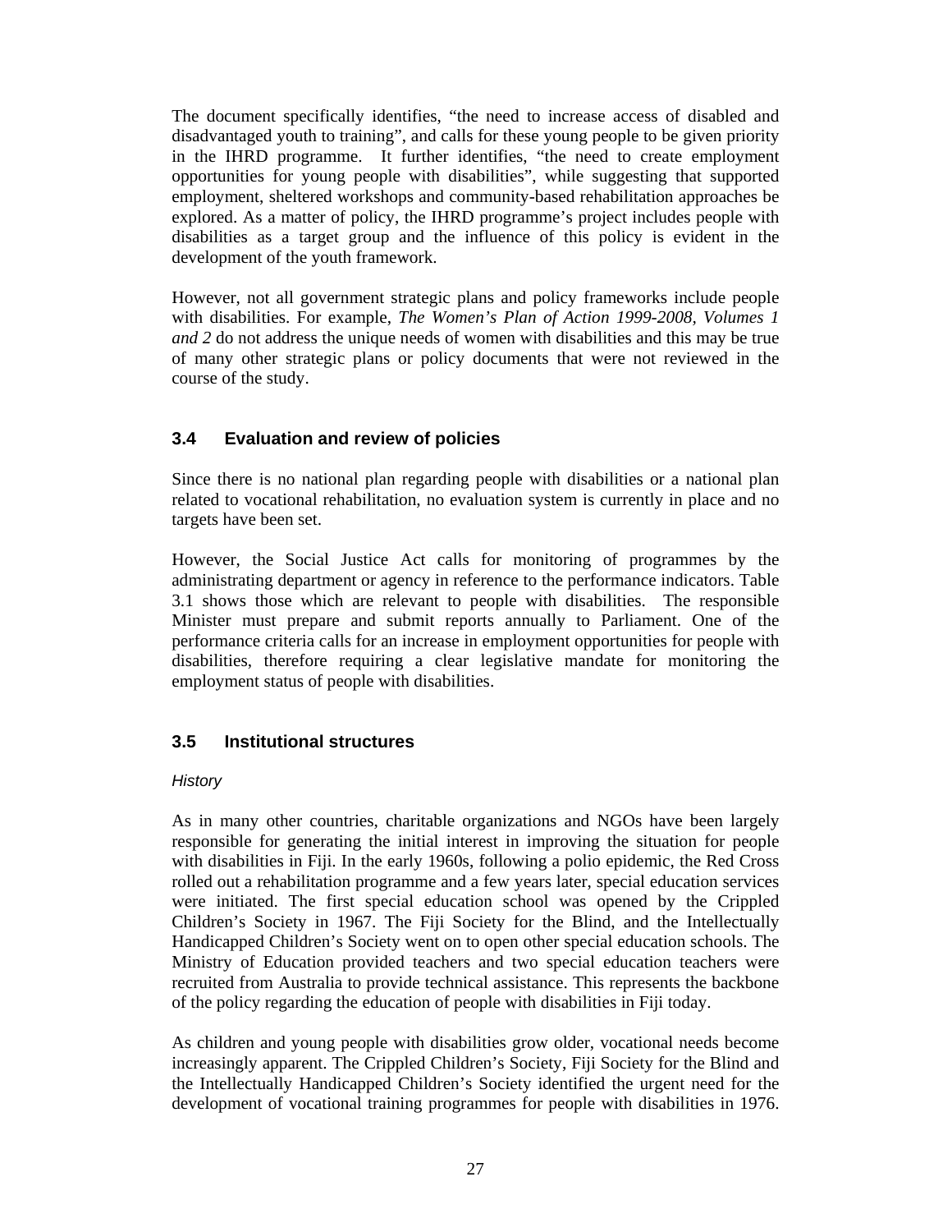The document specifically identifies, "the need to increase access of disabled and disadvantaged youth to training", and calls for these young people to be given priority in the IHRD programme. It further identifies, "the need to create employment opportunities for young people with disabilities", while suggesting that supported employment, sheltered workshops and community-based rehabilitation approaches be explored. As a matter of policy, the IHRD programme's project includes people with disabilities as a target group and the influence of this policy is evident in the development of the youth framework.

However, not all government strategic plans and policy frameworks include people with disabilities. For example, *The Women's Plan of Action 1999-2008, Volumes 1 and 2* do not address the unique needs of women with disabilities and this may be true of many other strategic plans or policy documents that were not reviewed in the course of the study.

#### **3.4 Evaluation and review of policies**

Since there is no national plan regarding people with disabilities or a national plan related to vocational rehabilitation, no evaluation system is currently in place and no targets have been set.

However, the Social Justice Act calls for monitoring of programmes by the administrating department or agency in reference to the performance indicators. Table 3.1 shows those which are relevant to people with disabilities. The responsible Minister must prepare and submit reports annually to Parliament. One of the performance criteria calls for an increase in employment opportunities for people with disabilities, therefore requiring a clear legislative mandate for monitoring the employment status of people with disabilities.

#### **3.5 Institutional structures**

#### **History**

As in many other countries, charitable organizations and NGOs have been largely responsible for generating the initial interest in improving the situation for people with disabilities in Fiji. In the early 1960s, following a polio epidemic, the Red Cross rolled out a rehabilitation programme and a few years later, special education services were initiated. The first special education school was opened by the Crippled Children's Society in 1967. The Fiji Society for the Blind, and the Intellectually Handicapped Children's Society went on to open other special education schools. The Ministry of Education provided teachers and two special education teachers were recruited from Australia to provide technical assistance. This represents the backbone of the policy regarding the education of people with disabilities in Fiji today.

As children and young people with disabilities grow older, vocational needs become increasingly apparent. The Crippled Children's Society, Fiji Society for the Blind and the Intellectually Handicapped Children's Society identified the urgent need for the development of vocational training programmes for people with disabilities in 1976.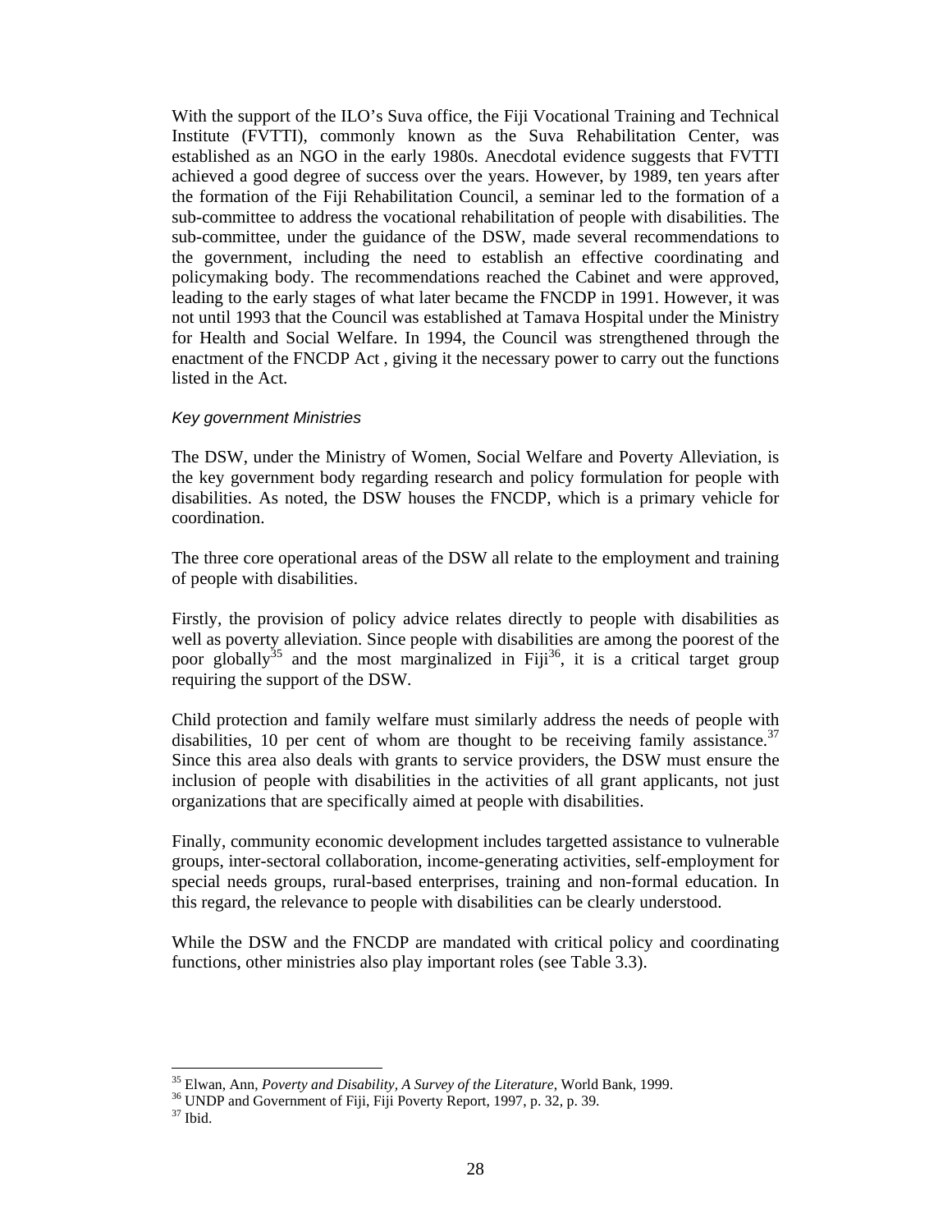With the support of the ILO's Suva office, the Fiji Vocational Training and Technical Institute (FVTTI), commonly known as the Suva Rehabilitation Center, was established as an NGO in the early 1980s. Anecdotal evidence suggests that FVTTI achieved a good degree of success over the years. However, by 1989, ten years after the formation of the Fiji Rehabilitation Council, a seminar led to the formation of a sub-committee to address the vocational rehabilitation of people with disabilities. The sub-committee, under the guidance of the DSW, made several recommendations to the government, including the need to establish an effective coordinating and policymaking body. The recommendations reached the Cabinet and were approved, leading to the early stages of what later became the FNCDP in 1991. However, it was not until 1993 that the Council was established at Tamava Hospital under the Ministry for Health and Social Welfare. In 1994, the Council was strengthened through the enactment of the FNCDP Act , giving it the necessary power to carry out the functions listed in the Act.

#### Key government Ministries

The DSW, under the Ministry of Women, Social Welfare and Poverty Alleviation, is the key government body regarding research and policy formulation for people with disabilities. As noted, the DSW houses the FNCDP, which is a primary vehicle for coordination.

The three core operational areas of the DSW all relate to the employment and training of people with disabilities.

Firstly, the provision of policy advice relates directly to people with disabilities as well as poverty alleviation. Since people with disabilities are among the poorest of the poor globally<sup>35</sup> and the most marginalized in Fiji<sup>36</sup>, it is a critical target group requiring the support of the DSW.

Child protection and family welfare must similarly address the needs of people with disabilities, 10 per cent of whom are thought to be receiving family assistance.<sup>37</sup> Since this area also deals with grants to service providers, the DSW must ensure the inclusion of people with disabilities in the activities of all grant applicants, not just organizations that are specifically aimed at people with disabilities.

Finally, community economic development includes targetted assistance to vulnerable groups, inter-sectoral collaboration, income-generating activities, self-employment for special needs groups, rural-based enterprises, training and non-formal education. In this regard, the relevance to people with disabilities can be clearly understood.

While the DSW and the FNCDP are mandated with critical policy and coordinating functions, other ministries also play important roles (see Table 3.3).

 $\overline{a}$ 

<sup>35</sup> Elwan, Ann, *Poverty and Disability, A Survey of the Literature*, World Bank, 1999.

<sup>&</sup>lt;sup>36</sup> UNDP and Government of Fiji, Fiji Poverty Report, 1997, p. 32, p. 39.  $37$  Ibid.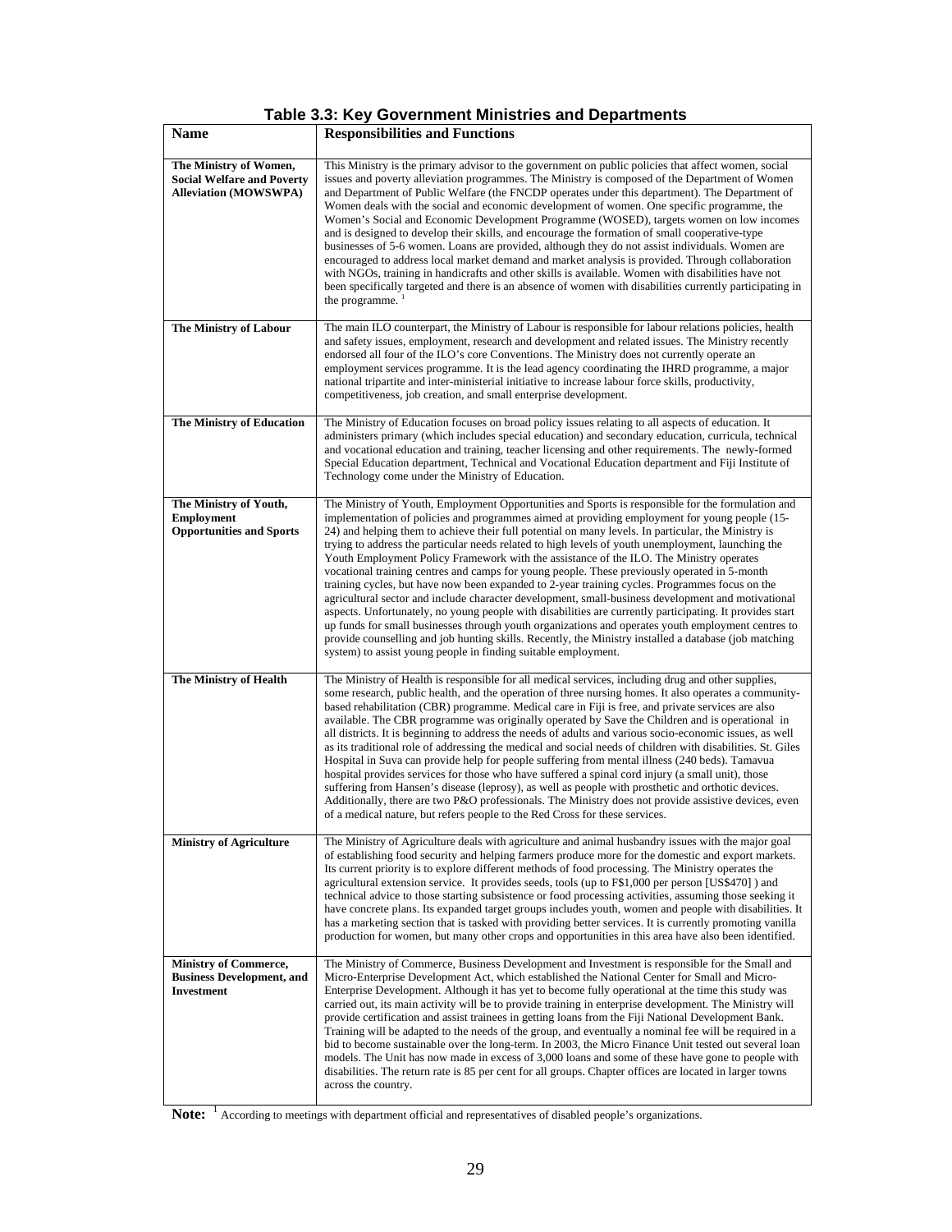| <b>Name</b>                                                                                 | <b>Responsibilities and Functions</b>                                                                                                                                                                                                                                                                                                                                                                                                                                                                                                                                                                                                                                                                                                                                                                                                                                                                                                                                                                                                                                                                                                                                                                           |
|---------------------------------------------------------------------------------------------|-----------------------------------------------------------------------------------------------------------------------------------------------------------------------------------------------------------------------------------------------------------------------------------------------------------------------------------------------------------------------------------------------------------------------------------------------------------------------------------------------------------------------------------------------------------------------------------------------------------------------------------------------------------------------------------------------------------------------------------------------------------------------------------------------------------------------------------------------------------------------------------------------------------------------------------------------------------------------------------------------------------------------------------------------------------------------------------------------------------------------------------------------------------------------------------------------------------------|
| The Ministry of Women,<br><b>Social Welfare and Poverty</b><br><b>Alleviation (MOWSWPA)</b> | This Ministry is the primary advisor to the government on public policies that affect women, social<br>issues and poverty alleviation programmes. The Ministry is composed of the Department of Women<br>and Department of Public Welfare (the FNCDP operates under this department). The Department of<br>Women deals with the social and economic development of women. One specific programme, the<br>Women's Social and Economic Development Programme (WOSED), targets women on low incomes<br>and is designed to develop their skills, and encourage the formation of small cooperative-type<br>businesses of 5-6 women. Loans are provided, although they do not assist individuals. Women are<br>encouraged to address local market demand and market analysis is provided. Through collaboration<br>with NGOs, training in handicrafts and other skills is available. Women with disabilities have not<br>been specifically targeted and there is an absence of women with disabilities currently participating in<br>the programme. <sup>1</sup>                                                                                                                                                      |
| <b>The Ministry of Labour</b>                                                               | The main ILO counterpart, the Ministry of Labour is responsible for labour relations policies, health<br>and safety issues, employment, research and development and related issues. The Ministry recently<br>endorsed all four of the ILO's core Conventions. The Ministry does not currently operate an<br>employment services programme. It is the lead agency coordinating the IHRD programme, a major<br>national tripartite and inter-ministerial initiative to increase labour force skills, productivity,<br>competitiveness, job creation, and small enterprise development.                                                                                                                                                                                                                                                                                                                                                                                                                                                                                                                                                                                                                           |
| <b>The Ministry of Education</b>                                                            | The Ministry of Education focuses on broad policy issues relating to all aspects of education. It<br>administers primary (which includes special education) and secondary education, curricula, technical<br>and vocational education and training, teacher licensing and other requirements. The newly-formed<br>Special Education department, Technical and Vocational Education department and Fiji Institute of<br>Technology come under the Ministry of Education.                                                                                                                                                                                                                                                                                                                                                                                                                                                                                                                                                                                                                                                                                                                                         |
| The Ministry of Youth,<br><b>Employment</b><br><b>Opportunities and Sports</b>              | The Ministry of Youth, Employment Opportunities and Sports is responsible for the formulation and<br>implementation of policies and programmes aimed at providing employment for young people (15-<br>24) and helping them to achieve their full potential on many levels. In particular, the Ministry is<br>trying to address the particular needs related to high levels of youth unemployment, launching the<br>Youth Employment Policy Framework with the assistance of the ILO. The Ministry operates<br>vocational training centres and camps for young people. These previously operated in 5-month<br>training cycles, but have now been expanded to 2-year training cycles. Programmes focus on the<br>agricultural sector and include character development, small-business development and motivational<br>aspects. Unfortunately, no young people with disabilities are currently participating. It provides start<br>up funds for small businesses through youth organizations and operates youth employment centres to<br>provide counselling and job hunting skills. Recently, the Ministry installed a database (job matching<br>system) to assist young people in finding suitable employment. |
| The Ministry of Health                                                                      | The Ministry of Health is responsible for all medical services, including drug and other supplies,<br>some research, public health, and the operation of three nursing homes. It also operates a community-<br>based rehabilitation (CBR) programme. Medical care in Fiji is free, and private services are also<br>available. The CBR programme was originally operated by Save the Children and is operational in<br>all districts. It is beginning to address the needs of adults and various socio-economic issues, as well<br>as its traditional role of addressing the medical and social needs of children with disabilities. St. Giles<br>Hospital in Suva can provide help for people suffering from mental illness (240 beds). Tamavua<br>hospital provides services for those who have suffered a spinal cord injury (a small unit), those<br>suffering from Hansen's disease (leprosy), as well as people with prosthetic and orthotic devices.<br>Additionally, there are two P&O professionals. The Ministry does not provide assistive devices, even<br>of a medical nature, but refers people to the Red Cross for these services.                                                              |
| <b>Ministry of Agriculture</b>                                                              | The Ministry of Agriculture deals with agriculture and animal husbandry issues with the major goal<br>of establishing food security and helping farmers produce more for the domestic and export markets.<br>Its current priority is to explore different methods of food processing. The Ministry operates the<br>agricultural extension service. It provides seeds, tools (up to F\$1,000 per person [US\$470]) and<br>technical advice to those starting subsistence or food processing activities, assuming those seeking it<br>have concrete plans. Its expanded target groups includes youth, women and people with disabilities. It<br>has a marketing section that is tasked with providing better services. It is currently promoting vanilla<br>production for women, but many other crops and opportunities in this area have also been identified.                                                                                                                                                                                                                                                                                                                                                  |
| <b>Ministry of Commerce,</b><br><b>Business Development, and</b><br>Investment              | The Ministry of Commerce, Business Development and Investment is responsible for the Small and<br>Micro-Enterprise Development Act, which established the National Center for Small and Micro-<br>Enterprise Development. Although it has yet to become fully operational at the time this study was<br>carried out, its main activity will be to provide training in enterprise development. The Ministry will<br>provide certification and assist trainees in getting loans from the Fiji National Development Bank.<br>Training will be adapted to the needs of the group, and eventually a nominal fee will be required in a<br>bid to become sustainable over the long-term. In 2003, the Micro Finance Unit tested out several loan<br>models. The Unit has now made in excess of 3,000 loans and some of these have gone to people with<br>disabilities. The return rate is 85 per cent for all groups. Chapter offices are located in larger towns<br>across the country.                                                                                                                                                                                                                               |

| <b>Note:</b> <sup>1</sup> According to meetings with department official and representatives of disabled people's organizations |
|---------------------------------------------------------------------------------------------------------------------------------|
|                                                                                                                                 |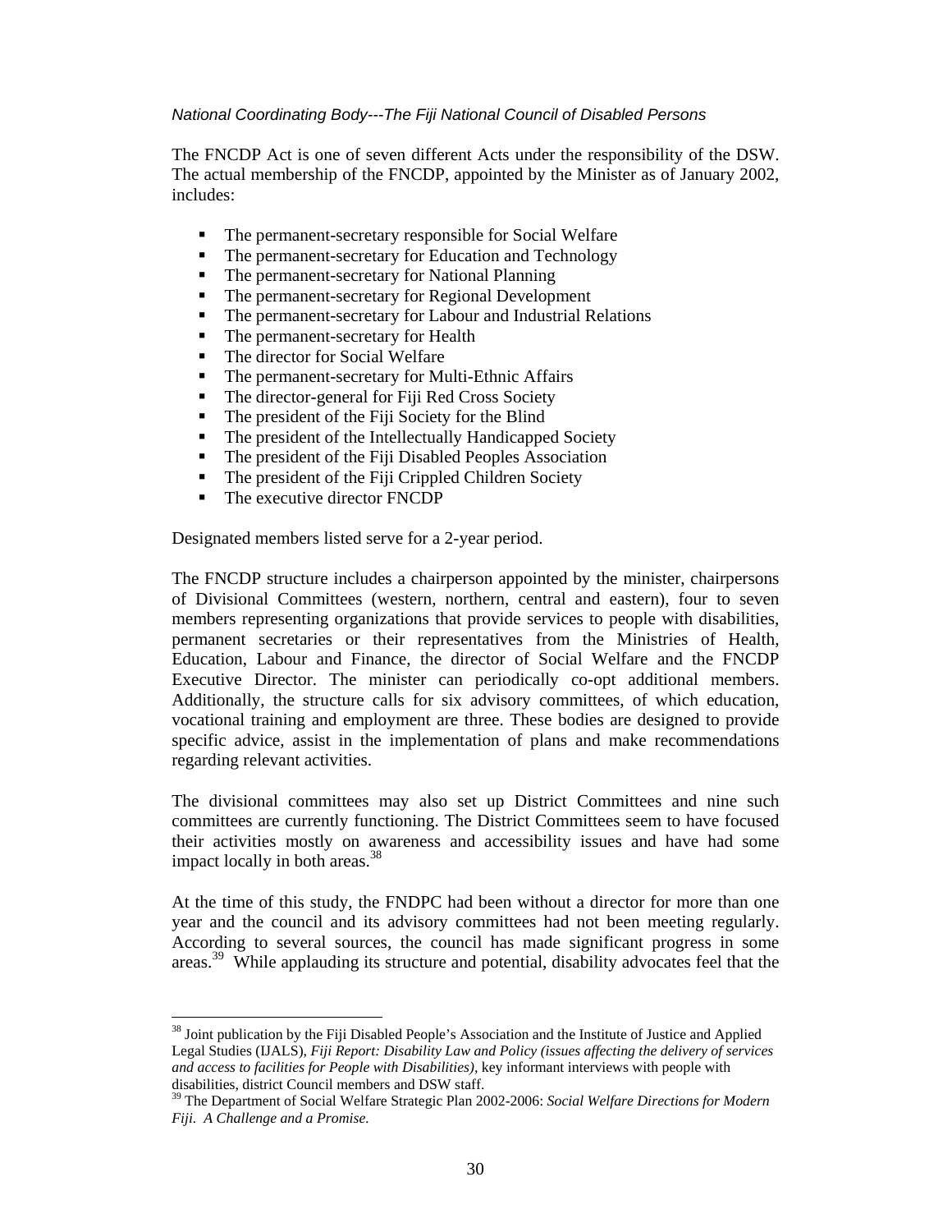#### National Coordinating Body---The Fiji National Council of Disabled Persons

The FNCDP Act is one of seven different Acts under the responsibility of the DSW. The actual membership of the FNCDP, appointed by the Minister as of January 2002, includes:

- The permanent-secretary responsible for Social Welfare
- The permanent-secretary for Education and Technology
- The permanent-secretary for National Planning
- The permanent-secretary for Regional Development
- The permanent-secretary for Labour and Industrial Relations
- The permanent-secretary for Health
- The director for Social Welfare
- The permanent-secretary for Multi-Ethnic Affairs
- The director-general for Fiji Red Cross Society
- The president of the Fiji Society for the Blind
- The president of the Intellectually Handicapped Society
- The president of the Fiji Disabled Peoples Association
- The president of the Fiji Crippled Children Society
- The executive director FNCDP

 $\ddot{\phantom{a}}$ 

Designated members listed serve for a 2-year period.

The FNCDP structure includes a chairperson appointed by the minister, chairpersons of Divisional Committees (western, northern, central and eastern), four to seven members representing organizations that provide services to people with disabilities, permanent secretaries or their representatives from the Ministries of Health, Education, Labour and Finance, the director of Social Welfare and the FNCDP Executive Director. The minister can periodically co-opt additional members. Additionally, the structure calls for six advisory committees, of which education, vocational training and employment are three. These bodies are designed to provide specific advice, assist in the implementation of plans and make recommendations regarding relevant activities.

The divisional committees may also set up District Committees and nine such committees are currently functioning. The District Committees seem to have focused their activities mostly on awareness and accessibility issues and have had some impact locally in both areas. $38$ 

At the time of this study, the FNDPC had been without a director for more than one year and the council and its advisory committees had not been meeting regularly. According to several sources, the council has made significant progress in some areas.<sup>39</sup> While applauding its structure and potential, disability advocates feel that the

<sup>&</sup>lt;sup>38</sup> Joint publication by the Fiji Disabled People's Association and the Institute of Justice and Applied Legal Studies (IJALS), *Fiji Report: Disability Law and Policy (issues affecting the delivery of services and access to facilities for People with Disabilities),* key informant interviews with people with disabilities, district Council members and DSW staff.

<sup>39</sup> The Department of Social Welfare Strategic Plan 2002-2006: *Social Welfare Directions for Modern Fiji. A Challenge and a Promise.*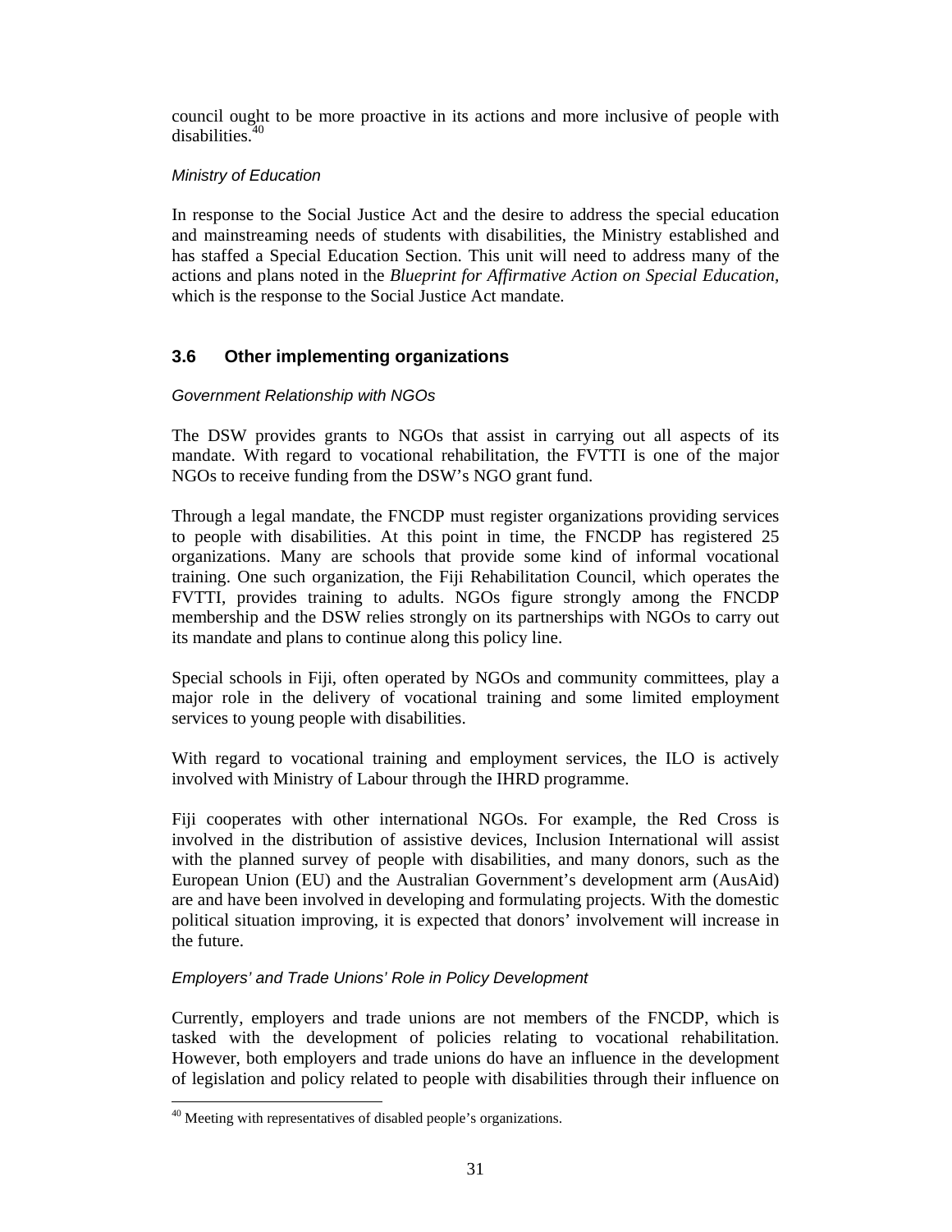council ought to be more proactive in its actions and more inclusive of people with disabilities.<sup>40</sup>

## Ministry of Education

In response to the Social Justice Act and the desire to address the special education and mainstreaming needs of students with disabilities, the Ministry established and has staffed a Special Education Section. This unit will need to address many of the actions and plans noted in the *Blueprint for Affirmative Action on Special Education,*  which is the response to the Social Justice Act mandate.

## **3.6 Other implementing organizations**

#### Government Relationship with NGOs

The DSW provides grants to NGOs that assist in carrying out all aspects of its mandate. With regard to vocational rehabilitation, the FVTTI is one of the major NGOs to receive funding from the DSW's NGO grant fund.

Through a legal mandate, the FNCDP must register organizations providing services to people with disabilities. At this point in time, the FNCDP has registered 25 organizations. Many are schools that provide some kind of informal vocational training. One such organization, the Fiji Rehabilitation Council, which operates the FVTTI, provides training to adults. NGOs figure strongly among the FNCDP membership and the DSW relies strongly on its partnerships with NGOs to carry out its mandate and plans to continue along this policy line.

Special schools in Fiji, often operated by NGOs and community committees, play a major role in the delivery of vocational training and some limited employment services to young people with disabilities.

With regard to vocational training and employment services, the ILO is actively involved with Ministry of Labour through the IHRD programme.

Fiji cooperates with other international NGOs. For example, the Red Cross is involved in the distribution of assistive devices, Inclusion International will assist with the planned survey of people with disabilities, and many donors, such as the European Union (EU) and the Australian Government's development arm (AusAid) are and have been involved in developing and formulating projects. With the domestic political situation improving, it is expected that donors' involvement will increase in the future.

#### Employers' and Trade Unions' Role in Policy Development

Currently, employers and trade unions are not members of the FNCDP, which is tasked with the development of policies relating to vocational rehabilitation. However, both employers and trade unions do have an influence in the development of legislation and policy related to people with disabilities through their influence on

 $\ddot{\phantom{a}}$ 

<sup>&</sup>lt;sup>40</sup> Meeting with representatives of disabled people's organizations.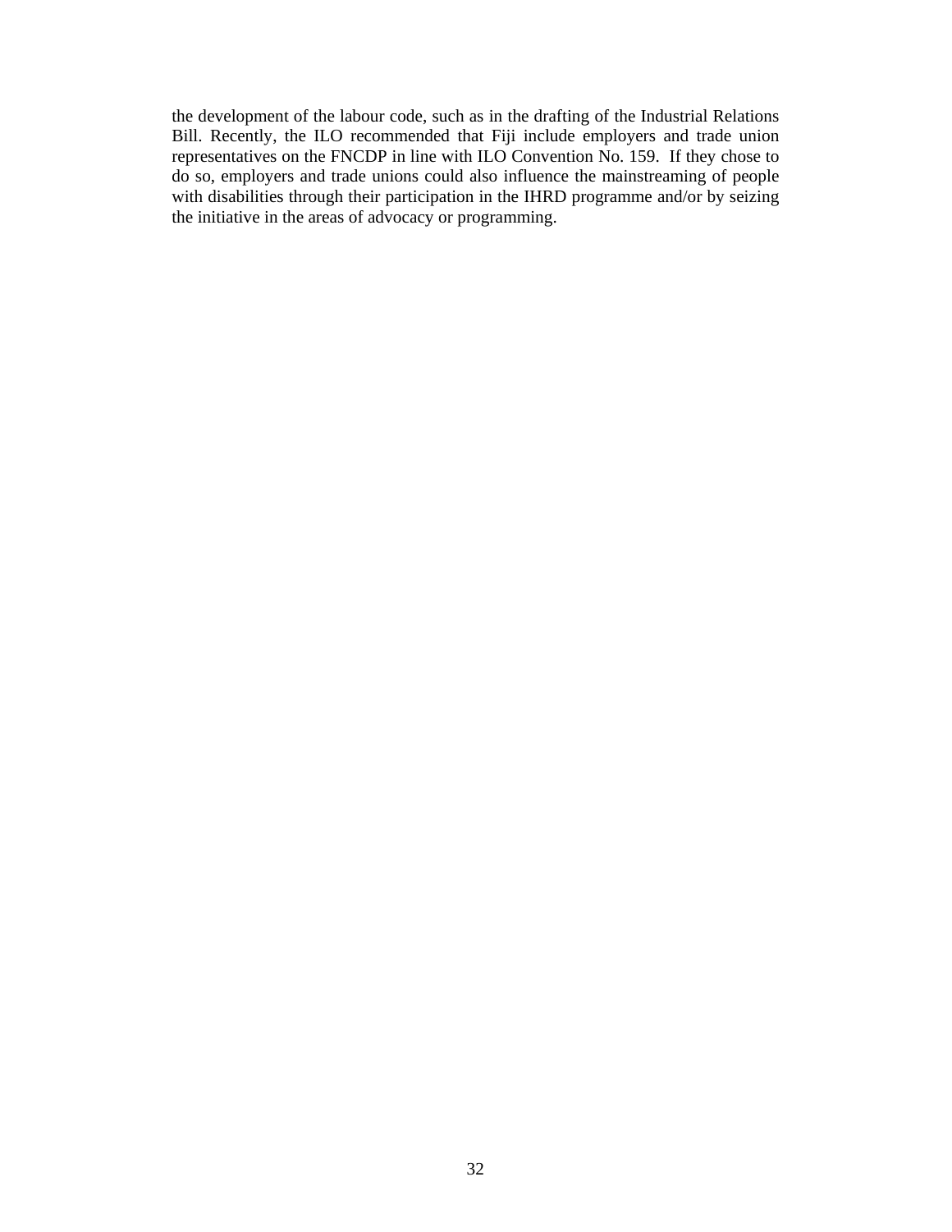the development of the labour code, such as in the drafting of the Industrial Relations Bill. Recently, the ILO recommended that Fiji include employers and trade union representatives on the FNCDP in line with ILO Convention No. 159. If they chose to do so, employers and trade unions could also influence the mainstreaming of people with disabilities through their participation in the IHRD programme and/or by seizing the initiative in the areas of advocacy or programming.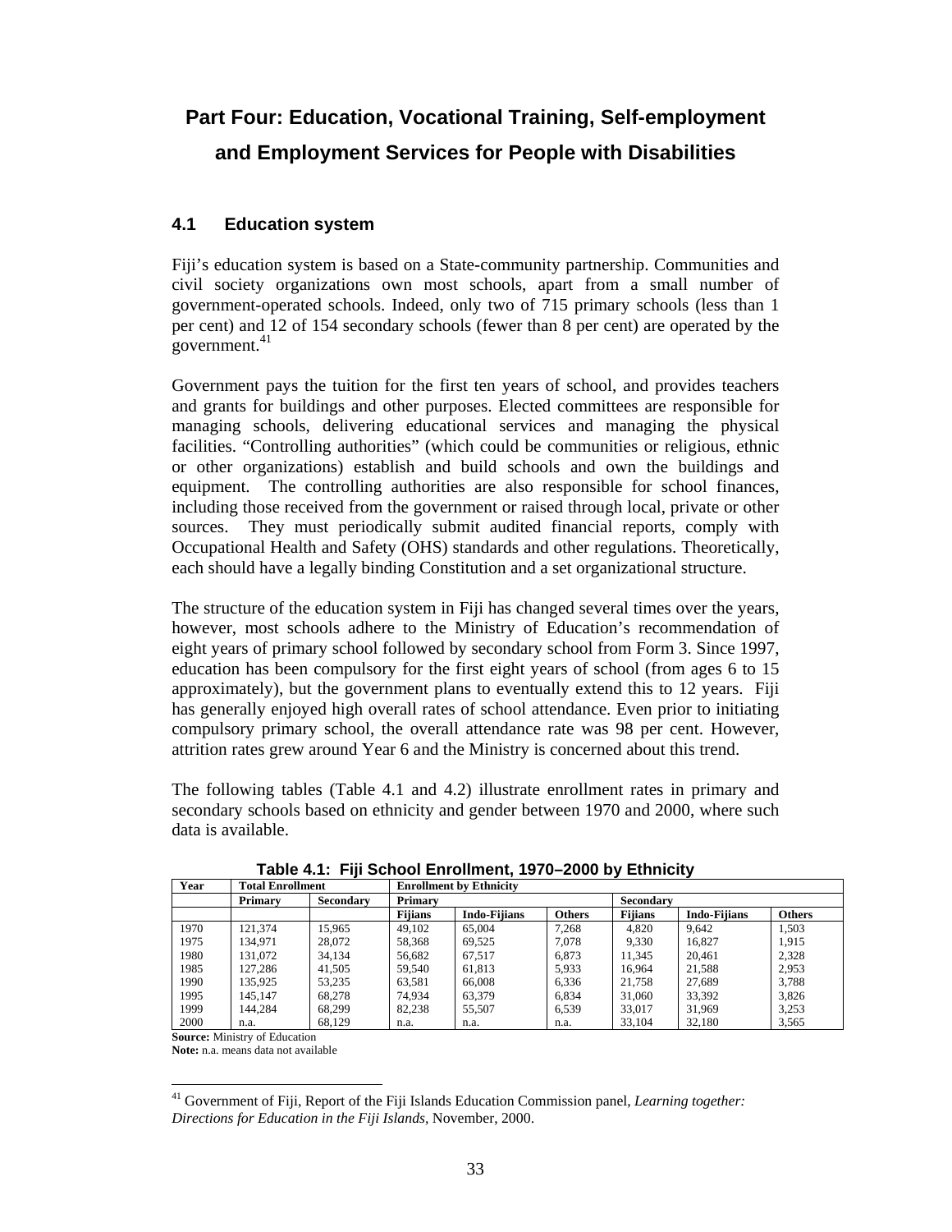# **Part Four: Education, Vocational Training, Self-employment and Employment Services for People with Disabilities**

## **4.1 Education system**

Fiji's education system is based on a State-community partnership. Communities and civil society organizations own most schools, apart from a small number of government-operated schools. Indeed, only two of 715 primary schools (less than 1 per cent) and 12 of 154 secondary schools (fewer than 8 per cent) are operated by the  $\frac{1}{2}$ government.<sup>41</sup>

Government pays the tuition for the first ten years of school, and provides teachers and grants for buildings and other purposes. Elected committees are responsible for managing schools, delivering educational services and managing the physical facilities. "Controlling authorities" (which could be communities or religious, ethnic or other organizations) establish and build schools and own the buildings and equipment. The controlling authorities are also responsible for school finances, including those received from the government or raised through local, private or other sources. They must periodically submit audited financial reports, comply with Occupational Health and Safety (OHS) standards and other regulations. Theoretically, each should have a legally binding Constitution and a set organizational structure.

The structure of the education system in Fiji has changed several times over the years, however, most schools adhere to the Ministry of Education's recommendation of eight years of primary school followed by secondary school from Form 3. Since 1997, education has been compulsory for the first eight years of school (from ages 6 to 15 approximately), but the government plans to eventually extend this to 12 years. Fiji has generally enjoyed high overall rates of school attendance. Even prior to initiating compulsory primary school, the overall attendance rate was 98 per cent. However, attrition rates grew around Year 6 and the Ministry is concerned about this trend.

The following tables (Table 4.1 and 4.2) illustrate enrollment rates in primary and secondary schools based on ethnicity and gender between 1970 and 2000, where such data is available.

| Year | <b>Total Enrollment</b> |                  | <b>Enrollment by Ethnicity</b> |                     |               |                |                     |               |  |  |
|------|-------------------------|------------------|--------------------------------|---------------------|---------------|----------------|---------------------|---------------|--|--|
|      | Primary                 | <b>Secondary</b> | Primary                        |                     |               |                | <b>Secondary</b>    |               |  |  |
|      |                         |                  | <b>Filians</b>                 | <b>Indo-Fijians</b> | <b>Others</b> | <b>Fijians</b> | <b>Indo-Fijians</b> | <b>Others</b> |  |  |
| 1970 | 121.374                 | 15.965           | 49.102                         | 65,004              | 7,268         | 4.820          | 9,642               | 1,503         |  |  |
| 1975 | 134,971                 | 28,072           | 58,368                         | 69.525              | 7.078         | 9,330          | 16.827              | 1.915         |  |  |
| 1980 | 131.072                 | 34.134           | 56,682                         | 67.517              | 6.873         | 11.345         | 20.461              | 2.328         |  |  |
| 1985 | 127.286                 | 41.505           | 59.540                         | 61.813              | 5.933         | 16.964         | 21.588              | 2.953         |  |  |
| 1990 | 135.925                 | 53.235           | 63,581                         | 66,008              | 6.336         | 21,758         | 27.689              | 3.788         |  |  |
| 1995 | 145.147                 | 68.278           | 74.934                         | 63.379              | 6.834         | 31,060         | 33.392              | 3.826         |  |  |
| 1999 | 144.284                 | 68.299           | 82,238                         | 55.507              | 6.539         | 33,017         | 31.969              | 3.253         |  |  |
| 2000 | n.a.                    | 68.129           | n.a.                           | n.a.                | n.a.          | 33.104         | 32,180              | 3.565         |  |  |

**Table 4.1: Fiji School Enrollment, 1970–2000 by Ethnicity** 

**Source:** Ministry of Education

**Note:** n.a. means data not available

 $\overline{a}$ <sup>41</sup> Government of Fiji, Report of the Fiji Islands Education Commission panel, *Learning together: Directions for Education in the Fiji Islands,* November, 2000.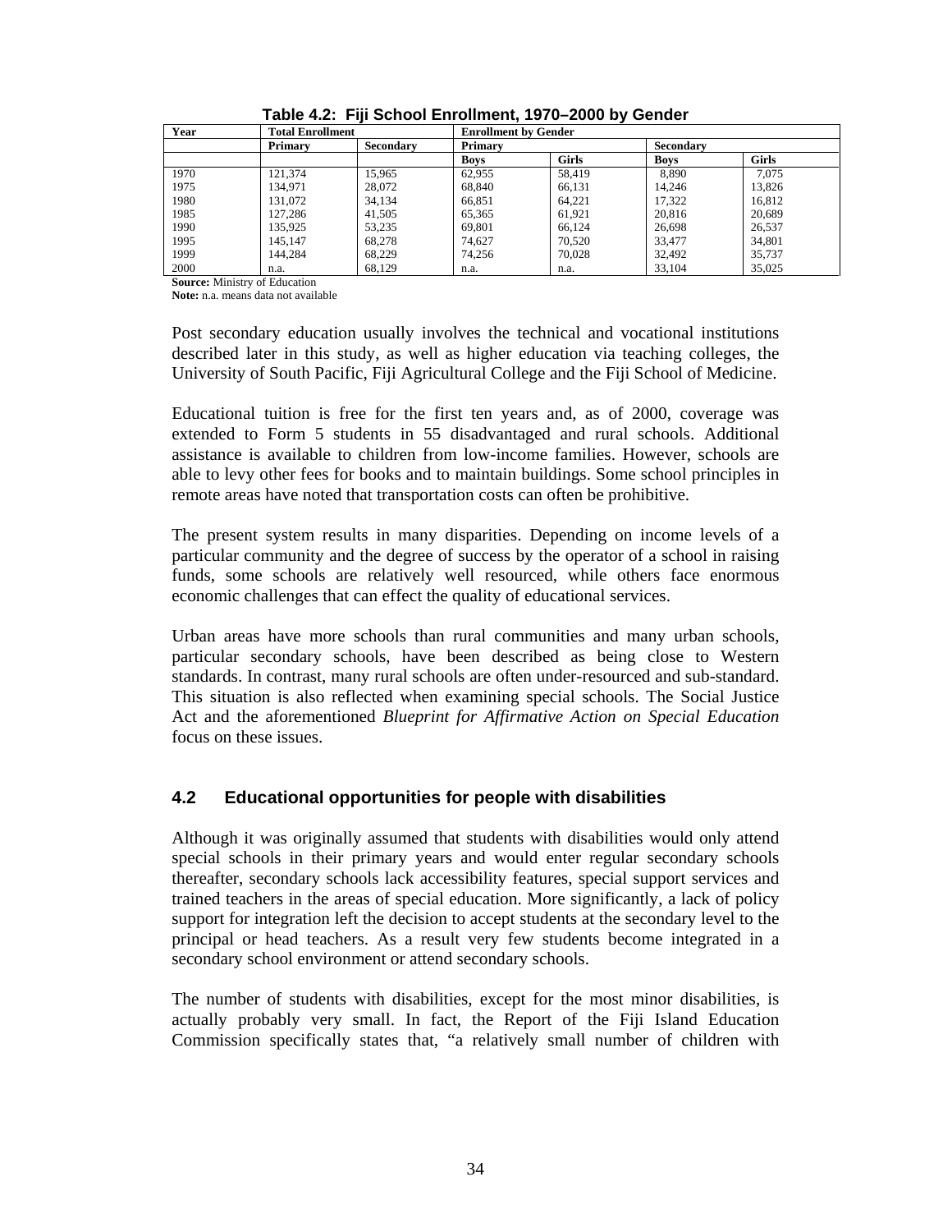| Year | <b>Total Enrollment</b> |                  | <b>Enrollment by Gender</b> |              |             |              |  |  |
|------|-------------------------|------------------|-----------------------------|--------------|-------------|--------------|--|--|
|      | Primary                 | <b>Secondary</b> | Primary                     |              | Secondary   |              |  |  |
|      |                         |                  | <b>Boys</b>                 | <b>Girls</b> | <b>Boys</b> | <b>Girls</b> |  |  |
| 1970 | 121.374                 | 15.965           | 62.955                      | 58.419       | 8.890       | 7.075        |  |  |
| 1975 | 134.971                 | 28,072           | 68.840                      | 66.131       | 14.246      | 13.826       |  |  |
| 1980 | 131.072                 | 34.134           | 66.851                      | 64.221       | 17.322      | 16,812       |  |  |
| 1985 | 127.286                 | 41.505           | 65.365                      | 61.921       | 20.816      | 20,689       |  |  |
| 1990 | 135.925                 | 53.235           | 69.801                      | 66.124       | 26.698      | 26,537       |  |  |
| 1995 | 145.147                 | 68.278           | 74.627                      | 70.520       | 33,477      | 34,801       |  |  |
| 1999 | 144.284                 | 68.229           | 74.256                      | 70,028       | 32.492      | 35,737       |  |  |
| 2000 | n.a.                    | 68.129           | n.a.                        | n.a.         | 33.104      | 35,025       |  |  |

**Table 4.2: Fiji School Enrollment, 1970–2000 by Gender** 

**Source:** Ministry of Education

**Note:** n.a. means data not available

Post secondary education usually involves the technical and vocational institutions described later in this study, as well as higher education via teaching colleges, the University of South Pacific, Fiji Agricultural College and the Fiji School of Medicine.

Educational tuition is free for the first ten years and, as of 2000, coverage was extended to Form 5 students in 55 disadvantaged and rural schools. Additional assistance is available to children from low-income families. However, schools are able to levy other fees for books and to maintain buildings. Some school principles in remote areas have noted that transportation costs can often be prohibitive.

The present system results in many disparities. Depending on income levels of a particular community and the degree of success by the operator of a school in raising funds, some schools are relatively well resourced, while others face enormous economic challenges that can effect the quality of educational services.

Urban areas have more schools than rural communities and many urban schools, particular secondary schools, have been described as being close to Western standards. In contrast, many rural schools are often under-resourced and sub-standard. This situation is also reflected when examining special schools. The Social Justice Act and the aforementioned *Blueprint for Affirmative Action on Special Education*  focus on these issues.

## **4.2 Educational opportunities for people with disabilities**

Although it was originally assumed that students with disabilities would only attend special schools in their primary years and would enter regular secondary schools thereafter, secondary schools lack accessibility features, special support services and trained teachers in the areas of special education. More significantly, a lack of policy support for integration left the decision to accept students at the secondary level to the principal or head teachers. As a result very few students become integrated in a secondary school environment or attend secondary schools.

The number of students with disabilities, except for the most minor disabilities, is actually probably very small. In fact, the Report of the Fiji Island Education Commission specifically states that, "a relatively small number of children with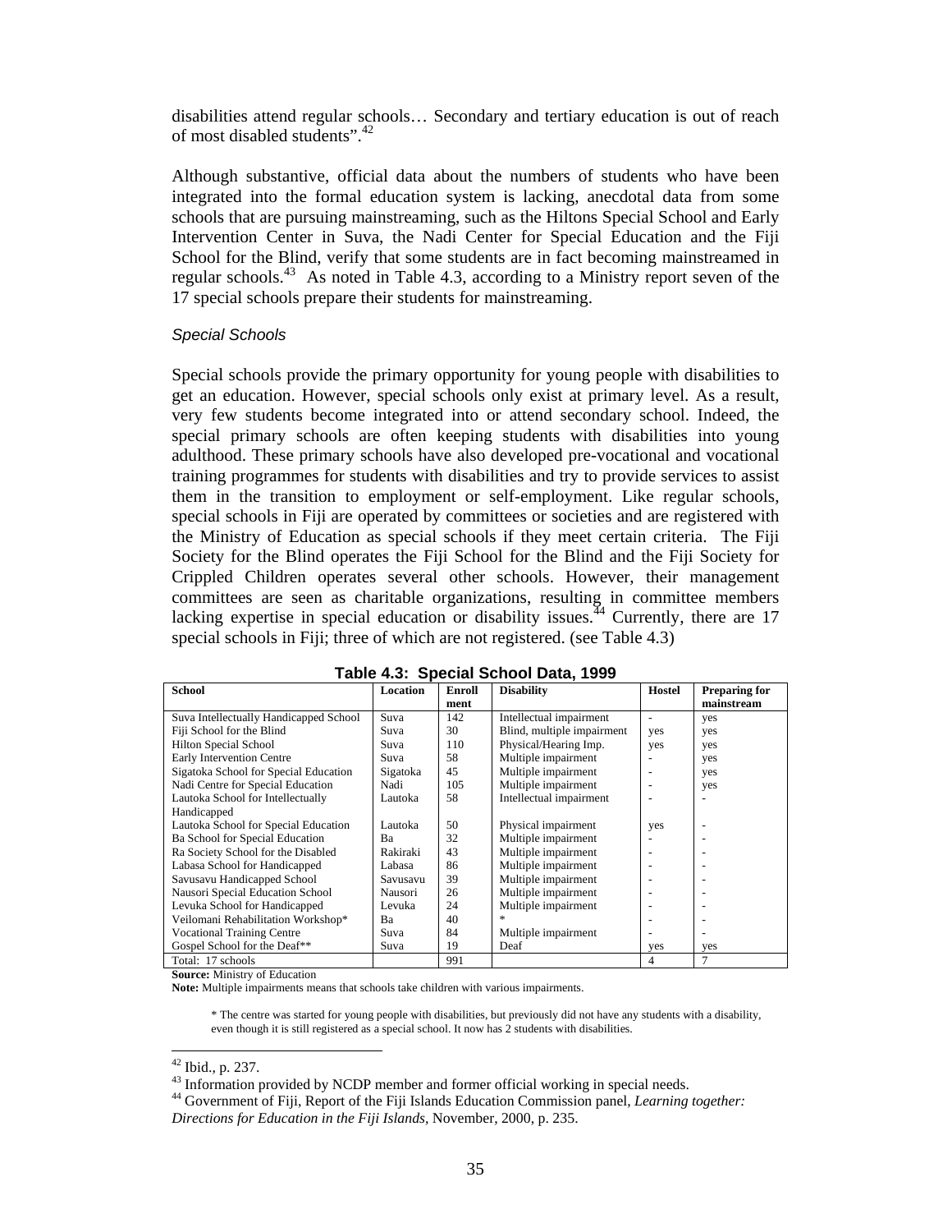disabilities attend regular schools… Secondary and tertiary education is out of reach of most disabled students".<sup>42</sup>

Although substantive, official data about the numbers of students who have been integrated into the formal education system is lacking, anecdotal data from some schools that are pursuing mainstreaming, such as the Hiltons Special School and Early Intervention Center in Suva, the Nadi Center for Special Education and the Fiji School for the Blind, verify that some students are in fact becoming mainstreamed in regular schools.<sup>43</sup> As noted in Table 4.3, according to a Ministry report seven of the 17 special schools prepare their students for mainstreaming.

#### Special Schools

Special schools provide the primary opportunity for young people with disabilities to get an education. However, special schools only exist at primary level. As a result, very few students become integrated into or attend secondary school. Indeed, the special primary schools are often keeping students with disabilities into young adulthood. These primary schools have also developed pre-vocational and vocational training programmes for students with disabilities and try to provide services to assist them in the transition to employment or self-employment. Like regular schools, special schools in Fiji are operated by committees or societies and are registered with the Ministry of Education as special schools if they meet certain criteria. The Fiji Society for the Blind operates the Fiji School for the Blind and the Fiji Society for Crippled Children operates several other schools. However, their management committees are seen as charitable organizations, resulting in committee members lacking expertise in special education or disability issues.<sup> $44$ </sup> Currently, there are 17 special schools in Fiji; three of which are not registered. (see Table 4.3)

| rapi <del>c</del> 4.5. Opecial Scribbi Data, 1999 |          |        |                            |                          |                          |  |  |  |  |
|---------------------------------------------------|----------|--------|----------------------------|--------------------------|--------------------------|--|--|--|--|
| <b>School</b>                                     | Location | Enroll | <b>Disability</b>          | <b>Hostel</b>            | <b>Preparing for</b>     |  |  |  |  |
|                                                   |          | ment   |                            |                          | mainstream               |  |  |  |  |
| Suva Intellectually Handicapped School            | Suva     | 142    | Intellectual impairment    | $\overline{\phantom{a}}$ | yes                      |  |  |  |  |
| Fiji School for the Blind                         | Suva     | 30     | Blind, multiple impairment | yes                      | yes                      |  |  |  |  |
| Hilton Special School                             | Suva     | 110    | Physical/Hearing Imp.      | yes                      | yes                      |  |  |  |  |
| Early Intervention Centre                         | Suva     | 58     | Multiple impairment        |                          | yes                      |  |  |  |  |
| Sigatoka School for Special Education             | Sigatoka | 45     | Multiple impairment        |                          | yes                      |  |  |  |  |
| Nadi Centre for Special Education                 | Nadi     | 105    | Multiple impairment        |                          | yes                      |  |  |  |  |
| Lautoka School for Intellectually                 | Lautoka  | 58     | Intellectual impairment    |                          |                          |  |  |  |  |
| Handicapped                                       |          |        |                            |                          |                          |  |  |  |  |
| Lautoka School for Special Education              | Lautoka  | 50     | Physical impairment        | yes                      |                          |  |  |  |  |
| Ba School for Special Education                   | Ba       | 32     | Multiple impairment        |                          |                          |  |  |  |  |
| Ra Society School for the Disabled                | Rakiraki | 43     | Multiple impairment        |                          |                          |  |  |  |  |
| Labasa School for Handicapped                     | Labasa   | 86     | Multiple impairment        |                          |                          |  |  |  |  |
| Savusavu Handicapped School                       | Savusavu | 39     | Multiple impairment        |                          |                          |  |  |  |  |
| Nausori Special Education School                  | Nausori  | 26     | Multiple impairment        |                          |                          |  |  |  |  |
| Levuka School for Handicapped                     | Levuka   | 24     | Multiple impairment        |                          |                          |  |  |  |  |
| Veilomani Rehabilitation Workshop*                | Ba       | 40     | *                          |                          |                          |  |  |  |  |
| <b>Vocational Training Centre</b>                 | Suva     | 84     | Multiple impairment        |                          | $\overline{\phantom{a}}$ |  |  |  |  |
| Gospel School for the Deaf**                      | Suva     | 19     | Deaf                       | yes                      | yes                      |  |  |  |  |
| Total: 17 schools                                 |          | 991    |                            | $\overline{4}$           | $\overline{7}$           |  |  |  |  |

| Table 4.3: Special School Data, 1999 |
|--------------------------------------|
|--------------------------------------|

**Source:** Ministry of Education

**Note:** Multiple impairments means that schools take children with various impairments.

 \* The centre was started for young people with disabilities, but previously did not have any students with a disability, even though it is still registered as a special school. It now has 2 students with disabilities.

 $\overline{a}$ 

<sup>44</sup> Government of Fiji, Report of the Fiji Islands Education Commission panel, *Learning together: Directions for Education in the Fiji Islands,* November, 2000, p. 235.

 $42$  Ibid., p. 237.

<sup>&</sup>lt;sup>43</sup> Information provided by NCDP member and former official working in special needs.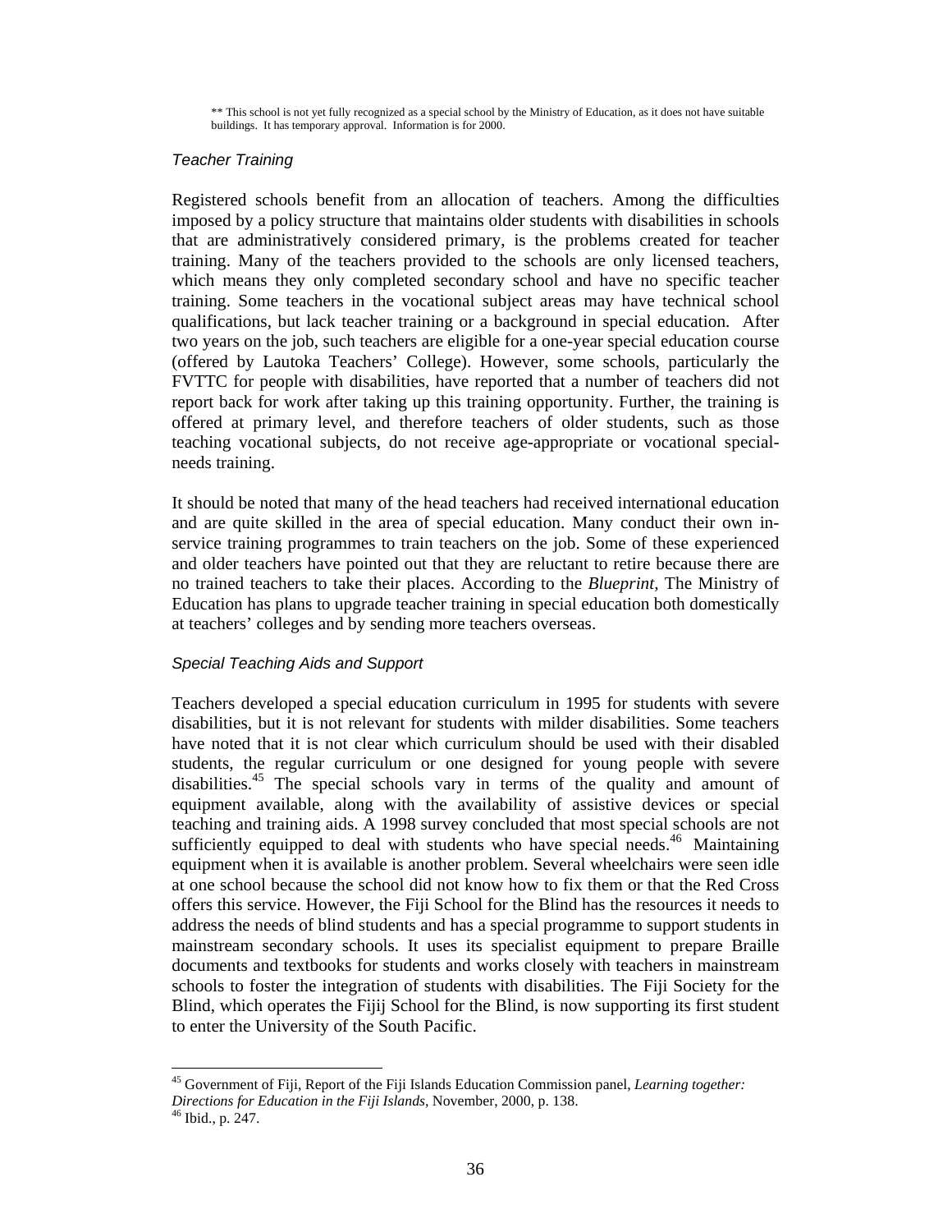\*\* This school is not yet fully recognized as a special school by the Ministry of Education, as it does not have suitable buildings. It has temporary approval. Information is for 2000.

#### Teacher Training

Registered schools benefit from an allocation of teachers. Among the difficulties imposed by a policy structure that maintains older students with disabilities in schools that are administratively considered primary, is the problems created for teacher training. Many of the teachers provided to the schools are only licensed teachers, which means they only completed secondary school and have no specific teacher training. Some teachers in the vocational subject areas may have technical school qualifications, but lack teacher training or a background in special education. After two years on the job, such teachers are eligible for a one-year special education course (offered by Lautoka Teachers' College). However, some schools, particularly the FVTTC for people with disabilities, have reported that a number of teachers did not report back for work after taking up this training opportunity. Further, the training is offered at primary level, and therefore teachers of older students, such as those teaching vocational subjects, do not receive age-appropriate or vocational specialneeds training.

It should be noted that many of the head teachers had received international education and are quite skilled in the area of special education. Many conduct their own inservice training programmes to train teachers on the job. Some of these experienced and older teachers have pointed out that they are reluctant to retire because there are no trained teachers to take their places. According to the *Blueprint,* The Ministry of Education has plans to upgrade teacher training in special education both domestically at teachers' colleges and by sending more teachers overseas.

#### Special Teaching Aids and Support

Teachers developed a special education curriculum in 1995 for students with severe disabilities, but it is not relevant for students with milder disabilities. Some teachers have noted that it is not clear which curriculum should be used with their disabled students, the regular curriculum or one designed for young people with severe disabilities.<sup>45</sup> The special schools vary in terms of the quality and amount of equipment available, along with the availability of assistive devices or special teaching and training aids. A 1998 survey concluded that most special schools are not sufficiently equipped to deal with students who have special needs. $46$  Maintaining equipment when it is available is another problem. Several wheelchairs were seen idle at one school because the school did not know how to fix them or that the Red Cross offers this service. However, the Fiji School for the Blind has the resources it needs to address the needs of blind students and has a special programme to support students in mainstream secondary schools. It uses its specialist equipment to prepare Braille documents and textbooks for students and works closely with teachers in mainstream schools to foster the integration of students with disabilities. The Fiji Society for the Blind, which operates the Fijij School for the Blind, is now supporting its first student to enter the University of the South Pacific.

 $\overline{a}$ 

<sup>45</sup> Government of Fiji, Report of the Fiji Islands Education Commission panel, *Learning together:* 

*Directions for Education in the Fiji Islands,* November, 2000, p. 138.

 $46$  Ibid., p. 247.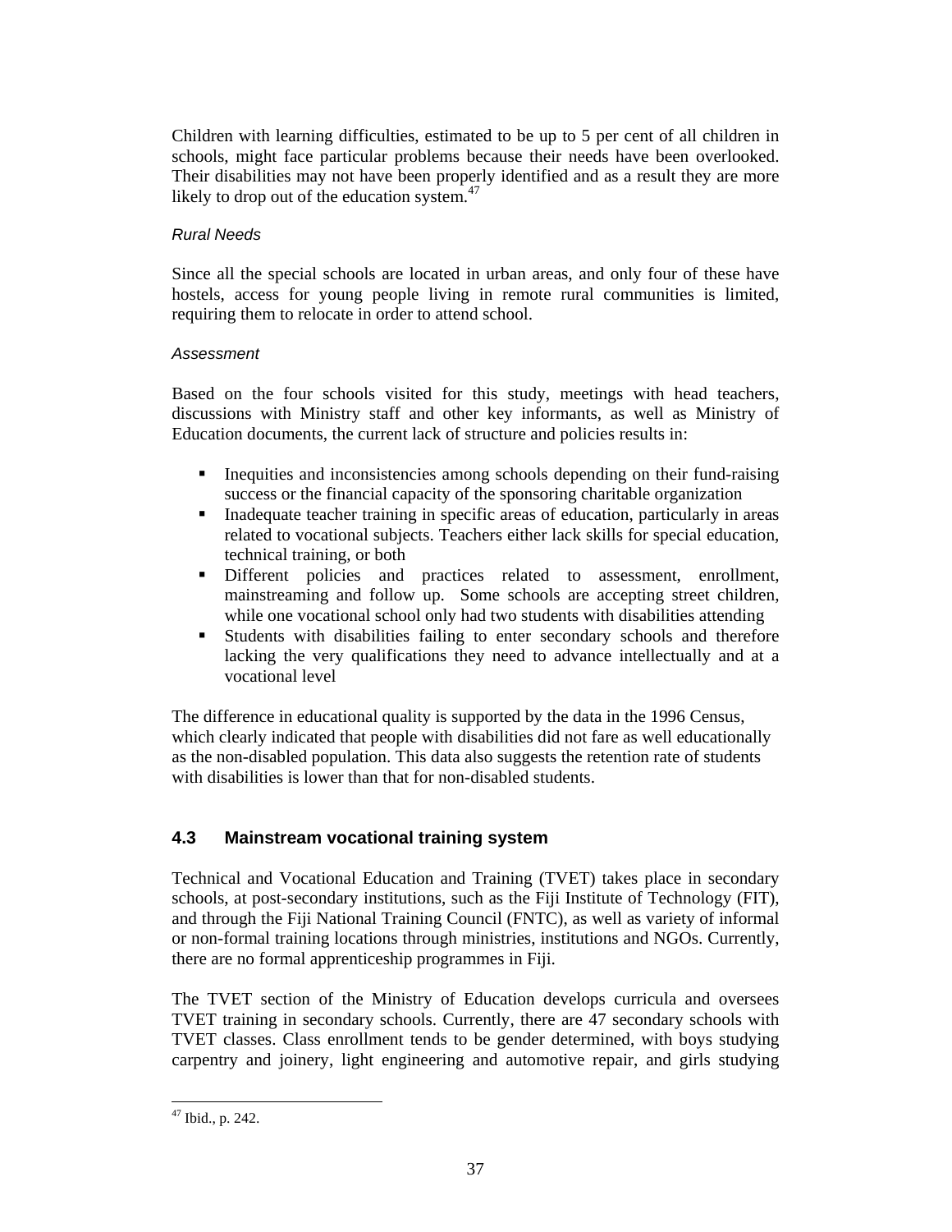Children with learning difficulties, estimated to be up to 5 per cent of all children in schools, might face particular problems because their needs have been overlooked. Their disabilities may not have been properly identified and as a result they are more likely to drop out of the education system.<sup>47</sup>

## Rural Needs

Since all the special schools are located in urban areas, and only four of these have hostels, access for young people living in remote rural communities is limited, requiring them to relocate in order to attend school.

#### Assessment

Based on the four schools visited for this study, meetings with head teachers, discussions with Ministry staff and other key informants, as well as Ministry of Education documents, the current lack of structure and policies results in:

- Inequities and inconsistencies among schools depending on their fund-raising success or the financial capacity of the sponsoring charitable organization
- Inadequate teacher training in specific areas of education, particularly in areas related to vocational subjects. Teachers either lack skills for special education, technical training, or both
- Different policies and practices related to assessment, enrollment, mainstreaming and follow up. Some schools are accepting street children, while one vocational school only had two students with disabilities attending
- Students with disabilities failing to enter secondary schools and therefore lacking the very qualifications they need to advance intellectually and at a vocational level

The difference in educational quality is supported by the data in the 1996 Census, which clearly indicated that people with disabilities did not fare as well educationally as the non-disabled population. This data also suggests the retention rate of students with disabilities is lower than that for non-disabled students.

## **4.3 Mainstream vocational training system**

Technical and Vocational Education and Training (TVET) takes place in secondary schools, at post-secondary institutions, such as the Fiji Institute of Technology (FIT), and through the Fiji National Training Council (FNTC), as well as variety of informal or non-formal training locations through ministries, institutions and NGOs. Currently, there are no formal apprenticeship programmes in Fiji.

The TVET section of the Ministry of Education develops curricula and oversees TVET training in secondary schools. Currently, there are 47 secondary schools with TVET classes. Class enrollment tends to be gender determined, with boys studying carpentry and joinery, light engineering and automotive repair, and girls studying

 $\ddot{\phantom{a}}$  $47$  Ibid., p. 242.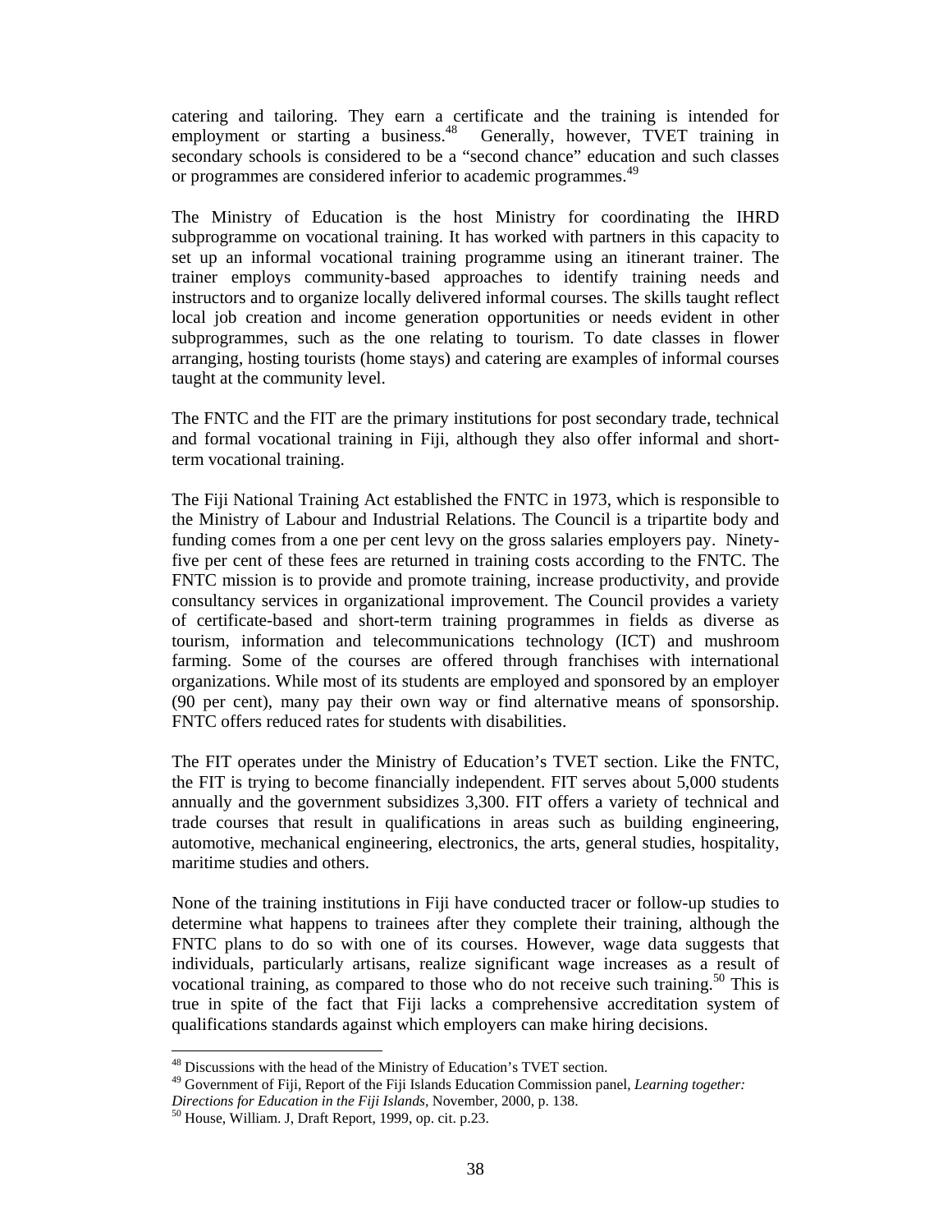catering and tailoring. They earn a certificate and the training is intended for employment or starting a business. $48$  Generally, however, TVET training in secondary schools is considered to be a "second chance" education and such classes or programmes are considered inferior to academic programmes.<sup>49</sup>

The Ministry of Education is the host Ministry for coordinating the IHRD subprogramme on vocational training. It has worked with partners in this capacity to set up an informal vocational training programme using an itinerant trainer. The trainer employs community-based approaches to identify training needs and instructors and to organize locally delivered informal courses. The skills taught reflect local job creation and income generation opportunities or needs evident in other subprogrammes, such as the one relating to tourism. To date classes in flower arranging, hosting tourists (home stays) and catering are examples of informal courses taught at the community level.

The FNTC and the FIT are the primary institutions for post secondary trade, technical and formal vocational training in Fiji, although they also offer informal and shortterm vocational training.

The Fiji National Training Act established the FNTC in 1973, which is responsible to the Ministry of Labour and Industrial Relations. The Council is a tripartite body and funding comes from a one per cent levy on the gross salaries employers pay. Ninetyfive per cent of these fees are returned in training costs according to the FNTC. The FNTC mission is to provide and promote training, increase productivity, and provide consultancy services in organizational improvement. The Council provides a variety of certificate-based and short-term training programmes in fields as diverse as tourism, information and telecommunications technology (ICT) and mushroom farming. Some of the courses are offered through franchises with international organizations. While most of its students are employed and sponsored by an employer (90 per cent), many pay their own way or find alternative means of sponsorship. FNTC offers reduced rates for students with disabilities.

The FIT operates under the Ministry of Education's TVET section. Like the FNTC, the FIT is trying to become financially independent. FIT serves about 5,000 students annually and the government subsidizes 3,300. FIT offers a variety of technical and trade courses that result in qualifications in areas such as building engineering, automotive, mechanical engineering, electronics, the arts, general studies, hospitality, maritime studies and others.

None of the training institutions in Fiji have conducted tracer or follow-up studies to determine what happens to trainees after they complete their training, although the FNTC plans to do so with one of its courses. However, wage data suggests that individuals, particularly artisans, realize significant wage increases as a result of vocational training, as compared to those who do not receive such training.<sup>50</sup> This is true in spite of the fact that Fiji lacks a comprehensive accreditation system of qualifications standards against which employers can make hiring decisions.

 $\overline{a}$ 

<sup>&</sup>lt;sup>48</sup> Discussions with the head of the Ministry of Education's TVET section.

<sup>49</sup> Government of Fiji, Report of the Fiji Islands Education Commission panel, *Learning together:* 

*Directions for Education in the Fiji Islands,* November, 2000, p. 138.

<sup>50</sup> House, William. J, Draft Report, 1999, op. cit. p.23.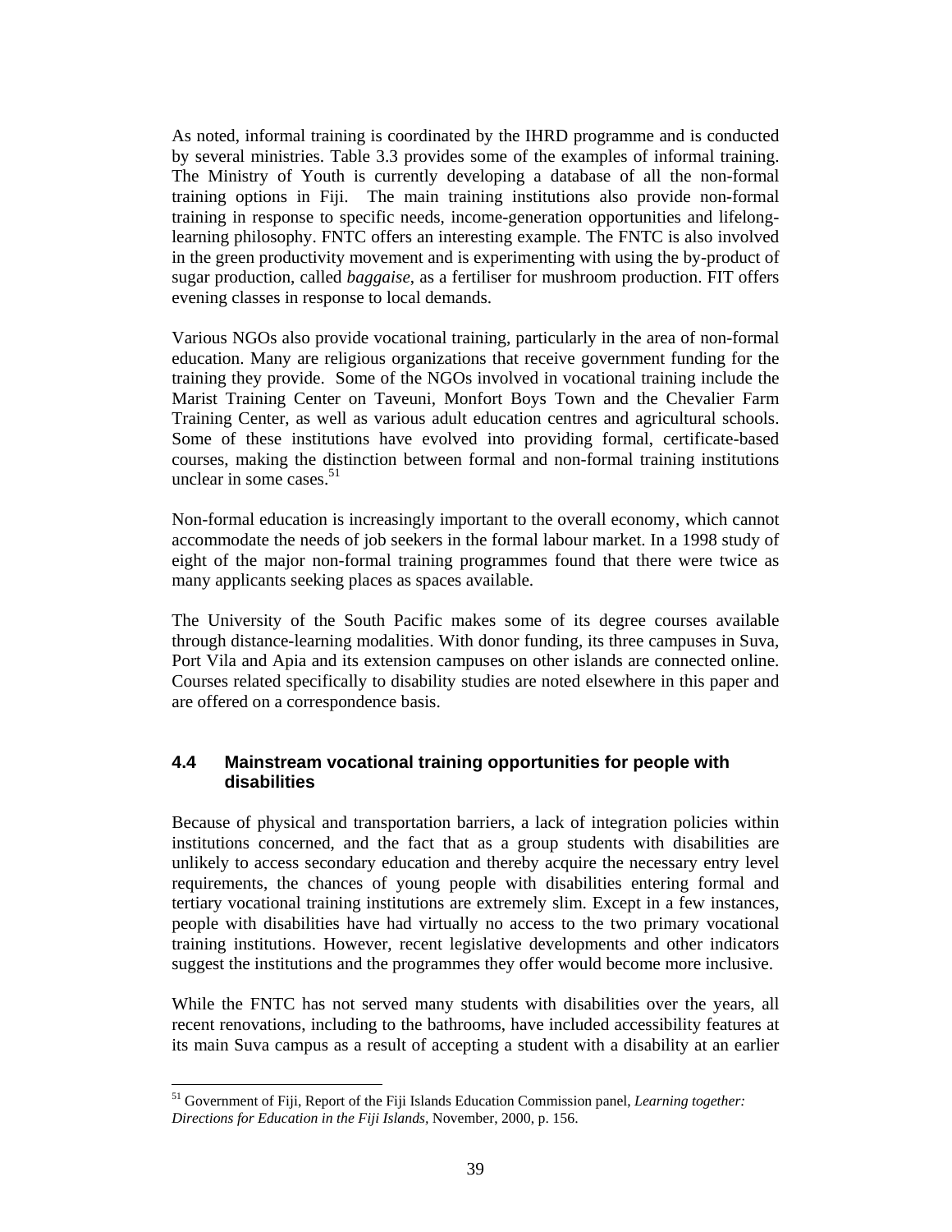As noted, informal training is coordinated by the IHRD programme and is conducted by several ministries. Table 3.3 provides some of the examples of informal training. The Ministry of Youth is currently developing a database of all the non-formal training options in Fiji. The main training institutions also provide non-formal training in response to specific needs, income-generation opportunities and lifelonglearning philosophy. FNTC offers an interesting example. The FNTC is also involved in the green productivity movement and is experimenting with using the by-product of sugar production, called *baggaise*, as a fertiliser for mushroom production. FIT offers evening classes in response to local demands.

Various NGOs also provide vocational training, particularly in the area of non-formal education. Many are religious organizations that receive government funding for the training they provide. Some of the NGOs involved in vocational training include the Marist Training Center on Taveuni, Monfort Boys Town and the Chevalier Farm Training Center, as well as various adult education centres and agricultural schools. Some of these institutions have evolved into providing formal, certificate-based courses, making the distinction between formal and non-formal training institutions unclear in some cases. $51$ 

Non-formal education is increasingly important to the overall economy, which cannot accommodate the needs of job seekers in the formal labour market. In a 1998 study of eight of the major non-formal training programmes found that there were twice as many applicants seeking places as spaces available.

The University of the South Pacific makes some of its degree courses available through distance-learning modalities. With donor funding, its three campuses in Suva, Port Vila and Apia and its extension campuses on other islands are connected online. Courses related specifically to disability studies are noted elsewhere in this paper and are offered on a correspondence basis.

## **4.4 Mainstream vocational training opportunities for people with disabilities**

Because of physical and transportation barriers, a lack of integration policies within institutions concerned, and the fact that as a group students with disabilities are unlikely to access secondary education and thereby acquire the necessary entry level requirements, the chances of young people with disabilities entering formal and tertiary vocational training institutions are extremely slim. Except in a few instances, people with disabilities have had virtually no access to the two primary vocational training institutions. However, recent legislative developments and other indicators suggest the institutions and the programmes they offer would become more inclusive.

While the FNTC has not served many students with disabilities over the years, all recent renovations, including to the bathrooms, have included accessibility features at its main Suva campus as a result of accepting a student with a disability at an earlier

 $\overline{a}$ <sup>51</sup> Government of Fiji, Report of the Fiji Islands Education Commission panel, *Learning together: Directions for Education in the Fiji Islands,* November, 2000, p. 156.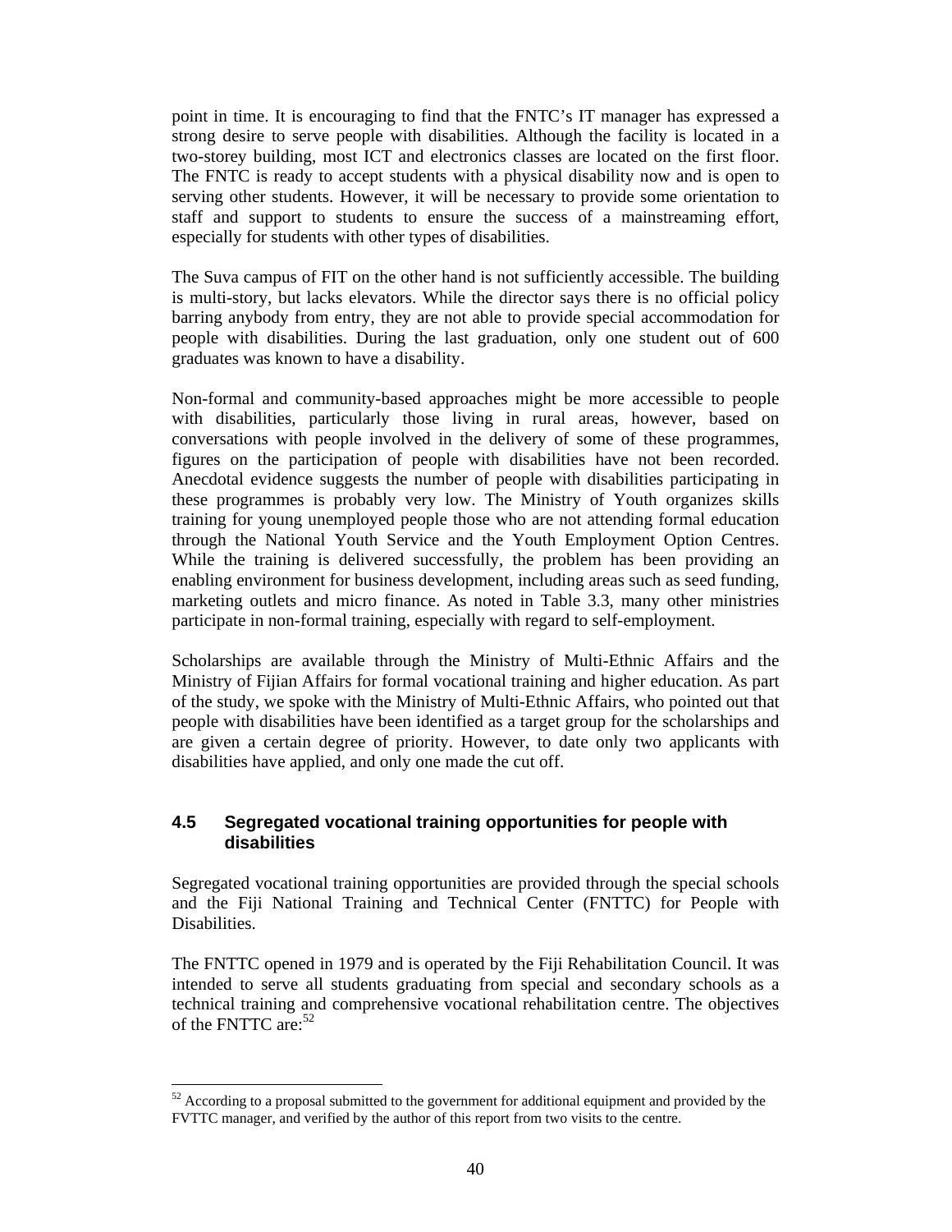point in time. It is encouraging to find that the FNTC's IT manager has expressed a strong desire to serve people with disabilities. Although the facility is located in a two-storey building, most ICT and electronics classes are located on the first floor. The FNTC is ready to accept students with a physical disability now and is open to serving other students. However, it will be necessary to provide some orientation to staff and support to students to ensure the success of a mainstreaming effort, especially for students with other types of disabilities.

The Suva campus of FIT on the other hand is not sufficiently accessible. The building is multi-story, but lacks elevators. While the director says there is no official policy barring anybody from entry, they are not able to provide special accommodation for people with disabilities. During the last graduation, only one student out of 600 graduates was known to have a disability.

Non-formal and community-based approaches might be more accessible to people with disabilities, particularly those living in rural areas, however, based on conversations with people involved in the delivery of some of these programmes, figures on the participation of people with disabilities have not been recorded. Anecdotal evidence suggests the number of people with disabilities participating in these programmes is probably very low. The Ministry of Youth organizes skills training for young unemployed people those who are not attending formal education through the National Youth Service and the Youth Employment Option Centres. While the training is delivered successfully, the problem has been providing an enabling environment for business development, including areas such as seed funding, marketing outlets and micro finance. As noted in Table 3.3, many other ministries participate in non-formal training, especially with regard to self-employment.

Scholarships are available through the Ministry of Multi-Ethnic Affairs and the Ministry of Fijian Affairs for formal vocational training and higher education. As part of the study, we spoke with the Ministry of Multi-Ethnic Affairs, who pointed out that people with disabilities have been identified as a target group for the scholarships and are given a certain degree of priority. However, to date only two applicants with disabilities have applied, and only one made the cut off.

## **4.5 Segregated vocational training opportunities for people with disabilities**

Segregated vocational training opportunities are provided through the special schools and the Fiji National Training and Technical Center (FNTTC) for People with Disabilities.

The FNTTC opened in 1979 and is operated by the Fiji Rehabilitation Council. It was intended to serve all students graduating from special and secondary schools as a technical training and comprehensive vocational rehabilitation centre. The objectives of the FNTTC are: $52$ 

 $\overline{a}$  $52$  According to a proposal submitted to the government for additional equipment and provided by the FVTTC manager, and verified by the author of this report from two visits to the centre.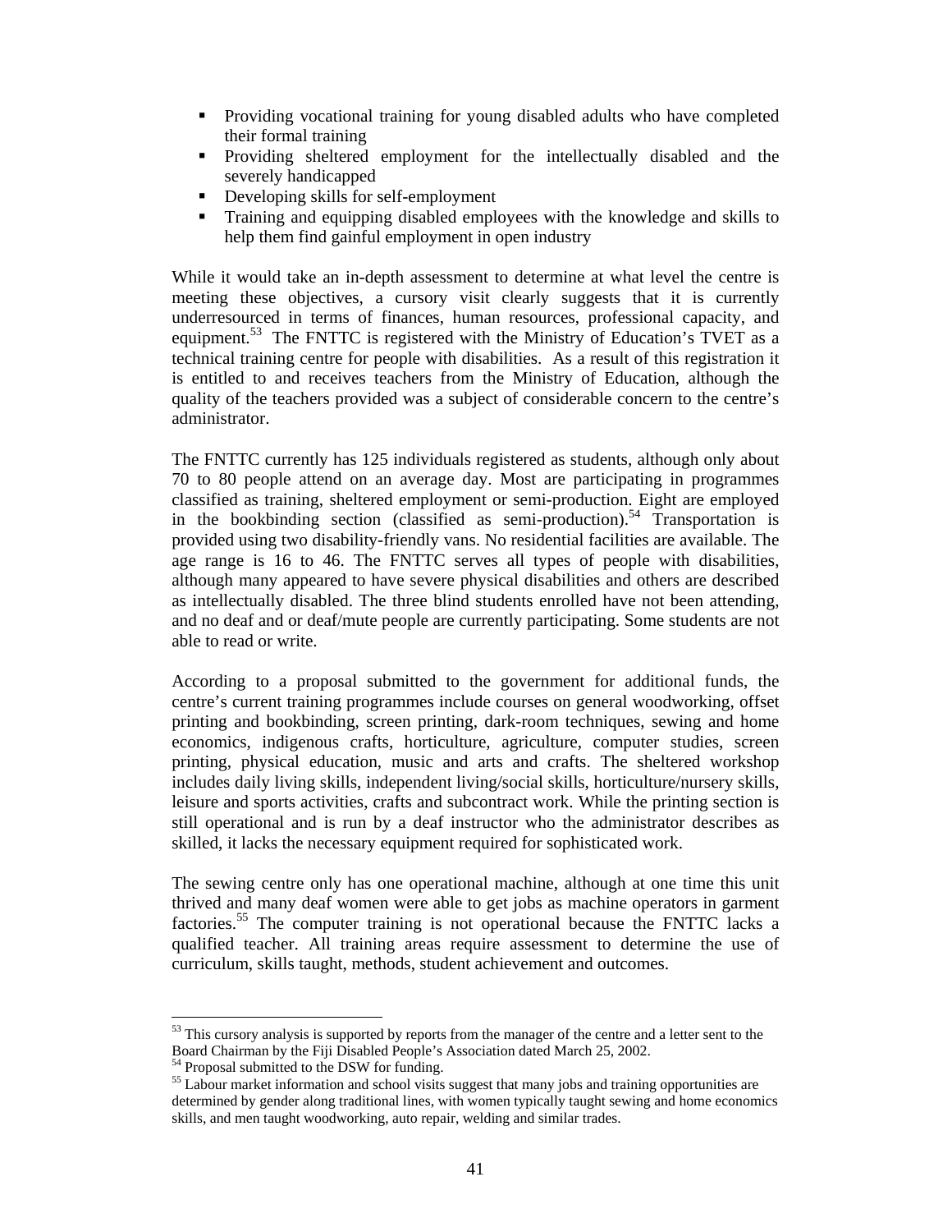- Providing vocational training for young disabled adults who have completed their formal training
- Providing sheltered employment for the intellectually disabled and the severely handicapped
- Developing skills for self-employment
- Training and equipping disabled employees with the knowledge and skills to help them find gainful employment in open industry

While it would take an in-depth assessment to determine at what level the centre is meeting these objectives, a cursory visit clearly suggests that it is currently underresourced in terms of finances, human resources, professional capacity, and equipment.<sup>53</sup> The FNTTC is registered with the Ministry of Education's TVET as a technical training centre for people with disabilities. As a result of this registration it is entitled to and receives teachers from the Ministry of Education, although the quality of the teachers provided was a subject of considerable concern to the centre's administrator.

The FNTTC currently has 125 individuals registered as students, although only about 70 to 80 people attend on an average day. Most are participating in programmes classified as training, sheltered employment or semi-production. Eight are employed in the bookbinding section (classified as semi-production).<sup>54</sup> Transportation is provided using two disability-friendly vans. No residential facilities are available. The age range is 16 to 46. The FNTTC serves all types of people with disabilities, although many appeared to have severe physical disabilities and others are described as intellectually disabled. The three blind students enrolled have not been attending, and no deaf and or deaf/mute people are currently participating. Some students are not able to read or write.

According to a proposal submitted to the government for additional funds, the centre's current training programmes include courses on general woodworking, offset printing and bookbinding, screen printing, dark-room techniques, sewing and home economics, indigenous crafts, horticulture, agriculture, computer studies, screen printing, physical education, music and arts and crafts. The sheltered workshop includes daily living skills, independent living/social skills, horticulture/nursery skills, leisure and sports activities, crafts and subcontract work. While the printing section is still operational and is run by a deaf instructor who the administrator describes as skilled, it lacks the necessary equipment required for sophisticated work.

The sewing centre only has one operational machine, although at one time this unit thrived and many deaf women were able to get jobs as machine operators in garment factories.<sup>55</sup> The computer training is not operational because the FNTTC lacks a qualified teacher. All training areas require assessment to determine the use of curriculum, skills taught, methods, student achievement and outcomes.

 $\ddot{\phantom{a}}$ 

<sup>&</sup>lt;sup>53</sup> This cursory analysis is supported by reports from the manager of the centre and a letter sent to the Board Chairman by the Fiji Disabled People's Association dated March 25, 2002.

<sup>54</sup> Proposal submitted to the DSW for funding.

<sup>&</sup>lt;sup>55</sup> Labour market information and school visits suggest that many jobs and training opportunities are determined by gender along traditional lines, with women typically taught sewing and home economics skills, and men taught woodworking, auto repair, welding and similar trades.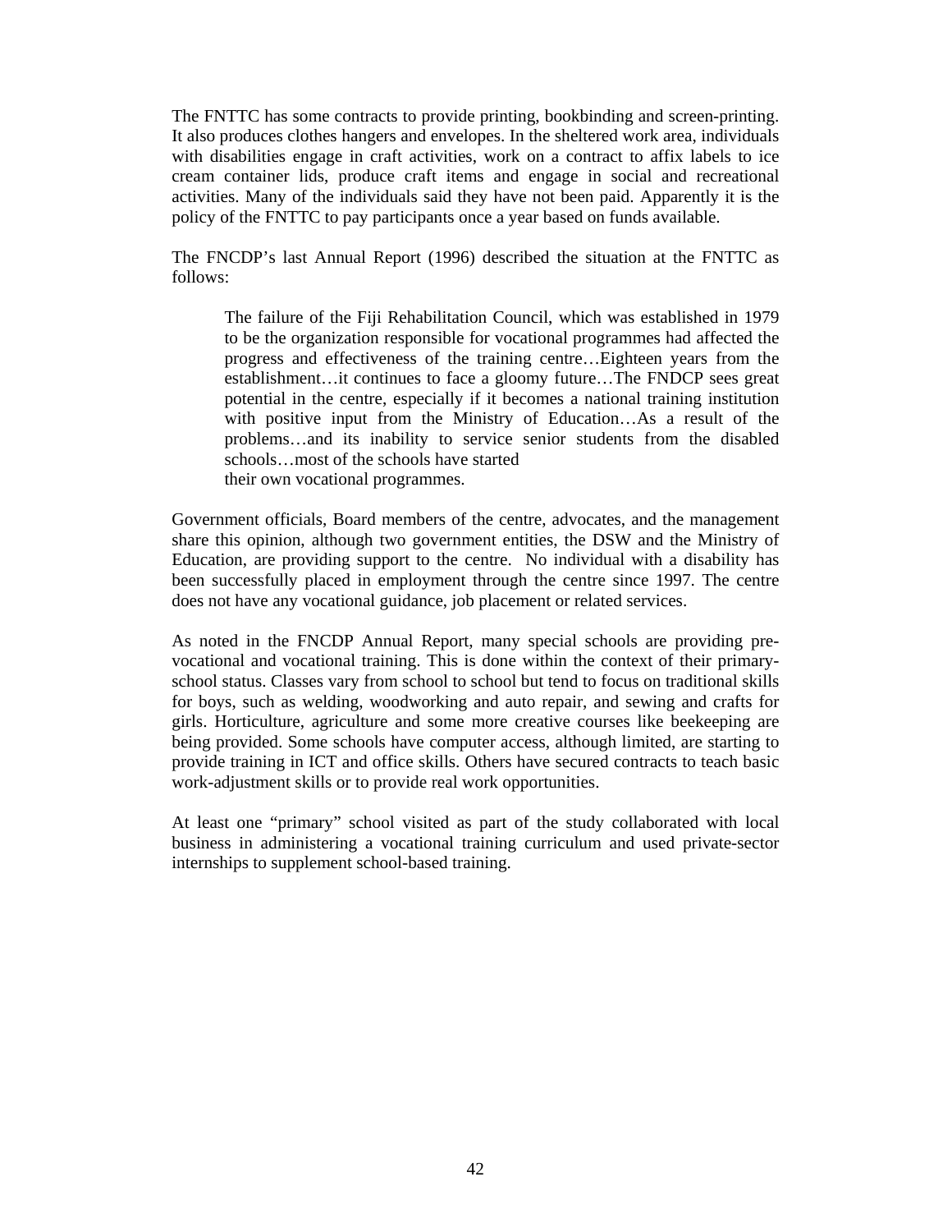The FNTTC has some contracts to provide printing, bookbinding and screen-printing. It also produces clothes hangers and envelopes. In the sheltered work area, individuals with disabilities engage in craft activities, work on a contract to affix labels to ice cream container lids, produce craft items and engage in social and recreational activities. Many of the individuals said they have not been paid. Apparently it is the policy of the FNTTC to pay participants once a year based on funds available.

The FNCDP's last Annual Report (1996) described the situation at the FNTTC as follows:

The failure of the Fiji Rehabilitation Council, which was established in 1979 to be the organization responsible for vocational programmes had affected the progress and effectiveness of the training centre…Eighteen years from the establishment…it continues to face a gloomy future…The FNDCP sees great potential in the centre, especially if it becomes a national training institution with positive input from the Ministry of Education…As a result of the problems…and its inability to service senior students from the disabled schools…most of the schools have started their own vocational programmes.

Government officials, Board members of the centre, advocates, and the management share this opinion, although two government entities, the DSW and the Ministry of Education, are providing support to the centre. No individual with a disability has been successfully placed in employment through the centre since 1997. The centre does not have any vocational guidance, job placement or related services.

As noted in the FNCDP Annual Report, many special schools are providing prevocational and vocational training. This is done within the context of their primaryschool status. Classes vary from school to school but tend to focus on traditional skills for boys, such as welding, woodworking and auto repair, and sewing and crafts for girls. Horticulture, agriculture and some more creative courses like beekeeping are being provided. Some schools have computer access, although limited, are starting to provide training in ICT and office skills. Others have secured contracts to teach basic work-adjustment skills or to provide real work opportunities.

At least one "primary" school visited as part of the study collaborated with local business in administering a vocational training curriculum and used private-sector internships to supplement school-based training.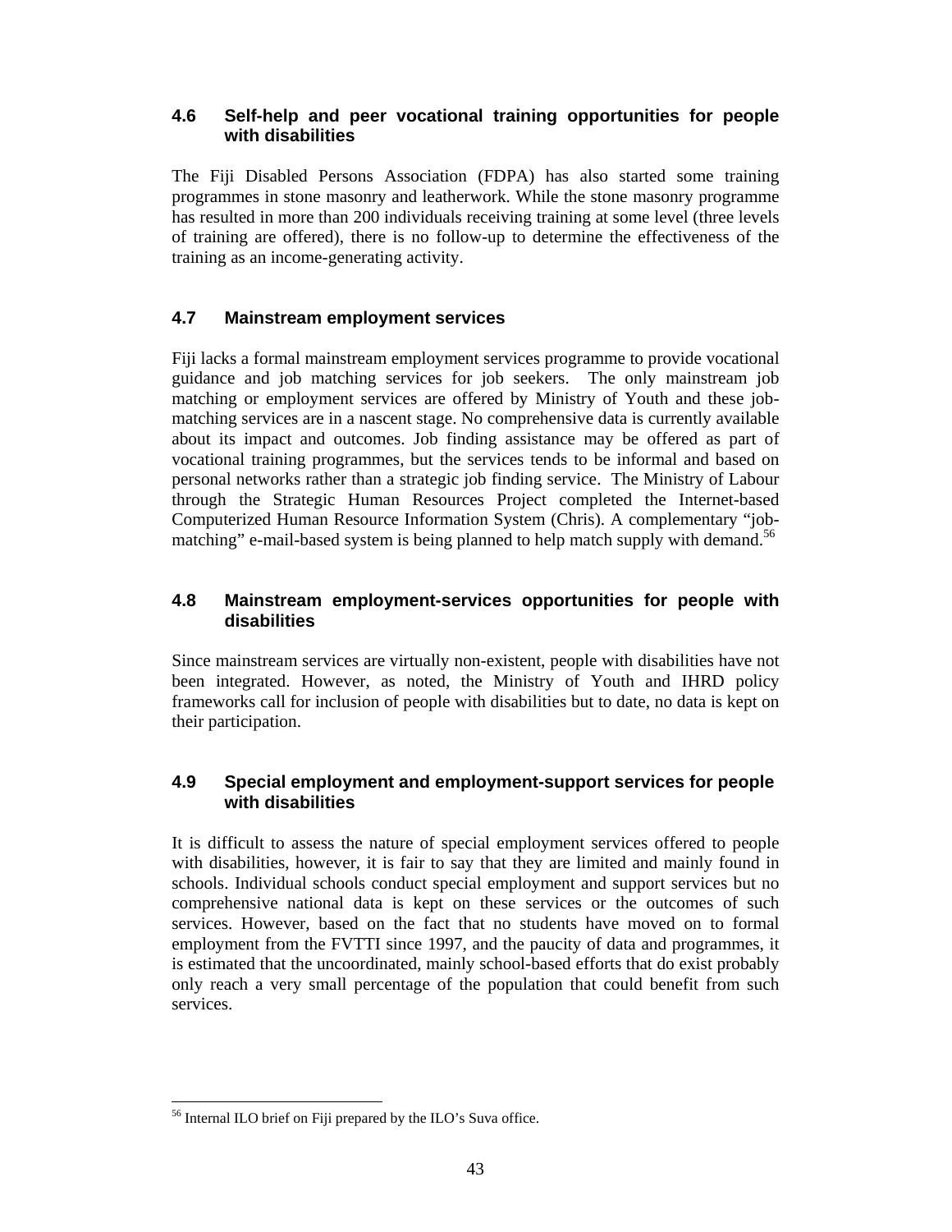## **4.6 Self-help and peer vocational training opportunities for people with disabilities**

The Fiji Disabled Persons Association (FDPA) has also started some training programmes in stone masonry and leatherwork. While the stone masonry programme has resulted in more than 200 individuals receiving training at some level (three levels of training are offered), there is no follow-up to determine the effectiveness of the training as an income-generating activity.

## **4.7 Mainstream employment services**

Fiji lacks a formal mainstream employment services programme to provide vocational guidance and job matching services for job seekers. The only mainstream job matching or employment services are offered by Ministry of Youth and these jobmatching services are in a nascent stage. No comprehensive data is currently available about its impact and outcomes. Job finding assistance may be offered as part of vocational training programmes, but the services tends to be informal and based on personal networks rather than a strategic job finding service. The Ministry of Labour through the Strategic Human Resources Project completed the Internet-based Computerized Human Resource Information System (Chris). A complementary "jobmatching" e-mail-based system is being planned to help match supply with demand.<sup>56</sup>

## **4.8 Mainstream employment-services opportunities for people with disabilities**

Since mainstream services are virtually non-existent, people with disabilities have not been integrated. However, as noted, the Ministry of Youth and IHRD policy frameworks call for inclusion of people with disabilities but to date, no data is kept on their participation.

## **4.9 Special employment and employment-support services for people with disabilities**

It is difficult to assess the nature of special employment services offered to people with disabilities, however, it is fair to say that they are limited and mainly found in schools. Individual schools conduct special employment and support services but no comprehensive national data is kept on these services or the outcomes of such services. However, based on the fact that no students have moved on to formal employment from the FVTTI since 1997, and the paucity of data and programmes, it is estimated that the uncoordinated, mainly school-based efforts that do exist probably only reach a very small percentage of the population that could benefit from such services.

 $\ddot{\phantom{a}}$ <sup>56</sup> Internal ILO brief on Fiji prepared by the ILO's Suva office.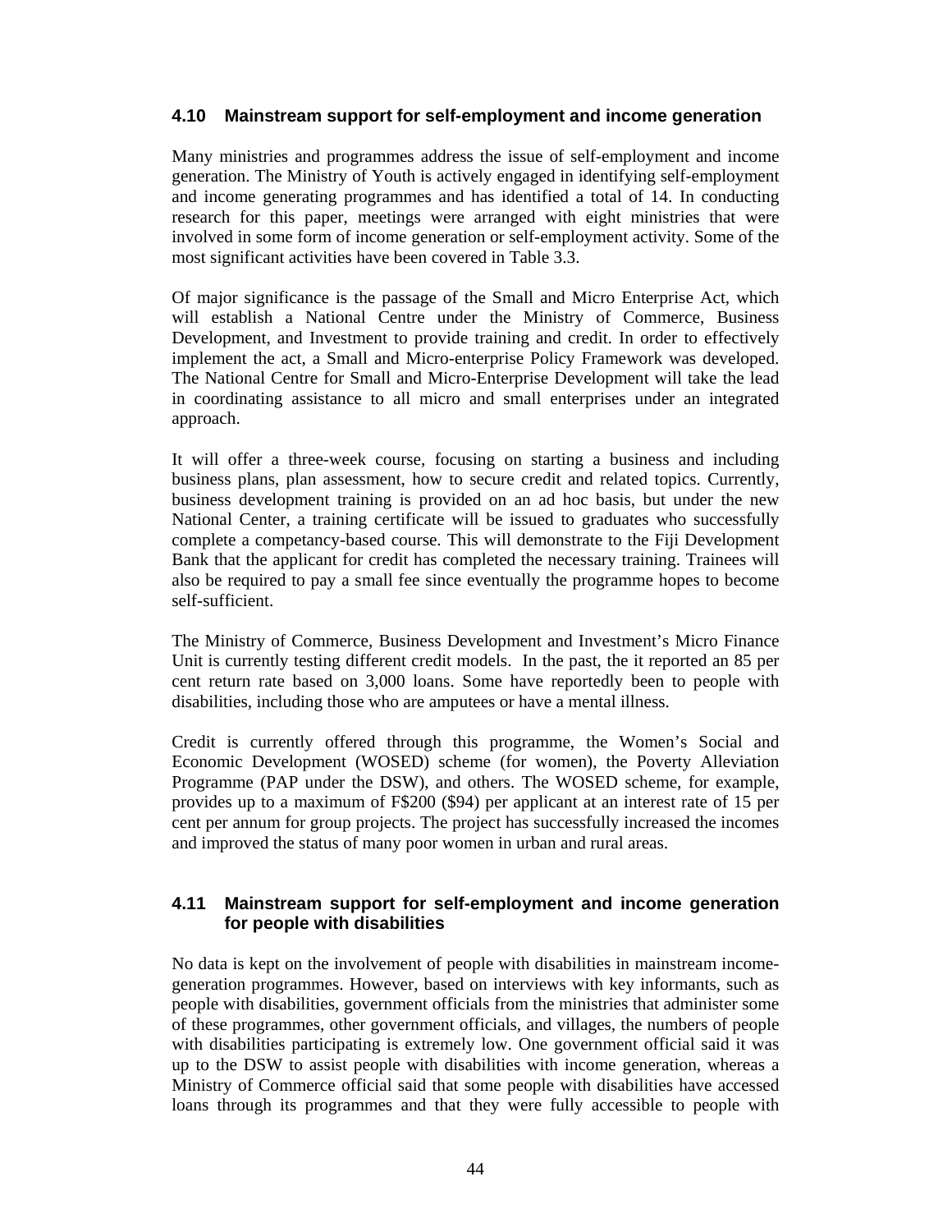## **4.10 Mainstream support for self-employment and income generation**

Many ministries and programmes address the issue of self-employment and income generation. The Ministry of Youth is actively engaged in identifying self-employment and income generating programmes and has identified a total of 14. In conducting research for this paper, meetings were arranged with eight ministries that were involved in some form of income generation or self-employment activity. Some of the most significant activities have been covered in Table 3.3.

Of major significance is the passage of the Small and Micro Enterprise Act, which will establish a National Centre under the Ministry of Commerce, Business Development, and Investment to provide training and credit. In order to effectively implement the act, a Small and Micro-enterprise Policy Framework was developed. The National Centre for Small and Micro-Enterprise Development will take the lead in coordinating assistance to all micro and small enterprises under an integrated approach.

It will offer a three-week course, focusing on starting a business and including business plans, plan assessment, how to secure credit and related topics. Currently, business development training is provided on an ad hoc basis, but under the new National Center, a training certificate will be issued to graduates who successfully complete a competancy-based course. This will demonstrate to the Fiji Development Bank that the applicant for credit has completed the necessary training. Trainees will also be required to pay a small fee since eventually the programme hopes to become self-sufficient.

The Ministry of Commerce, Business Development and Investment's Micro Finance Unit is currently testing different credit models. In the past, the it reported an 85 per cent return rate based on 3,000 loans. Some have reportedly been to people with disabilities, including those who are amputees or have a mental illness.

Credit is currently offered through this programme, the Women's Social and Economic Development (WOSED) scheme (for women), the Poverty Alleviation Programme (PAP under the DSW), and others. The WOSED scheme, for example, provides up to a maximum of F\$200 (\$94) per applicant at an interest rate of 15 per cent per annum for group projects. The project has successfully increased the incomes and improved the status of many poor women in urban and rural areas.

#### **4.11 Mainstream support for self-employment and income generation for people with disabilities**

No data is kept on the involvement of people with disabilities in mainstream incomegeneration programmes. However, based on interviews with key informants, such as people with disabilities, government officials from the ministries that administer some of these programmes, other government officials, and villages, the numbers of people with disabilities participating is extremely low. One government official said it was up to the DSW to assist people with disabilities with income generation, whereas a Ministry of Commerce official said that some people with disabilities have accessed loans through its programmes and that they were fully accessible to people with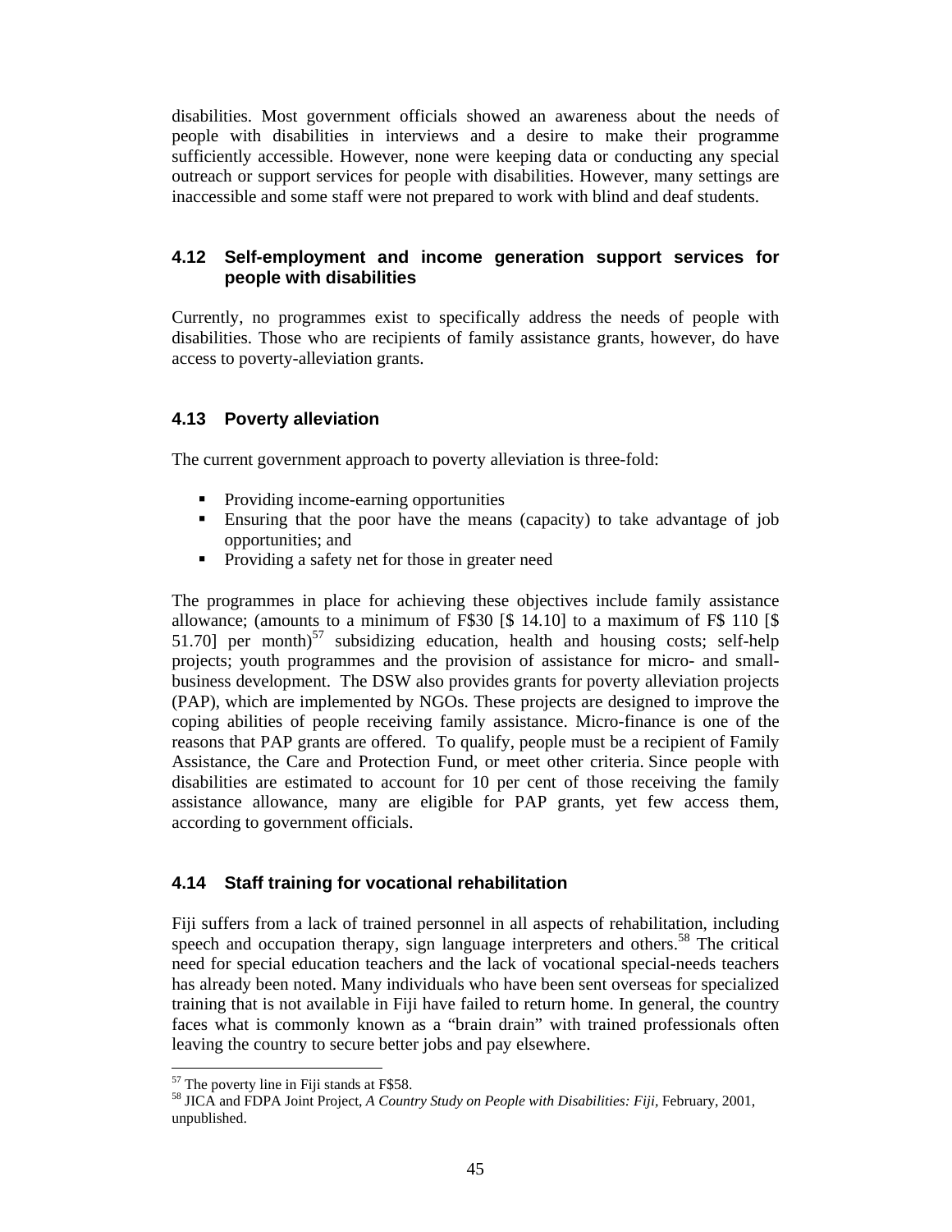disabilities. Most government officials showed an awareness about the needs of people with disabilities in interviews and a desire to make their programme sufficiently accessible. However, none were keeping data or conducting any special outreach or support services for people with disabilities. However, many settings are inaccessible and some staff were not prepared to work with blind and deaf students.

## **4.12 Self-employment and income generation support services for people with disabilities**

Currently, no programmes exist to specifically address the needs of people with disabilities. Those who are recipients of family assistance grants, however, do have access to poverty-alleviation grants.

## **4.13 Poverty alleviation**

The current government approach to poverty alleviation is three-fold:

- Providing income-earning opportunities
- Ensuring that the poor have the means (capacity) to take advantage of job opportunities; and
- Providing a safety net for those in greater need

The programmes in place for achieving these objectives include family assistance allowance; (amounts to a minimum of F\$30 [\$ 14.10] to a maximum of F\$ 110 [\$ 51.70] per month)<sup>57</sup> subsidizing education, health and housing costs; self-help projects; youth programmes and the provision of assistance for micro- and smallbusiness development. The DSW also provides grants for poverty alleviation projects (PAP), which are implemented by NGOs. These projects are designed to improve the coping abilities of people receiving family assistance. Micro-finance is one of the reasons that PAP grants are offered. To qualify, people must be a recipient of Family Assistance, the Care and Protection Fund, or meet other criteria. Since people with disabilities are estimated to account for 10 per cent of those receiving the family assistance allowance, many are eligible for PAP grants, yet few access them, according to government officials.

## **4.14 Staff training for vocational rehabilitation**

Fiji suffers from a lack of trained personnel in all aspects of rehabilitation, including speech and occupation therapy, sign language interpreters and others.<sup>58</sup> The critical need for special education teachers and the lack of vocational special-needs teachers has already been noted. Many individuals who have been sent overseas for specialized training that is not available in Fiji have failed to return home. In general, the country faces what is commonly known as a "brain drain" with trained professionals often leaving the country to secure better jobs and pay elsewhere.

 $\overline{a}$  $57$  The poverty line in Fiji stands at F\$58.

<sup>58</sup> JICA and FDPA Joint Project, *A Country Study on People with Disabilities: Fiji,* February, 2001, unpublished.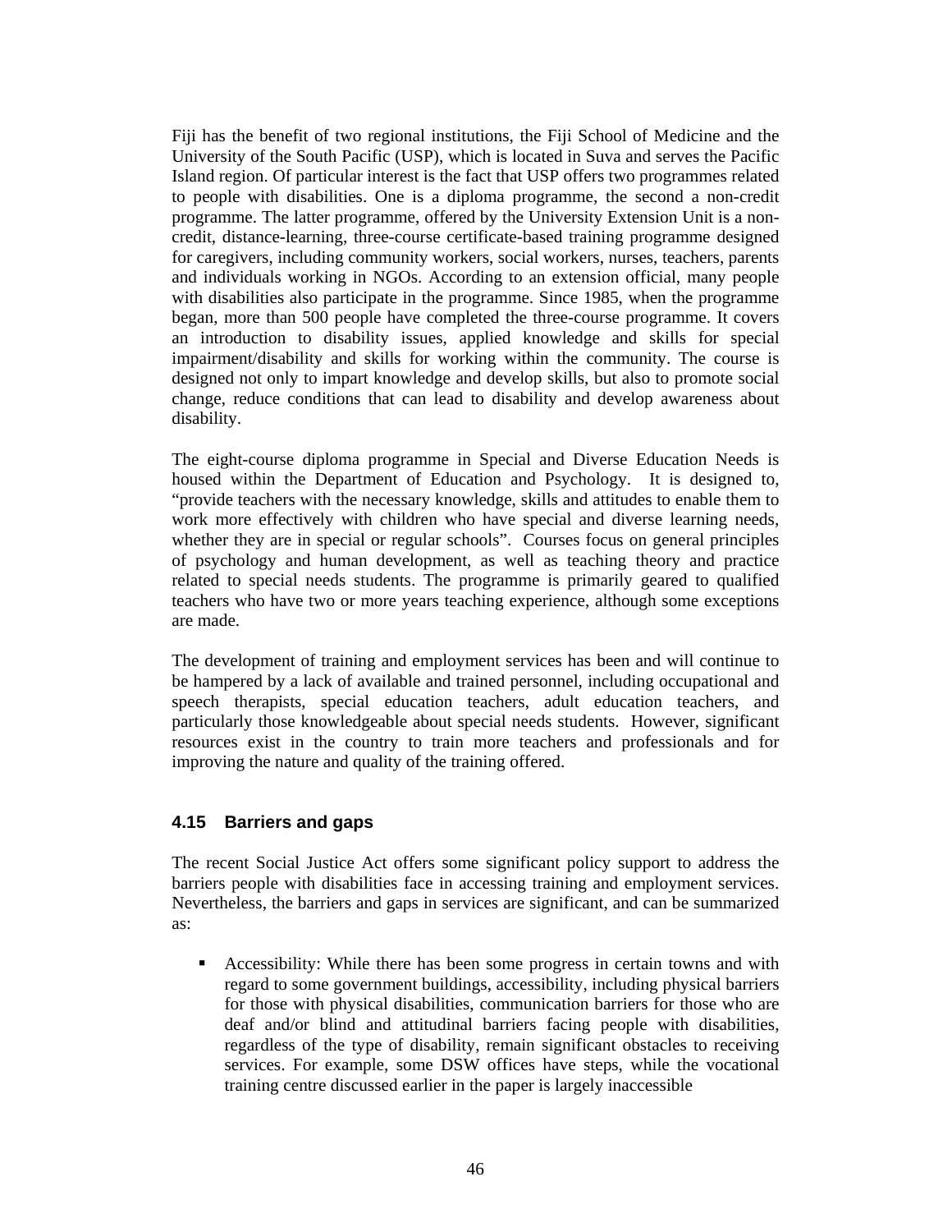Fiji has the benefit of two regional institutions, the Fiji School of Medicine and the University of the South Pacific (USP), which is located in Suva and serves the Pacific Island region. Of particular interest is the fact that USP offers two programmes related to people with disabilities. One is a diploma programme, the second a non-credit programme. The latter programme, offered by the University Extension Unit is a noncredit, distance-learning, three-course certificate-based training programme designed for caregivers, including community workers, social workers, nurses, teachers, parents and individuals working in NGOs. According to an extension official, many people with disabilities also participate in the programme. Since 1985, when the programme began, more than 500 people have completed the three-course programme. It covers an introduction to disability issues, applied knowledge and skills for special impairment/disability and skills for working within the community. The course is designed not only to impart knowledge and develop skills, but also to promote social change, reduce conditions that can lead to disability and develop awareness about disability.

The eight-course diploma programme in Special and Diverse Education Needs is housed within the Department of Education and Psychology. It is designed to, "provide teachers with the necessary knowledge, skills and attitudes to enable them to work more effectively with children who have special and diverse learning needs, whether they are in special or regular schools". Courses focus on general principles of psychology and human development, as well as teaching theory and practice related to special needs students. The programme is primarily geared to qualified teachers who have two or more years teaching experience, although some exceptions are made.

The development of training and employment services has been and will continue to be hampered by a lack of available and trained personnel, including occupational and speech therapists, special education teachers, adult education teachers, and particularly those knowledgeable about special needs students. However, significant resources exist in the country to train more teachers and professionals and for improving the nature and quality of the training offered.

## **4.15 Barriers and gaps**

The recent Social Justice Act offers some significant policy support to address the barriers people with disabilities face in accessing training and employment services. Nevertheless, the barriers and gaps in services are significant, and can be summarized as:

 Accessibility: While there has been some progress in certain towns and with regard to some government buildings, accessibility, including physical barriers for those with physical disabilities, communication barriers for those who are deaf and/or blind and attitudinal barriers facing people with disabilities, regardless of the type of disability, remain significant obstacles to receiving services. For example, some DSW offices have steps, while the vocational training centre discussed earlier in the paper is largely inaccessible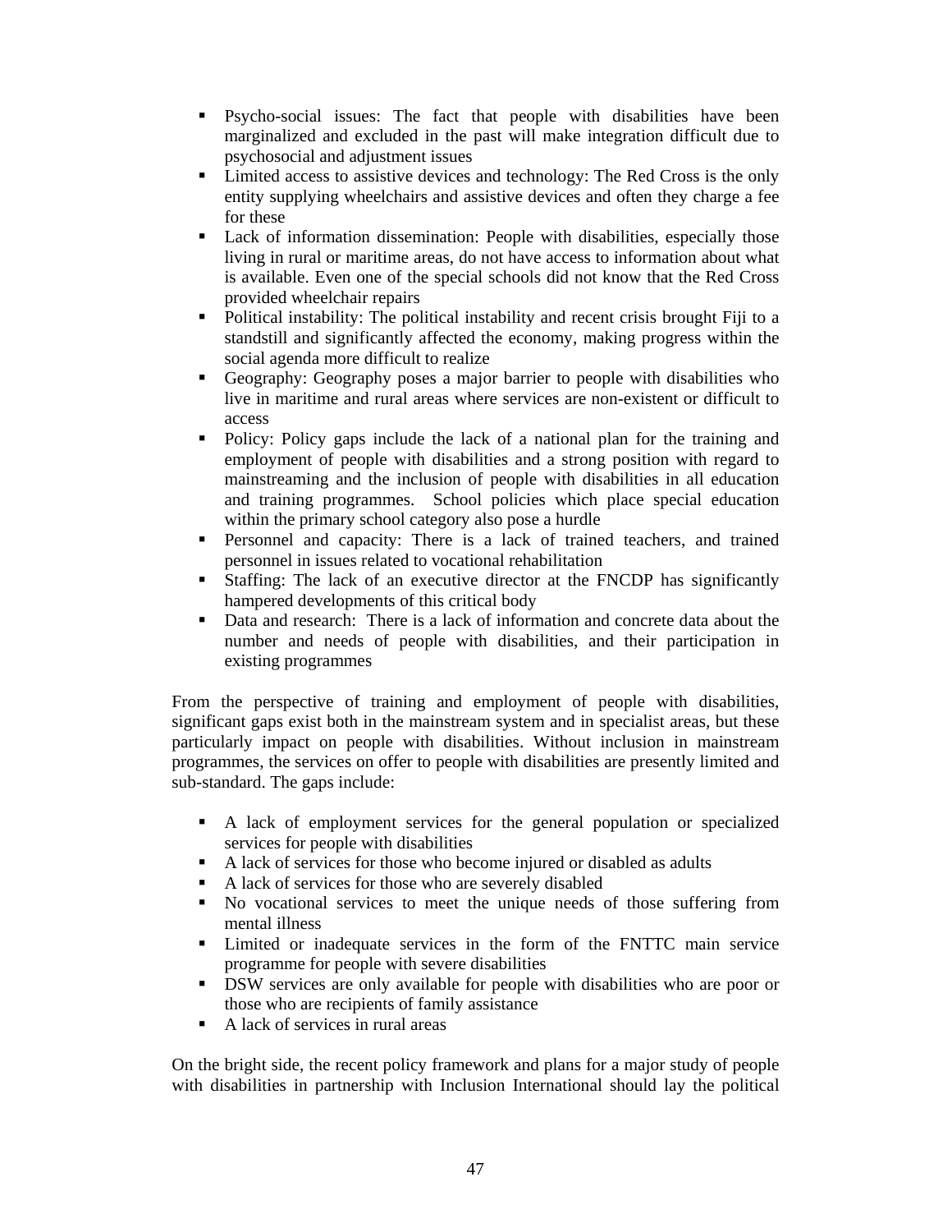- Psycho-social issues: The fact that people with disabilities have been marginalized and excluded in the past will make integration difficult due to psychosocial and adjustment issues
- Limited access to assistive devices and technology: The Red Cross is the only entity supplying wheelchairs and assistive devices and often they charge a fee for these
- Lack of information dissemination: People with disabilities, especially those living in rural or maritime areas, do not have access to information about what is available. Even one of the special schools did not know that the Red Cross provided wheelchair repairs
- Political instability: The political instability and recent crisis brought Fiji to a standstill and significantly affected the economy, making progress within the social agenda more difficult to realize
- Geography: Geography poses a major barrier to people with disabilities who live in maritime and rural areas where services are non-existent or difficult to access
- Policy: Policy gaps include the lack of a national plan for the training and employment of people with disabilities and a strong position with regard to mainstreaming and the inclusion of people with disabilities in all education and training programmes. School policies which place special education within the primary school category also pose a hurdle
- Personnel and capacity: There is a lack of trained teachers, and trained personnel in issues related to vocational rehabilitation
- Staffing: The lack of an executive director at the FNCDP has significantly hampered developments of this critical body
- Data and research: There is a lack of information and concrete data about the number and needs of people with disabilities, and their participation in existing programmes

From the perspective of training and employment of people with disabilities, significant gaps exist both in the mainstream system and in specialist areas, but these particularly impact on people with disabilities. Without inclusion in mainstream programmes, the services on offer to people with disabilities are presently limited and sub-standard. The gaps include:

- A lack of employment services for the general population or specialized services for people with disabilities
- A lack of services for those who become injured or disabled as adults
- A lack of services for those who are severely disabled
- No vocational services to meet the unique needs of those suffering from mental illness
- Limited or inadequate services in the form of the FNTTC main service programme for people with severe disabilities
- DSW services are only available for people with disabilities who are poor or those who are recipients of family assistance
- A lack of services in rural areas

On the bright side, the recent policy framework and plans for a major study of people with disabilities in partnership with Inclusion International should lay the political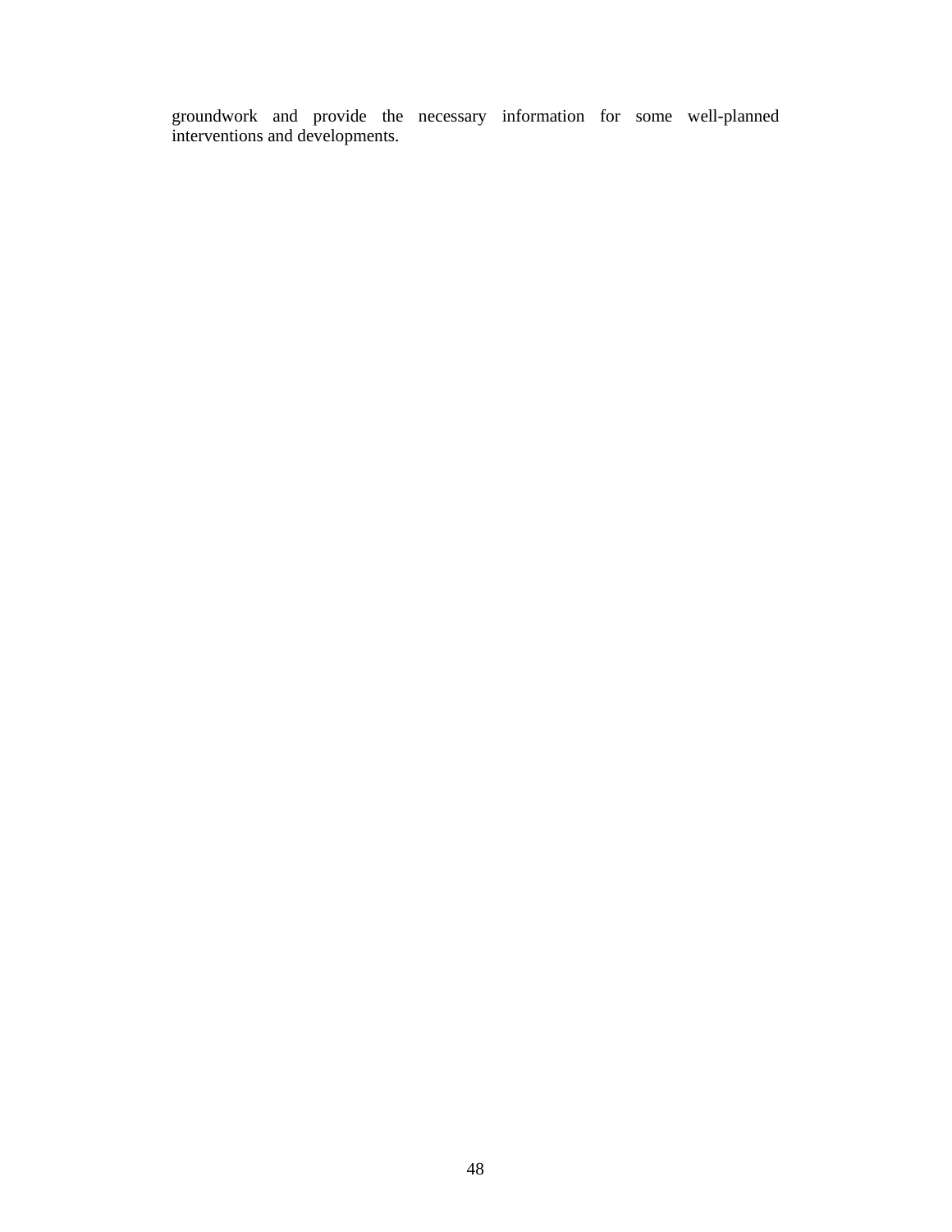groundwork and provide the necessary information for some well-planned interventions and developments.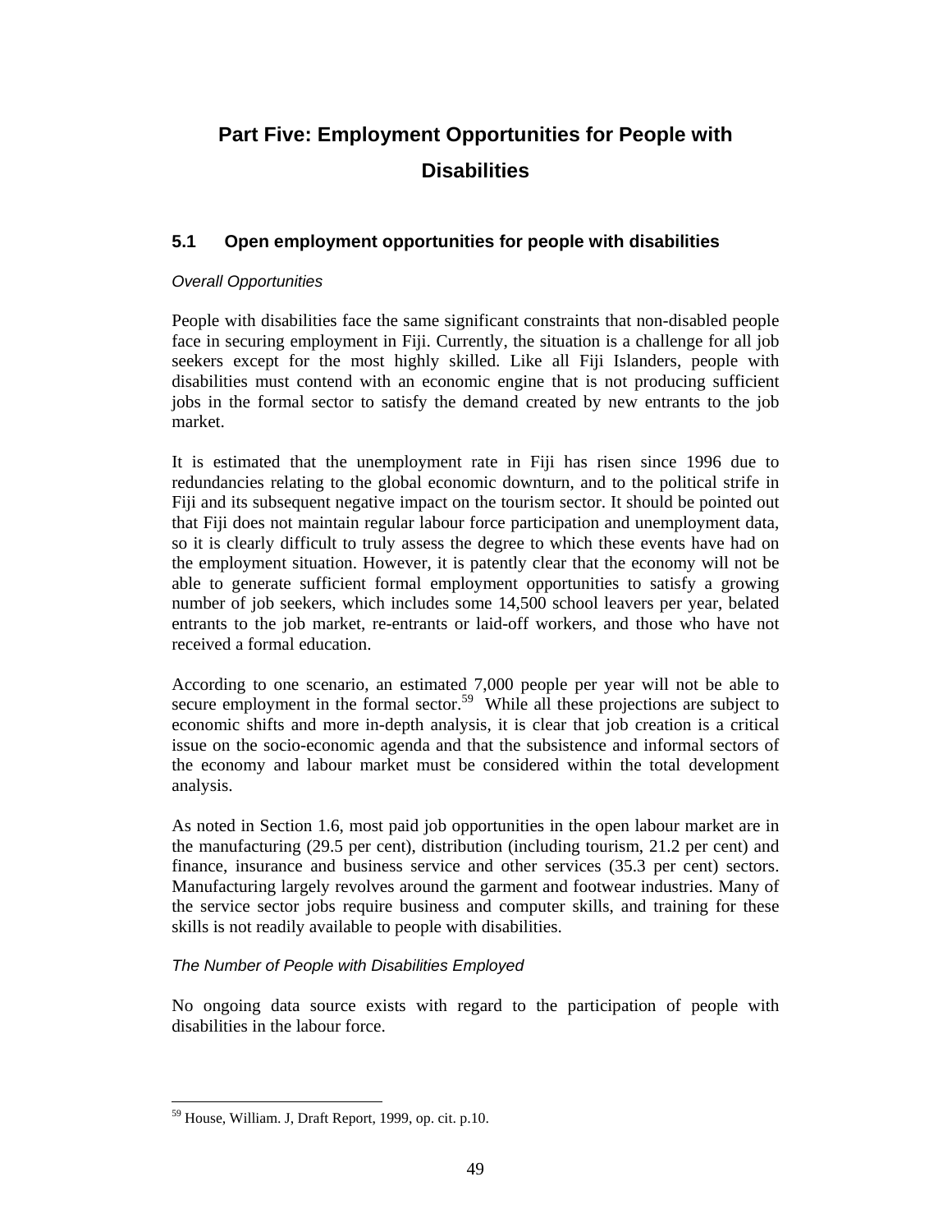# **Part Five: Employment Opportunities for People with Disabilities**

## **5.1 Open employment opportunities for people with disabilities**

#### Overall Opportunities

People with disabilities face the same significant constraints that non-disabled people face in securing employment in Fiji. Currently, the situation is a challenge for all job seekers except for the most highly skilled. Like all Fiji Islanders, people with disabilities must contend with an economic engine that is not producing sufficient jobs in the formal sector to satisfy the demand created by new entrants to the job market.

It is estimated that the unemployment rate in Fiji has risen since 1996 due to redundancies relating to the global economic downturn, and to the political strife in Fiji and its subsequent negative impact on the tourism sector. It should be pointed out that Fiji does not maintain regular labour force participation and unemployment data, so it is clearly difficult to truly assess the degree to which these events have had on the employment situation. However, it is patently clear that the economy will not be able to generate sufficient formal employment opportunities to satisfy a growing number of job seekers, which includes some 14,500 school leavers per year, belated entrants to the job market, re-entrants or laid-off workers, and those who have not received a formal education.

According to one scenario, an estimated 7,000 people per year will not be able to secure employment in the formal sector.<sup>59</sup> While all these projections are subject to economic shifts and more in-depth analysis, it is clear that job creation is a critical issue on the socio-economic agenda and that the subsistence and informal sectors of the economy and labour market must be considered within the total development analysis.

As noted in Section 1.6, most paid job opportunities in the open labour market are in the manufacturing (29.5 per cent), distribution (including tourism, 21.2 per cent) and finance, insurance and business service and other services (35.3 per cent) sectors. Manufacturing largely revolves around the garment and footwear industries. Many of the service sector jobs require business and computer skills, and training for these skills is not readily available to people with disabilities.

#### The Number of People with Disabilities Employed

No ongoing data source exists with regard to the participation of people with disabilities in the labour force.

 $\ddot{\phantom{a}}$ <sup>59</sup> House, William. J, Draft Report, 1999, op. cit. p.10.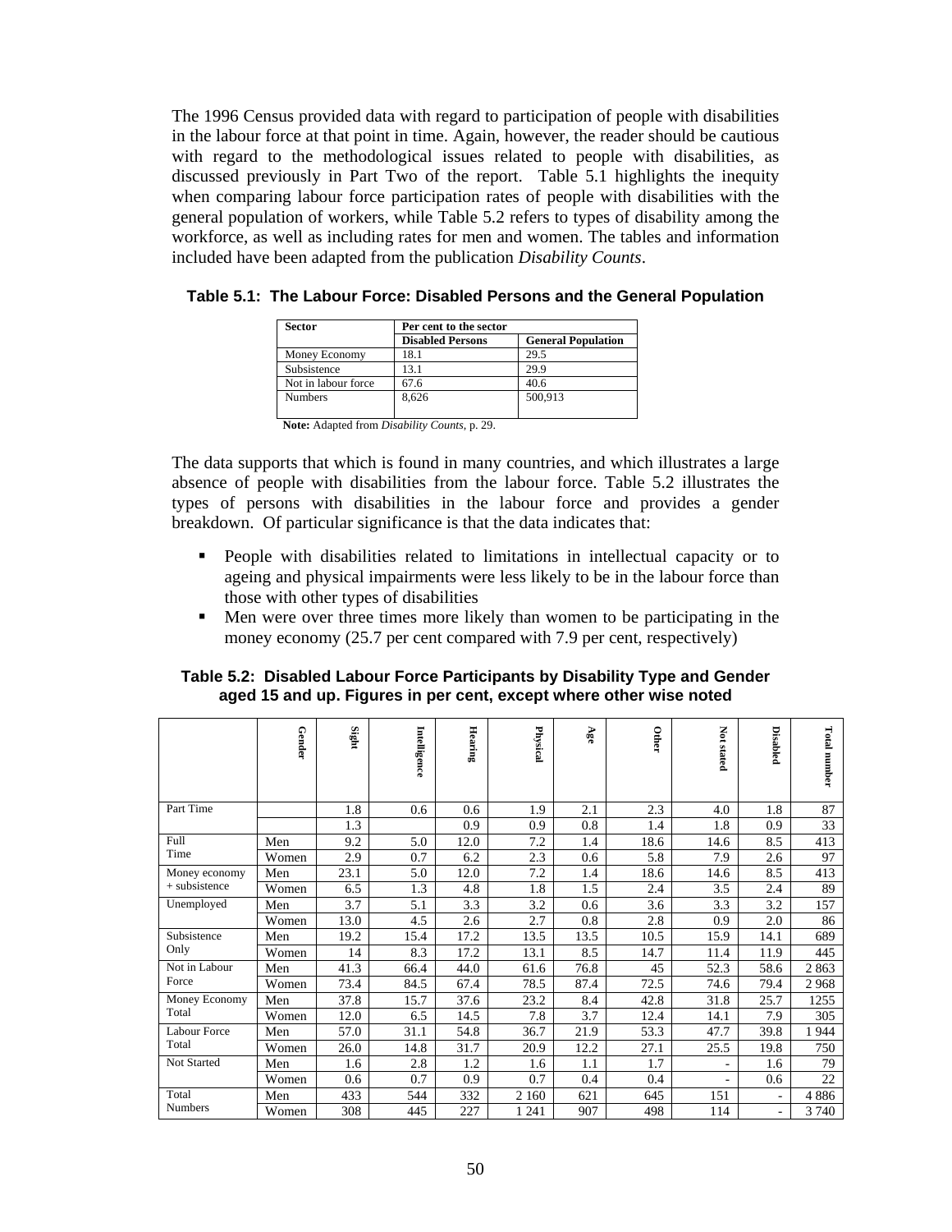The 1996 Census provided data with regard to participation of people with disabilities in the labour force at that point in time. Again, however, the reader should be cautious with regard to the methodological issues related to people with disabilities, as discussed previously in Part Two of the report. Table 5.1 highlights the inequity when comparing labour force participation rates of people with disabilities with the general population of workers, while Table 5.2 refers to types of disability among the workforce, as well as including rates for men and women. The tables and information included have been adapted from the publication *Disability Counts*.

| <b>Sector</b>       | Per cent to the sector  |                           |  |  |  |  |
|---------------------|-------------------------|---------------------------|--|--|--|--|
|                     | <b>Disabled Persons</b> | <b>General Population</b> |  |  |  |  |
| Money Economy       | 18.1                    | 29.5                      |  |  |  |  |
| Subsistence         | 13.1                    | 29.9                      |  |  |  |  |
| Not in labour force | 67.6                    | 40.6                      |  |  |  |  |
| <b>Numbers</b>      | 8.626                   | 500,913                   |  |  |  |  |

**Table 5.1: The Labour Force: Disabled Persons and the General Population** 

**Note:** Adapted from *Disability Counts*, p. 29.

The data supports that which is found in many countries, and which illustrates a large absence of people with disabilities from the labour force. Table 5.2 illustrates the types of persons with disabilities in the labour force and provides a gender breakdown. Of particular significance is that the data indicates that:

- People with disabilities related to limitations in intellectual capacity or to ageing and physical impairments were less likely to be in the labour force than those with other types of disabilities
- Men were over three times more likely than women to be participating in the money economy (25.7 per cent compared with 7.9 per cent, respectively)

|                        | Gender | Sight | Intelligence | $\bf Hearing$ | Physical | Age  | Other | <b>Not stated</b>        | <b>Disabled</b>          | Total<br>mmber |
|------------------------|--------|-------|--------------|---------------|----------|------|-------|--------------------------|--------------------------|----------------|
| Part Time              |        | 1.8   | 0.6          | 0.6           | 1.9      | 2.1  | 2.3   | 4.0                      | 1.8                      | 87             |
|                        |        | 1.3   |              | 0.9           | 0.9      | 0.8  | 1.4   | 1.8                      | 0.9                      | 33             |
| Full                   | Men    | 9.2   | 5.0          | 12.0          | 7.2      | 1.4  | 18.6  | 14.6                     | 8.5                      | 413            |
| Time                   | Women  | 2.9   | 0.7          | 6.2           | 2.3      | 0.6  | 5.8   | 7.9                      | 2.6                      | 97             |
| Money economy          | Men    | 23.1  | 5.0          | 12.0          | 7.2      | 1.4  | 18.6  | 14.6                     | 8.5                      | 413            |
| $+$ subsistence        | Women  | 6.5   | 1.3          | 4.8           | 1.8      | 1.5  | 2.4   | 3.5                      | 2.4                      | 89             |
| Unemployed             | Men    | 3.7   | 5.1          | 3.3           | 3.2      | 0.6  | 3.6   | 3.3                      | 3.2                      | 157            |
|                        | Women  | 13.0  | 4.5          | 2.6           | 2.7      | 0.8  | 2.8   | 0.9                      | 2.0                      | 86             |
| Subsistence            | Men    | 19.2  | 15.4         | 17.2          | 13.5     | 13.5 | 10.5  | 15.9                     | 14.1                     | 689            |
| Only                   | Women  | 14    | 8.3          | 17.2          | 13.1     | 8.5  | 14.7  | 11.4                     | 11.9                     | 445            |
| Not in Labour<br>Force | Men    | 41.3  | 66.4         | 44.0          | 61.6     | 76.8 | 45    | 52.3                     | 58.6                     | 2863           |
|                        | Women  | 73.4  | 84.5         | 67.4          | 78.5     | 87.4 | 72.5  | 74.6                     | 79.4                     | 2968           |
| Money Economy          | Men    | 37.8  | 15.7         | 37.6          | 23.2     | 8.4  | 42.8  | 31.8                     | 25.7                     | 1255           |
| Total                  | Women  | 12.0  | 6.5          | 14.5          | 7.8      | 3.7  | 12.4  | 14.1                     | 7.9                      | 305            |
| Labour Force           | Men    | 57.0  | 31.1         | 54.8          | 36.7     | 21.9 | 53.3  | 47.7                     | 39.8                     | 1944           |
| Total                  | Women  | 26.0  | 14.8         | 31.7          | 20.9     | 12.2 | 27.1  | 25.5                     | 19.8                     | 750            |
| Not Started            | Men    | 1.6   | 2.8          | 1.2           | 1.6      | 1.1  | 1.7   | $\overline{\phantom{a}}$ | 1.6                      | 79             |
|                        | Women  | 0.6   | 0.7          | 0.9           | 0.7      | 0.4  | 0.4   | $\bar{a}$                | 0.6                      | 22             |
| Total                  | Men    | 433   | 544          | 332           | 2 1 6 0  | 621  | 645   | 151                      | $\overline{\phantom{0}}$ | 4886           |
| Numbers                | Women  | 308   | 445          | 227           | 1 241    | 907  | 498   | 114                      | $\overline{\phantom{a}}$ | 3 740          |

**Table 5.2: Disabled Labour Force Participants by Disability Type and Gender aged 15 and up. Figures in per cent, except where other wise noted**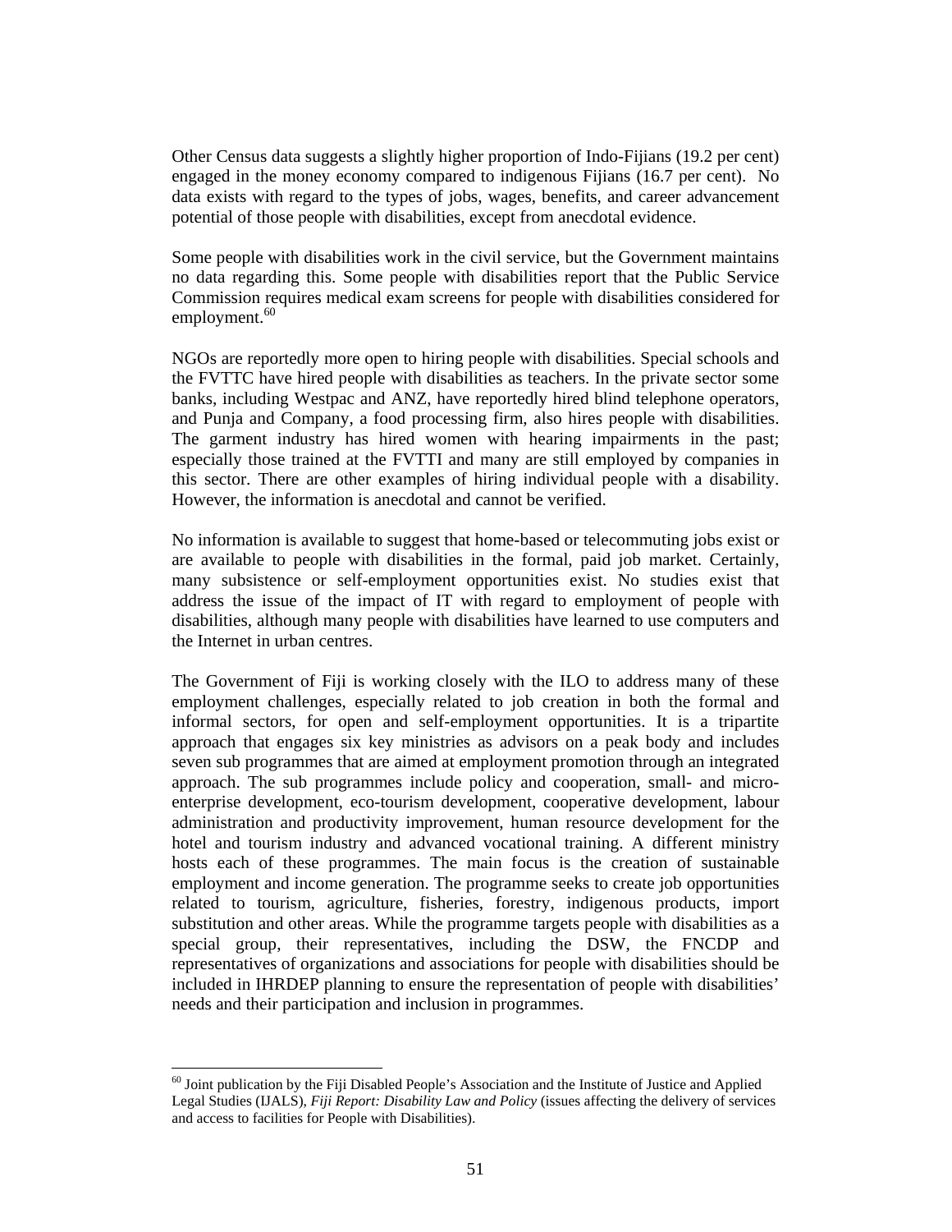Other Census data suggests a slightly higher proportion of Indo-Fijians (19.2 per cent) engaged in the money economy compared to indigenous Fijians (16.7 per cent). No data exists with regard to the types of jobs, wages, benefits, and career advancement potential of those people with disabilities, except from anecdotal evidence.

Some people with disabilities work in the civil service, but the Government maintains no data regarding this. Some people with disabilities report that the Public Service Commission requires medical exam screens for people with disabilities considered for employment. $60$ 

NGOs are reportedly more open to hiring people with disabilities. Special schools and the FVTTC have hired people with disabilities as teachers. In the private sector some banks, including Westpac and ANZ, have reportedly hired blind telephone operators, and Punja and Company, a food processing firm, also hires people with disabilities. The garment industry has hired women with hearing impairments in the past; especially those trained at the FVTTI and many are still employed by companies in this sector. There are other examples of hiring individual people with a disability. However, the information is anecdotal and cannot be verified.

No information is available to suggest that home-based or telecommuting jobs exist or are available to people with disabilities in the formal, paid job market. Certainly, many subsistence or self-employment opportunities exist. No studies exist that address the issue of the impact of IT with regard to employment of people with disabilities, although many people with disabilities have learned to use computers and the Internet in urban centres.

The Government of Fiji is working closely with the ILO to address many of these employment challenges, especially related to job creation in both the formal and informal sectors, for open and self-employment opportunities. It is a tripartite approach that engages six key ministries as advisors on a peak body and includes seven sub programmes that are aimed at employment promotion through an integrated approach. The sub programmes include policy and cooperation, small- and microenterprise development, eco-tourism development, cooperative development, labour administration and productivity improvement, human resource development for the hotel and tourism industry and advanced vocational training. A different ministry hosts each of these programmes. The main focus is the creation of sustainable employment and income generation. The programme seeks to create job opportunities related to tourism, agriculture, fisheries, forestry, indigenous products, import substitution and other areas. While the programme targets people with disabilities as a special group, their representatives, including the DSW, the FNCDP and representatives of organizations and associations for people with disabilities should be included in IHRDEP planning to ensure the representation of people with disabilities' needs and their participation and inclusion in programmes.

 $\overline{a}$ 

 $^{60}$  Joint publication by the Fiji Disabled People's Association and the Institute of Justice and Applied Legal Studies (IJALS), *Fiji Report: Disability Law and Policy* (issues affecting the delivery of services and access to facilities for People with Disabilities).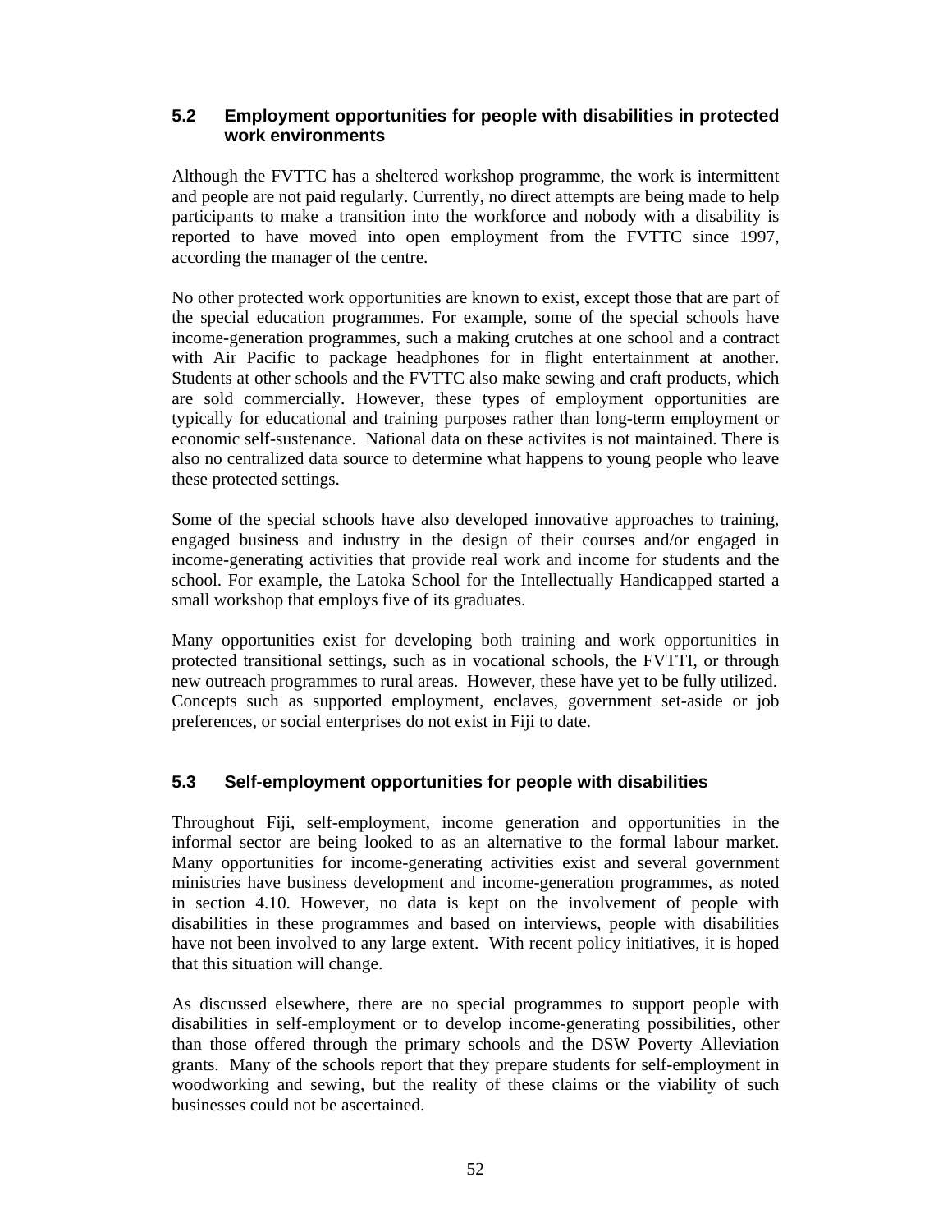## **5.2 Employment opportunities for people with disabilities in protected work environments**

Although the FVTTC has a sheltered workshop programme, the work is intermittent and people are not paid regularly. Currently, no direct attempts are being made to help participants to make a transition into the workforce and nobody with a disability is reported to have moved into open employment from the FVTTC since 1997, according the manager of the centre.

No other protected work opportunities are known to exist, except those that are part of the special education programmes. For example, some of the special schools have income-generation programmes, such a making crutches at one school and a contract with Air Pacific to package headphones for in flight entertainment at another. Students at other schools and the FVTTC also make sewing and craft products, which are sold commercially. However, these types of employment opportunities are typically for educational and training purposes rather than long-term employment or economic self-sustenance. National data on these activites is not maintained. There is also no centralized data source to determine what happens to young people who leave these protected settings.

Some of the special schools have also developed innovative approaches to training, engaged business and industry in the design of their courses and/or engaged in income-generating activities that provide real work and income for students and the school. For example, the Latoka School for the Intellectually Handicapped started a small workshop that employs five of its graduates.

Many opportunities exist for developing both training and work opportunities in protected transitional settings, such as in vocational schools, the FVTTI, or through new outreach programmes to rural areas. However, these have yet to be fully utilized. Concepts such as supported employment, enclaves, government set-aside or job preferences, or social enterprises do not exist in Fiji to date.

## **5.3 Self-employment opportunities for people with disabilities**

Throughout Fiji, self-employment, income generation and opportunities in the informal sector are being looked to as an alternative to the formal labour market. Many opportunities for income-generating activities exist and several government ministries have business development and income-generation programmes, as noted in section 4.10. However, no data is kept on the involvement of people with disabilities in these programmes and based on interviews, people with disabilities have not been involved to any large extent. With recent policy initiatives, it is hoped that this situation will change.

As discussed elsewhere, there are no special programmes to support people with disabilities in self-employment or to develop income-generating possibilities, other than those offered through the primary schools and the DSW Poverty Alleviation grants. Many of the schools report that they prepare students for self-employment in woodworking and sewing, but the reality of these claims or the viability of such businesses could not be ascertained.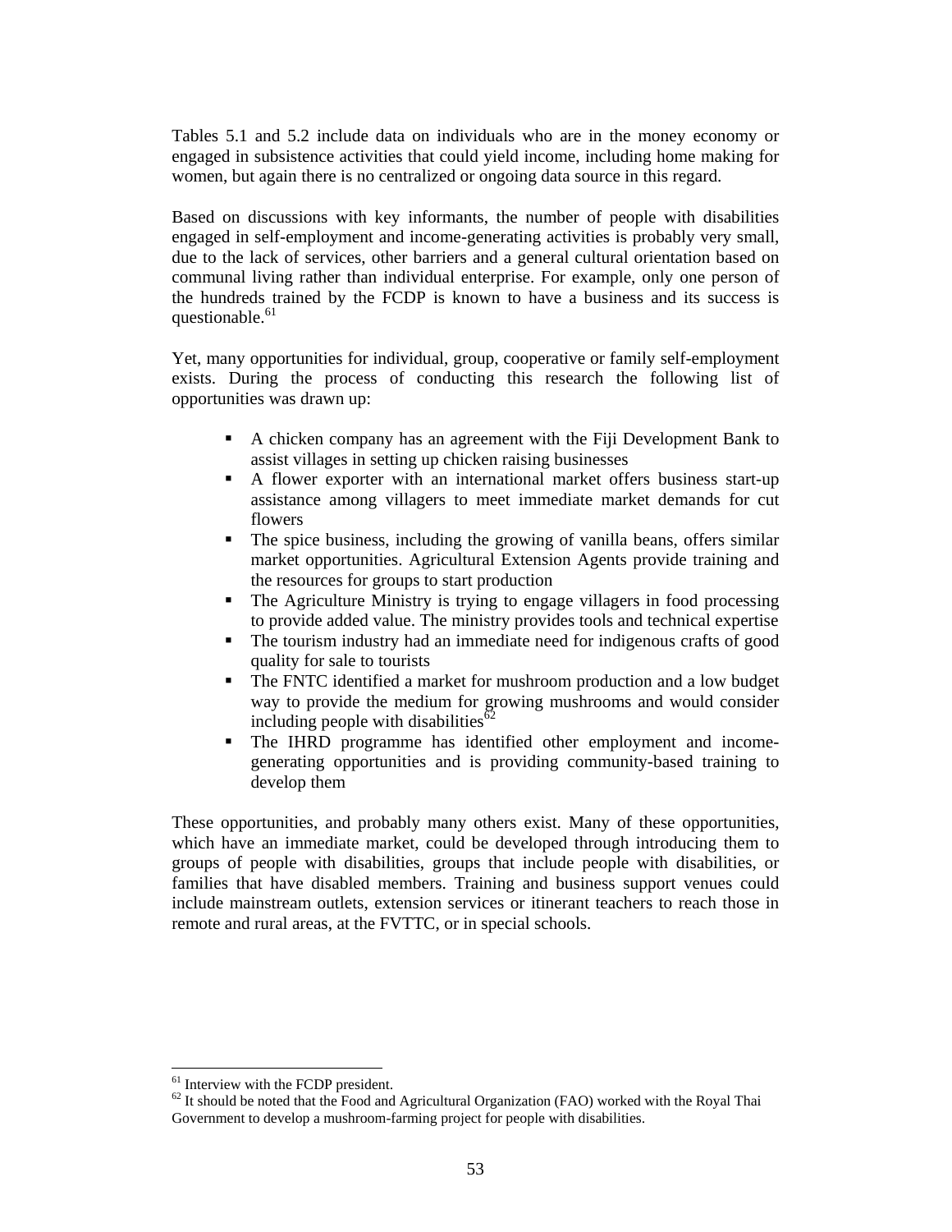Tables 5.1 and 5.2 include data on individuals who are in the money economy or engaged in subsistence activities that could yield income, including home making for women, but again there is no centralized or ongoing data source in this regard.

Based on discussions with key informants, the number of people with disabilities engaged in self-employment and income-generating activities is probably very small, due to the lack of services, other barriers and a general cultural orientation based on communal living rather than individual enterprise. For example, only one person of the hundreds trained by the FCDP is known to have a business and its success is questionable.<sup>61</sup>

Yet, many opportunities for individual, group, cooperative or family self-employment exists. During the process of conducting this research the following list of opportunities was drawn up:

- A chicken company has an agreement with the Fiji Development Bank to assist villages in setting up chicken raising businesses
- A flower exporter with an international market offers business start-up assistance among villagers to meet immediate market demands for cut flowers
- The spice business, including the growing of vanilla beans, offers similar market opportunities. Agricultural Extension Agents provide training and the resources for groups to start production
- The Agriculture Ministry is trying to engage villagers in food processing to provide added value. The ministry provides tools and technical expertise
- The tourism industry had an immediate need for indigenous crafts of good quality for sale to tourists
- The FNTC identified a market for mushroom production and a low budget way to provide the medium for growing mushrooms and would consider including people with disabilities<sup>62</sup>
- The IHRD programme has identified other employment and incomegenerating opportunities and is providing community-based training to develop them

These opportunities, and probably many others exist. Many of these opportunities, which have an immediate market, could be developed through introducing them to groups of people with disabilities, groups that include people with disabilities, or families that have disabled members. Training and business support venues could include mainstream outlets, extension services or itinerant teachers to reach those in remote and rural areas, at the FVTTC, or in special schools.

 $\overline{a}$ 

<sup>&</sup>lt;sup>61</sup> Interview with the FCDP president.

 $62$  It should be noted that the Food and Agricultural Organization (FAO) worked with the Royal Thai Government to develop a mushroom-farming project for people with disabilities.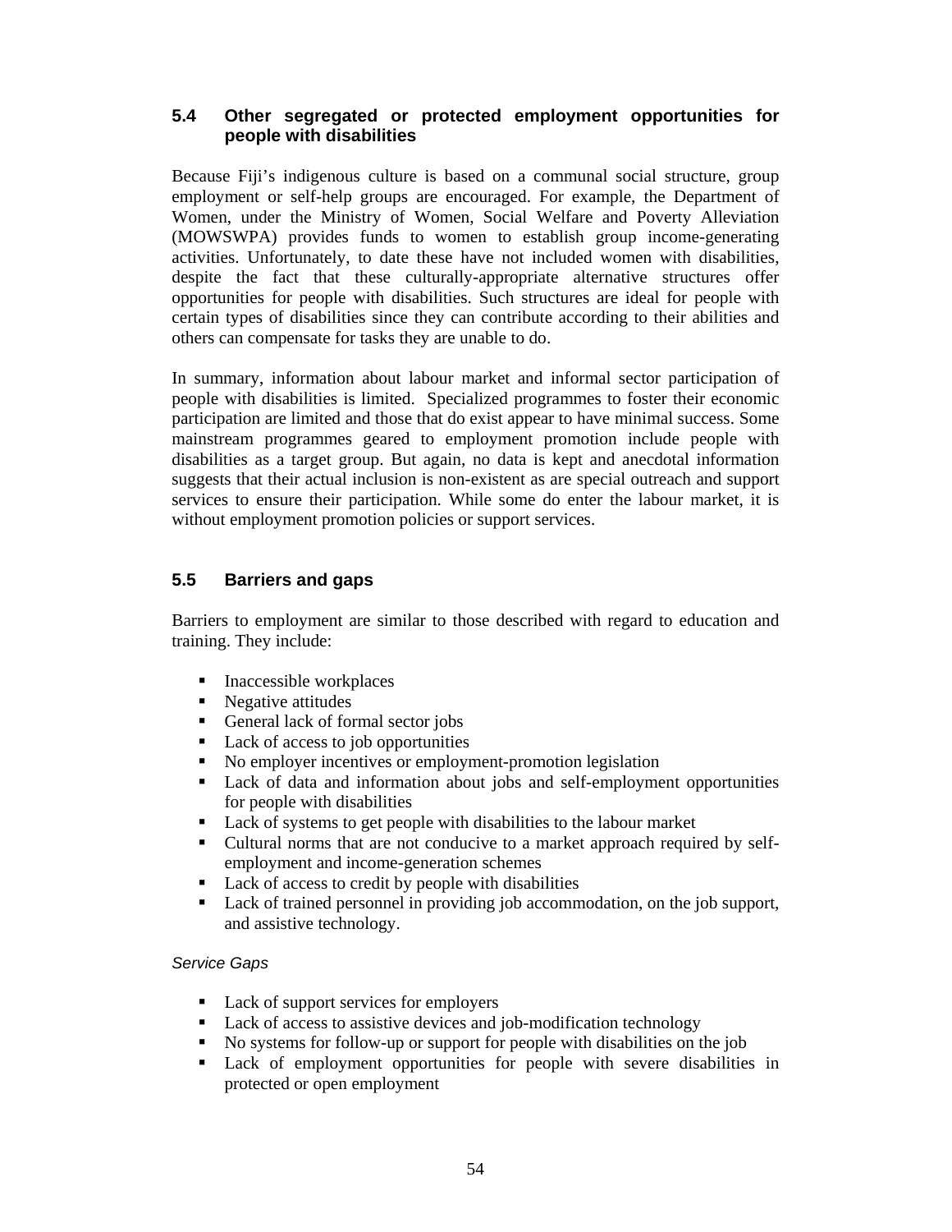## **5.4 Other segregated or protected employment opportunities for people with disabilities**

Because Fiji's indigenous culture is based on a communal social structure, group employment or self-help groups are encouraged. For example, the Department of Women, under the Ministry of Women, Social Welfare and Poverty Alleviation (MOWSWPA) provides funds to women to establish group income-generating activities. Unfortunately, to date these have not included women with disabilities, despite the fact that these culturally-appropriate alternative structures offer opportunities for people with disabilities. Such structures are ideal for people with certain types of disabilities since they can contribute according to their abilities and others can compensate for tasks they are unable to do.

In summary, information about labour market and informal sector participation of people with disabilities is limited. Specialized programmes to foster their economic participation are limited and those that do exist appear to have minimal success. Some mainstream programmes geared to employment promotion include people with disabilities as a target group. But again, no data is kept and anecdotal information suggests that their actual inclusion is non-existent as are special outreach and support services to ensure their participation. While some do enter the labour market, it is without employment promotion policies or support services.

## **5.5 Barriers and gaps**

Barriers to employment are similar to those described with regard to education and training. They include:

- $\blacksquare$  Inaccessible workplaces
- Negative attitudes
- General lack of formal sector jobs
- Lack of access to job opportunities
- No employer incentives or employment-promotion legislation
- Lack of data and information about jobs and self-employment opportunities for people with disabilities
- Lack of systems to get people with disabilities to the labour market
- Cultural norms that are not conducive to a market approach required by selfemployment and income-generation schemes
- Lack of access to credit by people with disabilities
- Lack of trained personnel in providing job accommodation, on the job support, and assistive technology.

#### Service Gaps

- Lack of support services for employers
- Lack of access to assistive devices and job-modification technology
- No systems for follow-up or support for people with disabilities on the job
- Lack of employment opportunities for people with severe disabilities in protected or open employment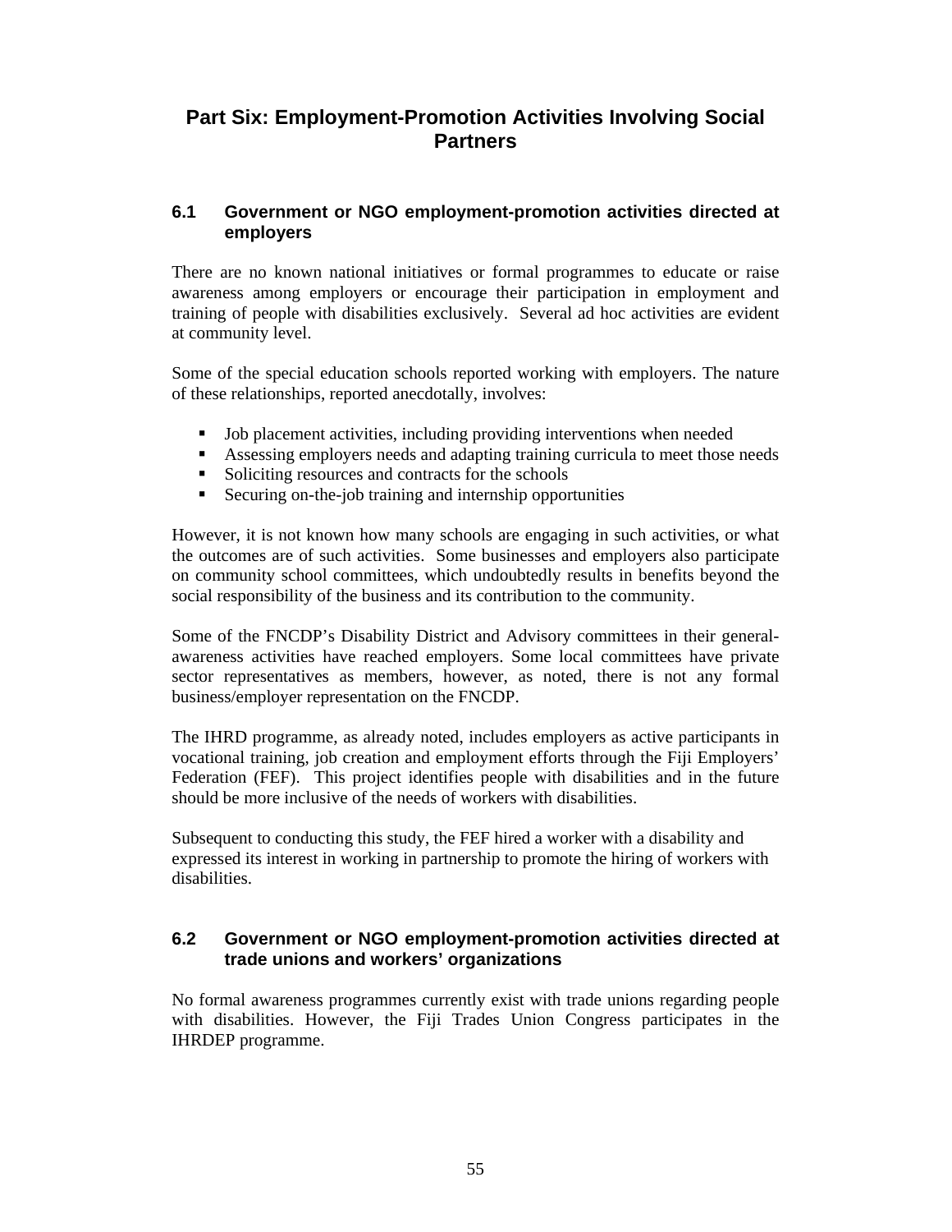## **Part Six: Employment-Promotion Activities Involving Social Partners**

## **6.1 Government or NGO employment-promotion activities directed at employers**

There are no known national initiatives or formal programmes to educate or raise awareness among employers or encourage their participation in employment and training of people with disabilities exclusively. Several ad hoc activities are evident at community level.

Some of the special education schools reported working with employers. The nature of these relationships, reported anecdotally, involves:

- Job placement activities, including providing interventions when needed
- Assessing employers needs and adapting training curricula to meet those needs
- Soliciting resources and contracts for the schools
- Securing on-the-job training and internship opportunities

However, it is not known how many schools are engaging in such activities, or what the outcomes are of such activities. Some businesses and employers also participate on community school committees, which undoubtedly results in benefits beyond the social responsibility of the business and its contribution to the community.

Some of the FNCDP's Disability District and Advisory committees in their generalawareness activities have reached employers. Some local committees have private sector representatives as members, however, as noted, there is not any formal business/employer representation on the FNCDP.

The IHRD programme, as already noted, includes employers as active participants in vocational training, job creation and employment efforts through the Fiji Employers' Federation (FEF). This project identifies people with disabilities and in the future should be more inclusive of the needs of workers with disabilities.

Subsequent to conducting this study, the FEF hired a worker with a disability and expressed its interest in working in partnership to promote the hiring of workers with disabilities.

## **6.2 Government or NGO employment-promotion activities directed at trade unions and workers' organizations**

No formal awareness programmes currently exist with trade unions regarding people with disabilities. However, the Fiji Trades Union Congress participates in the IHRDEP programme.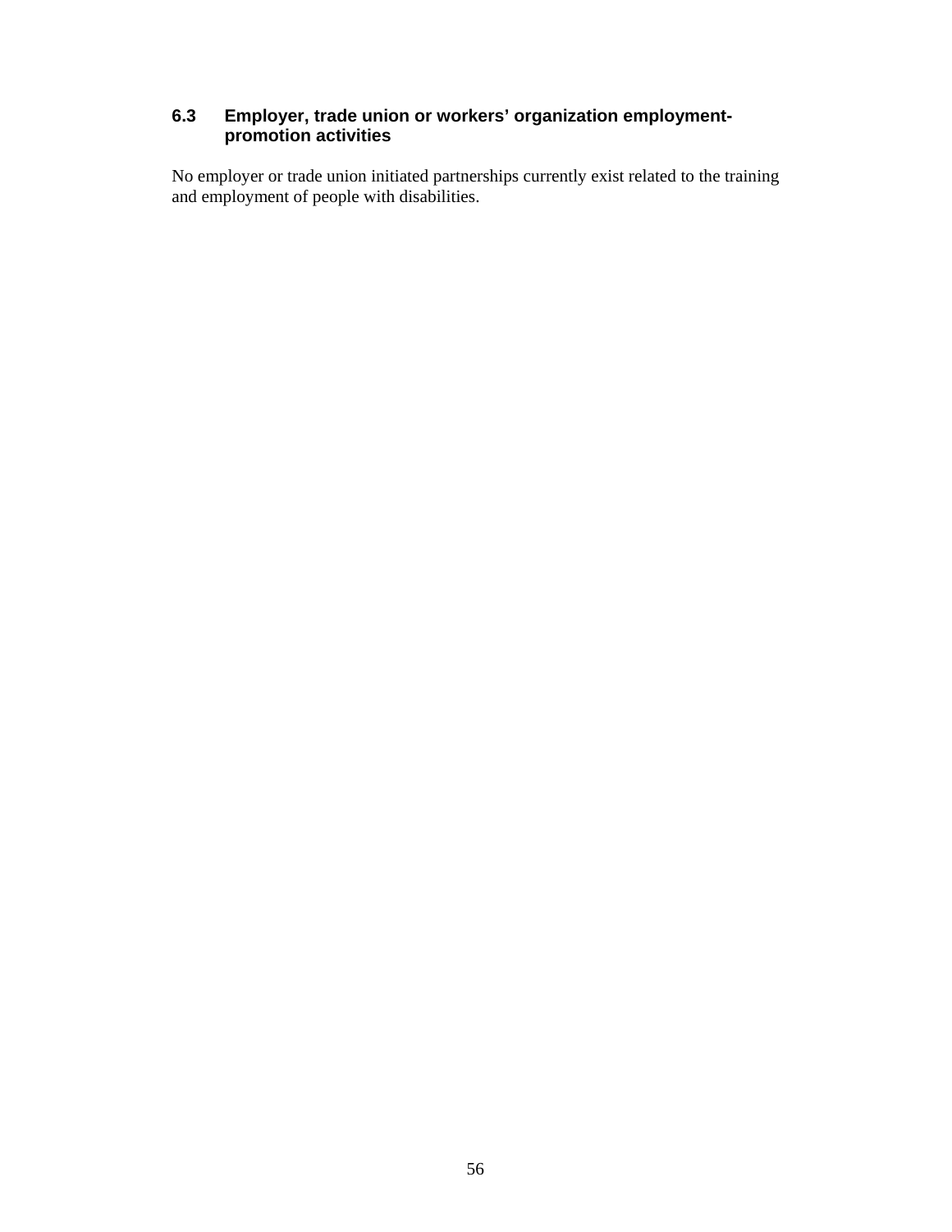## **6.3 Employer, trade union or workers' organization employmentpromotion activities**

No employer or trade union initiated partnerships currently exist related to the training and employment of people with disabilities.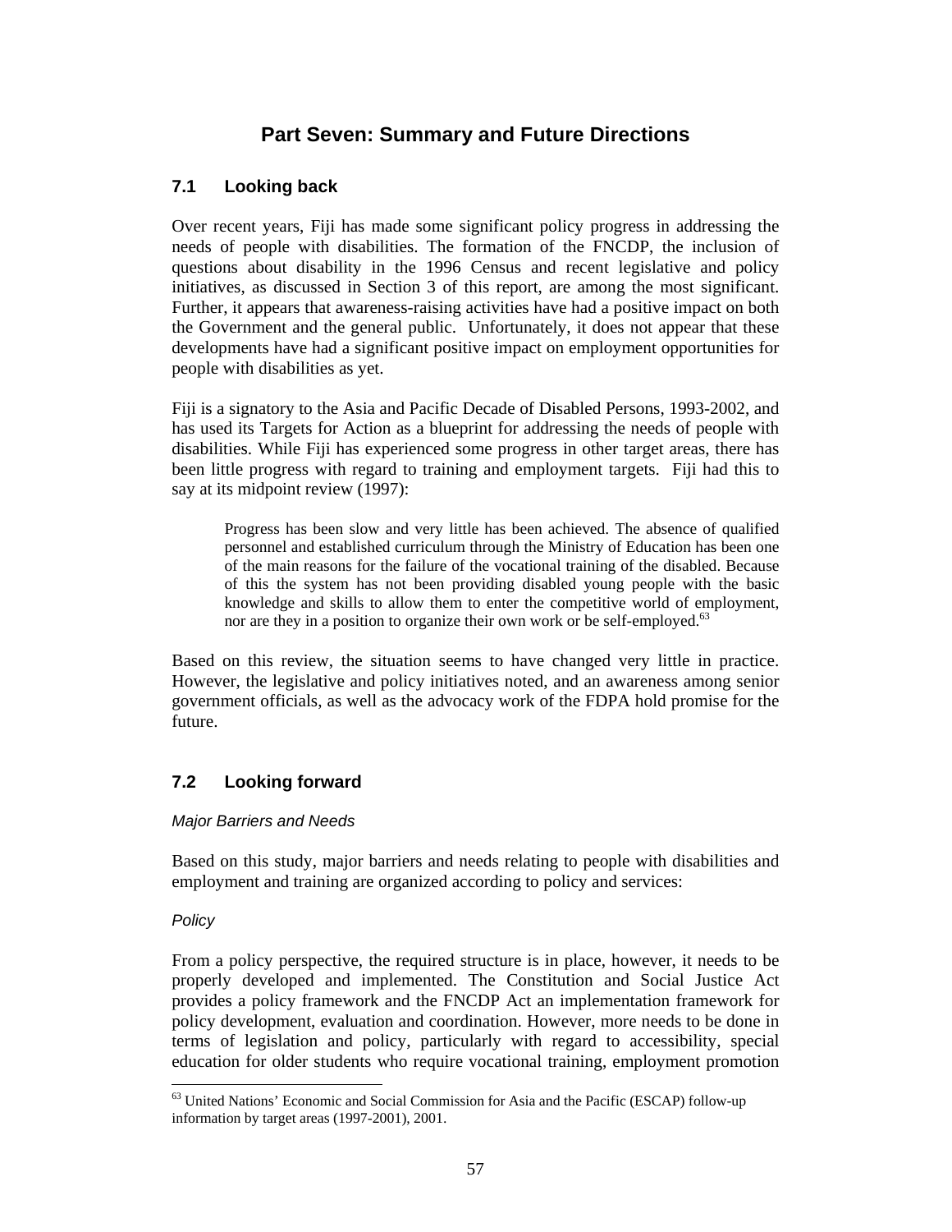# **Part Seven: Summary and Future Directions**

## **7.1 Looking back**

Over recent years, Fiji has made some significant policy progress in addressing the needs of people with disabilities. The formation of the FNCDP, the inclusion of questions about disability in the 1996 Census and recent legislative and policy initiatives, as discussed in Section 3 of this report, are among the most significant. Further, it appears that awareness-raising activities have had a positive impact on both the Government and the general public. Unfortunately, it does not appear that these developments have had a significant positive impact on employment opportunities for people with disabilities as yet.

Fiji is a signatory to the Asia and Pacific Decade of Disabled Persons, 1993-2002, and has used its Targets for Action as a blueprint for addressing the needs of people with disabilities. While Fiji has experienced some progress in other target areas, there has been little progress with regard to training and employment targets. Fiji had this to say at its midpoint review (1997):

Progress has been slow and very little has been achieved. The absence of qualified personnel and established curriculum through the Ministry of Education has been one of the main reasons for the failure of the vocational training of the disabled. Because of this the system has not been providing disabled young people with the basic knowledge and skills to allow them to enter the competitive world of employment, nor are they in a position to organize their own work or be self-employed.<sup>63</sup>

Based on this review, the situation seems to have changed very little in practice. However, the legislative and policy initiatives noted, and an awareness among senior government officials, as well as the advocacy work of the FDPA hold promise for the future.

## **7.2 Looking forward**

## Major Barriers and Needs

Based on this study, major barriers and needs relating to people with disabilities and employment and training are organized according to policy and services:

## Policy

From a policy perspective, the required structure is in place, however, it needs to be properly developed and implemented. The Constitution and Social Justice Act provides a policy framework and the FNCDP Act an implementation framework for policy development, evaluation and coordination. However, more needs to be done in terms of legislation and policy, particularly with regard to accessibility, special education for older students who require vocational training, employment promotion

 $\overline{a}$ <sup>63</sup> United Nations' Economic and Social Commission for Asia and the Pacific (ESCAP) follow-up information by target areas (1997-2001), 2001.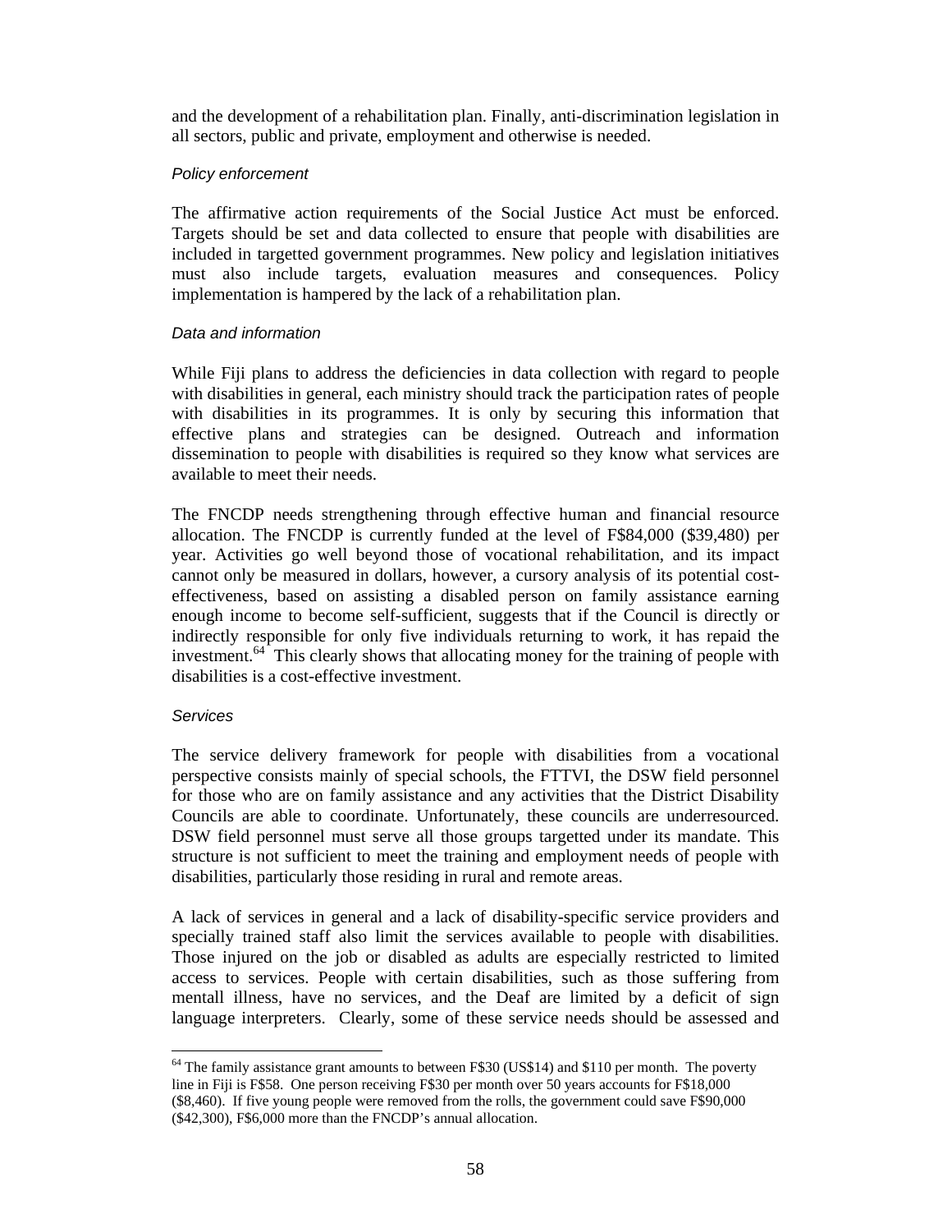and the development of a rehabilitation plan. Finally, anti-discrimination legislation in all sectors, public and private, employment and otherwise is needed.

#### Policy enforcement

The affirmative action requirements of the Social Justice Act must be enforced. Targets should be set and data collected to ensure that people with disabilities are included in targetted government programmes. New policy and legislation initiatives must also include targets, evaluation measures and consequences. Policy implementation is hampered by the lack of a rehabilitation plan.

#### Data and information

While Fiji plans to address the deficiencies in data collection with regard to people with disabilities in general, each ministry should track the participation rates of people with disabilities in its programmes. It is only by securing this information that effective plans and strategies can be designed. Outreach and information dissemination to people with disabilities is required so they know what services are available to meet their needs.

The FNCDP needs strengthening through effective human and financial resource allocation. The FNCDP is currently funded at the level of F\$84,000 (\$39,480) per year. Activities go well beyond those of vocational rehabilitation, and its impact cannot only be measured in dollars, however, a cursory analysis of its potential costeffectiveness, based on assisting a disabled person on family assistance earning enough income to become self-sufficient, suggests that if the Council is directly or indirectly responsible for only five individuals returning to work, it has repaid the investment.<sup>64</sup> This clearly shows that allocating money for the training of people with disabilities is a cost-effective investment.

## **Services**

The service delivery framework for people with disabilities from a vocational perspective consists mainly of special schools, the FTTVI, the DSW field personnel for those who are on family assistance and any activities that the District Disability Councils are able to coordinate. Unfortunately, these councils are underresourced. DSW field personnel must serve all those groups targetted under its mandate. This structure is not sufficient to meet the training and employment needs of people with disabilities, particularly those residing in rural and remote areas.

A lack of services in general and a lack of disability-specific service providers and specially trained staff also limit the services available to people with disabilities. Those injured on the job or disabled as adults are especially restricted to limited access to services. People with certain disabilities, such as those suffering from mentall illness, have no services, and the Deaf are limited by a deficit of sign language interpreters. Clearly, some of these service needs should be assessed and

 $\overline{a}$  $64$  The family assistance grant amounts to between F\$30 (US\$14) and \$110 per month. The poverty line in Fiji is F\$58. One person receiving F\$30 per month over 50 years accounts for F\$18,000 (\$8,460). If five young people were removed from the rolls, the government could save F\$90,000 (\$42,300), F\$6,000 more than the FNCDP's annual allocation.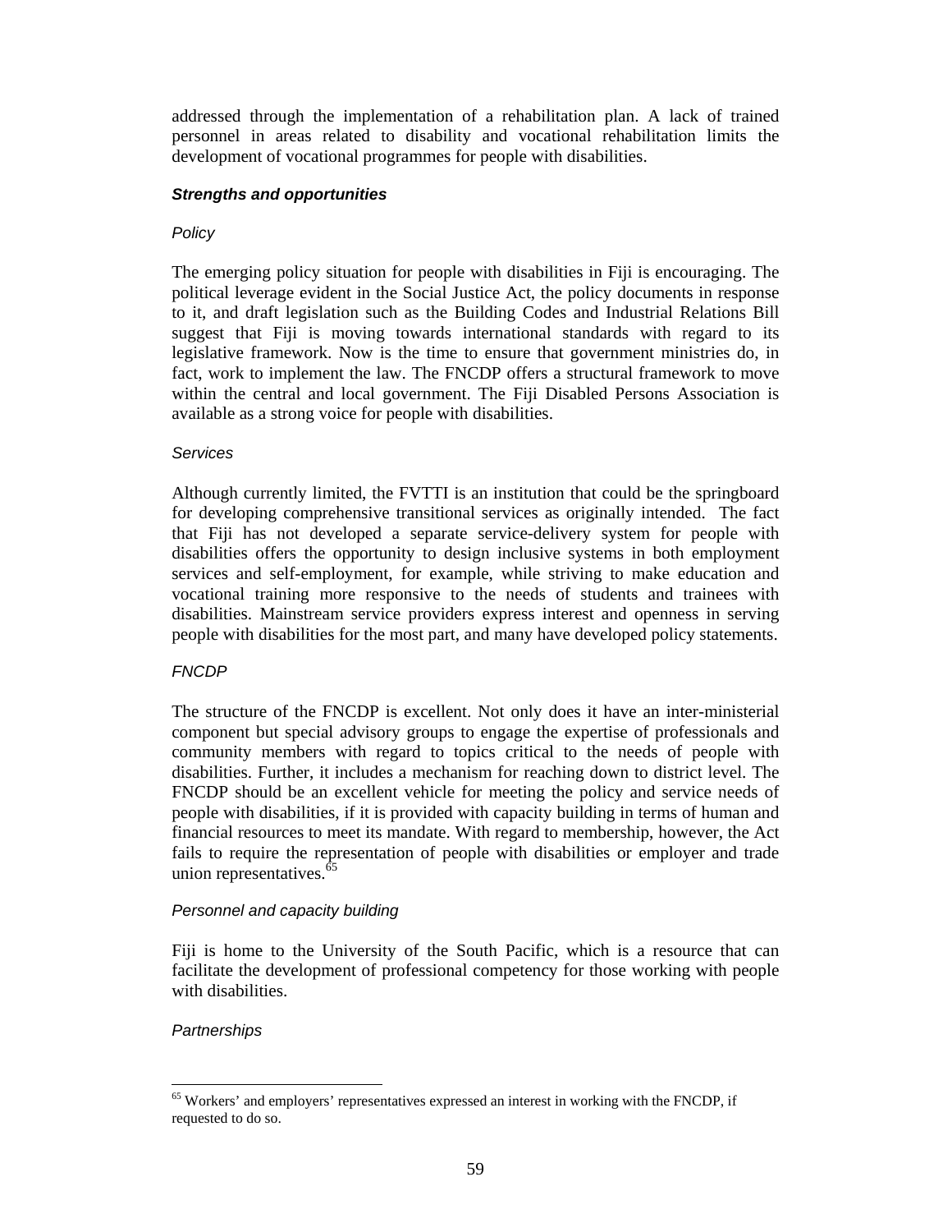addressed through the implementation of a rehabilitation plan. A lack of trained personnel in areas related to disability and vocational rehabilitation limits the development of vocational programmes for people with disabilities.

#### **Strengths and opportunities**

#### **Policy**

The emerging policy situation for people with disabilities in Fiji is encouraging. The political leverage evident in the Social Justice Act, the policy documents in response to it, and draft legislation such as the Building Codes and Industrial Relations Bill suggest that Fiji is moving towards international standards with regard to its legislative framework. Now is the time to ensure that government ministries do, in fact, work to implement the law. The FNCDP offers a structural framework to move within the central and local government. The Fiji Disabled Persons Association is available as a strong voice for people with disabilities.

#### **Services**

Although currently limited, the FVTTI is an institution that could be the springboard for developing comprehensive transitional services as originally intended. The fact that Fiji has not developed a separate service-delivery system for people with disabilities offers the opportunity to design inclusive systems in both employment services and self-employment, for example, while striving to make education and vocational training more responsive to the needs of students and trainees with disabilities. Mainstream service providers express interest and openness in serving people with disabilities for the most part, and many have developed policy statements.

## **FNCDP**

The structure of the FNCDP is excellent. Not only does it have an inter-ministerial component but special advisory groups to engage the expertise of professionals and community members with regard to topics critical to the needs of people with disabilities. Further, it includes a mechanism for reaching down to district level. The FNCDP should be an excellent vehicle for meeting the policy and service needs of people with disabilities, if it is provided with capacity building in terms of human and financial resources to meet its mandate. With regard to membership, however, the Act fails to require the representation of people with disabilities or employer and trade union representatives.<sup>65</sup>

#### Personnel and capacity building

Fiji is home to the University of the South Pacific, which is a resource that can facilitate the development of professional competency for those working with people with disabilities.

#### **Partnerships**

 $\overline{a}$ <sup>65</sup> Workers' and employers' representatives expressed an interest in working with the FNCDP, if requested to do so.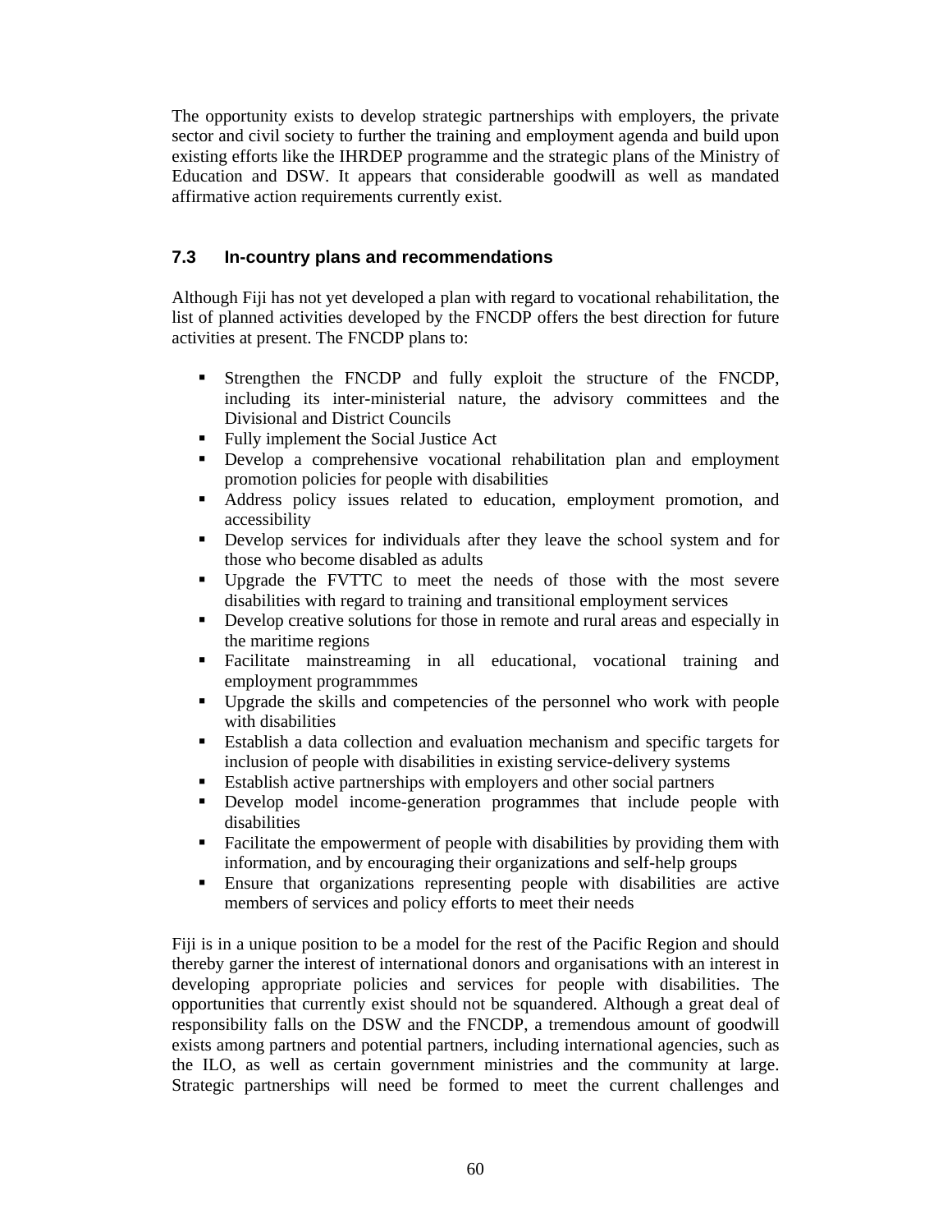The opportunity exists to develop strategic partnerships with employers, the private sector and civil society to further the training and employment agenda and build upon existing efforts like the IHRDEP programme and the strategic plans of the Ministry of Education and DSW. It appears that considerable goodwill as well as mandated affirmative action requirements currently exist.

## **7.3 In-country plans and recommendations**

Although Fiji has not yet developed a plan with regard to vocational rehabilitation, the list of planned activities developed by the FNCDP offers the best direction for future activities at present. The FNCDP plans to:

- Strengthen the FNCDP and fully exploit the structure of the FNCDP, including its inter-ministerial nature, the advisory committees and the Divisional and District Councils
- Fully implement the Social Justice Act
- Develop a comprehensive vocational rehabilitation plan and employment promotion policies for people with disabilities
- Address policy issues related to education, employment promotion, and accessibility
- Develop services for individuals after they leave the school system and for those who become disabled as adults
- Upgrade the FVTTC to meet the needs of those with the most severe disabilities with regard to training and transitional employment services
- Develop creative solutions for those in remote and rural areas and especially in the maritime regions
- Facilitate mainstreaming in all educational, vocational training and employment programmmes
- Upgrade the skills and competencies of the personnel who work with people with disabilities
- Establish a data collection and evaluation mechanism and specific targets for inclusion of people with disabilities in existing service-delivery systems
- Establish active partnerships with employers and other social partners
- Develop model income-generation programmes that include people with disabilities
- Facilitate the empowerment of people with disabilities by providing them with information, and by encouraging their organizations and self-help groups
- Ensure that organizations representing people with disabilities are active members of services and policy efforts to meet their needs

Fiji is in a unique position to be a model for the rest of the Pacific Region and should thereby garner the interest of international donors and organisations with an interest in developing appropriate policies and services for people with disabilities. The opportunities that currently exist should not be squandered. Although a great deal of responsibility falls on the DSW and the FNCDP, a tremendous amount of goodwill exists among partners and potential partners, including international agencies, such as the ILO, as well as certain government ministries and the community at large. Strategic partnerships will need be formed to meet the current challenges and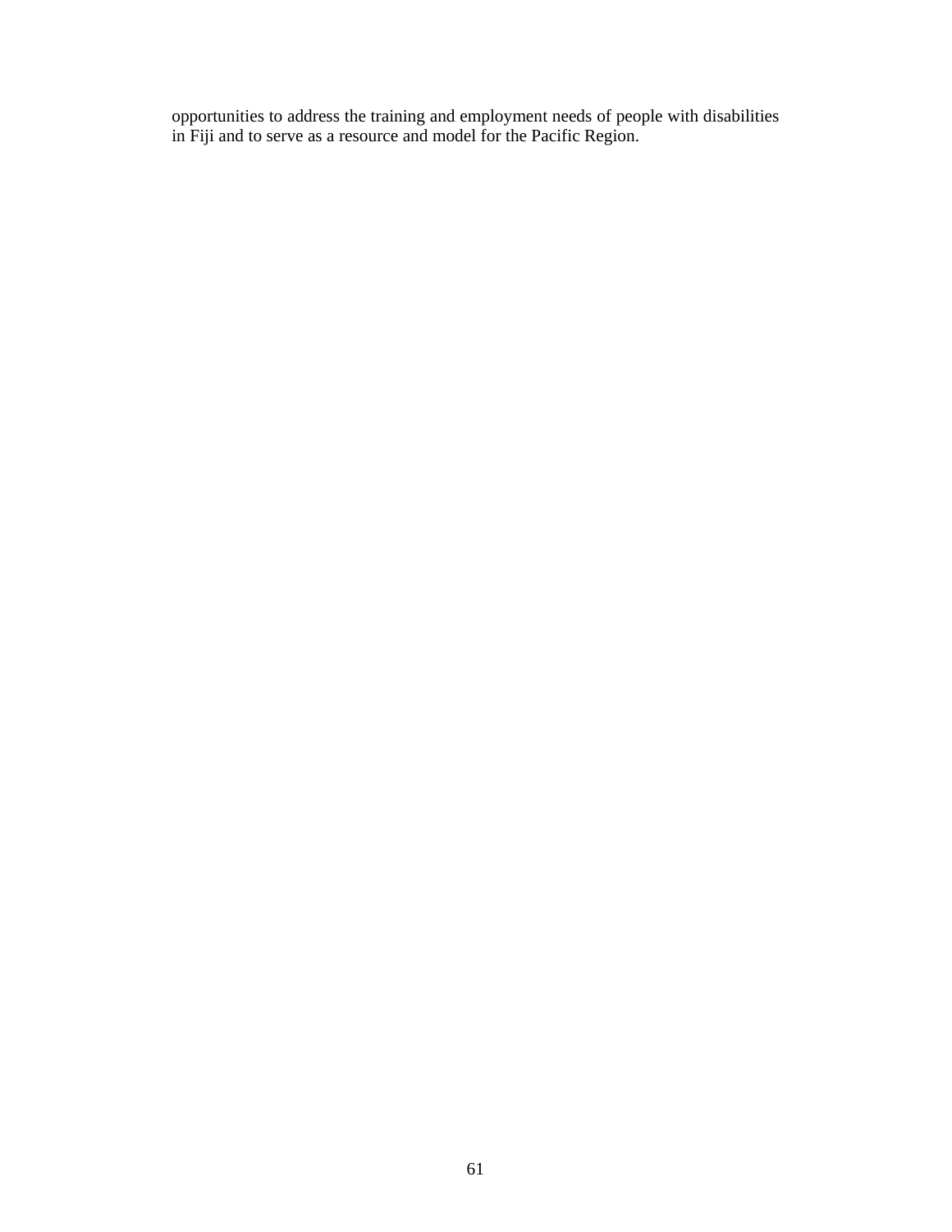opportunities to address the training and employment needs of people with disabilities in Fiji and to serve as a resource and model for the Pacific Region.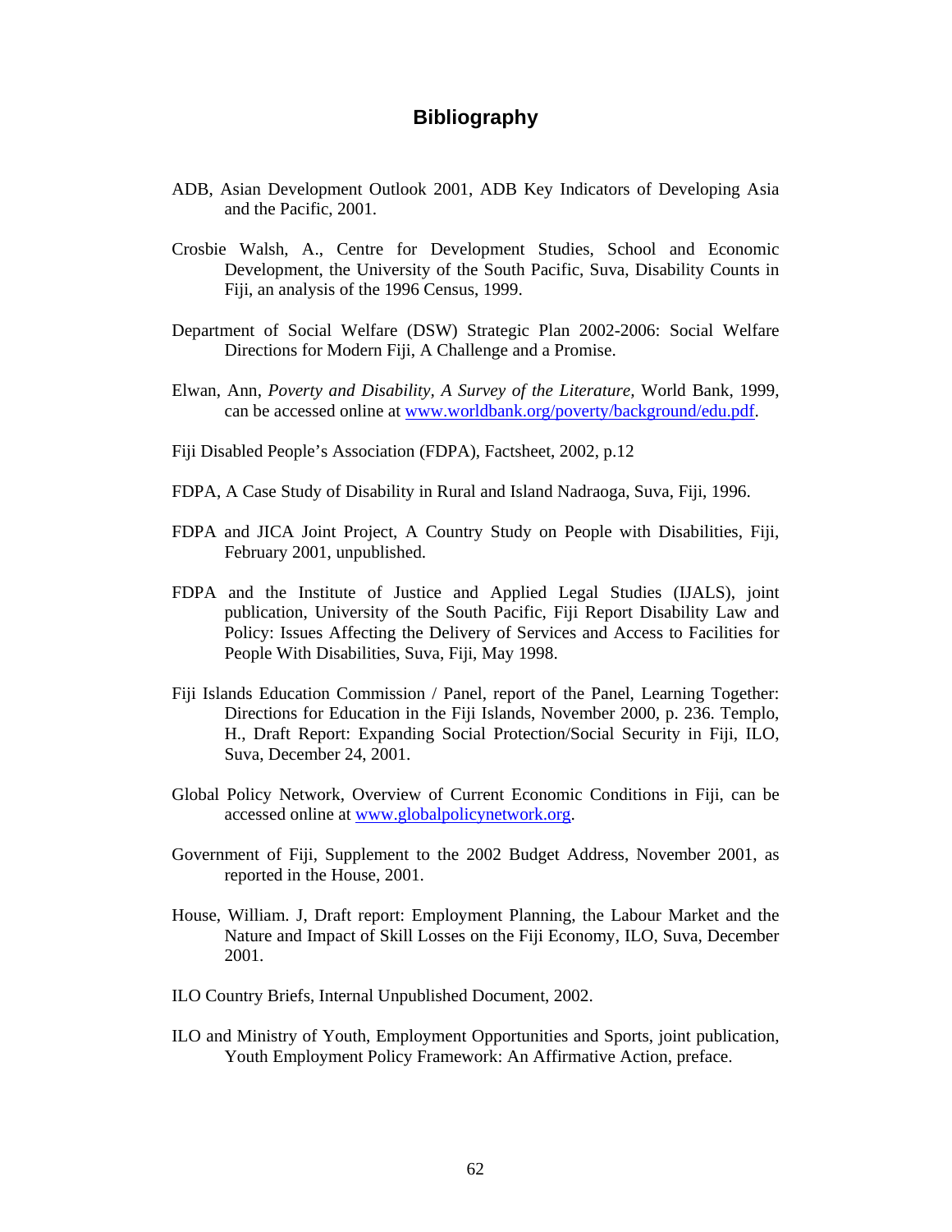## **Bibliography**

- ADB, Asian Development Outlook 2001, ADB Key Indicators of Developing Asia and the Pacific, 2001.
- Crosbie Walsh, A., Centre for Development Studies, School and Economic Development, the University of the South Pacific, Suva, Disability Counts in Fiji, an analysis of the 1996 Census, 1999.
- Department of Social Welfare (DSW) Strategic Plan 2002-2006: Social Welfare Directions for Modern Fiji, A Challenge and a Promise.
- Elwan, Ann, *Poverty and Disability, A Survey of the Literature,* World Bank, 1999, can be accessed online at www.worldbank.org/poverty/background/edu.pdf.
- Fiji Disabled People's Association (FDPA), Factsheet, 2002, p.12
- FDPA, A Case Study of Disability in Rural and Island Nadraoga, Suva, Fiji, 1996.
- FDPA and JICA Joint Project, A Country Study on People with Disabilities, Fiji, February 2001, unpublished.
- FDPA and the Institute of Justice and Applied Legal Studies (IJALS), joint publication, University of the South Pacific, Fiji Report Disability Law and Policy: Issues Affecting the Delivery of Services and Access to Facilities for People With Disabilities, Suva, Fiji, May 1998.
- Fiji Islands Education Commission / Panel, report of the Panel, Learning Together: Directions for Education in the Fiji Islands, November 2000, p. 236. Templo, H., Draft Report: Expanding Social Protection/Social Security in Fiji, ILO, Suva, December 24, 2001.
- Global Policy Network, Overview of Current Economic Conditions in Fiji, can be accessed online at www.globalpolicynetwork.org.
- Government of Fiji, Supplement to the 2002 Budget Address, November 2001, as reported in the House, 2001.
- House, William. J, Draft report: Employment Planning, the Labour Market and the Nature and Impact of Skill Losses on the Fiji Economy, ILO, Suva, December 2001.
- ILO Country Briefs, Internal Unpublished Document, 2002.
- ILO and Ministry of Youth, Employment Opportunities and Sports, joint publication, Youth Employment Policy Framework: An Affirmative Action, preface.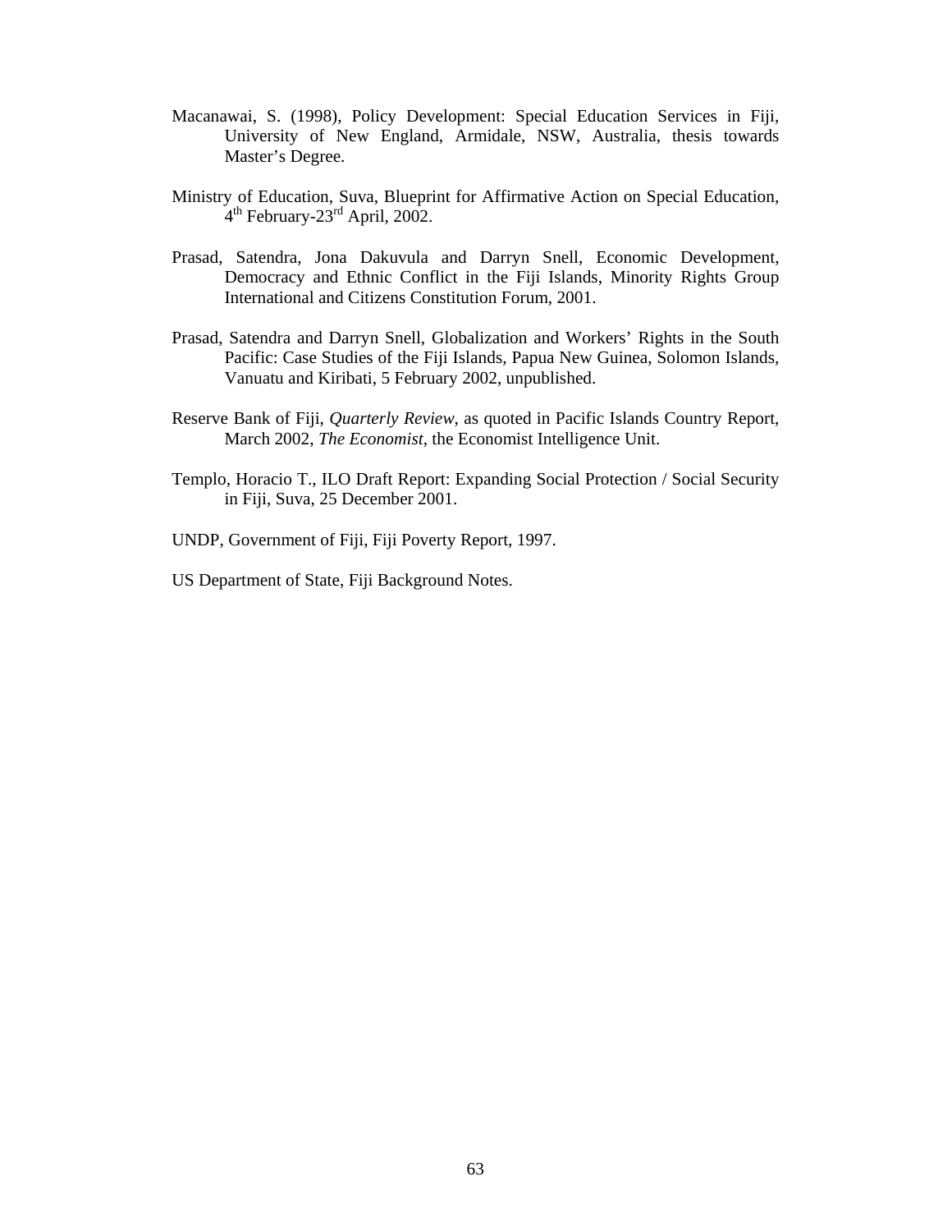- Macanawai, S. (1998), Policy Development: Special Education Services in Fiji, University of New England, Armidale, NSW, Australia, thesis towards Master's Degree.
- Ministry of Education, Suva, Blueprint for Affirmative Action on Special Education,  $4<sup>th</sup>$  February-23<sup>rd</sup> April, 2002.
- Prasad, Satendra, Jona Dakuvula and Darryn Snell, Economic Development, Democracy and Ethnic Conflict in the Fiji Islands, Minority Rights Group International and Citizens Constitution Forum, 2001.
- Prasad, Satendra and Darryn Snell, Globalization and Workers' Rights in the South Pacific: Case Studies of the Fiji Islands, Papua New Guinea, Solomon Islands, Vanuatu and Kiribati, 5 February 2002, unpublished.
- Reserve Bank of Fiji, *Quarterly Review*, as quoted in Pacific Islands Country Report, March 2002, *The Economist*, the Economist Intelligence Unit.
- Templo, Horacio T., ILO Draft Report: Expanding Social Protection / Social Security in Fiji, Suva, 25 December 2001.
- UNDP, Government of Fiji, Fiji Poverty Report, 1997.
- US Department of State, Fiji Background Notes.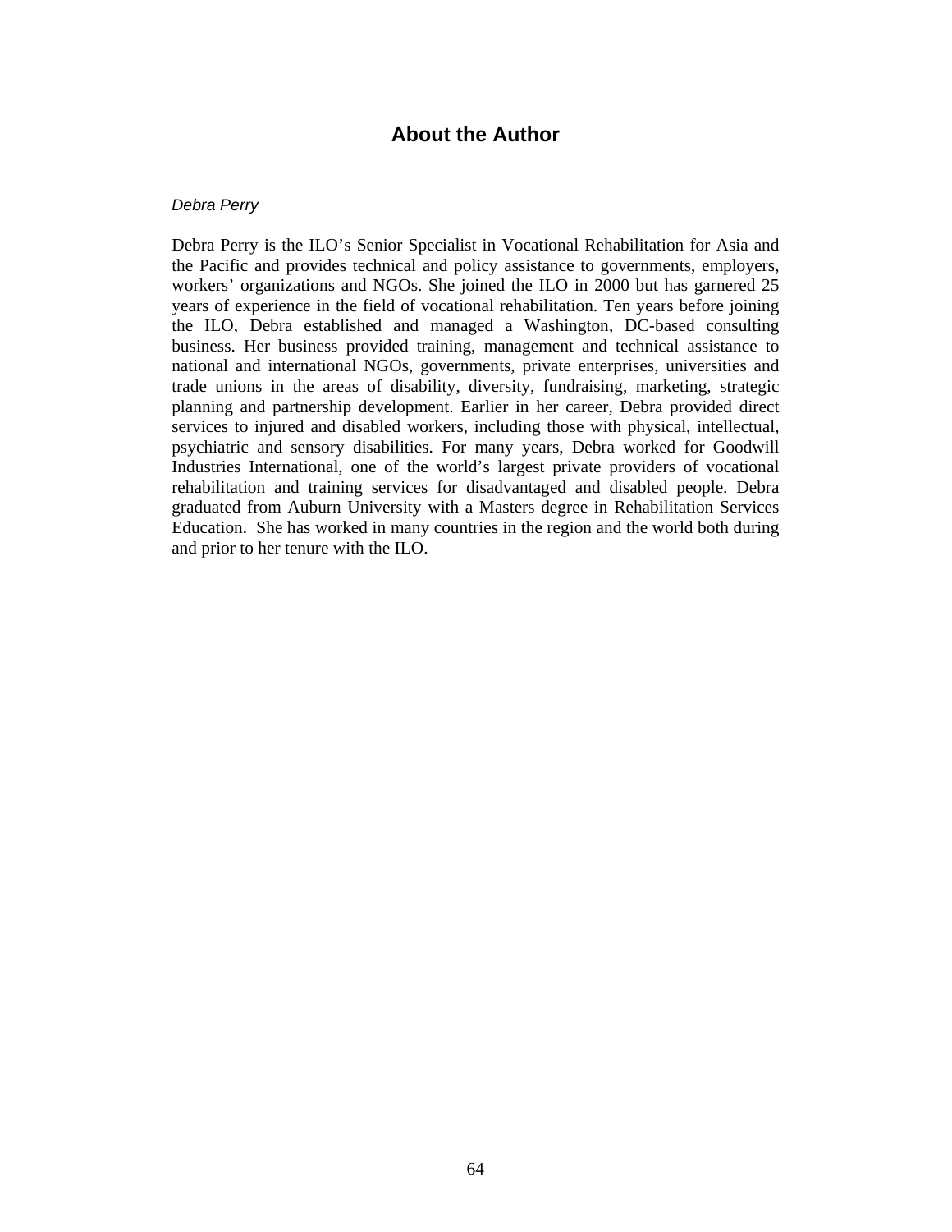#### **About the Author**

#### Debra Perry

Debra Perry is the ILO's Senior Specialist in Vocational Rehabilitation for Asia and the Pacific and provides technical and policy assistance to governments, employers, workers' organizations and NGOs. She joined the ILO in 2000 but has garnered 25 years of experience in the field of vocational rehabilitation. Ten years before joining the ILO, Debra established and managed a Washington, DC-based consulting business. Her business provided training, management and technical assistance to national and international NGOs, governments, private enterprises, universities and trade unions in the areas of disability, diversity, fundraising, marketing, strategic planning and partnership development. Earlier in her career, Debra provided direct services to injured and disabled workers, including those with physical, intellectual, psychiatric and sensory disabilities. For many years, Debra worked for Goodwill Industries International, one of the world's largest private providers of vocational rehabilitation and training services for disadvantaged and disabled people. Debra graduated from Auburn University with a Masters degree in Rehabilitation Services Education. She has worked in many countries in the region and the world both during and prior to her tenure with the ILO.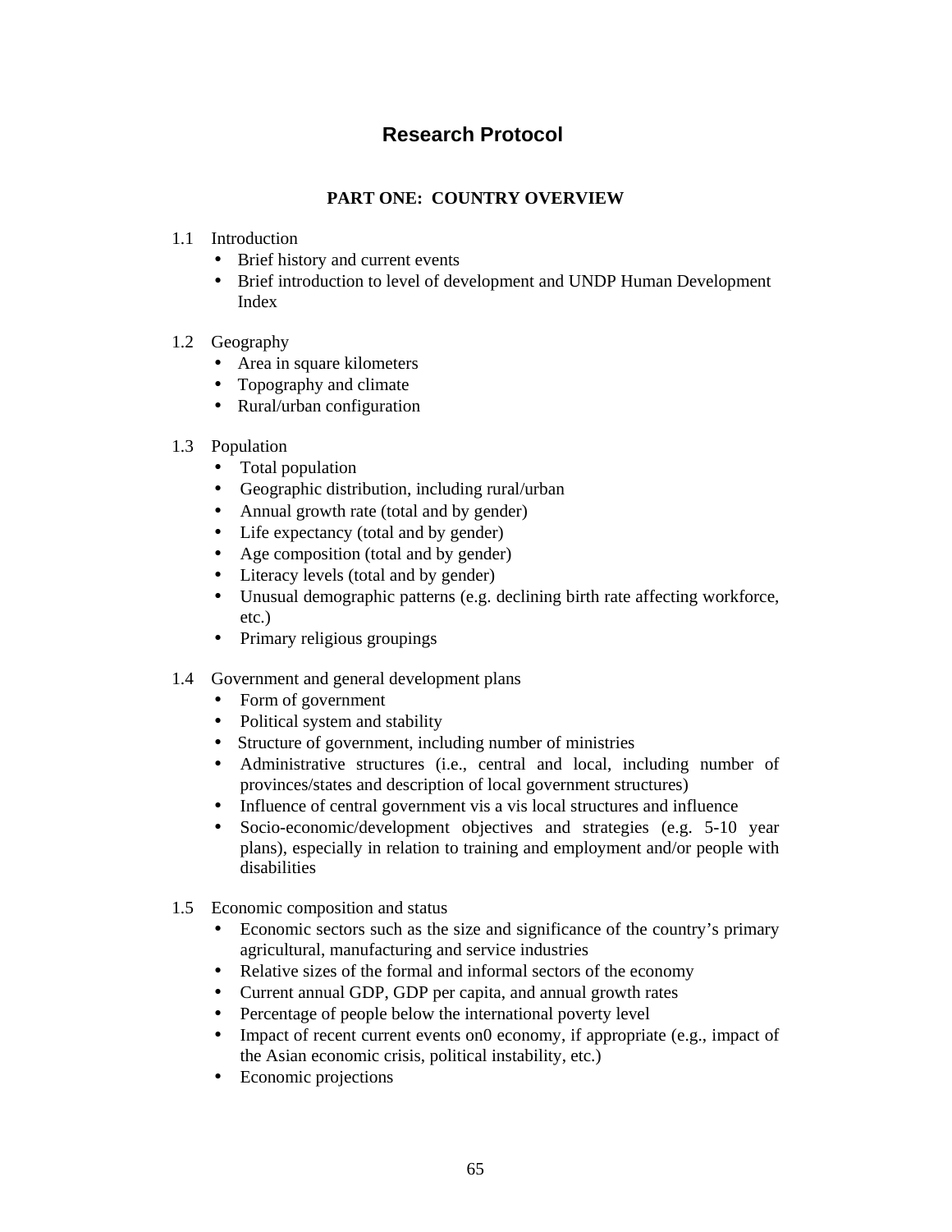## **Research Protocol**

### **PART ONE: COUNTRY OVERVIEW**

- 1.1 Introduction
	- Brief history and current events
	- Brief introduction to level of development and UNDP Human Development Index
- 1.2 Geography
	- Area in square kilometers
	- Topography and climate
	- Rural/urban configuration
- 1.3 Population
	- Total population
	- Geographic distribution, including rural/urban
	- Annual growth rate (total and by gender)
	- Life expectancy (total and by gender)
	- Age composition (total and by gender)
	- Literacy levels (total and by gender)
	- Unusual demographic patterns (e.g. declining birth rate affecting workforce, etc.)
	- Primary religious groupings
- 1.4 Government and general development plans
	- Form of government
	- Political system and stability
	- Structure of government, including number of ministries
	- Administrative structures (i.e., central and local, including number of provinces/states and description of local government structures)
	- Influence of central government vis a vis local structures and influence
	- Socio-economic/development objectives and strategies (e.g. 5-10 year plans), especially in relation to training and employment and/or people with disabilities
- 1.5 Economic composition and status
	- Economic sectors such as the size and significance of the country's primary agricultural, manufacturing and service industries
	- Relative sizes of the formal and informal sectors of the economy
	- Current annual GDP, GDP per capita, and annual growth rates
	- Percentage of people below the international poverty level
	- Impact of recent current events on0 economy, if appropriate (e.g., impact of the Asian economic crisis, political instability, etc.)
	- Economic projections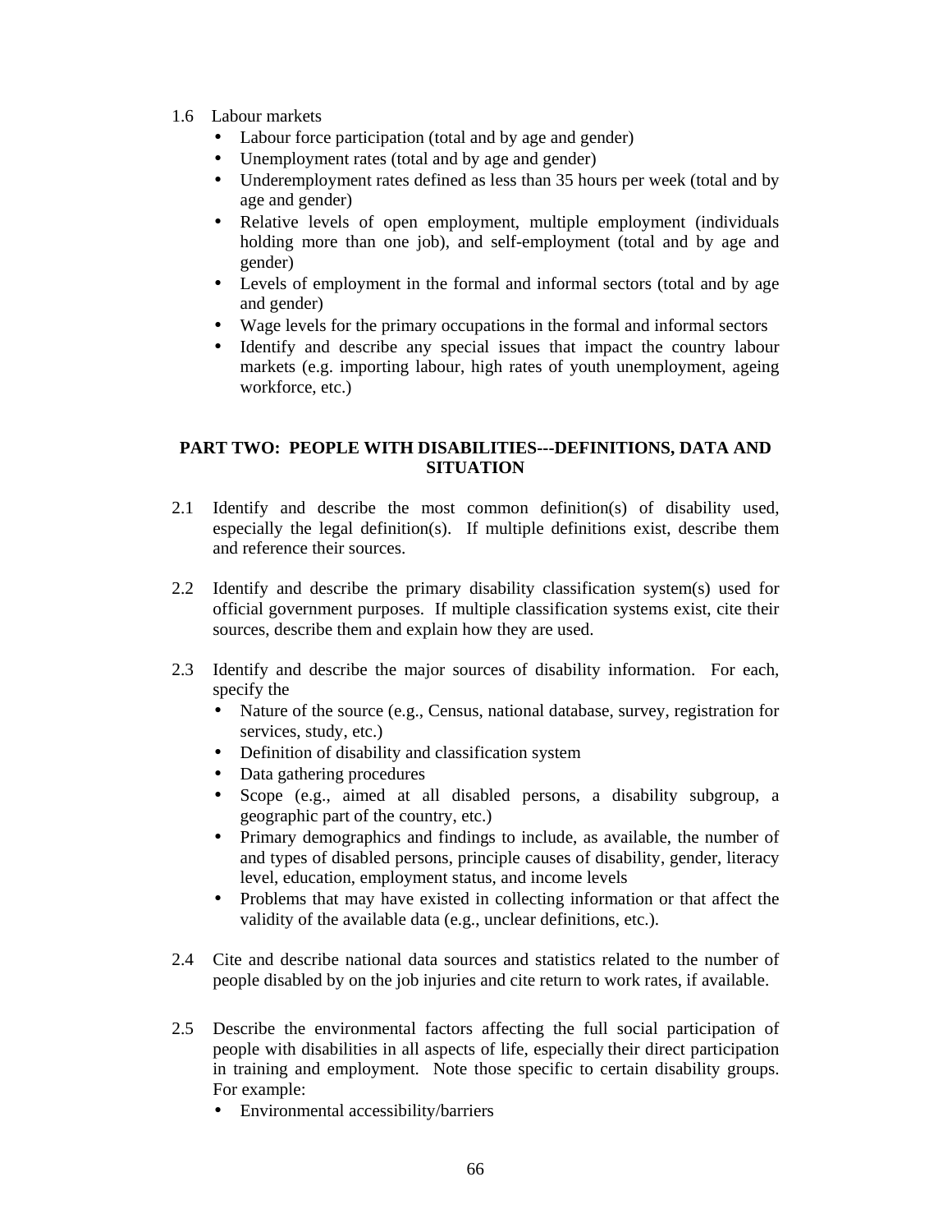- 1.6 Labour markets
	- Labour force participation (total and by age and gender)
	- Unemployment rates (total and by age and gender)
	- Underemployment rates defined as less than 35 hours per week (total and by age and gender)
	- Relative levels of open employment, multiple employment (individuals holding more than one job), and self-employment (total and by age and gender)
	- Levels of employment in the formal and informal sectors (total and by age and gender)
	- Wage levels for the primary occupations in the formal and informal sectors
	- Identify and describe any special issues that impact the country labour markets (e.g. importing labour, high rates of youth unemployment, ageing workforce, etc.)

#### **PART TWO: PEOPLE WITH DISABILITIES---DEFINITIONS, DATA AND SITUATION**

- 2.1 Identify and describe the most common definition(s) of disability used, especially the legal definition(s). If multiple definitions exist, describe them and reference their sources.
- 2.2 Identify and describe the primary disability classification system(s) used for official government purposes. If multiple classification systems exist, cite their sources, describe them and explain how they are used.
- 2.3 Identify and describe the major sources of disability information. For each, specify the
	- Nature of the source (e.g., Census, national database, survey, registration for services, study, etc.)
	- Definition of disability and classification system
	- Data gathering procedures
	- Scope (e.g., aimed at all disabled persons, a disability subgroup, a geographic part of the country, etc.)
	- Primary demographics and findings to include, as available, the number of and types of disabled persons, principle causes of disability, gender, literacy level, education, employment status, and income levels
	- Problems that may have existed in collecting information or that affect the validity of the available data (e.g., unclear definitions, etc.).
- 2.4 Cite and describe national data sources and statistics related to the number of people disabled by on the job injuries and cite return to work rates, if available.
- 2.5 Describe the environmental factors affecting the full social participation of people with disabilities in all aspects of life, especially their direct participation in training and employment. Note those specific to certain disability groups. For example:
	- Environmental accessibility/barriers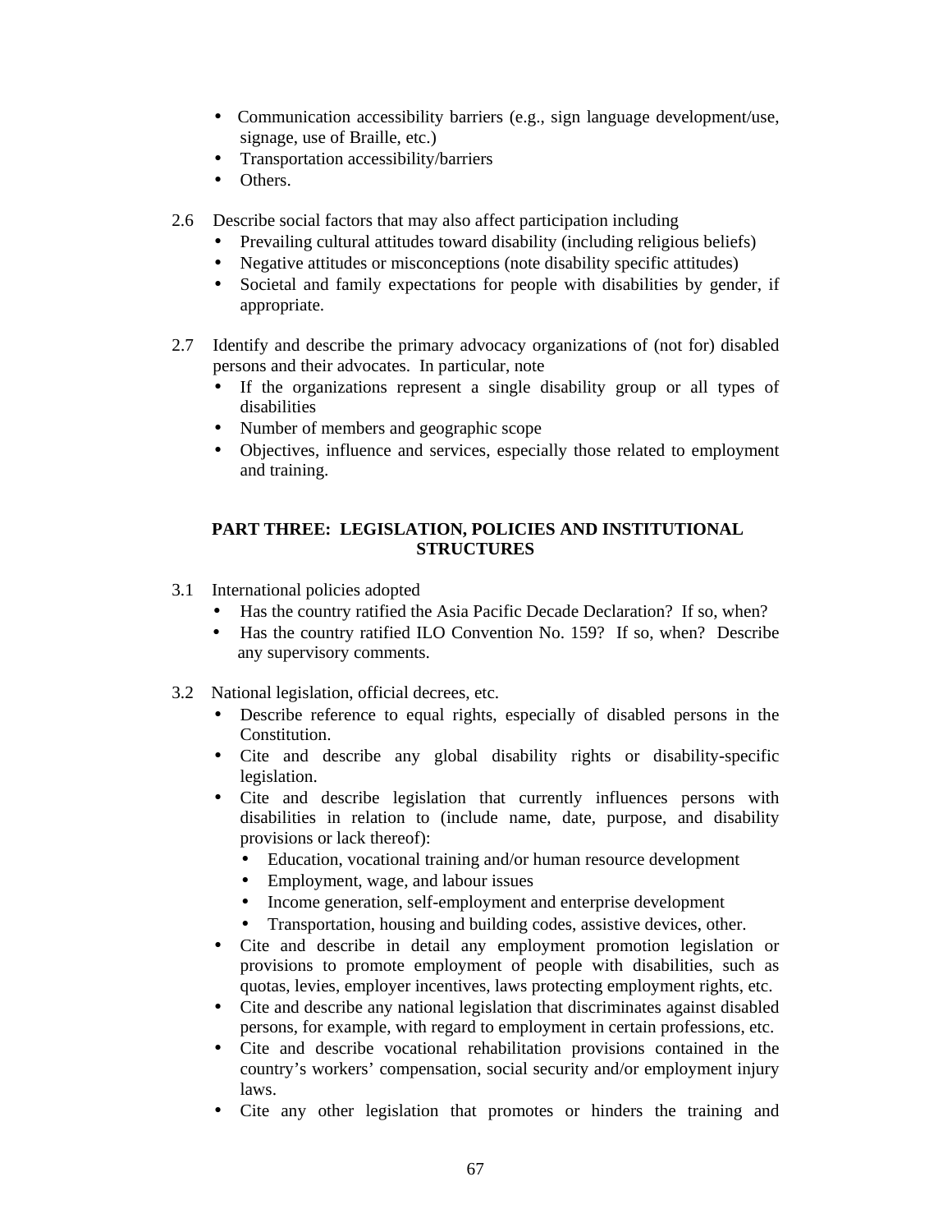- Communication accessibility barriers (e.g., sign language development/use, signage, use of Braille, etc.)
- Transportation accessibility/barriers
- Others.
- 2.6 Describe social factors that may also affect participation including
	- Prevailing cultural attitudes toward disability (including religious beliefs)
	- Negative attitudes or misconceptions (note disability specific attitudes)
	- Societal and family expectations for people with disabilities by gender, if appropriate.
- 2.7 Identify and describe the primary advocacy organizations of (not for) disabled persons and their advocates. In particular, note
	- If the organizations represent a single disability group or all types of disabilities
	- Number of members and geographic scope
	- Objectives, influence and services, especially those related to employment and training.

#### **PART THREE: LEGISLATION, POLICIES AND INSTITUTIONAL STRUCTURES**

- 3.1 International policies adopted
	- Has the country ratified the Asia Pacific Decade Declaration? If so, when?
	- Has the country ratified ILO Convention No. 159? If so, when? Describe any supervisory comments.
- 3.2 National legislation, official decrees, etc.
	- Describe reference to equal rights, especially of disabled persons in the Constitution.
	- Cite and describe any global disability rights or disability-specific legislation.
	- Cite and describe legislation that currently influences persons with disabilities in relation to (include name, date, purpose, and disability provisions or lack thereof):
		- Education, vocational training and/or human resource development
		- Employment, wage, and labour issues
		- Income generation, self-employment and enterprise development
		- Transportation, housing and building codes, assistive devices, other.
	- Cite and describe in detail any employment promotion legislation or provisions to promote employment of people with disabilities, such as quotas, levies, employer incentives, laws protecting employment rights, etc.
	- Cite and describe any national legislation that discriminates against disabled persons, for example, with regard to employment in certain professions, etc.
	- Cite and describe vocational rehabilitation provisions contained in the country's workers' compensation, social security and/or employment injury laws.
	- Cite any other legislation that promotes or hinders the training and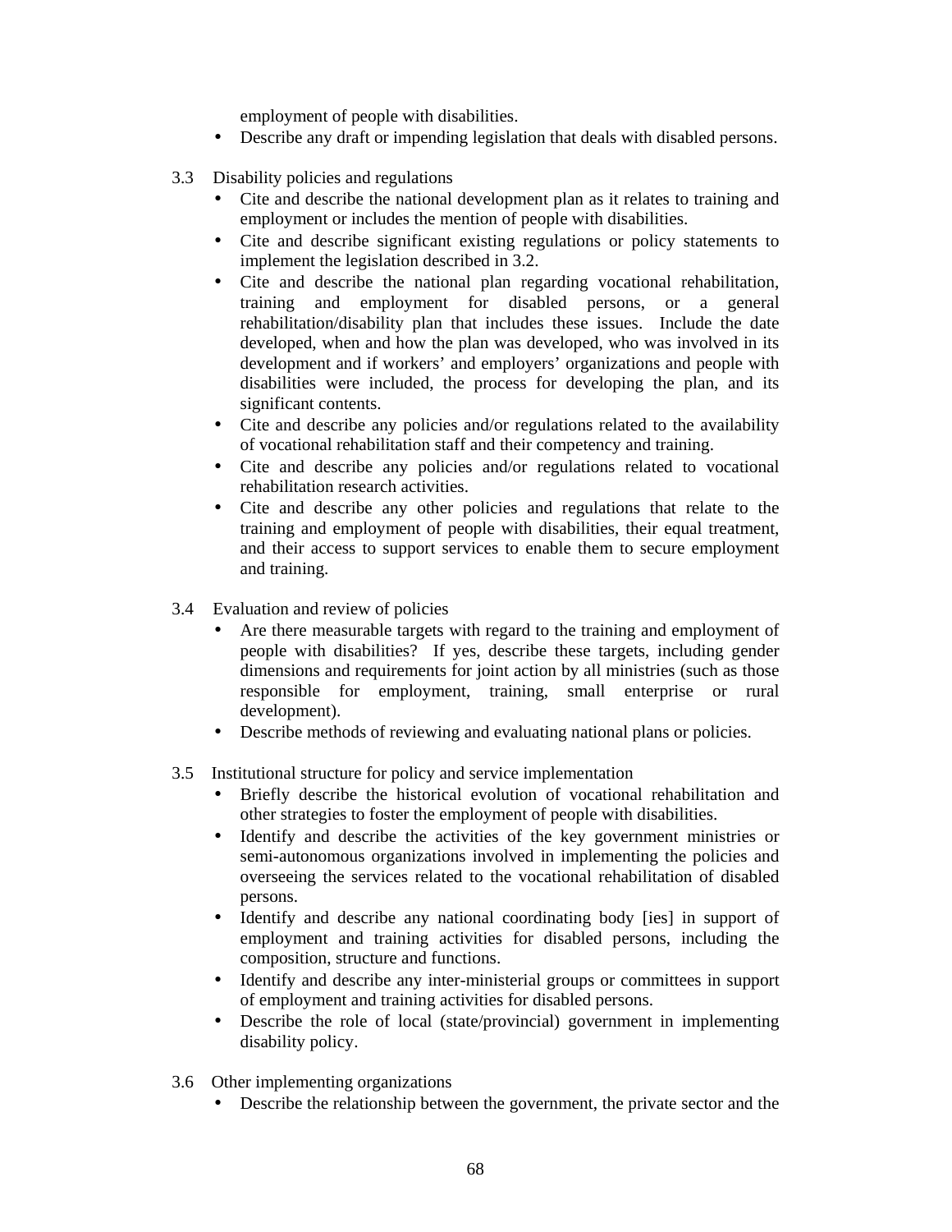employment of people with disabilities.

- Describe any draft or impending legislation that deals with disabled persons.
- 3.3 Disability policies and regulations
	- Cite and describe the national development plan as it relates to training and employment or includes the mention of people with disabilities.
	- Cite and describe significant existing regulations or policy statements to implement the legislation described in 3.2.
	- Cite and describe the national plan regarding vocational rehabilitation, training and employment for disabled persons, or a general rehabilitation/disability plan that includes these issues. Include the date developed, when and how the plan was developed, who was involved in its development and if workers' and employers' organizations and people with disabilities were included, the process for developing the plan, and its significant contents.
	- Cite and describe any policies and/or regulations related to the availability of vocational rehabilitation staff and their competency and training.
	- Cite and describe any policies and/or regulations related to vocational rehabilitation research activities.
	- Cite and describe any other policies and regulations that relate to the training and employment of people with disabilities, their equal treatment, and their access to support services to enable them to secure employment and training.
- 3.4 Evaluation and review of policies
	- Are there measurable targets with regard to the training and employment of people with disabilities? If yes, describe these targets, including gender dimensions and requirements for joint action by all ministries (such as those responsible for employment, training, small enterprise or rural development).
	- Describe methods of reviewing and evaluating national plans or policies.
- 3.5 Institutional structure for policy and service implementation
	- Briefly describe the historical evolution of vocational rehabilitation and other strategies to foster the employment of people with disabilities.
	- Identify and describe the activities of the key government ministries or semi-autonomous organizations involved in implementing the policies and overseeing the services related to the vocational rehabilitation of disabled persons.
	- Identify and describe any national coordinating body [ies] in support of employment and training activities for disabled persons, including the composition, structure and functions.
	- Identify and describe any inter-ministerial groups or committees in support of employment and training activities for disabled persons.
	- Describe the role of local (state/provincial) government in implementing disability policy.
- 3.6 Other implementing organizations
	- Describe the relationship between the government, the private sector and the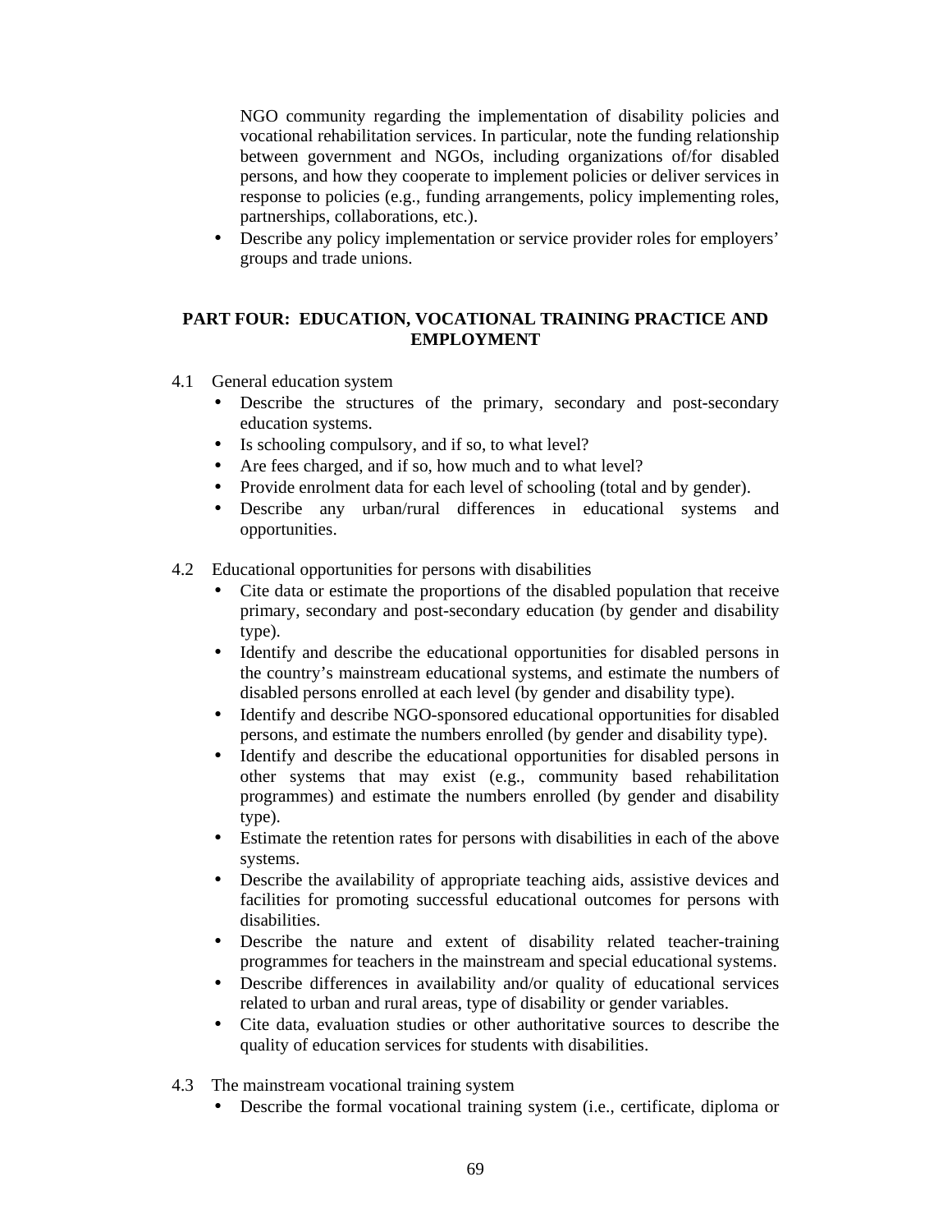NGO community regarding the implementation of disability policies and vocational rehabilitation services. In particular, note the funding relationship between government and NGOs, including organizations of/for disabled persons, and how they cooperate to implement policies or deliver services in response to policies (e.g., funding arrangements, policy implementing roles, partnerships, collaborations, etc.).

• Describe any policy implementation or service provider roles for employers' groups and trade unions.

#### **PART FOUR: EDUCATION, VOCATIONAL TRAINING PRACTICE AND EMPLOYMENT**

- 4.1 General education system
	- Describe the structures of the primary, secondary and post-secondary education systems.
	- Is schooling compulsory, and if so, to what level?
	- Are fees charged, and if so, how much and to what level?
	- Provide enrolment data for each level of schooling (total and by gender).
	- Describe any urban/rural differences in educational systems and opportunities.
- 4.2 Educational opportunities for persons with disabilities
	- Cite data or estimate the proportions of the disabled population that receive primary, secondary and post-secondary education (by gender and disability type).
	- Identify and describe the educational opportunities for disabled persons in the country's mainstream educational systems, and estimate the numbers of disabled persons enrolled at each level (by gender and disability type).
	- Identify and describe NGO-sponsored educational opportunities for disabled persons, and estimate the numbers enrolled (by gender and disability type).
	- Identify and describe the educational opportunities for disabled persons in other systems that may exist (e.g., community based rehabilitation programmes) and estimate the numbers enrolled (by gender and disability type).
	- Estimate the retention rates for persons with disabilities in each of the above systems.
	- Describe the availability of appropriate teaching aids, assistive devices and facilities for promoting successful educational outcomes for persons with disabilities.
	- Describe the nature and extent of disability related teacher-training programmes for teachers in the mainstream and special educational systems.
	- Describe differences in availability and/or quality of educational services related to urban and rural areas, type of disability or gender variables.
	- Cite data, evaluation studies or other authoritative sources to describe the quality of education services for students with disabilities.
- 4.3 The mainstream vocational training system
	- Describe the formal vocational training system (i.e., certificate, diploma or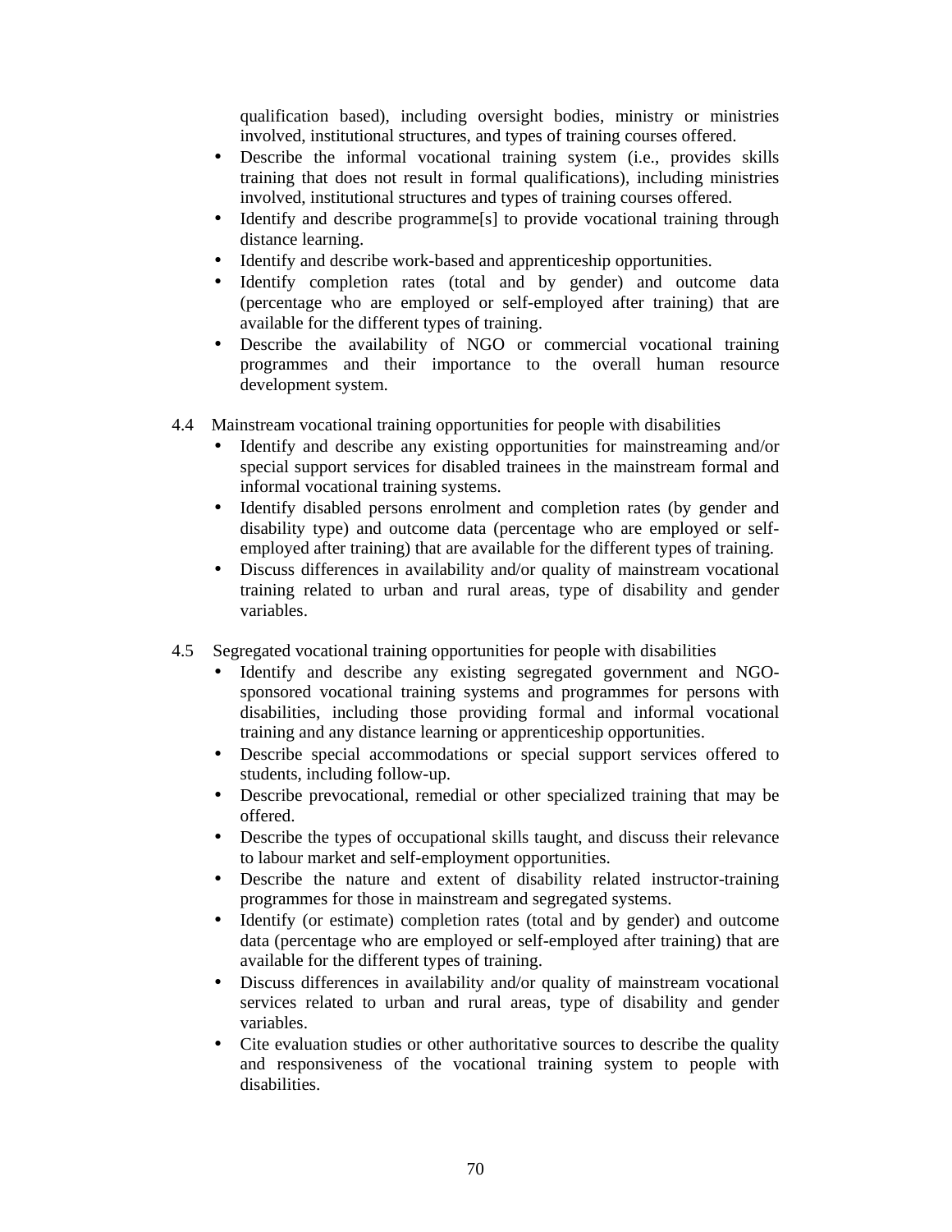qualification based), including oversight bodies, ministry or ministries involved, institutional structures, and types of training courses offered.

- Describe the informal vocational training system (i.e., provides skills training that does not result in formal qualifications), including ministries involved, institutional structures and types of training courses offered.
- Identify and describe programme<sup>[s]</sup> to provide vocational training through distance learning.
- Identify and describe work-based and apprenticeship opportunities.
- Identify completion rates (total and by gender) and outcome data (percentage who are employed or self-employed after training) that are available for the different types of training.
- Describe the availability of NGO or commercial vocational training programmes and their importance to the overall human resource development system.
- 4.4 Mainstream vocational training opportunities for people with disabilities
	- Identify and describe any existing opportunities for mainstreaming and/or special support services for disabled trainees in the mainstream formal and informal vocational training systems.
	- Identify disabled persons enrolment and completion rates (by gender and disability type) and outcome data (percentage who are employed or selfemployed after training) that are available for the different types of training.
	- Discuss differences in availability and/or quality of mainstream vocational training related to urban and rural areas, type of disability and gender variables.
- 4.5 Segregated vocational training opportunities for people with disabilities
	- Identify and describe any existing segregated government and NGOsponsored vocational training systems and programmes for persons with disabilities, including those providing formal and informal vocational training and any distance learning or apprenticeship opportunities.
	- Describe special accommodations or special support services offered to students, including follow-up.
	- Describe prevocational, remedial or other specialized training that may be offered.
	- Describe the types of occupational skills taught, and discuss their relevance to labour market and self-employment opportunities.
	- Describe the nature and extent of disability related instructor-training programmes for those in mainstream and segregated systems.
	- Identify (or estimate) completion rates (total and by gender) and outcome data (percentage who are employed or self-employed after training) that are available for the different types of training.
	- Discuss differences in availability and/or quality of mainstream vocational services related to urban and rural areas, type of disability and gender variables.
	- Cite evaluation studies or other authoritative sources to describe the quality and responsiveness of the vocational training system to people with disabilities.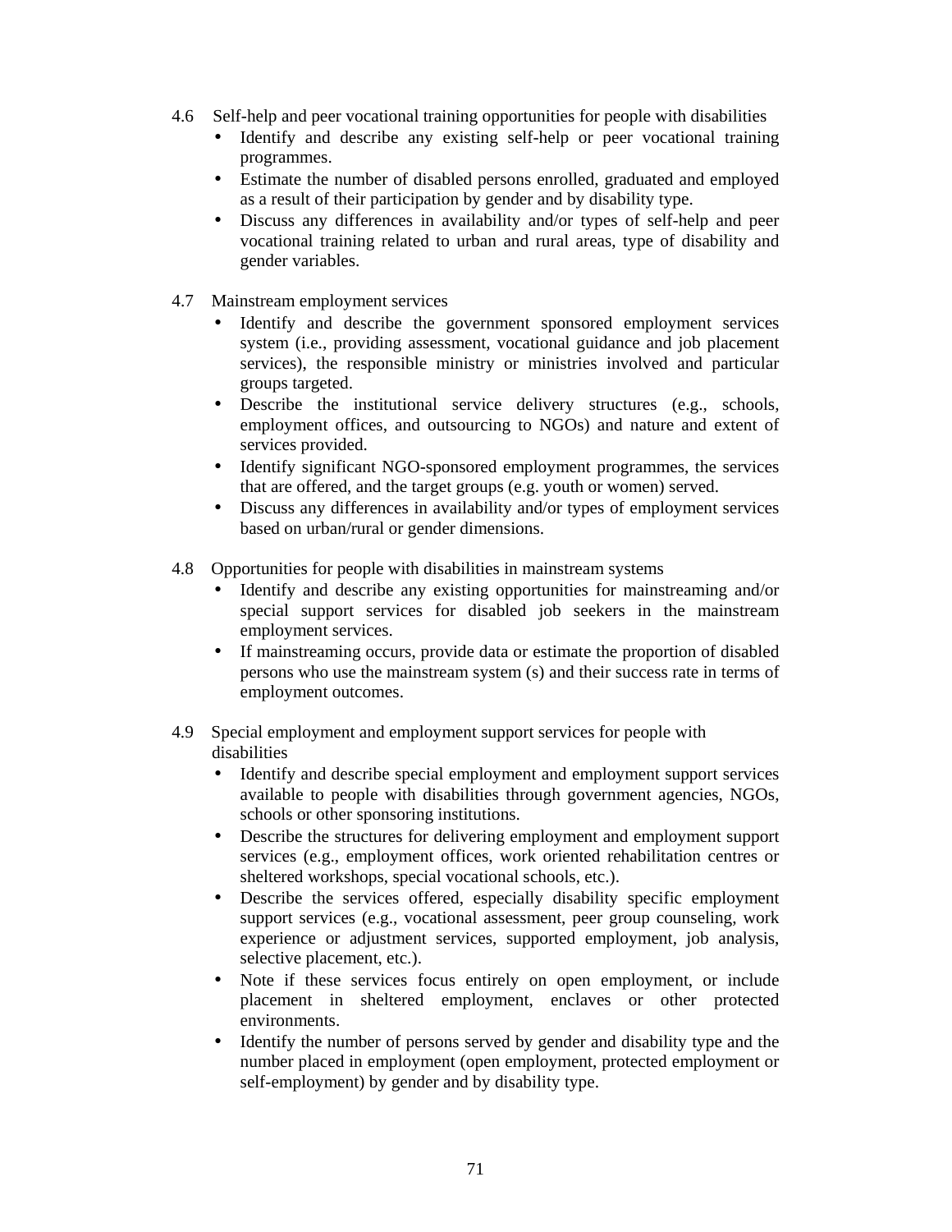- 4.6 Self-help and peer vocational training opportunities for people with disabilities
	- Identify and describe any existing self-help or peer vocational training programmes.
	- Estimate the number of disabled persons enrolled, graduated and employed as a result of their participation by gender and by disability type.
	- Discuss any differences in availability and/or types of self-help and peer vocational training related to urban and rural areas, type of disability and gender variables.
- 4.7 Mainstream employment services
	- Identify and describe the government sponsored employment services system (i.e., providing assessment, vocational guidance and job placement services), the responsible ministry or ministries involved and particular groups targeted.
	- Describe the institutional service delivery structures (e.g., schools, employment offices, and outsourcing to NGOs) and nature and extent of services provided.
	- Identify significant NGO-sponsored employment programmes, the services that are offered, and the target groups (e.g. youth or women) served.
	- Discuss any differences in availability and/or types of employment services based on urban/rural or gender dimensions.
- 4.8 Opportunities for people with disabilities in mainstream systems
	- Identify and describe any existing opportunities for mainstreaming and/or special support services for disabled job seekers in the mainstream employment services.
	- If mainstreaming occurs, provide data or estimate the proportion of disabled persons who use the mainstream system (s) and their success rate in terms of employment outcomes.
- 4.9 Special employment and employment support services for people with disabilities
	- Identify and describe special employment and employment support services available to people with disabilities through government agencies, NGOs, schools or other sponsoring institutions.
	- Describe the structures for delivering employment and employment support services (e.g., employment offices, work oriented rehabilitation centres or sheltered workshops, special vocational schools, etc.).
	- Describe the services offered, especially disability specific employment support services (e.g., vocational assessment, peer group counseling, work experience or adjustment services, supported employment, job analysis, selective placement, etc.).
	- Note if these services focus entirely on open employment, or include placement in sheltered employment, enclaves or other protected environments.
	- Identify the number of persons served by gender and disability type and the number placed in employment (open employment, protected employment or self-employment) by gender and by disability type.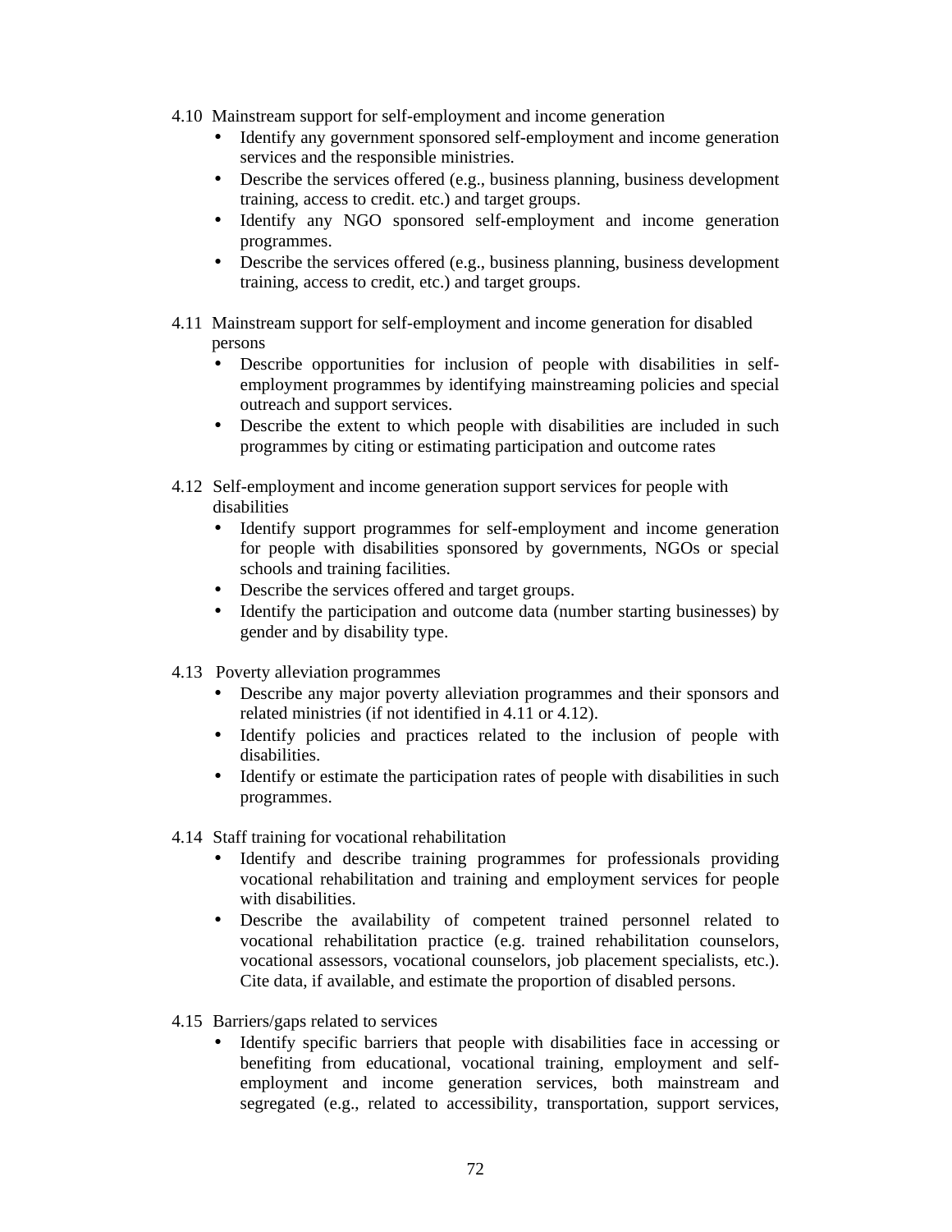- 4.10 Mainstream support for self-employment and income generation
	- Identify any government sponsored self-employment and income generation services and the responsible ministries.
	- Describe the services offered (e.g., business planning, business development training, access to credit. etc.) and target groups.
	- Identify any NGO sponsored self-employment and income generation programmes.
	- Describe the services offered (e.g., business planning, business development training, access to credit, etc.) and target groups.
- 4.11 Mainstream support for self-employment and income generation for disabled persons
	- Describe opportunities for inclusion of people with disabilities in selfemployment programmes by identifying mainstreaming policies and special outreach and support services.
	- Describe the extent to which people with disabilities are included in such programmes by citing or estimating participation and outcome rates
- 4.12 Self-employment and income generation support services for people with disabilities
	- Identify support programmes for self-employment and income generation for people with disabilities sponsored by governments, NGOs or special schools and training facilities.
	- Describe the services offered and target groups.
	- Identify the participation and outcome data (number starting businesses) by gender and by disability type.
- 4.13 Poverty alleviation programmes
	- Describe any major poverty alleviation programmes and their sponsors and related ministries (if not identified in 4.11 or 4.12).
	- Identify policies and practices related to the inclusion of people with disabilities.
	- Identify or estimate the participation rates of people with disabilities in such programmes.
- 4.14 Staff training for vocational rehabilitation
	- Identify and describe training programmes for professionals providing vocational rehabilitation and training and employment services for people with disabilities.
	- Describe the availability of competent trained personnel related to vocational rehabilitation practice (e.g. trained rehabilitation counselors, vocational assessors, vocational counselors, job placement specialists, etc.). Cite data, if available, and estimate the proportion of disabled persons.
- 4.15 Barriers/gaps related to services
	- Identify specific barriers that people with disabilities face in accessing or benefiting from educational, vocational training, employment and selfemployment and income generation services, both mainstream and segregated (e.g., related to accessibility, transportation, support services,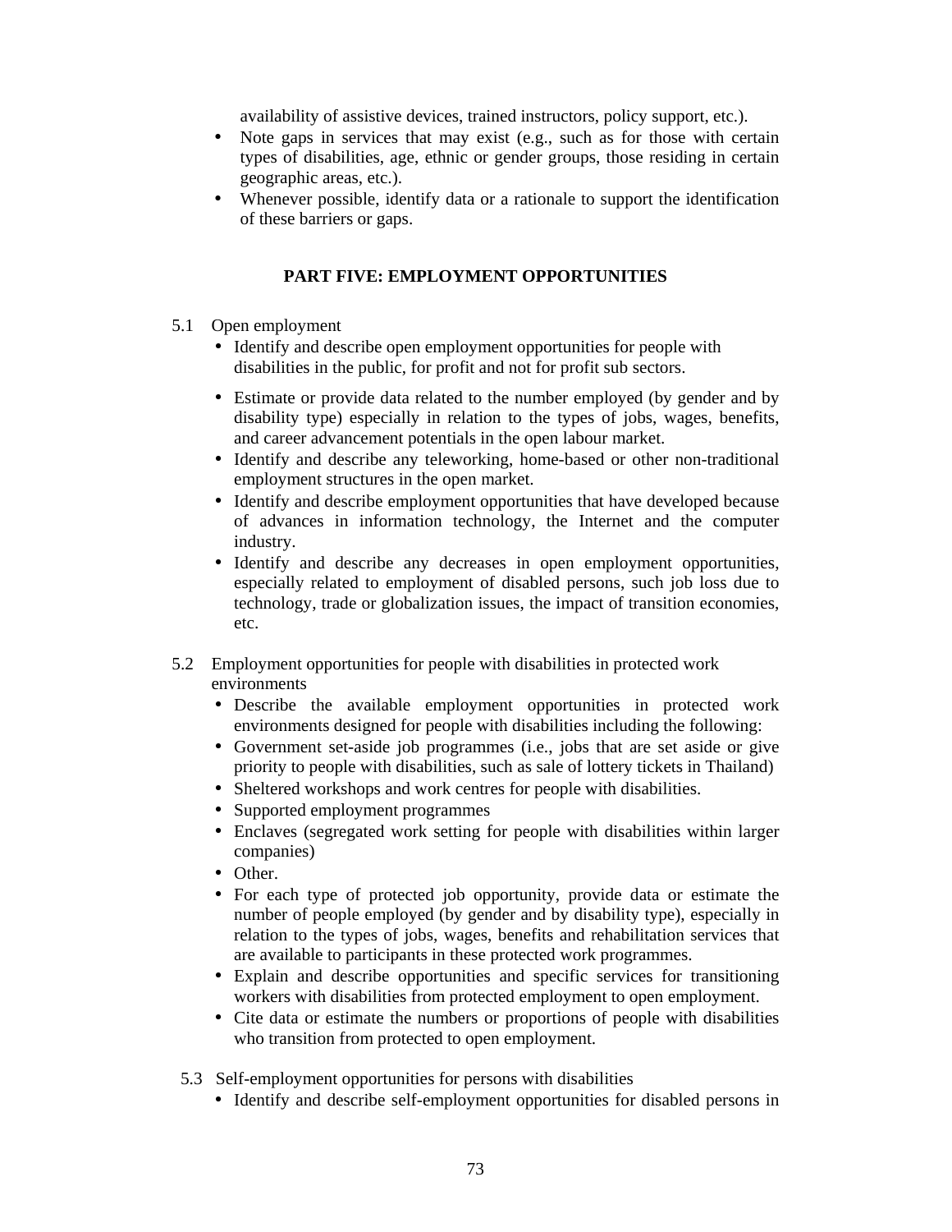availability of assistive devices, trained instructors, policy support, etc.).

- Note gaps in services that may exist (e.g., such as for those with certain types of disabilities, age, ethnic or gender groups, those residing in certain geographic areas, etc.).
- Whenever possible, identify data or a rationale to support the identification of these barriers or gaps.

#### **PART FIVE: EMPLOYMENT OPPORTUNITIES**

- 5.1 Open employment
	- Identify and describe open employment opportunities for people with disabilities in the public, for profit and not for profit sub sectors.
	- Estimate or provide data related to the number employed (by gender and by disability type) especially in relation to the types of jobs, wages, benefits, and career advancement potentials in the open labour market.
	- Identify and describe any teleworking, home-based or other non-traditional employment structures in the open market.
	- Identify and describe employment opportunities that have developed because of advances in information technology, the Internet and the computer industry.
	- Identify and describe any decreases in open employment opportunities, especially related to employment of disabled persons, such job loss due to technology, trade or globalization issues, the impact of transition economies, etc.
- 5.2 Employment opportunities for people with disabilities in protected work environments
	- Describe the available employment opportunities in protected work environments designed for people with disabilities including the following:
	- Government set-aside job programmes (i.e., jobs that are set aside or give priority to people with disabilities, such as sale of lottery tickets in Thailand)
	- Sheltered workshops and work centres for people with disabilities.
	- Supported employment programmes
	- Enclaves (segregated work setting for people with disabilities within larger companies)
	- Other.
	- For each type of protected job opportunity, provide data or estimate the number of people employed (by gender and by disability type), especially in relation to the types of jobs, wages, benefits and rehabilitation services that are available to participants in these protected work programmes.
	- Explain and describe opportunities and specific services for transitioning workers with disabilities from protected employment to open employment.
	- Cite data or estimate the numbers or proportions of people with disabilities who transition from protected to open employment.
- 5.3 Self-employment opportunities for persons with disabilities
	- Identify and describe self-employment opportunities for disabled persons in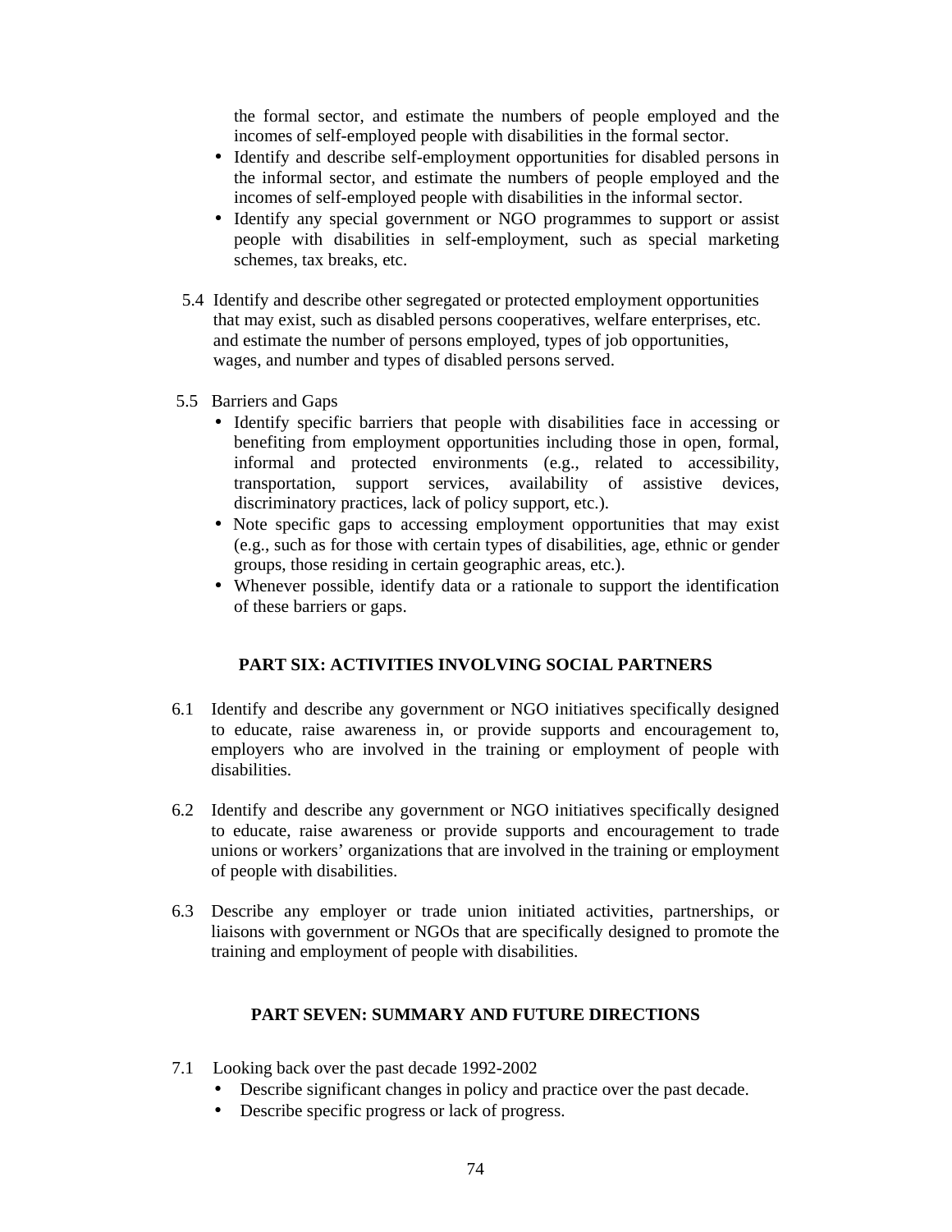the formal sector, and estimate the numbers of people employed and the incomes of self-employed people with disabilities in the formal sector.

- Identify and describe self-employment opportunities for disabled persons in the informal sector, and estimate the numbers of people employed and the incomes of self-employed people with disabilities in the informal sector.
- Identify any special government or NGO programmes to support or assist people with disabilities in self-employment, such as special marketing schemes, tax breaks, etc.
- 5.4 Identify and describe other segregated or protected employment opportunities that may exist, such as disabled persons cooperatives, welfare enterprises, etc. and estimate the number of persons employed, types of job opportunities, wages, and number and types of disabled persons served.
- 5.5 Barriers and Gaps
	- Identify specific barriers that people with disabilities face in accessing or benefiting from employment opportunities including those in open, formal, informal and protected environments (e.g., related to accessibility, transportation, support services, availability of assistive devices, discriminatory practices, lack of policy support, etc.).
	- Note specific gaps to accessing employment opportunities that may exist (e.g., such as for those with certain types of disabilities, age, ethnic or gender groups, those residing in certain geographic areas, etc.).
	- Whenever possible, identify data or a rationale to support the identification of these barriers or gaps.

#### **PART SIX: ACTIVITIES INVOLVING SOCIAL PARTNERS**

- 6.1 Identify and describe any government or NGO initiatives specifically designed to educate, raise awareness in, or provide supports and encouragement to, employers who are involved in the training or employment of people with disabilities.
- 6.2 Identify and describe any government or NGO initiatives specifically designed to educate, raise awareness or provide supports and encouragement to trade unions or workers' organizations that are involved in the training or employment of people with disabilities.
- 6.3 Describe any employer or trade union initiated activities, partnerships, or liaisons with government or NGOs that are specifically designed to promote the training and employment of people with disabilities.

#### **PART SEVEN: SUMMARY AND FUTURE DIRECTIONS**

- 7.1 Looking back over the past decade 1992-2002
	- Describe significant changes in policy and practice over the past decade.
	- Describe specific progress or lack of progress.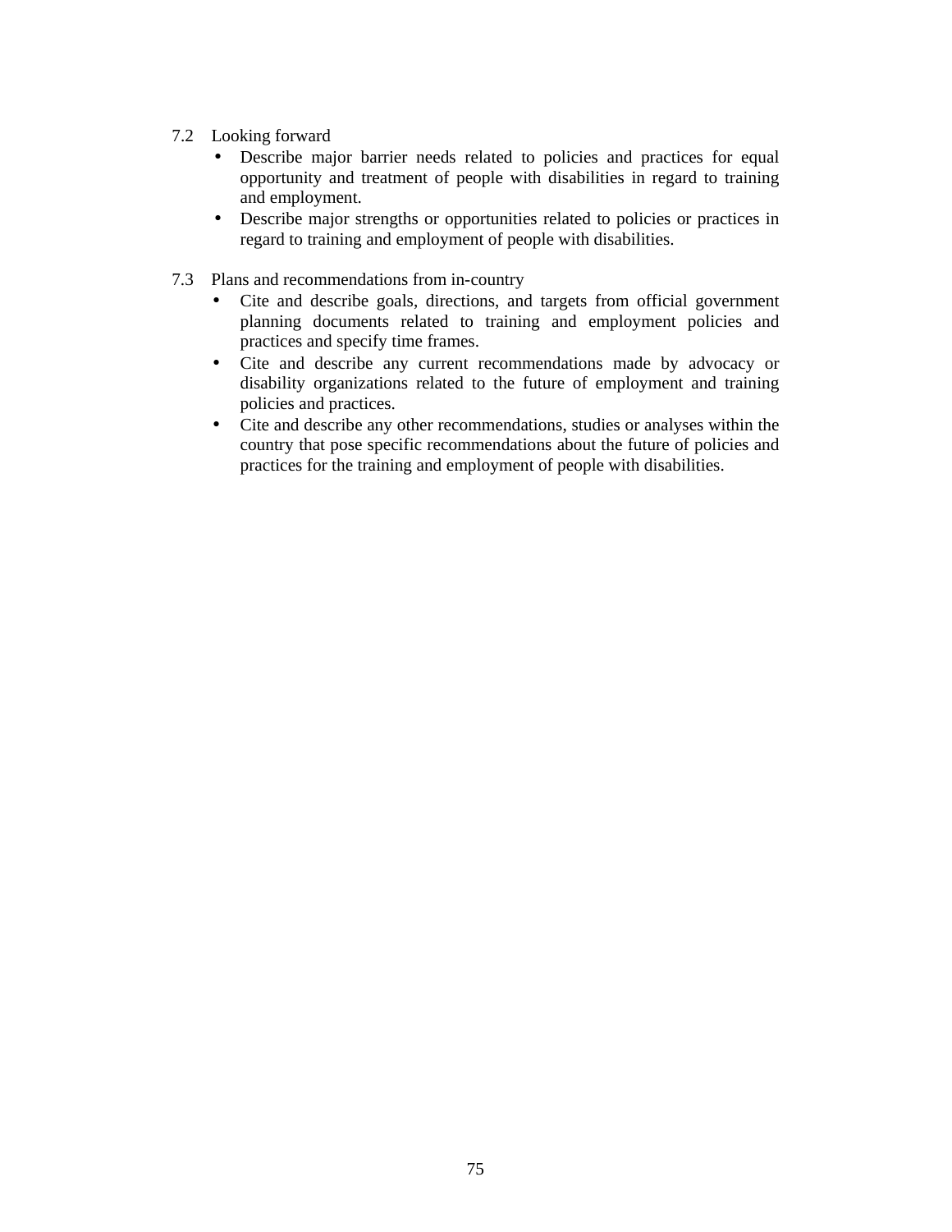- 7.2 Looking forward
	- Describe major barrier needs related to policies and practices for equal opportunity and treatment of people with disabilities in regard to training and employment.
	- Describe major strengths or opportunities related to policies or practices in regard to training and employment of people with disabilities.
- 7.3 Plans and recommendations from in-country
	- Cite and describe goals, directions, and targets from official government planning documents related to training and employment policies and practices and specify time frames.
	- Cite and describe any current recommendations made by advocacy or disability organizations related to the future of employment and training policies and practices.
	- Cite and describe any other recommendations, studies or analyses within the country that pose specific recommendations about the future of policies and practices for the training and employment of people with disabilities.